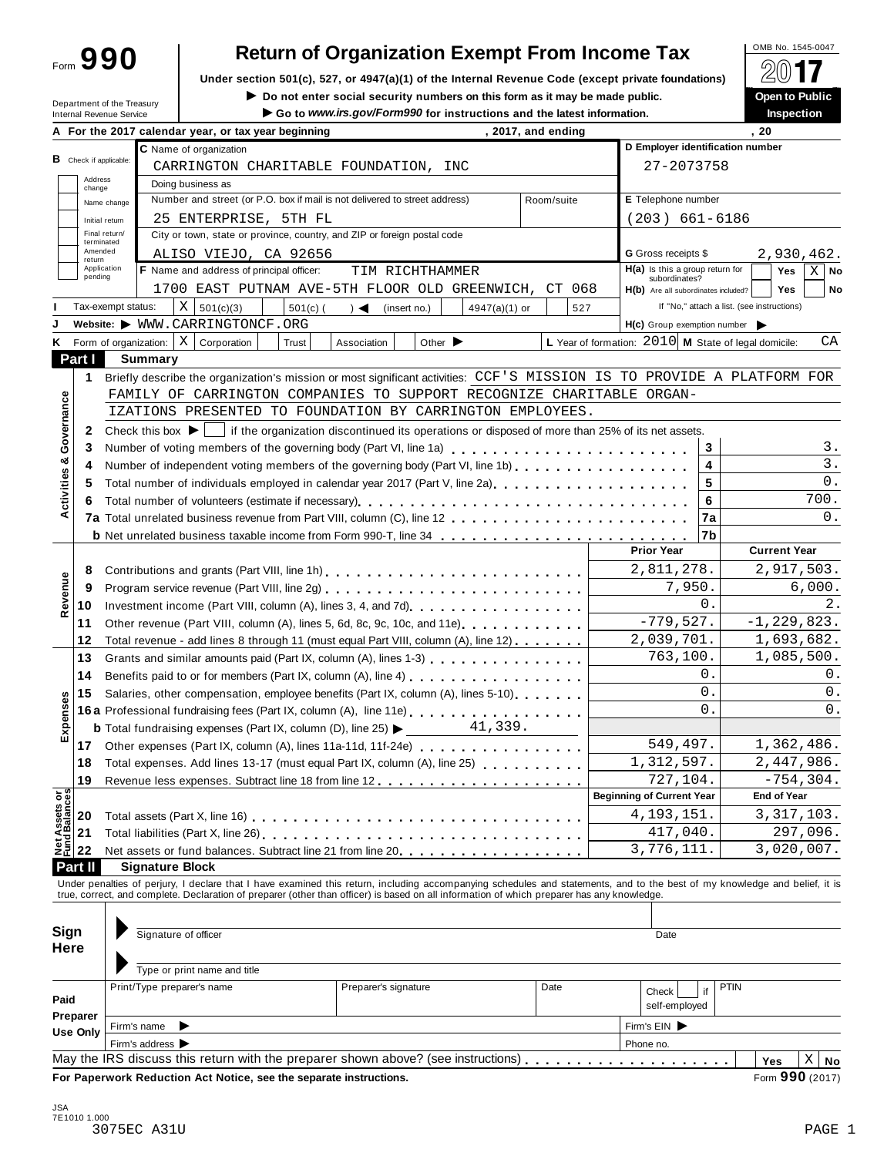Form **990**

## **Return of Organization Exempt From Income Tax**

**Under section 501(c), 527, or 4947(a)(1) of the Internal Revenue Code (except private foundations)** À¾µ»

 $\blacktriangleright$  Do not enter social security numbers on this form as it may be made public. Go to www.irs.gov/Form990 for instructions and the latest information.

| Department of the Treasury |
|----------------------------|
| Internal Revenue Service   |

|                                                                                                                                                                                                                                                                                                                                                                                                                                                                                                                                                                                                                                                                                                                                                                                                                                                                                                                                                                                                                                                                                                                                                                                                                                                                                                                                                                                                                                                                                                                                                                                                                                                                                                                                                                                                                                                                                                                                                                                                                                                                                                                                                                                                                                                                                                                                                                                                                                                                                                                                                                                                                                                                                                                                                                                                                                                                                                                                                                                                                                                                                                                                                                                                                                                                                                                                                                                                                                                                                                                                                                                                                                                                                                                                                                                                                                                                                                                                        |  |                                          |                 |                            | . 20               |
|----------------------------------------------------------------------------------------------------------------------------------------------------------------------------------------------------------------------------------------------------------------------------------------------------------------------------------------------------------------------------------------------------------------------------------------------------------------------------------------------------------------------------------------------------------------------------------------------------------------------------------------------------------------------------------------------------------------------------------------------------------------------------------------------------------------------------------------------------------------------------------------------------------------------------------------------------------------------------------------------------------------------------------------------------------------------------------------------------------------------------------------------------------------------------------------------------------------------------------------------------------------------------------------------------------------------------------------------------------------------------------------------------------------------------------------------------------------------------------------------------------------------------------------------------------------------------------------------------------------------------------------------------------------------------------------------------------------------------------------------------------------------------------------------------------------------------------------------------------------------------------------------------------------------------------------------------------------------------------------------------------------------------------------------------------------------------------------------------------------------------------------------------------------------------------------------------------------------------------------------------------------------------------------------------------------------------------------------------------------------------------------------------------------------------------------------------------------------------------------------------------------------------------------------------------------------------------------------------------------------------------------------------------------------------------------------------------------------------------------------------------------------------------------------------------------------------------------------------------------------------------------------------------------------------------------------------------------------------------------------------------------------------------------------------------------------------------------------------------------------------------------------------------------------------------------------------------------------------------------------------------------------------------------------------------------------------------------------------------------------------------------------------------------------------------------------------------------------------------------------------------------------------------------------------------------------------------------------------------------------------------------------------------------------------------------------------------------------------------------------------------------------------------------------------------------------------------------------------------------------------------------------------------------------------------------|--|------------------------------------------|-----------------|----------------------------|--------------------|
|                                                                                                                                                                                                                                                                                                                                                                                                                                                                                                                                                                                                                                                                                                                                                                                                                                                                                                                                                                                                                                                                                                                                                                                                                                                                                                                                                                                                                                                                                                                                                                                                                                                                                                                                                                                                                                                                                                                                                                                                                                                                                                                                                                                                                                                                                                                                                                                                                                                                                                                                                                                                                                                                                                                                                                                                                                                                                                                                                                                                                                                                                                                                                                                                                                                                                                                                                                                                                                                                                                                                                                                                                                                                                                                                                                                                                                                                                                                                        |  | C Name of organization                   |                 |                            |                    |
|                                                                                                                                                                                                                                                                                                                                                                                                                                                                                                                                                                                                                                                                                                                                                                                                                                                                                                                                                                                                                                                                                                                                                                                                                                                                                                                                                                                                                                                                                                                                                                                                                                                                                                                                                                                                                                                                                                                                                                                                                                                                                                                                                                                                                                                                                                                                                                                                                                                                                                                                                                                                                                                                                                                                                                                                                                                                                                                                                                                                                                                                                                                                                                                                                                                                                                                                                                                                                                                                                                                                                                                                                                                                                                                                                                                                                                                                                                                                        |  |                                          |                 |                            |                    |
|                                                                                                                                                                                                                                                                                                                                                                                                                                                                                                                                                                                                                                                                                                                                                                                                                                                                                                                                                                                                                                                                                                                                                                                                                                                                                                                                                                                                                                                                                                                                                                                                                                                                                                                                                                                                                                                                                                                                                                                                                                                                                                                                                                                                                                                                                                                                                                                                                                                                                                                                                                                                                                                                                                                                                                                                                                                                                                                                                                                                                                                                                                                                                                                                                                                                                                                                                                                                                                                                                                                                                                                                                                                                                                                                                                                                                                                                                                                                        |  | Doing business as                        |                 |                            |                    |
|                                                                                                                                                                                                                                                                                                                                                                                                                                                                                                                                                                                                                                                                                                                                                                                                                                                                                                                                                                                                                                                                                                                                                                                                                                                                                                                                                                                                                                                                                                                                                                                                                                                                                                                                                                                                                                                                                                                                                                                                                                                                                                                                                                                                                                                                                                                                                                                                                                                                                                                                                                                                                                                                                                                                                                                                                                                                                                                                                                                                                                                                                                                                                                                                                                                                                                                                                                                                                                                                                                                                                                                                                                                                                                                                                                                                                                                                                                                                        |  |                                          |                 |                            |                    |
|                                                                                                                                                                                                                                                                                                                                                                                                                                                                                                                                                                                                                                                                                                                                                                                                                                                                                                                                                                                                                                                                                                                                                                                                                                                                                                                                                                                                                                                                                                                                                                                                                                                                                                                                                                                                                                                                                                                                                                                                                                                                                                                                                                                                                                                                                                                                                                                                                                                                                                                                                                                                                                                                                                                                                                                                                                                                                                                                                                                                                                                                                                                                                                                                                                                                                                                                                                                                                                                                                                                                                                                                                                                                                                                                                                                                                                                                                                                                        |  |                                          |                 |                            |                    |
|                                                                                                                                                                                                                                                                                                                                                                                                                                                                                                                                                                                                                                                                                                                                                                                                                                                                                                                                                                                                                                                                                                                                                                                                                                                                                                                                                                                                                                                                                                                                                                                                                                                                                                                                                                                                                                                                                                                                                                                                                                                                                                                                                                                                                                                                                                                                                                                                                                                                                                                                                                                                                                                                                                                                                                                                                                                                                                                                                                                                                                                                                                                                                                                                                                                                                                                                                                                                                                                                                                                                                                                                                                                                                                                                                                                                                                                                                                                                        |  |                                          |                 |                            |                    |
|                                                                                                                                                                                                                                                                                                                                                                                                                                                                                                                                                                                                                                                                                                                                                                                                                                                                                                                                                                                                                                                                                                                                                                                                                                                                                                                                                                                                                                                                                                                                                                                                                                                                                                                                                                                                                                                                                                                                                                                                                                                                                                                                                                                                                                                                                                                                                                                                                                                                                                                                                                                                                                                                                                                                                                                                                                                                                                                                                                                                                                                                                                                                                                                                                                                                                                                                                                                                                                                                                                                                                                                                                                                                                                                                                                                                                                                                                                                                        |  |                                          |                 | <b>G</b> Gross receipts \$ | 2,930,462.         |
|                                                                                                                                                                                                                                                                                                                                                                                                                                                                                                                                                                                                                                                                                                                                                                                                                                                                                                                                                                                                                                                                                                                                                                                                                                                                                                                                                                                                                                                                                                                                                                                                                                                                                                                                                                                                                                                                                                                                                                                                                                                                                                                                                                                                                                                                                                                                                                                                                                                                                                                                                                                                                                                                                                                                                                                                                                                                                                                                                                                                                                                                                                                                                                                                                                                                                                                                                                                                                                                                                                                                                                                                                                                                                                                                                                                                                                                                                                                                        |  | F Name and address of principal officer: | TIM RICHTHAMMER |                            | Yes<br>$X \mid$ No |
|                                                                                                                                                                                                                                                                                                                                                                                                                                                                                                                                                                                                                                                                                                                                                                                                                                                                                                                                                                                                                                                                                                                                                                                                                                                                                                                                                                                                                                                                                                                                                                                                                                                                                                                                                                                                                                                                                                                                                                                                                                                                                                                                                                                                                                                                                                                                                                                                                                                                                                                                                                                                                                                                                                                                                                                                                                                                                                                                                                                                                                                                                                                                                                                                                                                                                                                                                                                                                                                                                                                                                                                                                                                                                                                                                                                                                                                                                                                                        |  |                                          |                 |                            | <b>Yes</b><br>No   |
|                                                                                                                                                                                                                                                                                                                                                                                                                                                                                                                                                                                                                                                                                                                                                                                                                                                                                                                                                                                                                                                                                                                                                                                                                                                                                                                                                                                                                                                                                                                                                                                                                                                                                                                                                                                                                                                                                                                                                                                                                                                                                                                                                                                                                                                                                                                                                                                                                                                                                                                                                                                                                                                                                                                                                                                                                                                                                                                                                                                                                                                                                                                                                                                                                                                                                                                                                                                                                                                                                                                                                                                                                                                                                                                                                                                                                                                                                                                                        |  |                                          |                 |                            |                    |
|                                                                                                                                                                                                                                                                                                                                                                                                                                                                                                                                                                                                                                                                                                                                                                                                                                                                                                                                                                                                                                                                                                                                                                                                                                                                                                                                                                                                                                                                                                                                                                                                                                                                                                                                                                                                                                                                                                                                                                                                                                                                                                                                                                                                                                                                                                                                                                                                                                                                                                                                                                                                                                                                                                                                                                                                                                                                                                                                                                                                                                                                                                                                                                                                                                                                                                                                                                                                                                                                                                                                                                                                                                                                                                                                                                                                                                                                                                                                        |  |                                          |                 |                            |                    |
|                                                                                                                                                                                                                                                                                                                                                                                                                                                                                                                                                                                                                                                                                                                                                                                                                                                                                                                                                                                                                                                                                                                                                                                                                                                                                                                                                                                                                                                                                                                                                                                                                                                                                                                                                                                                                                                                                                                                                                                                                                                                                                                                                                                                                                                                                                                                                                                                                                                                                                                                                                                                                                                                                                                                                                                                                                                                                                                                                                                                                                                                                                                                                                                                                                                                                                                                                                                                                                                                                                                                                                                                                                                                                                                                                                                                                                                                                                                                        |  |                                          |                 |                            | СA                 |
|                                                                                                                                                                                                                                                                                                                                                                                                                                                                                                                                                                                                                                                                                                                                                                                                                                                                                                                                                                                                                                                                                                                                                                                                                                                                                                                                                                                                                                                                                                                                                                                                                                                                                                                                                                                                                                                                                                                                                                                                                                                                                                                                                                                                                                                                                                                                                                                                                                                                                                                                                                                                                                                                                                                                                                                                                                                                                                                                                                                                                                                                                                                                                                                                                                                                                                                                                                                                                                                                                                                                                                                                                                                                                                                                                                                                                                                                                                                                        |  |                                          |                 |                            |                    |
|                                                                                                                                                                                                                                                                                                                                                                                                                                                                                                                                                                                                                                                                                                                                                                                                                                                                                                                                                                                                                                                                                                                                                                                                                                                                                                                                                                                                                                                                                                                                                                                                                                                                                                                                                                                                                                                                                                                                                                                                                                                                                                                                                                                                                                                                                                                                                                                                                                                                                                                                                                                                                                                                                                                                                                                                                                                                                                                                                                                                                                                                                                                                                                                                                                                                                                                                                                                                                                                                                                                                                                                                                                                                                                                                                                                                                                                                                                                                        |  |                                          |                 |                            |                    |
|                                                                                                                                                                                                                                                                                                                                                                                                                                                                                                                                                                                                                                                                                                                                                                                                                                                                                                                                                                                                                                                                                                                                                                                                                                                                                                                                                                                                                                                                                                                                                                                                                                                                                                                                                                                                                                                                                                                                                                                                                                                                                                                                                                                                                                                                                                                                                                                                                                                                                                                                                                                                                                                                                                                                                                                                                                                                                                                                                                                                                                                                                                                                                                                                                                                                                                                                                                                                                                                                                                                                                                                                                                                                                                                                                                                                                                                                                                                                        |  |                                          |                 |                            |                    |
|                                                                                                                                                                                                                                                                                                                                                                                                                                                                                                                                                                                                                                                                                                                                                                                                                                                                                                                                                                                                                                                                                                                                                                                                                                                                                                                                                                                                                                                                                                                                                                                                                                                                                                                                                                                                                                                                                                                                                                                                                                                                                                                                                                                                                                                                                                                                                                                                                                                                                                                                                                                                                                                                                                                                                                                                                                                                                                                                                                                                                                                                                                                                                                                                                                                                                                                                                                                                                                                                                                                                                                                                                                                                                                                                                                                                                                                                                                                                        |  |                                          |                 |                            |                    |
|                                                                                                                                                                                                                                                                                                                                                                                                                                                                                                                                                                                                                                                                                                                                                                                                                                                                                                                                                                                                                                                                                                                                                                                                                                                                                                                                                                                                                                                                                                                                                                                                                                                                                                                                                                                                                                                                                                                                                                                                                                                                                                                                                                                                                                                                                                                                                                                                                                                                                                                                                                                                                                                                                                                                                                                                                                                                                                                                                                                                                                                                                                                                                                                                                                                                                                                                                                                                                                                                                                                                                                                                                                                                                                                                                                                                                                                                                                                                        |  |                                          |                 |                            |                    |
|                                                                                                                                                                                                                                                                                                                                                                                                                                                                                                                                                                                                                                                                                                                                                                                                                                                                                                                                                                                                                                                                                                                                                                                                                                                                                                                                                                                                                                                                                                                                                                                                                                                                                                                                                                                                                                                                                                                                                                                                                                                                                                                                                                                                                                                                                                                                                                                                                                                                                                                                                                                                                                                                                                                                                                                                                                                                                                                                                                                                                                                                                                                                                                                                                                                                                                                                                                                                                                                                                                                                                                                                                                                                                                                                                                                                                                                                                                                                        |  |                                          |                 |                            | З.                 |
|                                                                                                                                                                                                                                                                                                                                                                                                                                                                                                                                                                                                                                                                                                                                                                                                                                                                                                                                                                                                                                                                                                                                                                                                                                                                                                                                                                                                                                                                                                                                                                                                                                                                                                                                                                                                                                                                                                                                                                                                                                                                                                                                                                                                                                                                                                                                                                                                                                                                                                                                                                                                                                                                                                                                                                                                                                                                                                                                                                                                                                                                                                                                                                                                                                                                                                                                                                                                                                                                                                                                                                                                                                                                                                                                                                                                                                                                                                                                        |  |                                          |                 |                            | 3.                 |
|                                                                                                                                                                                                                                                                                                                                                                                                                                                                                                                                                                                                                                                                                                                                                                                                                                                                                                                                                                                                                                                                                                                                                                                                                                                                                                                                                                                                                                                                                                                                                                                                                                                                                                                                                                                                                                                                                                                                                                                                                                                                                                                                                                                                                                                                                                                                                                                                                                                                                                                                                                                                                                                                                                                                                                                                                                                                                                                                                                                                                                                                                                                                                                                                                                                                                                                                                                                                                                                                                                                                                                                                                                                                                                                                                                                                                                                                                                                                        |  |                                          |                 |                            | 0.                 |
|                                                                                                                                                                                                                                                                                                                                                                                                                                                                                                                                                                                                                                                                                                                                                                                                                                                                                                                                                                                                                                                                                                                                                                                                                                                                                                                                                                                                                                                                                                                                                                                                                                                                                                                                                                                                                                                                                                                                                                                                                                                                                                                                                                                                                                                                                                                                                                                                                                                                                                                                                                                                                                                                                                                                                                                                                                                                                                                                                                                                                                                                                                                                                                                                                                                                                                                                                                                                                                                                                                                                                                                                                                                                                                                                                                                                                                                                                                                                        |  |                                          |                 |                            |                    |
|                                                                                                                                                                                                                                                                                                                                                                                                                                                                                                                                                                                                                                                                                                                                                                                                                                                                                                                                                                                                                                                                                                                                                                                                                                                                                                                                                                                                                                                                                                                                                                                                                                                                                                                                                                                                                                                                                                                                                                                                                                                                                                                                                                                                                                                                                                                                                                                                                                                                                                                                                                                                                                                                                                                                                                                                                                                                                                                                                                                                                                                                                                                                                                                                                                                                                                                                                                                                                                                                                                                                                                                                                                                                                                                                                                                                                                                                                                                                        |  |                                          |                 |                            |                    |
|                                                                                                                                                                                                                                                                                                                                                                                                                                                                                                                                                                                                                                                                                                                                                                                                                                                                                                                                                                                                                                                                                                                                                                                                                                                                                                                                                                                                                                                                                                                                                                                                                                                                                                                                                                                                                                                                                                                                                                                                                                                                                                                                                                                                                                                                                                                                                                                                                                                                                                                                                                                                                                                                                                                                                                                                                                                                                                                                                                                                                                                                                                                                                                                                                                                                                                                                                                                                                                                                                                                                                                                                                                                                                                                                                                                                                                                                                                                                        |  |                                          |                 |                            | 0.                 |
|                                                                                                                                                                                                                                                                                                                                                                                                                                                                                                                                                                                                                                                                                                                                                                                                                                                                                                                                                                                                                                                                                                                                                                                                                                                                                                                                                                                                                                                                                                                                                                                                                                                                                                                                                                                                                                                                                                                                                                                                                                                                                                                                                                                                                                                                                                                                                                                                                                                                                                                                                                                                                                                                                                                                                                                                                                                                                                                                                                                                                                                                                                                                                                                                                                                                                                                                                                                                                                                                                                                                                                                                                                                                                                                                                                                                                                                                                                                                        |  |                                          |                 |                            |                    |
|                                                                                                                                                                                                                                                                                                                                                                                                                                                                                                                                                                                                                                                                                                                                                                                                                                                                                                                                                                                                                                                                                                                                                                                                                                                                                                                                                                                                                                                                                                                                                                                                                                                                                                                                                                                                                                                                                                                                                                                                                                                                                                                                                                                                                                                                                                                                                                                                                                                                                                                                                                                                                                                                                                                                                                                                                                                                                                                                                                                                                                                                                                                                                                                                                                                                                                                                                                                                                                                                                                                                                                                                                                                                                                                                                                                                                                                                                                                                        |  |                                          |                 |                            |                    |
|                                                                                                                                                                                                                                                                                                                                                                                                                                                                                                                                                                                                                                                                                                                                                                                                                                                                                                                                                                                                                                                                                                                                                                                                                                                                                                                                                                                                                                                                                                                                                                                                                                                                                                                                                                                                                                                                                                                                                                                                                                                                                                                                                                                                                                                                                                                                                                                                                                                                                                                                                                                                                                                                                                                                                                                                                                                                                                                                                                                                                                                                                                                                                                                                                                                                                                                                                                                                                                                                                                                                                                                                                                                                                                                                                                                                                                                                                                                                        |  |                                          |                 |                            |                    |
|                                                                                                                                                                                                                                                                                                                                                                                                                                                                                                                                                                                                                                                                                                                                                                                                                                                                                                                                                                                                                                                                                                                                                                                                                                                                                                                                                                                                                                                                                                                                                                                                                                                                                                                                                                                                                                                                                                                                                                                                                                                                                                                                                                                                                                                                                                                                                                                                                                                                                                                                                                                                                                                                                                                                                                                                                                                                                                                                                                                                                                                                                                                                                                                                                                                                                                                                                                                                                                                                                                                                                                                                                                                                                                                                                                                                                                                                                                                                        |  |                                          |                 |                            |                    |
|                                                                                                                                                                                                                                                                                                                                                                                                                                                                                                                                                                                                                                                                                                                                                                                                                                                                                                                                                                                                                                                                                                                                                                                                                                                                                                                                                                                                                                                                                                                                                                                                                                                                                                                                                                                                                                                                                                                                                                                                                                                                                                                                                                                                                                                                                                                                                                                                                                                                                                                                                                                                                                                                                                                                                                                                                                                                                                                                                                                                                                                                                                                                                                                                                                                                                                                                                                                                                                                                                                                                                                                                                                                                                                                                                                                                                                                                                                                                        |  |                                          |                 |                            | 2.                 |
|                                                                                                                                                                                                                                                                                                                                                                                                                                                                                                                                                                                                                                                                                                                                                                                                                                                                                                                                                                                                                                                                                                                                                                                                                                                                                                                                                                                                                                                                                                                                                                                                                                                                                                                                                                                                                                                                                                                                                                                                                                                                                                                                                                                                                                                                                                                                                                                                                                                                                                                                                                                                                                                                                                                                                                                                                                                                                                                                                                                                                                                                                                                                                                                                                                                                                                                                                                                                                                                                                                                                                                                                                                                                                                                                                                                                                                                                                                                                        |  |                                          |                 |                            |                    |
|                                                                                                                                                                                                                                                                                                                                                                                                                                                                                                                                                                                                                                                                                                                                                                                                                                                                                                                                                                                                                                                                                                                                                                                                                                                                                                                                                                                                                                                                                                                                                                                                                                                                                                                                                                                                                                                                                                                                                                                                                                                                                                                                                                                                                                                                                                                                                                                                                                                                                                                                                                                                                                                                                                                                                                                                                                                                                                                                                                                                                                                                                                                                                                                                                                                                                                                                                                                                                                                                                                                                                                                                                                                                                                                                                                                                                                                                                                                                        |  |                                          |                 |                            |                    |
| 13                                                                                                                                                                                                                                                                                                                                                                                                                                                                                                                                                                                                                                                                                                                                                                                                                                                                                                                                                                                                                                                                                                                                                                                                                                                                                                                                                                                                                                                                                                                                                                                                                                                                                                                                                                                                                                                                                                                                                                                                                                                                                                                                                                                                                                                                                                                                                                                                                                                                                                                                                                                                                                                                                                                                                                                                                                                                                                                                                                                                                                                                                                                                                                                                                                                                                                                                                                                                                                                                                                                                                                                                                                                                                                                                                                                                                                                                                                                                     |  |                                          |                 |                            |                    |
| 14                                                                                                                                                                                                                                                                                                                                                                                                                                                                                                                                                                                                                                                                                                                                                                                                                                                                                                                                                                                                                                                                                                                                                                                                                                                                                                                                                                                                                                                                                                                                                                                                                                                                                                                                                                                                                                                                                                                                                                                                                                                                                                                                                                                                                                                                                                                                                                                                                                                                                                                                                                                                                                                                                                                                                                                                                                                                                                                                                                                                                                                                                                                                                                                                                                                                                                                                                                                                                                                                                                                                                                                                                                                                                                                                                                                                                                                                                                                                     |  |                                          |                 |                            | 0.                 |
| 15                                                                                                                                                                                                                                                                                                                                                                                                                                                                                                                                                                                                                                                                                                                                                                                                                                                                                                                                                                                                                                                                                                                                                                                                                                                                                                                                                                                                                                                                                                                                                                                                                                                                                                                                                                                                                                                                                                                                                                                                                                                                                                                                                                                                                                                                                                                                                                                                                                                                                                                                                                                                                                                                                                                                                                                                                                                                                                                                                                                                                                                                                                                                                                                                                                                                                                                                                                                                                                                                                                                                                                                                                                                                                                                                                                                                                                                                                                                                     |  |                                          |                 |                            | 0.                 |
|                                                                                                                                                                                                                                                                                                                                                                                                                                                                                                                                                                                                                                                                                                                                                                                                                                                                                                                                                                                                                                                                                                                                                                                                                                                                                                                                                                                                                                                                                                                                                                                                                                                                                                                                                                                                                                                                                                                                                                                                                                                                                                                                                                                                                                                                                                                                                                                                                                                                                                                                                                                                                                                                                                                                                                                                                                                                                                                                                                                                                                                                                                                                                                                                                                                                                                                                                                                                                                                                                                                                                                                                                                                                                                                                                                                                                                                                                                                                        |  |                                          |                 |                            | 0.                 |
|                                                                                                                                                                                                                                                                                                                                                                                                                                                                                                                                                                                                                                                                                                                                                                                                                                                                                                                                                                                                                                                                                                                                                                                                                                                                                                                                                                                                                                                                                                                                                                                                                                                                                                                                                                                                                                                                                                                                                                                                                                                                                                                                                                                                                                                                                                                                                                                                                                                                                                                                                                                                                                                                                                                                                                                                                                                                                                                                                                                                                                                                                                                                                                                                                                                                                                                                                                                                                                                                                                                                                                                                                                                                                                                                                                                                                                                                                                                                        |  |                                          |                 |                            |                    |
|                                                                                                                                                                                                                                                                                                                                                                                                                                                                                                                                                                                                                                                                                                                                                                                                                                                                                                                                                                                                                                                                                                                                                                                                                                                                                                                                                                                                                                                                                                                                                                                                                                                                                                                                                                                                                                                                                                                                                                                                                                                                                                                                                                                                                                                                                                                                                                                                                                                                                                                                                                                                                                                                                                                                                                                                                                                                                                                                                                                                                                                                                                                                                                                                                                                                                                                                                                                                                                                                                                                                                                                                                                                                                                                                                                                                                                                                                                                                        |  |                                          |                 |                            | 1,362,486.         |
| 18                                                                                                                                                                                                                                                                                                                                                                                                                                                                                                                                                                                                                                                                                                                                                                                                                                                                                                                                                                                                                                                                                                                                                                                                                                                                                                                                                                                                                                                                                                                                                                                                                                                                                                                                                                                                                                                                                                                                                                                                                                                                                                                                                                                                                                                                                                                                                                                                                                                                                                                                                                                                                                                                                                                                                                                                                                                                                                                                                                                                                                                                                                                                                                                                                                                                                                                                                                                                                                                                                                                                                                                                                                                                                                                                                                                                                                                                                                                                     |  |                                          |                 |                            | 2,447,986.         |
| 19                                                                                                                                                                                                                                                                                                                                                                                                                                                                                                                                                                                                                                                                                                                                                                                                                                                                                                                                                                                                                                                                                                                                                                                                                                                                                                                                                                                                                                                                                                                                                                                                                                                                                                                                                                                                                                                                                                                                                                                                                                                                                                                                                                                                                                                                                                                                                                                                                                                                                                                                                                                                                                                                                                                                                                                                                                                                                                                                                                                                                                                                                                                                                                                                                                                                                                                                                                                                                                                                                                                                                                                                                                                                                                                                                                                                                                                                                                                                     |  |                                          |                 |                            | $-754, 304.$       |
|                                                                                                                                                                                                                                                                                                                                                                                                                                                                                                                                                                                                                                                                                                                                                                                                                                                                                                                                                                                                                                                                                                                                                                                                                                                                                                                                                                                                                                                                                                                                                                                                                                                                                                                                                                                                                                                                                                                                                                                                                                                                                                                                                                                                                                                                                                                                                                                                                                                                                                                                                                                                                                                                                                                                                                                                                                                                                                                                                                                                                                                                                                                                                                                                                                                                                                                                                                                                                                                                                                                                                                                                                                                                                                                                                                                                                                                                                                                                        |  |                                          |                 |                            | <b>End of Year</b> |
| 20                                                                                                                                                                                                                                                                                                                                                                                                                                                                                                                                                                                                                                                                                                                                                                                                                                                                                                                                                                                                                                                                                                                                                                                                                                                                                                                                                                                                                                                                                                                                                                                                                                                                                                                                                                                                                                                                                                                                                                                                                                                                                                                                                                                                                                                                                                                                                                                                                                                                                                                                                                                                                                                                                                                                                                                                                                                                                                                                                                                                                                                                                                                                                                                                                                                                                                                                                                                                                                                                                                                                                                                                                                                                                                                                                                                                                                                                                                                                     |  |                                          |                 |                            | 3, 317, 103.       |
| 21                                                                                                                                                                                                                                                                                                                                                                                                                                                                                                                                                                                                                                                                                                                                                                                                                                                                                                                                                                                                                                                                                                                                                                                                                                                                                                                                                                                                                                                                                                                                                                                                                                                                                                                                                                                                                                                                                                                                                                                                                                                                                                                                                                                                                                                                                                                                                                                                                                                                                                                                                                                                                                                                                                                                                                                                                                                                                                                                                                                                                                                                                                                                                                                                                                                                                                                                                                                                                                                                                                                                                                                                                                                                                                                                                                                                                                                                                                                                     |  |                                          |                 |                            | 297,096.           |
| 22                                                                                                                                                                                                                                                                                                                                                                                                                                                                                                                                                                                                                                                                                                                                                                                                                                                                                                                                                                                                                                                                                                                                                                                                                                                                                                                                                                                                                                                                                                                                                                                                                                                                                                                                                                                                                                                                                                                                                                                                                                                                                                                                                                                                                                                                                                                                                                                                                                                                                                                                                                                                                                                                                                                                                                                                                                                                                                                                                                                                                                                                                                                                                                                                                                                                                                                                                                                                                                                                                                                                                                                                                                                                                                                                                                                                                                                                                                                                     |  |                                          |                 |                            | 3,020,007.         |
|                                                                                                                                                                                                                                                                                                                                                                                                                                                                                                                                                                                                                                                                                                                                                                                                                                                                                                                                                                                                                                                                                                                                                                                                                                                                                                                                                                                                                                                                                                                                                                                                                                                                                                                                                                                                                                                                                                                                                                                                                                                                                                                                                                                                                                                                                                                                                                                                                                                                                                                                                                                                                                                                                                                                                                                                                                                                                                                                                                                                                                                                                                                                                                                                                                                                                                                                                                                                                                                                                                                                                                                                                                                                                                                                                                                                                                                                                                                                        |  |                                          |                 |                            |                    |
|                                                                                                                                                                                                                                                                                                                                                                                                                                                                                                                                                                                                                                                                                                                                                                                                                                                                                                                                                                                                                                                                                                                                                                                                                                                                                                                                                                                                                                                                                                                                                                                                                                                                                                                                                                                                                                                                                                                                                                                                                                                                                                                                                                                                                                                                                                                                                                                                                                                                                                                                                                                                                                                                                                                                                                                                                                                                                                                                                                                                                                                                                                                                                                                                                                                                                                                                                                                                                                                                                                                                                                                                                                                                                                                                                                                                                                                                                                                                        |  |                                          |                 |                            |                    |
|                                                                                                                                                                                                                                                                                                                                                                                                                                                                                                                                                                                                                                                                                                                                                                                                                                                                                                                                                                                                                                                                                                                                                                                                                                                                                                                                                                                                                                                                                                                                                                                                                                                                                                                                                                                                                                                                                                                                                                                                                                                                                                                                                                                                                                                                                                                                                                                                                                                                                                                                                                                                                                                                                                                                                                                                                                                                                                                                                                                                                                                                                                                                                                                                                                                                                                                                                                                                                                                                                                                                                                                                                                                                                                                                                                                                                                                                                                                                        |  |                                          |                 |                            |                    |
|                                                                                                                                                                                                                                                                                                                                                                                                                                                                                                                                                                                                                                                                                                                                                                                                                                                                                                                                                                                                                                                                                                                                                                                                                                                                                                                                                                                                                                                                                                                                                                                                                                                                                                                                                                                                                                                                                                                                                                                                                                                                                                                                                                                                                                                                                                                                                                                                                                                                                                                                                                                                                                                                                                                                                                                                                                                                                                                                                                                                                                                                                                                                                                                                                                                                                                                                                                                                                                                                                                                                                                                                                                                                                                                                                                                                                                                                                                                                        |  |                                          |                 |                            |                    |
|                                                                                                                                                                                                                                                                                                                                                                                                                                                                                                                                                                                                                                                                                                                                                                                                                                                                                                                                                                                                                                                                                                                                                                                                                                                                                                                                                                                                                                                                                                                                                                                                                                                                                                                                                                                                                                                                                                                                                                                                                                                                                                                                                                                                                                                                                                                                                                                                                                                                                                                                                                                                                                                                                                                                                                                                                                                                                                                                                                                                                                                                                                                                                                                                                                                                                                                                                                                                                                                                                                                                                                                                                                                                                                                                                                                                                                                                                                                                        |  | Signature of officer                     |                 | Date                       |                    |
|                                                                                                                                                                                                                                                                                                                                                                                                                                                                                                                                                                                                                                                                                                                                                                                                                                                                                                                                                                                                                                                                                                                                                                                                                                                                                                                                                                                                                                                                                                                                                                                                                                                                                                                                                                                                                                                                                                                                                                                                                                                                                                                                                                                                                                                                                                                                                                                                                                                                                                                                                                                                                                                                                                                                                                                                                                                                                                                                                                                                                                                                                                                                                                                                                                                                                                                                                                                                                                                                                                                                                                                                                                                                                                                                                                                                                                                                                                                                        |  |                                          |                 |                            |                    |
|                                                                                                                                                                                                                                                                                                                                                                                                                                                                                                                                                                                                                                                                                                                                                                                                                                                                                                                                                                                                                                                                                                                                                                                                                                                                                                                                                                                                                                                                                                                                                                                                                                                                                                                                                                                                                                                                                                                                                                                                                                                                                                                                                                                                                                                                                                                                                                                                                                                                                                                                                                                                                                                                                                                                                                                                                                                                                                                                                                                                                                                                                                                                                                                                                                                                                                                                                                                                                                                                                                                                                                                                                                                                                                                                                                                                                                                                                                                                        |  | Type or print name and title             |                 |                            |                    |
| , 2017, and ending<br>A For the 2017 calendar year, or tax year beginning<br>D Employer identification number<br><b>B</b> Check if applicable:<br>27-2073758<br>CARRINGTON CHARITABLE FOUNDATION, INC<br>Address<br>change<br>Number and street (or P.O. box if mail is not delivered to street address)<br>E Telephone number<br>Room/suite<br>Name change<br>$(203) 661 - 6186$<br>25 ENTERPRISE, 5TH FL<br>Initial return<br>Final return/<br>City or town, state or province, country, and ZIP or foreign postal code<br>terminated<br>Amended<br>ALISO VIEJO, CA 92656<br>return<br>Application<br>$H(a)$ is this a group return for<br>pending<br>subordinates?<br>1700 EAST PUTNAM AVE-5TH FLOOR OLD GREENWICH, CT 068<br>H(b) Are all subordinates included?<br>ΧI<br>Tax-exempt status:<br>501(c)(3)<br>If "No," attach a list. (see instructions)<br>$501(c)$ (<br>$4947(a)(1)$ or<br>527<br>$\rightarrow$<br>(insert no.)<br>Website: WWW.CARRINGTONCF.ORG<br>$H(c)$ Group exemption number $\triangleright$<br>L Year of formation: $2010$ M State of legal domicile:<br>Form of organization: $\mid X \mid$ Corporation<br>Other $\blacktriangleright$<br>Trust<br>Association<br>Part I<br><b>Summary</b><br>Briefly describe the organization's mission or most significant activities: CCF'S MISSION IS TO PROVIDE A PLATFORM FOR<br>$\mathbf 1$<br>FAMILY OF CARRINGTON COMPANIES TO SUPPORT RECOGNIZE CHARITABLE ORGAN-<br>Governance<br>IZATIONS PRESENTED TO FOUNDATION BY CARRINGTON EMPLOYEES.<br>if the organization discontinued its operations or disposed of more than 25% of its net assets.<br>Check this box $\blacktriangleright$<br>2<br>3<br>3<br>ೲ<br>4<br>Number of independent voting members of the governing body (Part VI, line 1b)<br>4<br>Activities<br>5<br>Total number of individuals employed in calendar year 2017 (Part V, line 2a)<br>5<br>700.<br>6<br>6<br>7a<br> 7b<br><b>Prior Year</b><br><b>Current Year</b><br>2,811,278.<br>2,917,503.<br>8<br>Revenue<br>7,950.<br>6,000.<br>9<br>0.<br>10<br>$-779,527.$<br>$-1, 229, 823.$<br>11<br>Other revenue (Part VIII, column (A), lines 5, 6d, 8c, 9c, 10c, and 11e)<br>2,039,701.<br>1,693,682.<br>12<br>Total revenue - add lines 8 through 11 (must equal Part VIII, column (A), line 12)<br>763,100.<br>1,085,500.<br>Grants and similar amounts paid (Part IX, column (A), lines 1-3)<br>0.<br>0.<br>Salaries, other compensation, employee benefits (Part IX, column (A), lines 5-10)<br>Expenses<br>0.<br>16a Professional fundraising fees (Part IX, column (A), line 11e)<br>41,339.<br><b>b</b> Total fundraising expenses (Part IX, column (D), line 25) $\blacktriangleright$<br>549,497.<br>17 Other expenses (Part IX, column (A), lines 11a-11d, 11f-24e)<br>1,312,597.<br>727,104.<br>Revenue less expenses. Subtract line 18 from line 12 [11] [21] [21] Revenue less expenses. Subtract line 18 from line 12<br>Net Assets or<br>Fund Balances<br><b>Beginning of Current Year</b><br>4, 193, 151.<br>417,040.<br>Total liabilities (Part X, line 26) [14] [2012] [2012] [2012] [2012] [2012] [2012] [2012] [2012] [2012] [2012] [<br>3,776,111.<br>Net assets or fund balances. Subtract line 21 from line 20.<br><b>Signature Block</b><br>Part II<br>Under penalties of perjury, I declare that I have examined this return, including accompanying schedules and statements, and to the best of my knowledge and belief, it is<br>true, correct, and complete. Declaration of preparer (other than officer) is based on all information of which preparer has any knowledge.<br>Sign<br>Here<br>Print/Type preparer's name<br>Preparer's signature<br>Date<br><b>PTIN</b><br>if<br>Check<br>Paid<br>self-employed<br>Preparer<br>Firm's EIN<br>Firm's name<br>Use Only<br>Firm's address ><br>Phone no.<br>May the IRS discuss this return with the preparer shown above? (see instructions)<br>Χ<br>Yes<br>No |  |                                          |                 |                            |                    |
|                                                                                                                                                                                                                                                                                                                                                                                                                                                                                                                                                                                                                                                                                                                                                                                                                                                                                                                                                                                                                                                                                                                                                                                                                                                                                                                                                                                                                                                                                                                                                                                                                                                                                                                                                                                                                                                                                                                                                                                                                                                                                                                                                                                                                                                                                                                                                                                                                                                                                                                                                                                                                                                                                                                                                                                                                                                                                                                                                                                                                                                                                                                                                                                                                                                                                                                                                                                                                                                                                                                                                                                                                                                                                                                                                                                                                                                                                                                                        |  |                                          |                 |                            |                    |
|                                                                                                                                                                                                                                                                                                                                                                                                                                                                                                                                                                                                                                                                                                                                                                                                                                                                                                                                                                                                                                                                                                                                                                                                                                                                                                                                                                                                                                                                                                                                                                                                                                                                                                                                                                                                                                                                                                                                                                                                                                                                                                                                                                                                                                                                                                                                                                                                                                                                                                                                                                                                                                                                                                                                                                                                                                                                                                                                                                                                                                                                                                                                                                                                                                                                                                                                                                                                                                                                                                                                                                                                                                                                                                                                                                                                                                                                                                                                        |  |                                          |                 |                            |                    |
|                                                                                                                                                                                                                                                                                                                                                                                                                                                                                                                                                                                                                                                                                                                                                                                                                                                                                                                                                                                                                                                                                                                                                                                                                                                                                                                                                                                                                                                                                                                                                                                                                                                                                                                                                                                                                                                                                                                                                                                                                                                                                                                                                                                                                                                                                                                                                                                                                                                                                                                                                                                                                                                                                                                                                                                                                                                                                                                                                                                                                                                                                                                                                                                                                                                                                                                                                                                                                                                                                                                                                                                                                                                                                                                                                                                                                                                                                                                                        |  |                                          |                 |                            |                    |
|                                                                                                                                                                                                                                                                                                                                                                                                                                                                                                                                                                                                                                                                                                                                                                                                                                                                                                                                                                                                                                                                                                                                                                                                                                                                                                                                                                                                                                                                                                                                                                                                                                                                                                                                                                                                                                                                                                                                                                                                                                                                                                                                                                                                                                                                                                                                                                                                                                                                                                                                                                                                                                                                                                                                                                                                                                                                                                                                                                                                                                                                                                                                                                                                                                                                                                                                                                                                                                                                                                                                                                                                                                                                                                                                                                                                                                                                                                                                        |  |                                          |                 |                            |                    |
|                                                                                                                                                                                                                                                                                                                                                                                                                                                                                                                                                                                                                                                                                                                                                                                                                                                                                                                                                                                                                                                                                                                                                                                                                                                                                                                                                                                                                                                                                                                                                                                                                                                                                                                                                                                                                                                                                                                                                                                                                                                                                                                                                                                                                                                                                                                                                                                                                                                                                                                                                                                                                                                                                                                                                                                                                                                                                                                                                                                                                                                                                                                                                                                                                                                                                                                                                                                                                                                                                                                                                                                                                                                                                                                                                                                                                                                                                                                                        |  |                                          |                 |                            |                    |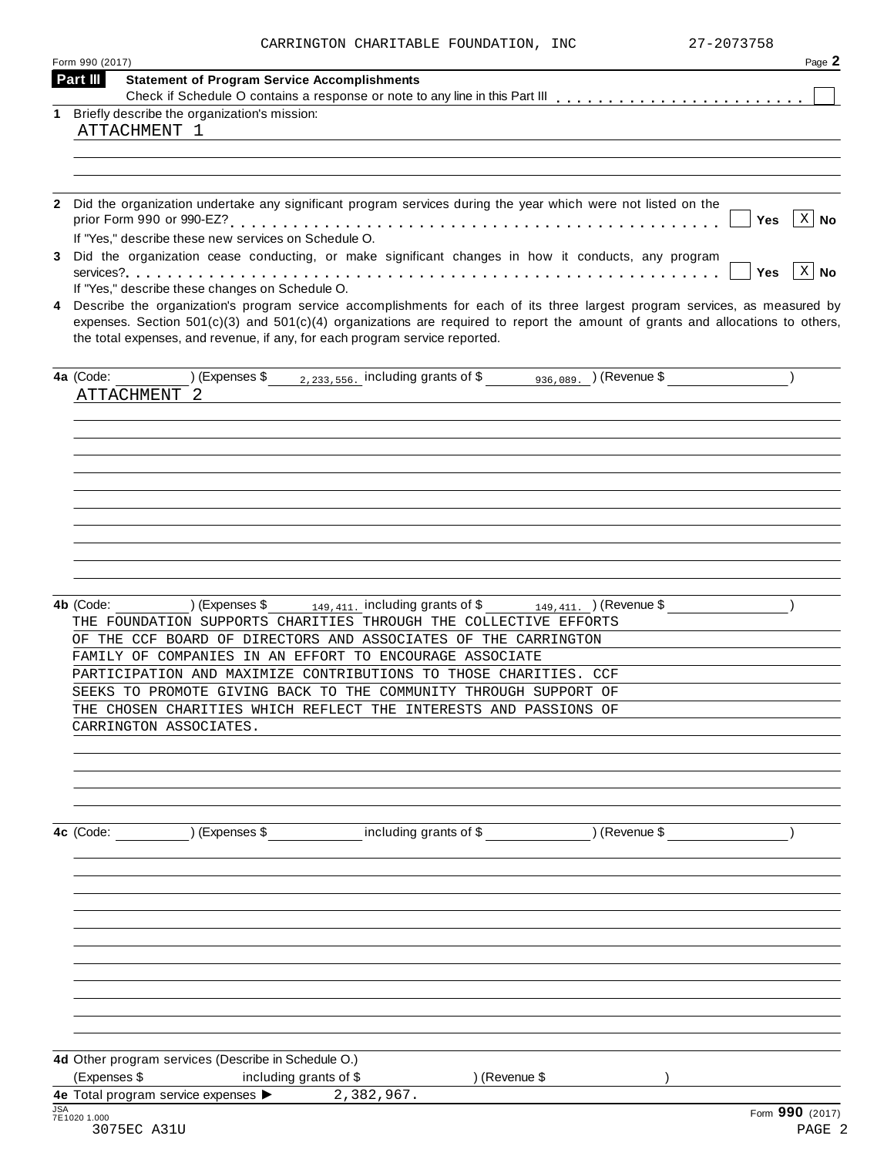|  | CARRINGTON CHARITABLE FOUNDATION, INC | 27-2073758 |
|--|---------------------------------------|------------|
|  |                                       |            |

| Form 990 (2017)                                                                                                                                                                                                                                                                                                                                   | Page 2               |
|---------------------------------------------------------------------------------------------------------------------------------------------------------------------------------------------------------------------------------------------------------------------------------------------------------------------------------------------------|----------------------|
| Part III<br><b>Statement of Program Service Accomplishments</b>                                                                                                                                                                                                                                                                                   |                      |
| 1 Briefly describe the organization's mission:                                                                                                                                                                                                                                                                                                    |                      |
| ATTACHMENT 1                                                                                                                                                                                                                                                                                                                                      |                      |
|                                                                                                                                                                                                                                                                                                                                                   |                      |
|                                                                                                                                                                                                                                                                                                                                                   |                      |
|                                                                                                                                                                                                                                                                                                                                                   |                      |
| Did the organization undertake any significant program services during the year which were not listed on the<br>Yes<br>If "Yes," describe these new services on Schedule O.                                                                                                                                                                       | $ X $ No             |
| Did the organization cease conducting, or make significant changes in how it conducts, any program<br><b>Yes</b>                                                                                                                                                                                                                                  | $\vert$ X $\vert$ No |
| If "Yes," describe these changes on Schedule O.                                                                                                                                                                                                                                                                                                   |                      |
| 4 Describe the organization's program service accomplishments for each of its three largest program services, as measured by<br>expenses. Section $501(c)(3)$ and $501(c)(4)$ organizations are required to report the amount of grants and allocations to others,<br>the total expenses, and revenue, if any, for each program service reported. |                      |
| ) (Expenses \$ $_{2,233,556}$ including grants of \$ $_{936,089}$ ) (Revenue \$<br>4a (Code:<br>ATTACHMENT 2                                                                                                                                                                                                                                      |                      |
|                                                                                                                                                                                                                                                                                                                                                   |                      |
|                                                                                                                                                                                                                                                                                                                                                   |                      |
|                                                                                                                                                                                                                                                                                                                                                   |                      |
|                                                                                                                                                                                                                                                                                                                                                   |                      |
|                                                                                                                                                                                                                                                                                                                                                   |                      |
| 4b (Code:<br>(Expenses \$<br>$_{149,411}$ including grants of \$ $_{149,411}$ (Revenue \$<br>THE FOUNDATION SUPPORTS CHARITIES THROUGH THE COLLECTIVE EFFORTS<br>OF THE CCF BOARD OF DIRECTORS AND ASSOCIATES OF THE CARRINGTON                                                                                                                   |                      |
| FAMILY OF COMPANIES IN AN EFFORT TO ENCOURAGE ASSOCIATE                                                                                                                                                                                                                                                                                           |                      |
| PARTICIPATION AND MAXIMIZE CONTRIBUTIONS TO THOSE CHARITIES. CCF                                                                                                                                                                                                                                                                                  |                      |
| SEEKS TO PROMOTE GIVING BACK TO THE COMMUNITY THROUGH SUPPORT OF                                                                                                                                                                                                                                                                                  |                      |
| THE CHOSEN CHARITIES WHICH REFLECT THE INTERESTS AND PASSIONS OF<br>CARRINGTON ASSOCIATES.                                                                                                                                                                                                                                                        |                      |
|                                                                                                                                                                                                                                                                                                                                                   |                      |
| 4c (Code: ) (Expenses \$ including grants of \$ ) (Revenue \$                                                                                                                                                                                                                                                                                     |                      |
|                                                                                                                                                                                                                                                                                                                                                   |                      |
|                                                                                                                                                                                                                                                                                                                                                   |                      |
|                                                                                                                                                                                                                                                                                                                                                   |                      |
|                                                                                                                                                                                                                                                                                                                                                   |                      |
|                                                                                                                                                                                                                                                                                                                                                   |                      |
| 4d Other program services (Describe in Schedule O.)                                                                                                                                                                                                                                                                                               |                      |
|                                                                                                                                                                                                                                                                                                                                                   |                      |
| (Expenses \$<br>including grants of \$<br>) (Revenue \$<br>4e Total program service expenses > 2,382,967.                                                                                                                                                                                                                                         |                      |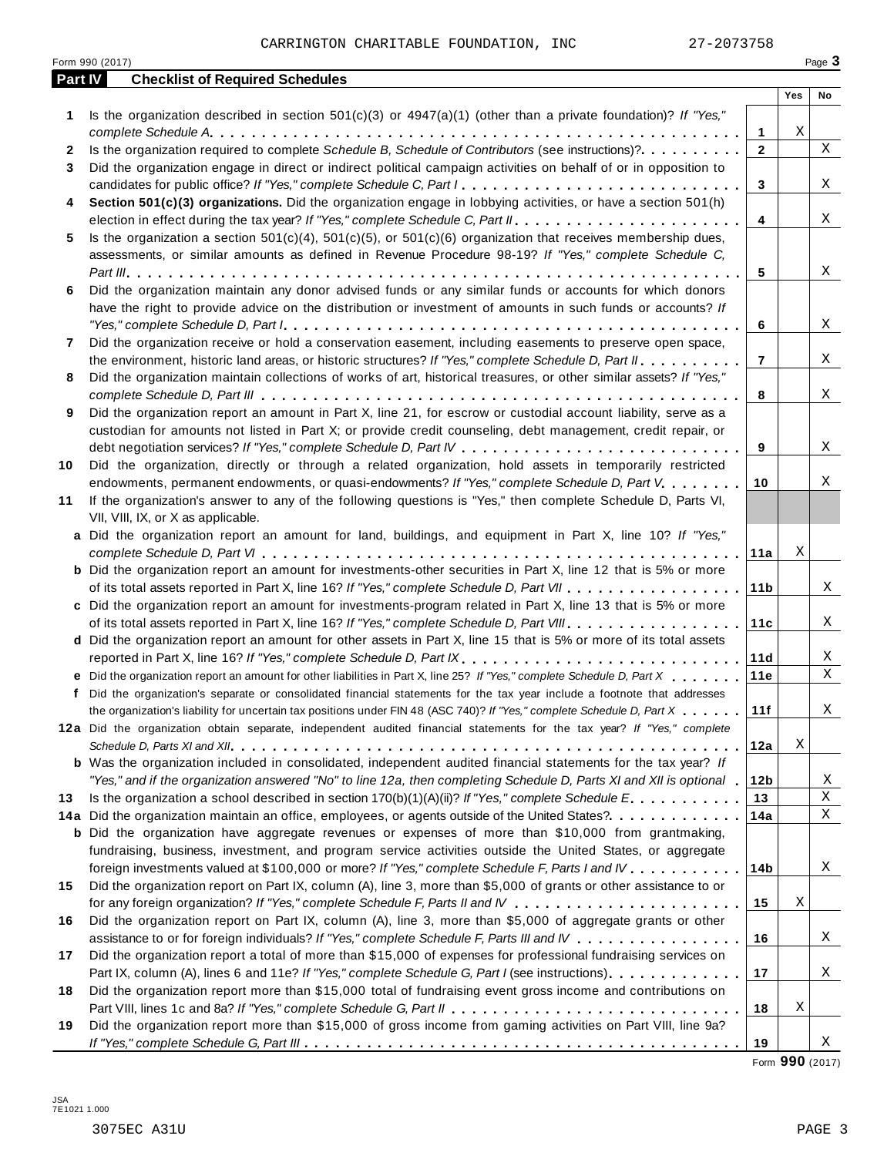|         | Form 990 (2017)                                                                                                                                                                                                                                                                                                                                                                               |                 |     | Page 3      |
|---------|-----------------------------------------------------------------------------------------------------------------------------------------------------------------------------------------------------------------------------------------------------------------------------------------------------------------------------------------------------------------------------------------------|-----------------|-----|-------------|
| Part IV | <b>Checklist of Required Schedules</b>                                                                                                                                                                                                                                                                                                                                                        |                 |     |             |
|         |                                                                                                                                                                                                                                                                                                                                                                                               |                 | Yes | No          |
| 1       | Is the organization described in section $501(c)(3)$ or $4947(a)(1)$ (other than a private foundation)? If "Yes,"                                                                                                                                                                                                                                                                             |                 |     |             |
|         |                                                                                                                                                                                                                                                                                                                                                                                               | 1               | Χ   |             |
| 2       | Is the organization required to complete Schedule B, Schedule of Contributors (see instructions)?.                                                                                                                                                                                                                                                                                            | $\mathbf{2}$    |     | $\mathbf X$ |
| 3       | Did the organization engage in direct or indirect political campaign activities on behalf of or in opposition to                                                                                                                                                                                                                                                                              |                 |     |             |
|         | candidates for public office? If "Yes," complete Schedule C, Part I.<br>Section 501(c)(3) organizations. Did the organization engage in lobbying activities, or have a section 501(h)                                                                                                                                                                                                         | 3               |     | X           |
| 4       |                                                                                                                                                                                                                                                                                                                                                                                               | $\overline{4}$  |     | X           |
| 5       | Is the organization a section $501(c)(4)$ , $501(c)(5)$ , or $501(c)(6)$ organization that receives membership dues,                                                                                                                                                                                                                                                                          |                 |     |             |
|         | assessments, or similar amounts as defined in Revenue Procedure 98-19? If "Yes," complete Schedule C,                                                                                                                                                                                                                                                                                         |                 |     |             |
|         |                                                                                                                                                                                                                                                                                                                                                                                               | 5               |     | X           |
| 6       | Did the organization maintain any donor advised funds or any similar funds or accounts for which donors                                                                                                                                                                                                                                                                                       |                 |     |             |
|         | have the right to provide advice on the distribution or investment of amounts in such funds or accounts? If                                                                                                                                                                                                                                                                                   |                 |     |             |
|         | "Yes," complete Schedule D, Part $l_1, \ldots, l_k, \ldots, l_k, \ldots, l_k, \ldots, l_k, \ldots, l_k, \ldots, l_k, \ldots, l_k, \ldots, l_k, \ldots, l_k, \ldots, l_k, \ldots, l_k, \ldots, l_k, \ldots, l_k, \ldots, l_k, \ldots, l_k, \ldots, l_k, \ldots, l_k, \ldots, l_k, \ldots, l_k, \ldots, l_k, \ldots, l_k, \ldots, l_k, \ldots, l_k, \ldots, l_k, \ldots, l_k, \ldots, l_k, \ld$ | 6               |     | Χ           |
| 7       | Did the organization receive or hold a conservation easement, including easements to preserve open space,                                                                                                                                                                                                                                                                                     |                 |     |             |
|         | the environment, historic land areas, or historic structures? If "Yes," complete Schedule D, Part II.                                                                                                                                                                                                                                                                                         | $\overline{7}$  |     | X           |
| 8       | Did the organization maintain collections of works of art, historical treasures, or other similar assets? If "Yes,"                                                                                                                                                                                                                                                                           |                 |     |             |
|         |                                                                                                                                                                                                                                                                                                                                                                                               | 8               |     | X           |
| 9       | Did the organization report an amount in Part X, line 21, for escrow or custodial account liability, serve as a                                                                                                                                                                                                                                                                               |                 |     |             |
|         | custodian for amounts not listed in Part X; or provide credit counseling, debt management, credit repair, or                                                                                                                                                                                                                                                                                  |                 |     |             |
|         |                                                                                                                                                                                                                                                                                                                                                                                               | 9               |     | Χ           |
| 10      | Did the organization, directly or through a related organization, hold assets in temporarily restricted                                                                                                                                                                                                                                                                                       |                 |     |             |
|         | endowments, permanent endowments, or quasi-endowments? If "Yes," complete Schedule D, Part V.                                                                                                                                                                                                                                                                                                 | 10              |     | Χ           |
| 11      | If the organization's answer to any of the following questions is "Yes," then complete Schedule D, Parts VI,                                                                                                                                                                                                                                                                                  |                 |     |             |
|         | VII, VIII, IX, or X as applicable.                                                                                                                                                                                                                                                                                                                                                            |                 |     |             |
|         | a Did the organization report an amount for land, buildings, and equipment in Part X, line 10? If "Yes,"                                                                                                                                                                                                                                                                                      |                 |     |             |
|         |                                                                                                                                                                                                                                                                                                                                                                                               | 11a             | Χ   |             |
|         | <b>b</b> Did the organization report an amount for investments-other securities in Part X, line 12 that is 5% or more                                                                                                                                                                                                                                                                         |                 |     |             |
|         |                                                                                                                                                                                                                                                                                                                                                                                               | 11 <sub>b</sub> |     | Χ           |
|         | c Did the organization report an amount for investments-program related in Part X, line 13 that is 5% or more                                                                                                                                                                                                                                                                                 |                 |     |             |
|         |                                                                                                                                                                                                                                                                                                                                                                                               | 11c             |     | X           |
|         | d Did the organization report an amount for other assets in Part X, line 15 that is 5% or more of its total assets                                                                                                                                                                                                                                                                            |                 |     |             |
|         | reported in Part X, line 16? If "Yes," complete Schedule D, Part IX.                                                                                                                                                                                                                                                                                                                          | 11d             |     | Χ           |
|         | e Did the organization report an amount for other liabilities in Part X, line 25? If "Yes," complete Schedule D, Part X                                                                                                                                                                                                                                                                       | 11e             |     | Χ           |
|         | f Did the organization's separate or consolidated financial statements for the tax year include a footnote that addresses                                                                                                                                                                                                                                                                     |                 |     |             |
|         | the organization's liability for uncertain tax positions under FIN 48 (ASC 740)? If "Yes," complete Schedule D, Part X                                                                                                                                                                                                                                                                        | 11f             |     | Χ           |
|         | 12a Did the organization obtain separate, independent audited financial statements for the tax year? If "Yes," complete                                                                                                                                                                                                                                                                       |                 | Χ   |             |
|         | <b>b</b> Was the organization included in consolidated, independent audited financial statements for the tax year? If                                                                                                                                                                                                                                                                         | 12a             |     |             |
|         |                                                                                                                                                                                                                                                                                                                                                                                               | 12 <sub>b</sub> |     | Χ           |
| 13      | "Yes," and if the organization answered "No" to line 12a, then completing Schedule D, Parts XI and XII is optional "<br>Is the organization a school described in section $170(b)(1)(A)(ii)?$ If "Yes," complete Schedule E.                                                                                                                                                                  | 13              |     | Χ           |
|         | 14a Did the organization maintain an office, employees, or agents outside of the United States?.                                                                                                                                                                                                                                                                                              | 14a             |     | Χ           |
|         | <b>b</b> Did the organization have aggregate revenues or expenses of more than \$10,000 from grantmaking,                                                                                                                                                                                                                                                                                     |                 |     |             |
|         | fundraising, business, investment, and program service activities outside the United States, or aggregate                                                                                                                                                                                                                                                                                     |                 |     |             |
|         | foreign investments valued at \$100,000 or more? If "Yes," complete Schedule F, Parts I and IV                                                                                                                                                                                                                                                                                                | 14 <sub>b</sub> |     | Χ           |
| 15      | Did the organization report on Part IX, column (A), line 3, more than \$5,000 of grants or other assistance to or                                                                                                                                                                                                                                                                             |                 |     |             |
|         |                                                                                                                                                                                                                                                                                                                                                                                               | 15              | Χ   |             |
| 16      | Did the organization report on Part IX, column (A), line 3, more than \$5,000 of aggregate grants or other                                                                                                                                                                                                                                                                                    |                 |     |             |
|         | assistance to or for foreign individuals? If "Yes," complete Schedule F, Parts III and IV                                                                                                                                                                                                                                                                                                     | 16              |     | Χ           |
| 17      | Did the organization report a total of more than \$15,000 of expenses for professional fundraising services on                                                                                                                                                                                                                                                                                |                 |     |             |
|         | Part IX, column (A), lines 6 and 11e? If "Yes," complete Schedule G, Part I (see instructions)                                                                                                                                                                                                                                                                                                | 17              |     | Χ           |
| 18      | Did the organization report more than \$15,000 total of fundraising event gross income and contributions on                                                                                                                                                                                                                                                                                   |                 |     |             |
|         |                                                                                                                                                                                                                                                                                                                                                                                               | 18              | Χ   |             |
| 19      | Did the organization report more than \$15,000 of gross income from gaming activities on Part VIII, line 9a?                                                                                                                                                                                                                                                                                  |                 |     |             |
|         |                                                                                                                                                                                                                                                                                                                                                                                               | 19              |     | Χ           |

Form **990** (2017)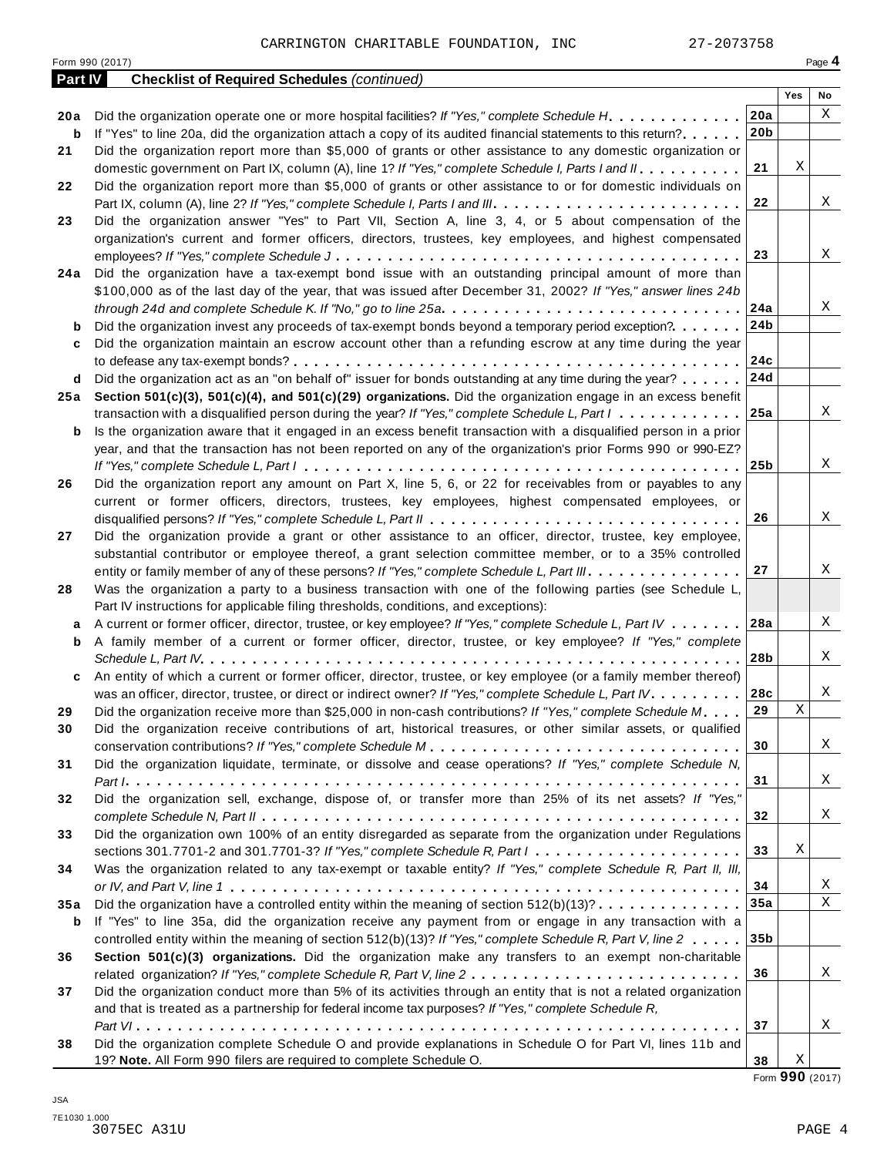| Yes<br>No<br>20a<br>Χ<br>Did the organization operate one or more hospital facilities? If "Yes," complete Schedule H.<br>20 a<br>20 <sub>b</sub><br>If "Yes" to line 20a, did the organization attach a copy of its audited financial statements to this return?<br>b<br>Did the organization report more than \$5,000 of grants or other assistance to any domestic organization or<br>21<br>Χ<br>21<br>domestic government on Part IX, column (A), line 1? If "Yes," complete Schedule I, Parts I and II.<br>Did the organization report more than \$5,000 of grants or other assistance to or for domestic individuals on<br>22<br>X<br>22<br>Did the organization answer "Yes" to Part VII, Section A, line 3, 4, or 5 about compensation of the<br>23<br>organization's current and former officers, directors, trustees, key employees, and highest compensated<br>X<br>23<br>Did the organization have a tax-exempt bond issue with an outstanding principal amount of more than<br>24 a<br>\$100,000 as of the last day of the year, that was issued after December 31, 2002? If "Yes," answer lines 24b<br>24a<br>Χ<br>through 24d and complete Schedule K. If "No," go to line 25a $\ldots \ldots \ldots \ldots \ldots \ldots \ldots \ldots \ldots \ldots \ldots$<br>24b<br>Did the organization invest any proceeds of tax-exempt bonds beyond a temporary period exception?<br>b<br>Did the organization maintain an escrow account other than a refunding escrow at any time during the year<br>c<br>24c<br>24d<br>Did the organization act as an "on behalf of" issuer for bonds outstanding at any time during the year?<br>d<br>Section 501(c)(3), 501(c)(4), and 501(c)(29) organizations. Did the organization engage in an excess benefit<br>25 a<br>X<br>25a<br>transaction with a disqualified person during the year? If "Yes," complete Schedule L, Part $1, \ldots, \ldots, \ldots$<br>Is the organization aware that it engaged in an excess benefit transaction with a disqualified person in a prior<br>b<br>year, and that the transaction has not been reported on any of the organization's prior Forms 990 or 990-EZ?<br>X<br>25 <sub>b</sub><br>Did the organization report any amount on Part X, line 5, 6, or 22 for receivables from or payables to any<br>26<br>current or former officers, directors, trustees, key employees, highest compensated employees, or<br>X<br>26<br>Did the organization provide a grant or other assistance to an officer, director, trustee, key employee,<br>27<br>substantial contributor or employee thereof, a grant selection committee member, or to a 35% controlled<br>Χ<br>27<br>entity or family member of any of these persons? If "Yes," complete Schedule L, Part III.<br>Was the organization a party to a business transaction with one of the following parties (see Schedule L,<br>28<br>Part IV instructions for applicable filing thresholds, conditions, and exceptions):<br>Χ<br>28a<br>A current or former officer, director, trustee, or key employee? If "Yes," complete Schedule L, Part IV<br>а<br>A family member of a current or former officer, director, trustee, or key employee? If "Yes," complete<br>b<br>28b<br>Χ<br>An entity of which a current or former officer, director, trustee, or key employee (or a family member thereof)<br>c<br>Χ<br>was an officer, director, trustee, or direct or indirect owner? If "Yes," complete Schedule L, Part IV.<br>28c<br>Χ<br>29<br>Did the organization receive more than \$25,000 in non-cash contributions? If "Yes," complete Schedule M<br>29<br>Did the organization receive contributions of art, historical treasures, or other similar assets, or qualified<br>30<br>Χ<br>30<br>Did the organization liquidate, terminate, or dissolve and cease operations? If "Yes," complete Schedule N,<br>31<br>X<br>31<br>Did the organization sell, exchange, dispose of, or transfer more than 25% of its net assets? If "Yes,"<br>32<br>X<br>32<br>Did the organization own 100% of an entity disregarded as separate from the organization under Regulations<br>33<br>Χ<br>33<br>sections 301.7701-2 and 301.7701-3? If "Yes," complete Schedule R, Part $l_1, \ldots, l_l, l_l, \ldots, l_l, l_l, \ldots, l_l, l_l$<br>Was the organization related to any tax-exempt or taxable entity? If "Yes," complete Schedule R, Part II, III,<br>34<br>Χ<br>34<br>X<br>35a<br>Did the organization have a controlled entity within the meaning of section $512(b)(13)? \ldots \ldots \ldots \ldots$<br>35 a<br>If "Yes" to line 35a, did the organization receive any payment from or engage in any transaction with a<br>b<br>controlled entity within the meaning of section 512(b)(13)? If "Yes," complete Schedule R, Part V, line 2<br>35 <sub>b</sub><br>Section 501(c)(3) organizations. Did the organization make any transfers to an exempt non-charitable<br>36<br>X<br>36<br>Did the organization conduct more than 5% of its activities through an entity that is not a related organization<br>37<br>and that is treated as a partnership for federal income tax purposes? If "Yes," complete Schedule R,<br>Χ<br>37<br>Did the organization complete Schedule O and provide explanations in Schedule O for Part VI, lines 11b and<br>38 | Part IV | <b>Checklist of Required Schedules (continued)</b>                 |    |   |  |
|---------------------------------------------------------------------------------------------------------------------------------------------------------------------------------------------------------------------------------------------------------------------------------------------------------------------------------------------------------------------------------------------------------------------------------------------------------------------------------------------------------------------------------------------------------------------------------------------------------------------------------------------------------------------------------------------------------------------------------------------------------------------------------------------------------------------------------------------------------------------------------------------------------------------------------------------------------------------------------------------------------------------------------------------------------------------------------------------------------------------------------------------------------------------------------------------------------------------------------------------------------------------------------------------------------------------------------------------------------------------------------------------------------------------------------------------------------------------------------------------------------------------------------------------------------------------------------------------------------------------------------------------------------------------------------------------------------------------------------------------------------------------------------------------------------------------------------------------------------------------------------------------------------------------------------------------------------------------------------------------------------------------------------------------------------------------------------------------------------------------------------------------------------------------------------------------------------------------------------------------------------------------------------------------------------------------------------------------------------------------------------------------------------------------------------------------------------------------------------------------------------------------------------------------------------------------------------------------------------------------------------------------------------------------------------------------------------------------------------------------------------------------------------------------------------------------------------------------------------------------------------------------------------------------------------------------------------------------------------------------------------------------------------------------------------------------------------------------------------------------------------------------------------------------------------------------------------------------------------------------------------------------------------------------------------------------------------------------------------------------------------------------------------------------------------------------------------------------------------------------------------------------------------------------------------------------------------------------------------------------------------------------------------------------------------------------------------------------------------------------------------------------------------------------------------------------------------------------------------------------------------------------------------------------------------------------------------------------------------------------------------------------------------------------------------------------------------------------------------------------------------------------------------------------------------------------------------------------------------------------------------------------------------------------------------------------------------------------------------------------------------------------------------------------------------------------------------------------------------------------------------------------------------------------------------------------------------------------------------------------------------------------------------------------------------------------------------------------------------------------------------------------------------------------------------------------------------------------------------------------------------------------------------------------------------------------------------------------------------------------------------------------------------------------------------------------------------------------------------------------------------------------------------------------------------------------------------------------------------------------------------------------------------------------------|---------|--------------------------------------------------------------------|----|---|--|
|                                                                                                                                                                                                                                                                                                                                                                                                                                                                                                                                                                                                                                                                                                                                                                                                                                                                                                                                                                                                                                                                                                                                                                                                                                                                                                                                                                                                                                                                                                                                                                                                                                                                                                                                                                                                                                                                                                                                                                                                                                                                                                                                                                                                                                                                                                                                                                                                                                                                                                                                                                                                                                                                                                                                                                                                                                                                                                                                                                                                                                                                                                                                                                                                                                                                                                                                                                                                                                                                                                                                                                                                                                                                                                                                                                                                                                                                                                                                                                                                                                                                                                                                                                                                                                                                                                                                                                                                                                                                                                                                                                                                                                                                                                                                                                                                                                                                                                                                                                                                                                                                                                                                                                                                                                                                                                   |         |                                                                    |    |   |  |
|                                                                                                                                                                                                                                                                                                                                                                                                                                                                                                                                                                                                                                                                                                                                                                                                                                                                                                                                                                                                                                                                                                                                                                                                                                                                                                                                                                                                                                                                                                                                                                                                                                                                                                                                                                                                                                                                                                                                                                                                                                                                                                                                                                                                                                                                                                                                                                                                                                                                                                                                                                                                                                                                                                                                                                                                                                                                                                                                                                                                                                                                                                                                                                                                                                                                                                                                                                                                                                                                                                                                                                                                                                                                                                                                                                                                                                                                                                                                                                                                                                                                                                                                                                                                                                                                                                                                                                                                                                                                                                                                                                                                                                                                                                                                                                                                                                                                                                                                                                                                                                                                                                                                                                                                                                                                                                   |         |                                                                    |    |   |  |
|                                                                                                                                                                                                                                                                                                                                                                                                                                                                                                                                                                                                                                                                                                                                                                                                                                                                                                                                                                                                                                                                                                                                                                                                                                                                                                                                                                                                                                                                                                                                                                                                                                                                                                                                                                                                                                                                                                                                                                                                                                                                                                                                                                                                                                                                                                                                                                                                                                                                                                                                                                                                                                                                                                                                                                                                                                                                                                                                                                                                                                                                                                                                                                                                                                                                                                                                                                                                                                                                                                                                                                                                                                                                                                                                                                                                                                                                                                                                                                                                                                                                                                                                                                                                                                                                                                                                                                                                                                                                                                                                                                                                                                                                                                                                                                                                                                                                                                                                                                                                                                                                                                                                                                                                                                                                                                   |         |                                                                    |    |   |  |
|                                                                                                                                                                                                                                                                                                                                                                                                                                                                                                                                                                                                                                                                                                                                                                                                                                                                                                                                                                                                                                                                                                                                                                                                                                                                                                                                                                                                                                                                                                                                                                                                                                                                                                                                                                                                                                                                                                                                                                                                                                                                                                                                                                                                                                                                                                                                                                                                                                                                                                                                                                                                                                                                                                                                                                                                                                                                                                                                                                                                                                                                                                                                                                                                                                                                                                                                                                                                                                                                                                                                                                                                                                                                                                                                                                                                                                                                                                                                                                                                                                                                                                                                                                                                                                                                                                                                                                                                                                                                                                                                                                                                                                                                                                                                                                                                                                                                                                                                                                                                                                                                                                                                                                                                                                                                                                   |         |                                                                    |    |   |  |
|                                                                                                                                                                                                                                                                                                                                                                                                                                                                                                                                                                                                                                                                                                                                                                                                                                                                                                                                                                                                                                                                                                                                                                                                                                                                                                                                                                                                                                                                                                                                                                                                                                                                                                                                                                                                                                                                                                                                                                                                                                                                                                                                                                                                                                                                                                                                                                                                                                                                                                                                                                                                                                                                                                                                                                                                                                                                                                                                                                                                                                                                                                                                                                                                                                                                                                                                                                                                                                                                                                                                                                                                                                                                                                                                                                                                                                                                                                                                                                                                                                                                                                                                                                                                                                                                                                                                                                                                                                                                                                                                                                                                                                                                                                                                                                                                                                                                                                                                                                                                                                                                                                                                                                                                                                                                                                   |         |                                                                    |    |   |  |
|                                                                                                                                                                                                                                                                                                                                                                                                                                                                                                                                                                                                                                                                                                                                                                                                                                                                                                                                                                                                                                                                                                                                                                                                                                                                                                                                                                                                                                                                                                                                                                                                                                                                                                                                                                                                                                                                                                                                                                                                                                                                                                                                                                                                                                                                                                                                                                                                                                                                                                                                                                                                                                                                                                                                                                                                                                                                                                                                                                                                                                                                                                                                                                                                                                                                                                                                                                                                                                                                                                                                                                                                                                                                                                                                                                                                                                                                                                                                                                                                                                                                                                                                                                                                                                                                                                                                                                                                                                                                                                                                                                                                                                                                                                                                                                                                                                                                                                                                                                                                                                                                                                                                                                                                                                                                                                   |         |                                                                    |    |   |  |
|                                                                                                                                                                                                                                                                                                                                                                                                                                                                                                                                                                                                                                                                                                                                                                                                                                                                                                                                                                                                                                                                                                                                                                                                                                                                                                                                                                                                                                                                                                                                                                                                                                                                                                                                                                                                                                                                                                                                                                                                                                                                                                                                                                                                                                                                                                                                                                                                                                                                                                                                                                                                                                                                                                                                                                                                                                                                                                                                                                                                                                                                                                                                                                                                                                                                                                                                                                                                                                                                                                                                                                                                                                                                                                                                                                                                                                                                                                                                                                                                                                                                                                                                                                                                                                                                                                                                                                                                                                                                                                                                                                                                                                                                                                                                                                                                                                                                                                                                                                                                                                                                                                                                                                                                                                                                                                   |         |                                                                    |    |   |  |
|                                                                                                                                                                                                                                                                                                                                                                                                                                                                                                                                                                                                                                                                                                                                                                                                                                                                                                                                                                                                                                                                                                                                                                                                                                                                                                                                                                                                                                                                                                                                                                                                                                                                                                                                                                                                                                                                                                                                                                                                                                                                                                                                                                                                                                                                                                                                                                                                                                                                                                                                                                                                                                                                                                                                                                                                                                                                                                                                                                                                                                                                                                                                                                                                                                                                                                                                                                                                                                                                                                                                                                                                                                                                                                                                                                                                                                                                                                                                                                                                                                                                                                                                                                                                                                                                                                                                                                                                                                                                                                                                                                                                                                                                                                                                                                                                                                                                                                                                                                                                                                                                                                                                                                                                                                                                                                   |         |                                                                    |    |   |  |
|                                                                                                                                                                                                                                                                                                                                                                                                                                                                                                                                                                                                                                                                                                                                                                                                                                                                                                                                                                                                                                                                                                                                                                                                                                                                                                                                                                                                                                                                                                                                                                                                                                                                                                                                                                                                                                                                                                                                                                                                                                                                                                                                                                                                                                                                                                                                                                                                                                                                                                                                                                                                                                                                                                                                                                                                                                                                                                                                                                                                                                                                                                                                                                                                                                                                                                                                                                                                                                                                                                                                                                                                                                                                                                                                                                                                                                                                                                                                                                                                                                                                                                                                                                                                                                                                                                                                                                                                                                                                                                                                                                                                                                                                                                                                                                                                                                                                                                                                                                                                                                                                                                                                                                                                                                                                                                   |         |                                                                    |    |   |  |
|                                                                                                                                                                                                                                                                                                                                                                                                                                                                                                                                                                                                                                                                                                                                                                                                                                                                                                                                                                                                                                                                                                                                                                                                                                                                                                                                                                                                                                                                                                                                                                                                                                                                                                                                                                                                                                                                                                                                                                                                                                                                                                                                                                                                                                                                                                                                                                                                                                                                                                                                                                                                                                                                                                                                                                                                                                                                                                                                                                                                                                                                                                                                                                                                                                                                                                                                                                                                                                                                                                                                                                                                                                                                                                                                                                                                                                                                                                                                                                                                                                                                                                                                                                                                                                                                                                                                                                                                                                                                                                                                                                                                                                                                                                                                                                                                                                                                                                                                                                                                                                                                                                                                                                                                                                                                                                   |         |                                                                    |    |   |  |
|                                                                                                                                                                                                                                                                                                                                                                                                                                                                                                                                                                                                                                                                                                                                                                                                                                                                                                                                                                                                                                                                                                                                                                                                                                                                                                                                                                                                                                                                                                                                                                                                                                                                                                                                                                                                                                                                                                                                                                                                                                                                                                                                                                                                                                                                                                                                                                                                                                                                                                                                                                                                                                                                                                                                                                                                                                                                                                                                                                                                                                                                                                                                                                                                                                                                                                                                                                                                                                                                                                                                                                                                                                                                                                                                                                                                                                                                                                                                                                                                                                                                                                                                                                                                                                                                                                                                                                                                                                                                                                                                                                                                                                                                                                                                                                                                                                                                                                                                                                                                                                                                                                                                                                                                                                                                                                   |         |                                                                    |    |   |  |
|                                                                                                                                                                                                                                                                                                                                                                                                                                                                                                                                                                                                                                                                                                                                                                                                                                                                                                                                                                                                                                                                                                                                                                                                                                                                                                                                                                                                                                                                                                                                                                                                                                                                                                                                                                                                                                                                                                                                                                                                                                                                                                                                                                                                                                                                                                                                                                                                                                                                                                                                                                                                                                                                                                                                                                                                                                                                                                                                                                                                                                                                                                                                                                                                                                                                                                                                                                                                                                                                                                                                                                                                                                                                                                                                                                                                                                                                                                                                                                                                                                                                                                                                                                                                                                                                                                                                                                                                                                                                                                                                                                                                                                                                                                                                                                                                                                                                                                                                                                                                                                                                                                                                                                                                                                                                                                   |         |                                                                    |    |   |  |
|                                                                                                                                                                                                                                                                                                                                                                                                                                                                                                                                                                                                                                                                                                                                                                                                                                                                                                                                                                                                                                                                                                                                                                                                                                                                                                                                                                                                                                                                                                                                                                                                                                                                                                                                                                                                                                                                                                                                                                                                                                                                                                                                                                                                                                                                                                                                                                                                                                                                                                                                                                                                                                                                                                                                                                                                                                                                                                                                                                                                                                                                                                                                                                                                                                                                                                                                                                                                                                                                                                                                                                                                                                                                                                                                                                                                                                                                                                                                                                                                                                                                                                                                                                                                                                                                                                                                                                                                                                                                                                                                                                                                                                                                                                                                                                                                                                                                                                                                                                                                                                                                                                                                                                                                                                                                                                   |         |                                                                    |    |   |  |
|                                                                                                                                                                                                                                                                                                                                                                                                                                                                                                                                                                                                                                                                                                                                                                                                                                                                                                                                                                                                                                                                                                                                                                                                                                                                                                                                                                                                                                                                                                                                                                                                                                                                                                                                                                                                                                                                                                                                                                                                                                                                                                                                                                                                                                                                                                                                                                                                                                                                                                                                                                                                                                                                                                                                                                                                                                                                                                                                                                                                                                                                                                                                                                                                                                                                                                                                                                                                                                                                                                                                                                                                                                                                                                                                                                                                                                                                                                                                                                                                                                                                                                                                                                                                                                                                                                                                                                                                                                                                                                                                                                                                                                                                                                                                                                                                                                                                                                                                                                                                                                                                                                                                                                                                                                                                                                   |         |                                                                    |    |   |  |
|                                                                                                                                                                                                                                                                                                                                                                                                                                                                                                                                                                                                                                                                                                                                                                                                                                                                                                                                                                                                                                                                                                                                                                                                                                                                                                                                                                                                                                                                                                                                                                                                                                                                                                                                                                                                                                                                                                                                                                                                                                                                                                                                                                                                                                                                                                                                                                                                                                                                                                                                                                                                                                                                                                                                                                                                                                                                                                                                                                                                                                                                                                                                                                                                                                                                                                                                                                                                                                                                                                                                                                                                                                                                                                                                                                                                                                                                                                                                                                                                                                                                                                                                                                                                                                                                                                                                                                                                                                                                                                                                                                                                                                                                                                                                                                                                                                                                                                                                                                                                                                                                                                                                                                                                                                                                                                   |         |                                                                    |    |   |  |
|                                                                                                                                                                                                                                                                                                                                                                                                                                                                                                                                                                                                                                                                                                                                                                                                                                                                                                                                                                                                                                                                                                                                                                                                                                                                                                                                                                                                                                                                                                                                                                                                                                                                                                                                                                                                                                                                                                                                                                                                                                                                                                                                                                                                                                                                                                                                                                                                                                                                                                                                                                                                                                                                                                                                                                                                                                                                                                                                                                                                                                                                                                                                                                                                                                                                                                                                                                                                                                                                                                                                                                                                                                                                                                                                                                                                                                                                                                                                                                                                                                                                                                                                                                                                                                                                                                                                                                                                                                                                                                                                                                                                                                                                                                                                                                                                                                                                                                                                                                                                                                                                                                                                                                                                                                                                                                   |         |                                                                    |    |   |  |
|                                                                                                                                                                                                                                                                                                                                                                                                                                                                                                                                                                                                                                                                                                                                                                                                                                                                                                                                                                                                                                                                                                                                                                                                                                                                                                                                                                                                                                                                                                                                                                                                                                                                                                                                                                                                                                                                                                                                                                                                                                                                                                                                                                                                                                                                                                                                                                                                                                                                                                                                                                                                                                                                                                                                                                                                                                                                                                                                                                                                                                                                                                                                                                                                                                                                                                                                                                                                                                                                                                                                                                                                                                                                                                                                                                                                                                                                                                                                                                                                                                                                                                                                                                                                                                                                                                                                                                                                                                                                                                                                                                                                                                                                                                                                                                                                                                                                                                                                                                                                                                                                                                                                                                                                                                                                                                   |         |                                                                    |    |   |  |
|                                                                                                                                                                                                                                                                                                                                                                                                                                                                                                                                                                                                                                                                                                                                                                                                                                                                                                                                                                                                                                                                                                                                                                                                                                                                                                                                                                                                                                                                                                                                                                                                                                                                                                                                                                                                                                                                                                                                                                                                                                                                                                                                                                                                                                                                                                                                                                                                                                                                                                                                                                                                                                                                                                                                                                                                                                                                                                                                                                                                                                                                                                                                                                                                                                                                                                                                                                                                                                                                                                                                                                                                                                                                                                                                                                                                                                                                                                                                                                                                                                                                                                                                                                                                                                                                                                                                                                                                                                                                                                                                                                                                                                                                                                                                                                                                                                                                                                                                                                                                                                                                                                                                                                                                                                                                                                   |         |                                                                    |    |   |  |
|                                                                                                                                                                                                                                                                                                                                                                                                                                                                                                                                                                                                                                                                                                                                                                                                                                                                                                                                                                                                                                                                                                                                                                                                                                                                                                                                                                                                                                                                                                                                                                                                                                                                                                                                                                                                                                                                                                                                                                                                                                                                                                                                                                                                                                                                                                                                                                                                                                                                                                                                                                                                                                                                                                                                                                                                                                                                                                                                                                                                                                                                                                                                                                                                                                                                                                                                                                                                                                                                                                                                                                                                                                                                                                                                                                                                                                                                                                                                                                                                                                                                                                                                                                                                                                                                                                                                                                                                                                                                                                                                                                                                                                                                                                                                                                                                                                                                                                                                                                                                                                                                                                                                                                                                                                                                                                   |         |                                                                    |    |   |  |
|                                                                                                                                                                                                                                                                                                                                                                                                                                                                                                                                                                                                                                                                                                                                                                                                                                                                                                                                                                                                                                                                                                                                                                                                                                                                                                                                                                                                                                                                                                                                                                                                                                                                                                                                                                                                                                                                                                                                                                                                                                                                                                                                                                                                                                                                                                                                                                                                                                                                                                                                                                                                                                                                                                                                                                                                                                                                                                                                                                                                                                                                                                                                                                                                                                                                                                                                                                                                                                                                                                                                                                                                                                                                                                                                                                                                                                                                                                                                                                                                                                                                                                                                                                                                                                                                                                                                                                                                                                                                                                                                                                                                                                                                                                                                                                                                                                                                                                                                                                                                                                                                                                                                                                                                                                                                                                   |         |                                                                    |    |   |  |
|                                                                                                                                                                                                                                                                                                                                                                                                                                                                                                                                                                                                                                                                                                                                                                                                                                                                                                                                                                                                                                                                                                                                                                                                                                                                                                                                                                                                                                                                                                                                                                                                                                                                                                                                                                                                                                                                                                                                                                                                                                                                                                                                                                                                                                                                                                                                                                                                                                                                                                                                                                                                                                                                                                                                                                                                                                                                                                                                                                                                                                                                                                                                                                                                                                                                                                                                                                                                                                                                                                                                                                                                                                                                                                                                                                                                                                                                                                                                                                                                                                                                                                                                                                                                                                                                                                                                                                                                                                                                                                                                                                                                                                                                                                                                                                                                                                                                                                                                                                                                                                                                                                                                                                                                                                                                                                   |         |                                                                    |    |   |  |
|                                                                                                                                                                                                                                                                                                                                                                                                                                                                                                                                                                                                                                                                                                                                                                                                                                                                                                                                                                                                                                                                                                                                                                                                                                                                                                                                                                                                                                                                                                                                                                                                                                                                                                                                                                                                                                                                                                                                                                                                                                                                                                                                                                                                                                                                                                                                                                                                                                                                                                                                                                                                                                                                                                                                                                                                                                                                                                                                                                                                                                                                                                                                                                                                                                                                                                                                                                                                                                                                                                                                                                                                                                                                                                                                                                                                                                                                                                                                                                                                                                                                                                                                                                                                                                                                                                                                                                                                                                                                                                                                                                                                                                                                                                                                                                                                                                                                                                                                                                                                                                                                                                                                                                                                                                                                                                   |         |                                                                    |    |   |  |
|                                                                                                                                                                                                                                                                                                                                                                                                                                                                                                                                                                                                                                                                                                                                                                                                                                                                                                                                                                                                                                                                                                                                                                                                                                                                                                                                                                                                                                                                                                                                                                                                                                                                                                                                                                                                                                                                                                                                                                                                                                                                                                                                                                                                                                                                                                                                                                                                                                                                                                                                                                                                                                                                                                                                                                                                                                                                                                                                                                                                                                                                                                                                                                                                                                                                                                                                                                                                                                                                                                                                                                                                                                                                                                                                                                                                                                                                                                                                                                                                                                                                                                                                                                                                                                                                                                                                                                                                                                                                                                                                                                                                                                                                                                                                                                                                                                                                                                                                                                                                                                                                                                                                                                                                                                                                                                   |         |                                                                    |    |   |  |
|                                                                                                                                                                                                                                                                                                                                                                                                                                                                                                                                                                                                                                                                                                                                                                                                                                                                                                                                                                                                                                                                                                                                                                                                                                                                                                                                                                                                                                                                                                                                                                                                                                                                                                                                                                                                                                                                                                                                                                                                                                                                                                                                                                                                                                                                                                                                                                                                                                                                                                                                                                                                                                                                                                                                                                                                                                                                                                                                                                                                                                                                                                                                                                                                                                                                                                                                                                                                                                                                                                                                                                                                                                                                                                                                                                                                                                                                                                                                                                                                                                                                                                                                                                                                                                                                                                                                                                                                                                                                                                                                                                                                                                                                                                                                                                                                                                                                                                                                                                                                                                                                                                                                                                                                                                                                                                   |         |                                                                    |    |   |  |
|                                                                                                                                                                                                                                                                                                                                                                                                                                                                                                                                                                                                                                                                                                                                                                                                                                                                                                                                                                                                                                                                                                                                                                                                                                                                                                                                                                                                                                                                                                                                                                                                                                                                                                                                                                                                                                                                                                                                                                                                                                                                                                                                                                                                                                                                                                                                                                                                                                                                                                                                                                                                                                                                                                                                                                                                                                                                                                                                                                                                                                                                                                                                                                                                                                                                                                                                                                                                                                                                                                                                                                                                                                                                                                                                                                                                                                                                                                                                                                                                                                                                                                                                                                                                                                                                                                                                                                                                                                                                                                                                                                                                                                                                                                                                                                                                                                                                                                                                                                                                                                                                                                                                                                                                                                                                                                   |         |                                                                    |    |   |  |
|                                                                                                                                                                                                                                                                                                                                                                                                                                                                                                                                                                                                                                                                                                                                                                                                                                                                                                                                                                                                                                                                                                                                                                                                                                                                                                                                                                                                                                                                                                                                                                                                                                                                                                                                                                                                                                                                                                                                                                                                                                                                                                                                                                                                                                                                                                                                                                                                                                                                                                                                                                                                                                                                                                                                                                                                                                                                                                                                                                                                                                                                                                                                                                                                                                                                                                                                                                                                                                                                                                                                                                                                                                                                                                                                                                                                                                                                                                                                                                                                                                                                                                                                                                                                                                                                                                                                                                                                                                                                                                                                                                                                                                                                                                                                                                                                                                                                                                                                                                                                                                                                                                                                                                                                                                                                                                   |         |                                                                    |    |   |  |
|                                                                                                                                                                                                                                                                                                                                                                                                                                                                                                                                                                                                                                                                                                                                                                                                                                                                                                                                                                                                                                                                                                                                                                                                                                                                                                                                                                                                                                                                                                                                                                                                                                                                                                                                                                                                                                                                                                                                                                                                                                                                                                                                                                                                                                                                                                                                                                                                                                                                                                                                                                                                                                                                                                                                                                                                                                                                                                                                                                                                                                                                                                                                                                                                                                                                                                                                                                                                                                                                                                                                                                                                                                                                                                                                                                                                                                                                                                                                                                                                                                                                                                                                                                                                                                                                                                                                                                                                                                                                                                                                                                                                                                                                                                                                                                                                                                                                                                                                                                                                                                                                                                                                                                                                                                                                                                   |         |                                                                    |    |   |  |
|                                                                                                                                                                                                                                                                                                                                                                                                                                                                                                                                                                                                                                                                                                                                                                                                                                                                                                                                                                                                                                                                                                                                                                                                                                                                                                                                                                                                                                                                                                                                                                                                                                                                                                                                                                                                                                                                                                                                                                                                                                                                                                                                                                                                                                                                                                                                                                                                                                                                                                                                                                                                                                                                                                                                                                                                                                                                                                                                                                                                                                                                                                                                                                                                                                                                                                                                                                                                                                                                                                                                                                                                                                                                                                                                                                                                                                                                                                                                                                                                                                                                                                                                                                                                                                                                                                                                                                                                                                                                                                                                                                                                                                                                                                                                                                                                                                                                                                                                                                                                                                                                                                                                                                                                                                                                                                   |         |                                                                    |    |   |  |
|                                                                                                                                                                                                                                                                                                                                                                                                                                                                                                                                                                                                                                                                                                                                                                                                                                                                                                                                                                                                                                                                                                                                                                                                                                                                                                                                                                                                                                                                                                                                                                                                                                                                                                                                                                                                                                                                                                                                                                                                                                                                                                                                                                                                                                                                                                                                                                                                                                                                                                                                                                                                                                                                                                                                                                                                                                                                                                                                                                                                                                                                                                                                                                                                                                                                                                                                                                                                                                                                                                                                                                                                                                                                                                                                                                                                                                                                                                                                                                                                                                                                                                                                                                                                                                                                                                                                                                                                                                                                                                                                                                                                                                                                                                                                                                                                                                                                                                                                                                                                                                                                                                                                                                                                                                                                                                   |         |                                                                    |    |   |  |
|                                                                                                                                                                                                                                                                                                                                                                                                                                                                                                                                                                                                                                                                                                                                                                                                                                                                                                                                                                                                                                                                                                                                                                                                                                                                                                                                                                                                                                                                                                                                                                                                                                                                                                                                                                                                                                                                                                                                                                                                                                                                                                                                                                                                                                                                                                                                                                                                                                                                                                                                                                                                                                                                                                                                                                                                                                                                                                                                                                                                                                                                                                                                                                                                                                                                                                                                                                                                                                                                                                                                                                                                                                                                                                                                                                                                                                                                                                                                                                                                                                                                                                                                                                                                                                                                                                                                                                                                                                                                                                                                                                                                                                                                                                                                                                                                                                                                                                                                                                                                                                                                                                                                                                                                                                                                                                   |         |                                                                    |    |   |  |
|                                                                                                                                                                                                                                                                                                                                                                                                                                                                                                                                                                                                                                                                                                                                                                                                                                                                                                                                                                                                                                                                                                                                                                                                                                                                                                                                                                                                                                                                                                                                                                                                                                                                                                                                                                                                                                                                                                                                                                                                                                                                                                                                                                                                                                                                                                                                                                                                                                                                                                                                                                                                                                                                                                                                                                                                                                                                                                                                                                                                                                                                                                                                                                                                                                                                                                                                                                                                                                                                                                                                                                                                                                                                                                                                                                                                                                                                                                                                                                                                                                                                                                                                                                                                                                                                                                                                                                                                                                                                                                                                                                                                                                                                                                                                                                                                                                                                                                                                                                                                                                                                                                                                                                                                                                                                                                   |         |                                                                    |    |   |  |
|                                                                                                                                                                                                                                                                                                                                                                                                                                                                                                                                                                                                                                                                                                                                                                                                                                                                                                                                                                                                                                                                                                                                                                                                                                                                                                                                                                                                                                                                                                                                                                                                                                                                                                                                                                                                                                                                                                                                                                                                                                                                                                                                                                                                                                                                                                                                                                                                                                                                                                                                                                                                                                                                                                                                                                                                                                                                                                                                                                                                                                                                                                                                                                                                                                                                                                                                                                                                                                                                                                                                                                                                                                                                                                                                                                                                                                                                                                                                                                                                                                                                                                                                                                                                                                                                                                                                                                                                                                                                                                                                                                                                                                                                                                                                                                                                                                                                                                                                                                                                                                                                                                                                                                                                                                                                                                   |         |                                                                    |    |   |  |
|                                                                                                                                                                                                                                                                                                                                                                                                                                                                                                                                                                                                                                                                                                                                                                                                                                                                                                                                                                                                                                                                                                                                                                                                                                                                                                                                                                                                                                                                                                                                                                                                                                                                                                                                                                                                                                                                                                                                                                                                                                                                                                                                                                                                                                                                                                                                                                                                                                                                                                                                                                                                                                                                                                                                                                                                                                                                                                                                                                                                                                                                                                                                                                                                                                                                                                                                                                                                                                                                                                                                                                                                                                                                                                                                                                                                                                                                                                                                                                                                                                                                                                                                                                                                                                                                                                                                                                                                                                                                                                                                                                                                                                                                                                                                                                                                                                                                                                                                                                                                                                                                                                                                                                                                                                                                                                   |         |                                                                    |    |   |  |
|                                                                                                                                                                                                                                                                                                                                                                                                                                                                                                                                                                                                                                                                                                                                                                                                                                                                                                                                                                                                                                                                                                                                                                                                                                                                                                                                                                                                                                                                                                                                                                                                                                                                                                                                                                                                                                                                                                                                                                                                                                                                                                                                                                                                                                                                                                                                                                                                                                                                                                                                                                                                                                                                                                                                                                                                                                                                                                                                                                                                                                                                                                                                                                                                                                                                                                                                                                                                                                                                                                                                                                                                                                                                                                                                                                                                                                                                                                                                                                                                                                                                                                                                                                                                                                                                                                                                                                                                                                                                                                                                                                                                                                                                                                                                                                                                                                                                                                                                                                                                                                                                                                                                                                                                                                                                                                   |         |                                                                    |    |   |  |
|                                                                                                                                                                                                                                                                                                                                                                                                                                                                                                                                                                                                                                                                                                                                                                                                                                                                                                                                                                                                                                                                                                                                                                                                                                                                                                                                                                                                                                                                                                                                                                                                                                                                                                                                                                                                                                                                                                                                                                                                                                                                                                                                                                                                                                                                                                                                                                                                                                                                                                                                                                                                                                                                                                                                                                                                                                                                                                                                                                                                                                                                                                                                                                                                                                                                                                                                                                                                                                                                                                                                                                                                                                                                                                                                                                                                                                                                                                                                                                                                                                                                                                                                                                                                                                                                                                                                                                                                                                                                                                                                                                                                                                                                                                                                                                                                                                                                                                                                                                                                                                                                                                                                                                                                                                                                                                   |         |                                                                    |    |   |  |
|                                                                                                                                                                                                                                                                                                                                                                                                                                                                                                                                                                                                                                                                                                                                                                                                                                                                                                                                                                                                                                                                                                                                                                                                                                                                                                                                                                                                                                                                                                                                                                                                                                                                                                                                                                                                                                                                                                                                                                                                                                                                                                                                                                                                                                                                                                                                                                                                                                                                                                                                                                                                                                                                                                                                                                                                                                                                                                                                                                                                                                                                                                                                                                                                                                                                                                                                                                                                                                                                                                                                                                                                                                                                                                                                                                                                                                                                                                                                                                                                                                                                                                                                                                                                                                                                                                                                                                                                                                                                                                                                                                                                                                                                                                                                                                                                                                                                                                                                                                                                                                                                                                                                                                                                                                                                                                   |         |                                                                    |    |   |  |
|                                                                                                                                                                                                                                                                                                                                                                                                                                                                                                                                                                                                                                                                                                                                                                                                                                                                                                                                                                                                                                                                                                                                                                                                                                                                                                                                                                                                                                                                                                                                                                                                                                                                                                                                                                                                                                                                                                                                                                                                                                                                                                                                                                                                                                                                                                                                                                                                                                                                                                                                                                                                                                                                                                                                                                                                                                                                                                                                                                                                                                                                                                                                                                                                                                                                                                                                                                                                                                                                                                                                                                                                                                                                                                                                                                                                                                                                                                                                                                                                                                                                                                                                                                                                                                                                                                                                                                                                                                                                                                                                                                                                                                                                                                                                                                                                                                                                                                                                                                                                                                                                                                                                                                                                                                                                                                   |         |                                                                    |    |   |  |
|                                                                                                                                                                                                                                                                                                                                                                                                                                                                                                                                                                                                                                                                                                                                                                                                                                                                                                                                                                                                                                                                                                                                                                                                                                                                                                                                                                                                                                                                                                                                                                                                                                                                                                                                                                                                                                                                                                                                                                                                                                                                                                                                                                                                                                                                                                                                                                                                                                                                                                                                                                                                                                                                                                                                                                                                                                                                                                                                                                                                                                                                                                                                                                                                                                                                                                                                                                                                                                                                                                                                                                                                                                                                                                                                                                                                                                                                                                                                                                                                                                                                                                                                                                                                                                                                                                                                                                                                                                                                                                                                                                                                                                                                                                                                                                                                                                                                                                                                                                                                                                                                                                                                                                                                                                                                                                   |         |                                                                    |    |   |  |
|                                                                                                                                                                                                                                                                                                                                                                                                                                                                                                                                                                                                                                                                                                                                                                                                                                                                                                                                                                                                                                                                                                                                                                                                                                                                                                                                                                                                                                                                                                                                                                                                                                                                                                                                                                                                                                                                                                                                                                                                                                                                                                                                                                                                                                                                                                                                                                                                                                                                                                                                                                                                                                                                                                                                                                                                                                                                                                                                                                                                                                                                                                                                                                                                                                                                                                                                                                                                                                                                                                                                                                                                                                                                                                                                                                                                                                                                                                                                                                                                                                                                                                                                                                                                                                                                                                                                                                                                                                                                                                                                                                                                                                                                                                                                                                                                                                                                                                                                                                                                                                                                                                                                                                                                                                                                                                   |         |                                                                    |    |   |  |
|                                                                                                                                                                                                                                                                                                                                                                                                                                                                                                                                                                                                                                                                                                                                                                                                                                                                                                                                                                                                                                                                                                                                                                                                                                                                                                                                                                                                                                                                                                                                                                                                                                                                                                                                                                                                                                                                                                                                                                                                                                                                                                                                                                                                                                                                                                                                                                                                                                                                                                                                                                                                                                                                                                                                                                                                                                                                                                                                                                                                                                                                                                                                                                                                                                                                                                                                                                                                                                                                                                                                                                                                                                                                                                                                                                                                                                                                                                                                                                                                                                                                                                                                                                                                                                                                                                                                                                                                                                                                                                                                                                                                                                                                                                                                                                                                                                                                                                                                                                                                                                                                                                                                                                                                                                                                                                   |         |                                                                    |    |   |  |
|                                                                                                                                                                                                                                                                                                                                                                                                                                                                                                                                                                                                                                                                                                                                                                                                                                                                                                                                                                                                                                                                                                                                                                                                                                                                                                                                                                                                                                                                                                                                                                                                                                                                                                                                                                                                                                                                                                                                                                                                                                                                                                                                                                                                                                                                                                                                                                                                                                                                                                                                                                                                                                                                                                                                                                                                                                                                                                                                                                                                                                                                                                                                                                                                                                                                                                                                                                                                                                                                                                                                                                                                                                                                                                                                                                                                                                                                                                                                                                                                                                                                                                                                                                                                                                                                                                                                                                                                                                                                                                                                                                                                                                                                                                                                                                                                                                                                                                                                                                                                                                                                                                                                                                                                                                                                                                   |         |                                                                    |    |   |  |
|                                                                                                                                                                                                                                                                                                                                                                                                                                                                                                                                                                                                                                                                                                                                                                                                                                                                                                                                                                                                                                                                                                                                                                                                                                                                                                                                                                                                                                                                                                                                                                                                                                                                                                                                                                                                                                                                                                                                                                                                                                                                                                                                                                                                                                                                                                                                                                                                                                                                                                                                                                                                                                                                                                                                                                                                                                                                                                                                                                                                                                                                                                                                                                                                                                                                                                                                                                                                                                                                                                                                                                                                                                                                                                                                                                                                                                                                                                                                                                                                                                                                                                                                                                                                                                                                                                                                                                                                                                                                                                                                                                                                                                                                                                                                                                                                                                                                                                                                                                                                                                                                                                                                                                                                                                                                                                   |         |                                                                    |    |   |  |
|                                                                                                                                                                                                                                                                                                                                                                                                                                                                                                                                                                                                                                                                                                                                                                                                                                                                                                                                                                                                                                                                                                                                                                                                                                                                                                                                                                                                                                                                                                                                                                                                                                                                                                                                                                                                                                                                                                                                                                                                                                                                                                                                                                                                                                                                                                                                                                                                                                                                                                                                                                                                                                                                                                                                                                                                                                                                                                                                                                                                                                                                                                                                                                                                                                                                                                                                                                                                                                                                                                                                                                                                                                                                                                                                                                                                                                                                                                                                                                                                                                                                                                                                                                                                                                                                                                                                                                                                                                                                                                                                                                                                                                                                                                                                                                                                                                                                                                                                                                                                                                                                                                                                                                                                                                                                                                   |         |                                                                    |    |   |  |
|                                                                                                                                                                                                                                                                                                                                                                                                                                                                                                                                                                                                                                                                                                                                                                                                                                                                                                                                                                                                                                                                                                                                                                                                                                                                                                                                                                                                                                                                                                                                                                                                                                                                                                                                                                                                                                                                                                                                                                                                                                                                                                                                                                                                                                                                                                                                                                                                                                                                                                                                                                                                                                                                                                                                                                                                                                                                                                                                                                                                                                                                                                                                                                                                                                                                                                                                                                                                                                                                                                                                                                                                                                                                                                                                                                                                                                                                                                                                                                                                                                                                                                                                                                                                                                                                                                                                                                                                                                                                                                                                                                                                                                                                                                                                                                                                                                                                                                                                                                                                                                                                                                                                                                                                                                                                                                   |         |                                                                    |    |   |  |
|                                                                                                                                                                                                                                                                                                                                                                                                                                                                                                                                                                                                                                                                                                                                                                                                                                                                                                                                                                                                                                                                                                                                                                                                                                                                                                                                                                                                                                                                                                                                                                                                                                                                                                                                                                                                                                                                                                                                                                                                                                                                                                                                                                                                                                                                                                                                                                                                                                                                                                                                                                                                                                                                                                                                                                                                                                                                                                                                                                                                                                                                                                                                                                                                                                                                                                                                                                                                                                                                                                                                                                                                                                                                                                                                                                                                                                                                                                                                                                                                                                                                                                                                                                                                                                                                                                                                                                                                                                                                                                                                                                                                                                                                                                                                                                                                                                                                                                                                                                                                                                                                                                                                                                                                                                                                                                   |         |                                                                    |    |   |  |
|                                                                                                                                                                                                                                                                                                                                                                                                                                                                                                                                                                                                                                                                                                                                                                                                                                                                                                                                                                                                                                                                                                                                                                                                                                                                                                                                                                                                                                                                                                                                                                                                                                                                                                                                                                                                                                                                                                                                                                                                                                                                                                                                                                                                                                                                                                                                                                                                                                                                                                                                                                                                                                                                                                                                                                                                                                                                                                                                                                                                                                                                                                                                                                                                                                                                                                                                                                                                                                                                                                                                                                                                                                                                                                                                                                                                                                                                                                                                                                                                                                                                                                                                                                                                                                                                                                                                                                                                                                                                                                                                                                                                                                                                                                                                                                                                                                                                                                                                                                                                                                                                                                                                                                                                                                                                                                   |         |                                                                    |    |   |  |
|                                                                                                                                                                                                                                                                                                                                                                                                                                                                                                                                                                                                                                                                                                                                                                                                                                                                                                                                                                                                                                                                                                                                                                                                                                                                                                                                                                                                                                                                                                                                                                                                                                                                                                                                                                                                                                                                                                                                                                                                                                                                                                                                                                                                                                                                                                                                                                                                                                                                                                                                                                                                                                                                                                                                                                                                                                                                                                                                                                                                                                                                                                                                                                                                                                                                                                                                                                                                                                                                                                                                                                                                                                                                                                                                                                                                                                                                                                                                                                                                                                                                                                                                                                                                                                                                                                                                                                                                                                                                                                                                                                                                                                                                                                                                                                                                                                                                                                                                                                                                                                                                                                                                                                                                                                                                                                   |         |                                                                    |    |   |  |
|                                                                                                                                                                                                                                                                                                                                                                                                                                                                                                                                                                                                                                                                                                                                                                                                                                                                                                                                                                                                                                                                                                                                                                                                                                                                                                                                                                                                                                                                                                                                                                                                                                                                                                                                                                                                                                                                                                                                                                                                                                                                                                                                                                                                                                                                                                                                                                                                                                                                                                                                                                                                                                                                                                                                                                                                                                                                                                                                                                                                                                                                                                                                                                                                                                                                                                                                                                                                                                                                                                                                                                                                                                                                                                                                                                                                                                                                                                                                                                                                                                                                                                                                                                                                                                                                                                                                                                                                                                                                                                                                                                                                                                                                                                                                                                                                                                                                                                                                                                                                                                                                                                                                                                                                                                                                                                   |         |                                                                    |    |   |  |
|                                                                                                                                                                                                                                                                                                                                                                                                                                                                                                                                                                                                                                                                                                                                                                                                                                                                                                                                                                                                                                                                                                                                                                                                                                                                                                                                                                                                                                                                                                                                                                                                                                                                                                                                                                                                                                                                                                                                                                                                                                                                                                                                                                                                                                                                                                                                                                                                                                                                                                                                                                                                                                                                                                                                                                                                                                                                                                                                                                                                                                                                                                                                                                                                                                                                                                                                                                                                                                                                                                                                                                                                                                                                                                                                                                                                                                                                                                                                                                                                                                                                                                                                                                                                                                                                                                                                                                                                                                                                                                                                                                                                                                                                                                                                                                                                                                                                                                                                                                                                                                                                                                                                                                                                                                                                                                   |         |                                                                    |    |   |  |
|                                                                                                                                                                                                                                                                                                                                                                                                                                                                                                                                                                                                                                                                                                                                                                                                                                                                                                                                                                                                                                                                                                                                                                                                                                                                                                                                                                                                                                                                                                                                                                                                                                                                                                                                                                                                                                                                                                                                                                                                                                                                                                                                                                                                                                                                                                                                                                                                                                                                                                                                                                                                                                                                                                                                                                                                                                                                                                                                                                                                                                                                                                                                                                                                                                                                                                                                                                                                                                                                                                                                                                                                                                                                                                                                                                                                                                                                                                                                                                                                                                                                                                                                                                                                                                                                                                                                                                                                                                                                                                                                                                                                                                                                                                                                                                                                                                                                                                                                                                                                                                                                                                                                                                                                                                                                                                   |         |                                                                    |    |   |  |
|                                                                                                                                                                                                                                                                                                                                                                                                                                                                                                                                                                                                                                                                                                                                                                                                                                                                                                                                                                                                                                                                                                                                                                                                                                                                                                                                                                                                                                                                                                                                                                                                                                                                                                                                                                                                                                                                                                                                                                                                                                                                                                                                                                                                                                                                                                                                                                                                                                                                                                                                                                                                                                                                                                                                                                                                                                                                                                                                                                                                                                                                                                                                                                                                                                                                                                                                                                                                                                                                                                                                                                                                                                                                                                                                                                                                                                                                                                                                                                                                                                                                                                                                                                                                                                                                                                                                                                                                                                                                                                                                                                                                                                                                                                                                                                                                                                                                                                                                                                                                                                                                                                                                                                                                                                                                                                   |         |                                                                    |    |   |  |
|                                                                                                                                                                                                                                                                                                                                                                                                                                                                                                                                                                                                                                                                                                                                                                                                                                                                                                                                                                                                                                                                                                                                                                                                                                                                                                                                                                                                                                                                                                                                                                                                                                                                                                                                                                                                                                                                                                                                                                                                                                                                                                                                                                                                                                                                                                                                                                                                                                                                                                                                                                                                                                                                                                                                                                                                                                                                                                                                                                                                                                                                                                                                                                                                                                                                                                                                                                                                                                                                                                                                                                                                                                                                                                                                                                                                                                                                                                                                                                                                                                                                                                                                                                                                                                                                                                                                                                                                                                                                                                                                                                                                                                                                                                                                                                                                                                                                                                                                                                                                                                                                                                                                                                                                                                                                                                   |         |                                                                    |    |   |  |
|                                                                                                                                                                                                                                                                                                                                                                                                                                                                                                                                                                                                                                                                                                                                                                                                                                                                                                                                                                                                                                                                                                                                                                                                                                                                                                                                                                                                                                                                                                                                                                                                                                                                                                                                                                                                                                                                                                                                                                                                                                                                                                                                                                                                                                                                                                                                                                                                                                                                                                                                                                                                                                                                                                                                                                                                                                                                                                                                                                                                                                                                                                                                                                                                                                                                                                                                                                                                                                                                                                                                                                                                                                                                                                                                                                                                                                                                                                                                                                                                                                                                                                                                                                                                                                                                                                                                                                                                                                                                                                                                                                                                                                                                                                                                                                                                                                                                                                                                                                                                                                                                                                                                                                                                                                                                                                   |         |                                                                    |    |   |  |
|                                                                                                                                                                                                                                                                                                                                                                                                                                                                                                                                                                                                                                                                                                                                                                                                                                                                                                                                                                                                                                                                                                                                                                                                                                                                                                                                                                                                                                                                                                                                                                                                                                                                                                                                                                                                                                                                                                                                                                                                                                                                                                                                                                                                                                                                                                                                                                                                                                                                                                                                                                                                                                                                                                                                                                                                                                                                                                                                                                                                                                                                                                                                                                                                                                                                                                                                                                                                                                                                                                                                                                                                                                                                                                                                                                                                                                                                                                                                                                                                                                                                                                                                                                                                                                                                                                                                                                                                                                                                                                                                                                                                                                                                                                                                                                                                                                                                                                                                                                                                                                                                                                                                                                                                                                                                                                   |         |                                                                    |    |   |  |
|                                                                                                                                                                                                                                                                                                                                                                                                                                                                                                                                                                                                                                                                                                                                                                                                                                                                                                                                                                                                                                                                                                                                                                                                                                                                                                                                                                                                                                                                                                                                                                                                                                                                                                                                                                                                                                                                                                                                                                                                                                                                                                                                                                                                                                                                                                                                                                                                                                                                                                                                                                                                                                                                                                                                                                                                                                                                                                                                                                                                                                                                                                                                                                                                                                                                                                                                                                                                                                                                                                                                                                                                                                                                                                                                                                                                                                                                                                                                                                                                                                                                                                                                                                                                                                                                                                                                                                                                                                                                                                                                                                                                                                                                                                                                                                                                                                                                                                                                                                                                                                                                                                                                                                                                                                                                                                   |         | 19? Note. All Form 990 filers are required to complete Schedule O. | 38 | Χ |  |

Form **990** (2017)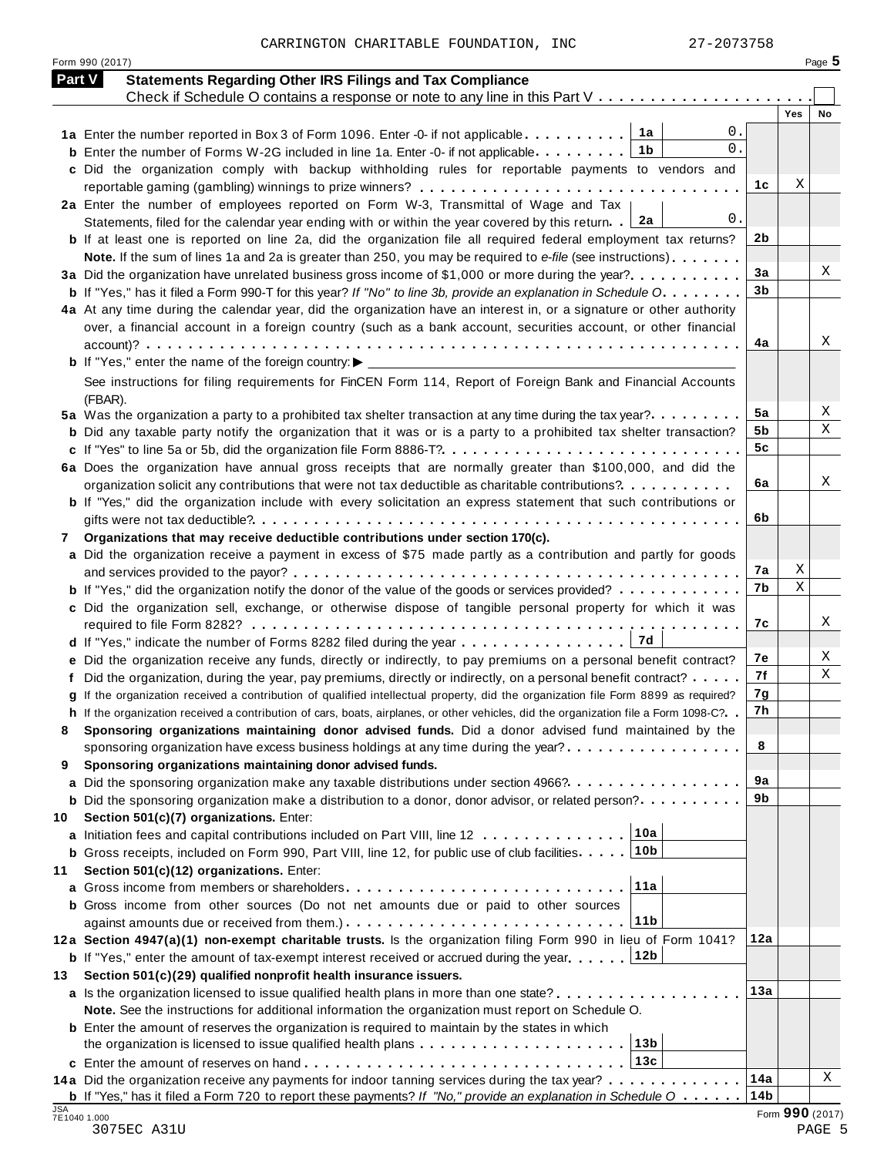CARRINGTON CHARITABLE FOUNDATION, INC 27-2073758

|     | <b>Part V</b><br><b>Statements Regarding Other IRS Filings and Tax Compliance</b>                                                    |                |     |    |
|-----|--------------------------------------------------------------------------------------------------------------------------------------|----------------|-----|----|
|     | Check if Schedule O contains a response or note to any line in this Part V                                                           |                | Yes | No |
|     | 0.<br>1a<br>1a Enter the number reported in Box 3 of Form 1096. Enter -0- if not applicable                                          |                |     |    |
|     | 0.<br>1b<br><b>b</b> Enter the number of Forms W-2G included in line 1a. Enter -0- if not applicable                                 |                |     |    |
|     | c Did the organization comply with backup withholding rules for reportable payments to vendors and                                   |                |     |    |
|     |                                                                                                                                      | 1c             | Χ   |    |
|     | 2a Enter the number of employees reported on Form W-3, Transmittal of Wage and Tax                                                   |                |     |    |
|     | 0.<br>2a<br>Statements, filed for the calendar year ending with or within the year covered by this return. .                         |                |     |    |
|     | <b>b</b> If at least one is reported on line 2a, did the organization file all required federal employment tax returns?              | 2b             |     |    |
|     | Note. If the sum of lines 1a and 2a is greater than 250, you may be required to e-file (see instructions)                            |                |     |    |
|     | 3a Did the organization have unrelated business gross income of \$1,000 or more during the year?                                     | 3a             |     | X  |
|     | <b>b</b> If "Yes," has it filed a Form 990-T for this year? If "No" to line 3b, provide an explanation in Schedule O                 | 3 <sub>b</sub> |     |    |
|     | 4a At any time during the calendar year, did the organization have an interest in, or a signature or other authority                 |                |     |    |
|     | over, a financial account in a foreign country (such as a bank account, securities account, or other financial                       |                |     |    |
|     |                                                                                                                                      | 4a             |     | X  |
|     | <b>b</b> If "Yes," enter the name of the foreign country: $\blacktriangleright$ __                                                   |                |     |    |
|     | See instructions for filing requirements for FinCEN Form 114, Report of Foreign Bank and Financial Accounts                          |                |     |    |
|     | (FBAR).                                                                                                                              |                |     |    |
|     | 5a Was the organization a party to a prohibited tax shelter transaction at any time during the tax year?                             | 5a             |     | Χ  |
|     | <b>b</b> Did any taxable party notify the organization that it was or is a party to a prohibited tax shelter transaction?            | 5b             |     | X  |
|     |                                                                                                                                      | 5c             |     |    |
|     | 6a Does the organization have annual gross receipts that are normally greater than \$100,000, and did the                            |                |     |    |
|     | organization solicit any contributions that were not tax deductible as charitable contributions?                                     | 6a             |     | X  |
|     | <b>b</b> If "Yes," did the organization include with every solicitation an express statement that such contributions or              |                |     |    |
|     |                                                                                                                                      | 6b             |     |    |
| 7   | Organizations that may receive deductible contributions under section 170(c).                                                        |                |     |    |
|     | a Did the organization receive a payment in excess of \$75 made partly as a contribution and partly for goods                        |                |     |    |
|     |                                                                                                                                      | 7а             | Χ   |    |
|     | <b>b</b> If "Yes," did the organization notify the donor of the value of the goods or services provided?                             | 7b             | Χ   |    |
|     | c Did the organization sell, exchange, or otherwise dispose of tangible personal property for which it was                           |                |     |    |
|     |                                                                                                                                      | 7c             |     | X  |
|     | 7d                                                                                                                                   |                |     |    |
|     | e Did the organization receive any funds, directly or indirectly, to pay premiums on a personal benefit contract?                    | 7е             |     | X  |
|     | f Did the organization, during the year, pay premiums, directly or indirectly, on a personal benefit contract?                       | 7f             |     | X  |
|     | g If the organization received a contribution of qualified intellectual property, did the organization file Form 8899 as required?   | 7g             |     |    |
|     | h If the organization received a contribution of cars, boats, airplanes, or other vehicles, did the organization file a Form 1098-C? | 7h             |     |    |
|     | Sponsoring organizations maintaining donor advised funds. Did a donor advised fund maintained by the                                 |                |     |    |
|     | sponsoring organization have excess business holdings at any time during the year?                                                   | 8              |     |    |
| 9   | Sponsoring organizations maintaining donor advised funds.                                                                            |                |     |    |
|     | a Did the sponsoring organization make any taxable distributions under section 4966?                                                 | 9а             |     |    |
|     | <b>b</b> Did the sponsoring organization make a distribution to a donor, donor advisor, or related person?                           | 9b             |     |    |
| 10  | Section 501(c)(7) organizations. Enter:                                                                                              |                |     |    |
|     | 10a<br>a Initiation fees and capital contributions included on Part VIII, line 12                                                    |                |     |    |
|     | 10 <sub>b</sub><br><b>b</b> Gross receipts, included on Form 990, Part VIII, line 12, for public use of club facilities.             |                |     |    |
| 11  | Section 501(c)(12) organizations. Enter:                                                                                             |                |     |    |
|     | 11a                                                                                                                                  |                |     |    |
|     | <b>b</b> Gross income from other sources (Do not net amounts due or paid to other sources                                            |                |     |    |
|     | 11b                                                                                                                                  |                |     |    |
|     | 12a Section 4947(a)(1) non-exempt charitable trusts. Is the organization filing Form 990 in lieu of Form 1041?                       | 12a            |     |    |
|     | 12b<br><b>b</b> If "Yes," enter the amount of tax-exempt interest received or accrued during the year                                |                |     |    |
| 13  | Section 501(c)(29) qualified nonprofit health insurance issuers.                                                                     |                |     |    |
|     | <b>a</b> Is the organization licensed to issue qualified health plans in more than one state?                                        | 13a            |     |    |
|     | Note. See the instructions for additional information the organization must report on Schedule O.                                    |                |     |    |
|     | <b>b</b> Enter the amount of reserves the organization is required to maintain by the states in which                                |                |     |    |
|     | 13 <sub>b</sub><br>the organization is licensed to issue qualified health plans $\ldots \ldots \ldots \ldots \ldots \ldots \ldots$   |                |     |    |
|     | 13c<br>c Enter the amount of reserves on hand enterprised research research in the series of the series of the series                |                |     |    |
|     | 14a Did the organization receive any payments for indoor tanning services during the tax year?                                       | 14a            |     | Χ  |
|     |                                                                                                                                      |                |     |    |
| JSA | <b>b</b> If "Yes," has it filed a Form 720 to report these payments? If "No," provide an explanation in Schedule $0$                 | 14b            |     |    |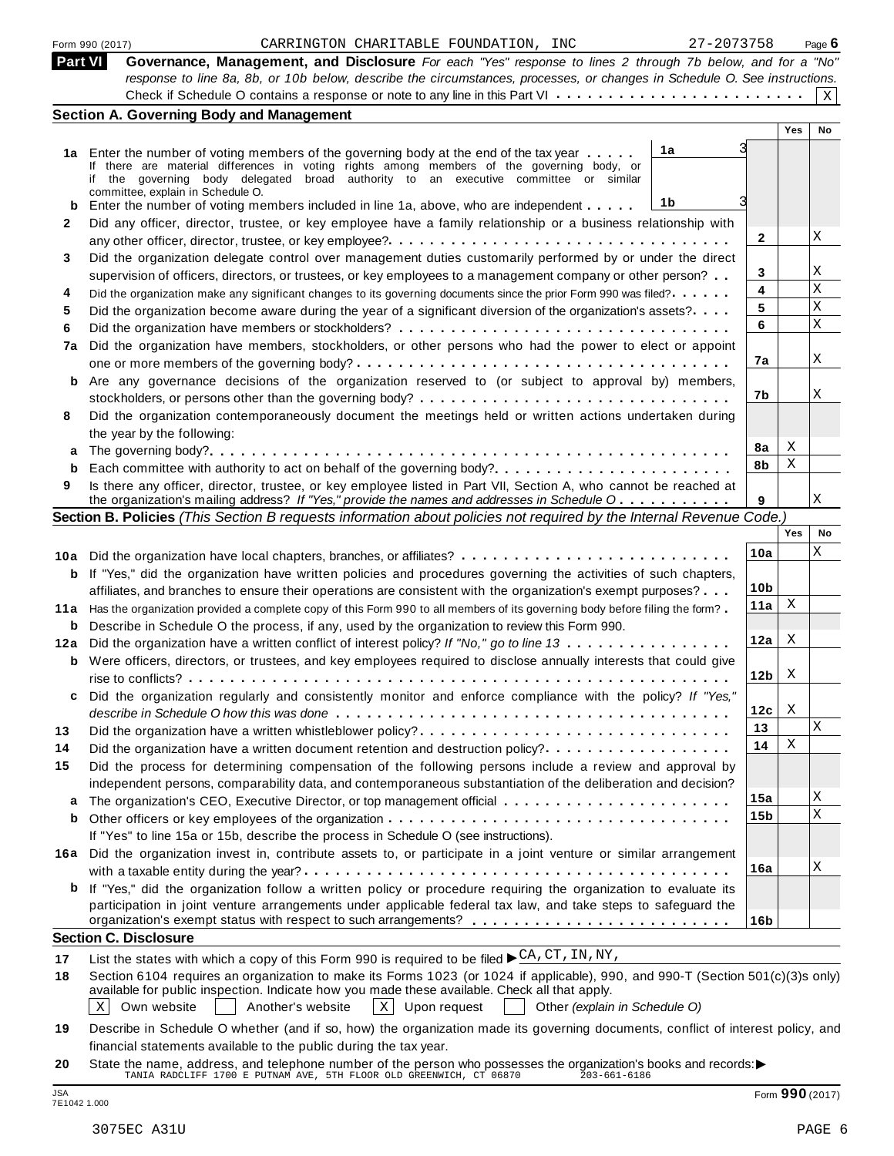|        | 27-2073758<br>Form 990 (2017)<br>CARRINGTON CHARITABLE FOUNDATION, INC                                                                                                                                                         |                 |     | Page 6 |
|--------|--------------------------------------------------------------------------------------------------------------------------------------------------------------------------------------------------------------------------------|-----------------|-----|--------|
|        | <b>Part VI</b><br>Governance, Management, and Disclosure For each "Yes" response to lines 2 through 7b below, and for a "No"                                                                                                   |                 |     |        |
|        | response to line 8a, 8b, or 10b below, describe the circumstances, processes, or changes in Schedule O. See instructions.                                                                                                      |                 |     |        |
|        |                                                                                                                                                                                                                                |                 |     | X      |
|        | <b>Section A. Governing Body and Management</b>                                                                                                                                                                                |                 | Yes | No     |
|        |                                                                                                                                                                                                                                |                 |     |        |
|        | 1a<br>1a Enter the number of voting members of the governing body at the end of the tax year<br>If there are material differences in voting rights among members of the governing body, or                                     |                 |     |        |
|        | if the governing body delegated broad authority to an executive committee or similar                                                                                                                                           |                 |     |        |
|        | committee, explain in Schedule O.<br>1b                                                                                                                                                                                        |                 |     |        |
| b<br>2 | Enter the number of voting members included in line 1a, above, who are independent                                                                                                                                             |                 |     |        |
|        | Did any officer, director, trustee, or key employee have a family relationship or a business relationship with                                                                                                                 | 2               |     | X      |
|        |                                                                                                                                                                                                                                |                 |     |        |
|        | Did the organization delegate control over management duties customarily performed by or under the direct                                                                                                                      | 3               |     | Χ      |
|        | supervision of officers, directors, or trustees, or key employees to a management company or other person?<br>Did the organization make any significant changes to its governing documents since the prior Form 990 was filed? | 4               |     | Х      |
|        | Did the organization become aware during the year of a significant diversion of the organization's assets?                                                                                                                     | 5               |     | Χ      |
|        |                                                                                                                                                                                                                                | 6               |     | Χ      |
| 7a     | Did the organization have members, stockholders, or other persons who had the power to elect or appoint                                                                                                                        |                 |     |        |
|        |                                                                                                                                                                                                                                | 7a              |     | X      |
| b      | Are any governance decisions of the organization reserved to (or subject to approval by) members,                                                                                                                              |                 |     |        |
|        |                                                                                                                                                                                                                                | 7b              |     | Χ      |
|        | Did the organization contemporaneously document the meetings held or written actions undertaken during                                                                                                                         |                 |     |        |
|        | the year by the following:                                                                                                                                                                                                     |                 |     |        |
| a      |                                                                                                                                                                                                                                | 8a              | Χ   |        |
| b      | Each committee with authority to act on behalf of the governing body?                                                                                                                                                          | 8b              | Χ   |        |
|        | Is there any officer, director, trustee, or key employee listed in Part VII, Section A, who cannot be reached at                                                                                                               |                 |     |        |
|        | the organization's mailing address? If "Yes," provide the names and addresses in Schedule O                                                                                                                                    | 9               |     | X      |
|        | Section B. Policies (This Section B requests information about policies not required by the Internal Revenue Code.)                                                                                                            |                 |     |        |
|        |                                                                                                                                                                                                                                |                 | Yes | No     |
| 10a    |                                                                                                                                                                                                                                | 10a             |     | Χ      |
| b      | If "Yes," did the organization have written policies and procedures governing the activities of such chapters,                                                                                                                 |                 |     |        |
|        | affiliates, and branches to ensure their operations are consistent with the organization's exempt purposes?                                                                                                                    | 10 <sub>b</sub> |     |        |
| 11 a   | Has the organization provided a complete copy of this Form 990 to all members of its governing body before filing the form?                                                                                                    | 11a             | Χ   |        |
| b      | Describe in Schedule O the process, if any, used by the organization to review this Form 990.                                                                                                                                  | 12a             | X   |        |
| 12a    | Did the organization have a written conflict of interest policy? If "No," go to line 13                                                                                                                                        |                 |     |        |
|        | <b>b</b> Were officers, directors, or trustees, and key employees required to disclose annually interests that could give                                                                                                      | 12 <sub>b</sub> | X   |        |
|        | Did the organization regularly and consistently monitor and enforce compliance with the policy? If "Yes,                                                                                                                       |                 |     |        |
|        |                                                                                                                                                                                                                                | 12c             | X   |        |
|        | describe in Schedule O how this was done with example to contain the content of the series of the series of th<br>Did the organization have a written whistleblower policy?                                                    | 13              |     | X      |
|        | Did the organization have a written document retention and destruction policy?                                                                                                                                                 | 14              | Χ   |        |
|        | Did the process for determining compensation of the following persons include a review and approval by                                                                                                                         |                 |     |        |
|        | independent persons, comparability data, and contemporaneous substantiation of the deliberation and decision?                                                                                                                  |                 |     |        |
| a      |                                                                                                                                                                                                                                | 15a             |     | Χ      |
| b      |                                                                                                                                                                                                                                | 15b             |     | X      |
|        | If "Yes" to line 15a or 15b, describe the process in Schedule O (see instructions).                                                                                                                                            |                 |     |        |
|        | 16a Did the organization invest in, contribute assets to, or participate in a joint venture or similar arrangement                                                                                                             |                 |     |        |
|        |                                                                                                                                                                                                                                | 16a             |     | X      |
|        | <b>b</b> If "Yes," did the organization follow a written policy or procedure requiring the organization to evaluate its                                                                                                        |                 |     |        |
|        | participation in joint venture arrangements under applicable federal tax law, and take steps to safeguard the                                                                                                                  |                 |     |        |
|        |                                                                                                                                                                                                                                | 16b             |     |        |
|        | <b>Section C. Disclosure</b>                                                                                                                                                                                                   |                 |     |        |
|        | List the states with which a copy of this Form 990 is required to be filed $\blacktriangleright \frac{CA, CT, IN}{AN}$ , NY,                                                                                                   |                 |     |        |
|        | Section 6104 requires an organization to make its Forms 1023 (or 1024 if applicable), 990, and 990-T (Section 501(c)(3)s only)                                                                                                 |                 |     |        |
|        | available for public inspection. Indicate how you made these available. Check all that apply.<br>$\mathbf{x}$<br>Own website<br>Another's website<br>Upon request<br>Other (explain in Schedule O)<br>$\vert X \vert$          |                 |     |        |
|        |                                                                                                                                                                                                                                |                 |     |        |

**19** Describe in Schedule O whether (and if so, how) the organization made its governing documents, conflict of interest policy, and financial statements available to the public during the tax year.

**20** nnancial statements available to the public during the tax year.<br>State the name, address, and telephone number of the person who possesses the organization's books and records:<br>TANIA RADCLIFF 1700 E PUTNAM AVE, 5TH FLOOR O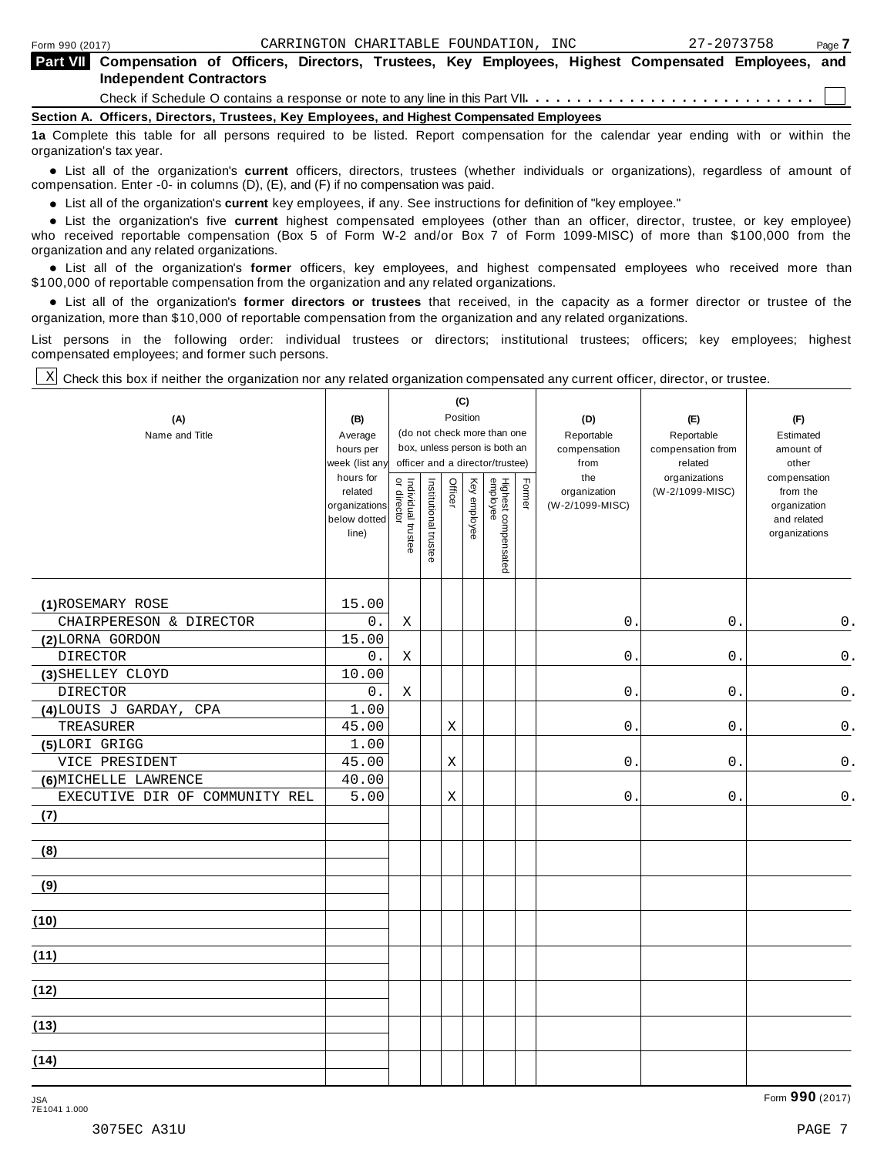⊤

| <b>Part VII</b> Compensation of Officers, Directors, Trustees, Key Employees, Highest Compensated Employees, and<br><b>Independent Contractors</b>            |  |
|---------------------------------------------------------------------------------------------------------------------------------------------------------------|--|
|                                                                                                                                                               |  |
| Section A. Officers, Directors, Trustees, Key Employees, and Highest Compensated Employees                                                                    |  |
| 1a Complete this table for all persons required to be listed. Report compensation for the calendar year ending with or within the<br>organization's tax year. |  |

anization's lax year.<br>● List all of the organization's **current** officers, directors, trustees (whether individuals or organizations), regardless of amount of<br>nnensation Enter -0- in columns (D) (E) and (E) if no compensa compensation. Enter -0- in columns (D), (E), and (F) if no compensation was paid.

• List all of the organization's **current** key employees, if any. See instructions for definition of "key employee."<br>● List the experientials five expect highest expressed explores (other than an efficer director of

**Example in the organization's current** key employees, if any. See instructions for definition of key employee.<br>• List the organization's five **current** highest compensated employees (other than an officer, director, trust who received reportable compensation (Box 5 of Form W-2 and/or Box 7 of Form 1099-MISC) of more than \$100,000 from the

organization and any related organizations.<br>• List all of the organization's **former** officers, key employees, and highest compensated employees who received more than<br>\$1.00.000 of reportable componention from the erganiza \$100,000 of reportable compensation from the organization and any related organizations.

% List all of the organization's **former directors or trustees** that received, in the capacity as a former director or trustee of the organization, more than \$10,000 of reportable compensation from the organization and any related organizations.

List persons in the following order: individual trustees or directors; institutional trustees; officers; key employees; highest compensated employees; and former such persons.

┱

T

Check this box if neither the organization nor any related organization compensated any current officer, director, or trustee. X

 $\overline{\phantom{a}}$ 

Τ

| (A)<br>Name and Title          | (B)<br>Average<br>hours per<br>week (list any<br>hours for<br>related<br>organizations<br>below dotted<br>line) | Individual trustee<br>or director | Institutional trustee | Officer     | (C)<br>Position<br>Key employee | (do not check more than one<br>box, unless person is both an<br>officer and a director/trustee)<br>Highest compensated<br>employee | Former | (D)<br>Reportable<br>compensation<br>from<br>the<br>organization<br>(W-2/1099-MISC) | (E)<br>Reportable<br>compensation from<br>related<br>organizations<br>(W-2/1099-MISC) | (F)<br>Estimated<br>amount of<br>other<br>compensation<br>from the<br>organization<br>and related<br>organizations |
|--------------------------------|-----------------------------------------------------------------------------------------------------------------|-----------------------------------|-----------------------|-------------|---------------------------------|------------------------------------------------------------------------------------------------------------------------------------|--------|-------------------------------------------------------------------------------------|---------------------------------------------------------------------------------------|--------------------------------------------------------------------------------------------------------------------|
| (1) ROSEMARY ROSE              | 15.00                                                                                                           |                                   |                       |             |                                 |                                                                                                                                    |        |                                                                                     |                                                                                       |                                                                                                                    |
| CHAIRPERESON & DIRECTOR        | 0.                                                                                                              | X                                 |                       |             |                                 |                                                                                                                                    |        | 0.                                                                                  | 0.                                                                                    | $0$ .                                                                                                              |
| (2) LORNA GORDON               | 15.00                                                                                                           |                                   |                       |             |                                 |                                                                                                                                    |        |                                                                                     |                                                                                       |                                                                                                                    |
| <b>DIRECTOR</b>                | 0.                                                                                                              | X                                 |                       |             |                                 |                                                                                                                                    |        | 0.                                                                                  | 0.                                                                                    | $0$ .                                                                                                              |
| (3) SHELLEY CLOYD              | 10.00                                                                                                           |                                   |                       |             |                                 |                                                                                                                                    |        |                                                                                     |                                                                                       |                                                                                                                    |
| <b>DIRECTOR</b>                | 0.                                                                                                              | Χ                                 |                       |             |                                 |                                                                                                                                    |        | $0$ .                                                                               | 0.                                                                                    | $\mathsf 0$ .                                                                                                      |
| (4)LOUIS J GARDAY,<br>CPA      | 1.00                                                                                                            |                                   |                       |             |                                 |                                                                                                                                    |        |                                                                                     |                                                                                       |                                                                                                                    |
| TREASURER                      | 45.00                                                                                                           |                                   |                       | $\mathbf X$ |                                 |                                                                                                                                    |        | $0$ .                                                                               | 0.                                                                                    | $\mathsf 0$ .                                                                                                      |
| (5)LORI GRIGG                  | 1.00                                                                                                            |                                   |                       |             |                                 |                                                                                                                                    |        |                                                                                     |                                                                                       |                                                                                                                    |
| VICE PRESIDENT                 | 45.00                                                                                                           |                                   |                       | $\mathbf X$ |                                 |                                                                                                                                    |        | 0.                                                                                  | $0$ .                                                                                 | $0$ .                                                                                                              |
| (6) MICHELLE LAWRENCE          | 40.00                                                                                                           |                                   |                       |             |                                 |                                                                                                                                    |        |                                                                                     |                                                                                       |                                                                                                                    |
| EXECUTIVE DIR OF COMMUNITY REL | 5.00                                                                                                            |                                   |                       | Χ           |                                 |                                                                                                                                    |        | $0$ .                                                                               | $0$ .                                                                                 | $\mathsf 0$ .                                                                                                      |
| (7)                            |                                                                                                                 |                                   |                       |             |                                 |                                                                                                                                    |        |                                                                                     |                                                                                       |                                                                                                                    |
| (8)                            |                                                                                                                 |                                   |                       |             |                                 |                                                                                                                                    |        |                                                                                     |                                                                                       |                                                                                                                    |
| (9)                            |                                                                                                                 |                                   |                       |             |                                 |                                                                                                                                    |        |                                                                                     |                                                                                       |                                                                                                                    |
| (10)                           |                                                                                                                 |                                   |                       |             |                                 |                                                                                                                                    |        |                                                                                     |                                                                                       |                                                                                                                    |
| (11)                           |                                                                                                                 |                                   |                       |             |                                 |                                                                                                                                    |        |                                                                                     |                                                                                       |                                                                                                                    |
| (12)                           |                                                                                                                 |                                   |                       |             |                                 |                                                                                                                                    |        |                                                                                     |                                                                                       |                                                                                                                    |
| (13)                           |                                                                                                                 |                                   |                       |             |                                 |                                                                                                                                    |        |                                                                                     |                                                                                       |                                                                                                                    |
| (14)                           |                                                                                                                 |                                   |                       |             |                                 |                                                                                                                                    |        |                                                                                     |                                                                                       |                                                                                                                    |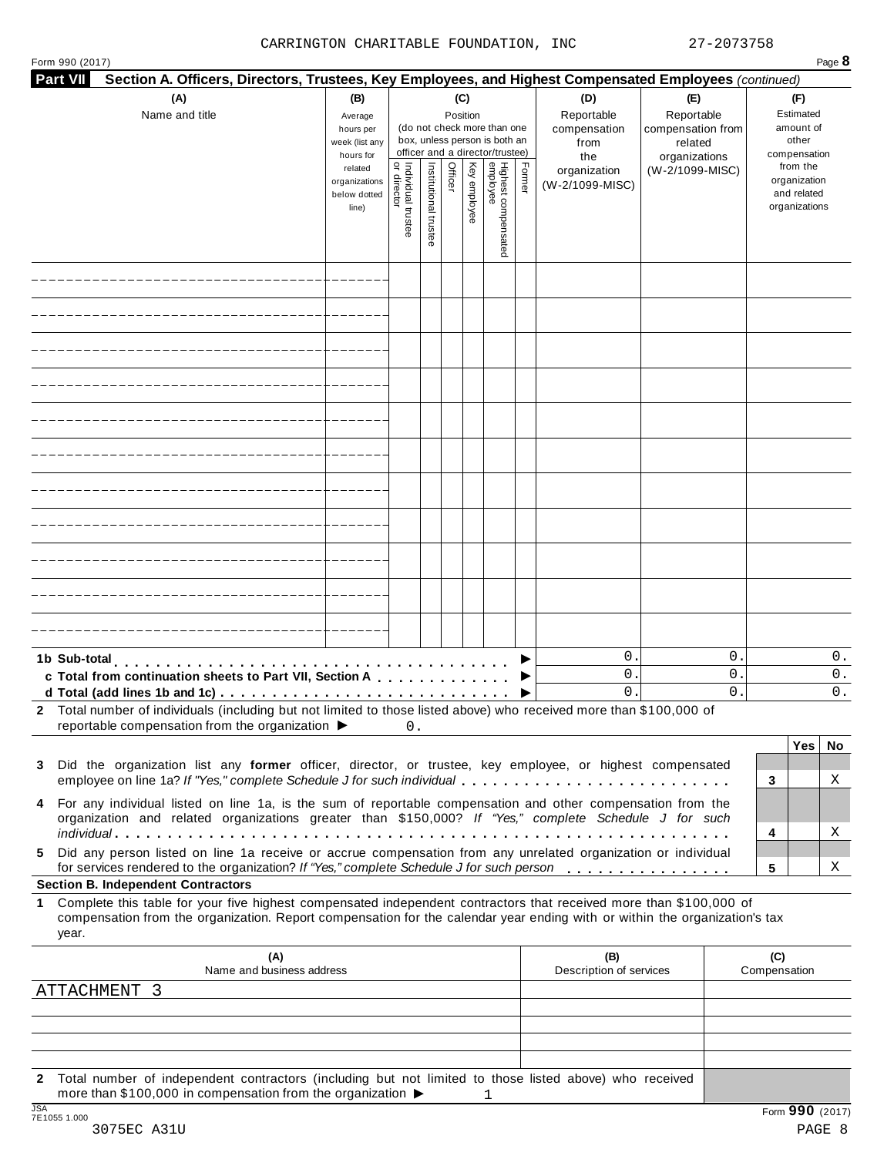| <b>Part VII</b><br>Section A. Officers, Directors, Trustees, Key Employees, and Highest Compensated Employees (continued)                                                                                                                                   |                                                                |                                       |                       |                 |              |                                                                    |        |                                           |                                                   |                              |                                                                          |                |  |
|-------------------------------------------------------------------------------------------------------------------------------------------------------------------------------------------------------------------------------------------------------------|----------------------------------------------------------------|---------------------------------------|-----------------------|-----------------|--------------|--------------------------------------------------------------------|--------|-------------------------------------------|---------------------------------------------------|------------------------------|--------------------------------------------------------------------------|----------------|--|
| (A)<br>Name and title                                                                                                                                                                                                                                       | (B)<br>Average<br>hours per<br>week (list any                  |                                       |                       | (C)<br>Position |              | (do not check more than one<br>box, unless person is both an       |        | (D)<br>Reportable<br>compensation<br>from | (E)<br>Reportable<br>compensation from<br>related |                              | (F)<br>Estimated<br>amount of<br>other                                   |                |  |
|                                                                                                                                                                                                                                                             | hours for<br>related<br>organizations<br>below dotted<br>line) | ਰੋਂ ਦ<br>dividual trustee<br>director | Institutional trustee | Officer         | Key employee | officer and a director/trustee)<br>Highest compensated<br>employee | Former | the<br>organization<br>(W-2/1099-MISC)    | organizations<br>(W-2/1099-MISC)                  |                              | compensation<br>from the<br>organization<br>and related<br>organizations |                |  |
|                                                                                                                                                                                                                                                             |                                                                |                                       |                       |                 |              |                                                                    |        |                                           |                                                   |                              |                                                                          |                |  |
|                                                                                                                                                                                                                                                             |                                                                |                                       |                       |                 |              |                                                                    |        |                                           |                                                   |                              |                                                                          |                |  |
|                                                                                                                                                                                                                                                             |                                                                |                                       |                       |                 |              |                                                                    |        |                                           |                                                   |                              |                                                                          |                |  |
|                                                                                                                                                                                                                                                             |                                                                |                                       |                       |                 |              |                                                                    |        |                                           |                                                   |                              |                                                                          |                |  |
|                                                                                                                                                                                                                                                             |                                                                |                                       |                       |                 |              |                                                                    |        |                                           |                                                   |                              |                                                                          |                |  |
|                                                                                                                                                                                                                                                             |                                                                |                                       |                       |                 |              |                                                                    |        |                                           |                                                   |                              |                                                                          |                |  |
|                                                                                                                                                                                                                                                             |                                                                |                                       |                       |                 |              |                                                                    |        |                                           |                                                   |                              |                                                                          |                |  |
|                                                                                                                                                                                                                                                             |                                                                |                                       |                       |                 |              |                                                                    |        |                                           |                                                   |                              |                                                                          |                |  |
|                                                                                                                                                                                                                                                             |                                                                |                                       |                       |                 |              |                                                                    |        |                                           |                                                   |                              |                                                                          |                |  |
|                                                                                                                                                                                                                                                             |                                                                |                                       |                       |                 |              |                                                                    |        |                                           |                                                   |                              |                                                                          |                |  |
|                                                                                                                                                                                                                                                             |                                                                |                                       |                       |                 |              |                                                                    |        |                                           |                                                   |                              |                                                                          |                |  |
| 1b Sub-total<br>c Total from continuation sheets to Part VII, Section A                                                                                                                                                                                     |                                                                |                                       |                       |                 |              |                                                                    |        | $0$ .<br>0<br>$0$ .                       |                                                   | $\mathbf 0$ .<br>$0$ .<br>0. |                                                                          | 0.<br>О.<br>0. |  |
| 2 Total number of individuals (including but not limited to those listed above) who received more than \$100,000 of<br>reportable compensation from the organization $\blacktriangleright$                                                                  |                                                                | 0.                                    |                       |                 |              |                                                                    |        |                                           |                                                   |                              |                                                                          |                |  |
| Did the organization list any former officer, director, or trustee, key employee, or highest compensated                                                                                                                                                    |                                                                |                                       |                       |                 |              |                                                                    |        |                                           |                                                   |                              | Yes                                                                      | No             |  |
| employee on line 1a? If "Yes," complete Schedule J for such individual<br>For any individual listed on line 1a, is the sum of reportable compensation and other compensation from the                                                                       |                                                                |                                       |                       |                 |              |                                                                    |        |                                           |                                                   |                              | 3                                                                        | Χ              |  |
| organization and related organizations greater than \$150,000? If "Yes," complete Schedule J for such                                                                                                                                                       |                                                                |                                       |                       |                 |              |                                                                    |        |                                           |                                                   |                              | 4                                                                        | Χ              |  |
| Did any person listed on line 1a receive or accrue compensation from any unrelated organization or individual<br>for services rendered to the organization? If "Yes," complete Schedule J for such person<br><b>Section B. Independent Contractors</b>      |                                                                |                                       |                       |                 |              |                                                                    |        |                                           |                                                   |                              | 5                                                                        | Χ              |  |
| 1 Complete this table for your five highest compensated independent contractors that received more than \$100,000 of<br>compensation from the organization. Report compensation for the calendar year ending with or within the organization's tax<br>year. |                                                                |                                       |                       |                 |              |                                                                    |        |                                           |                                                   |                              |                                                                          |                |  |
|                                                                                                                                                                                                                                                             | (A)<br>Name and business address                               |                                       |                       |                 |              |                                                                    |        | (B)<br>Description of services            |                                                   |                              | (C)<br>Compensation                                                      |                |  |
| ATTACHMENT 3                                                                                                                                                                                                                                                |                                                                |                                       |                       |                 |              |                                                                    |        |                                           |                                                   |                              |                                                                          |                |  |
|                                                                                                                                                                                                                                                             |                                                                |                                       |                       |                 |              |                                                                    |        |                                           |                                                   |                              |                                                                          |                |  |
|                                                                                                                                                                                                                                                             |                                                                |                                       |                       |                 |              |                                                                    |        |                                           |                                                   |                              |                                                                          |                |  |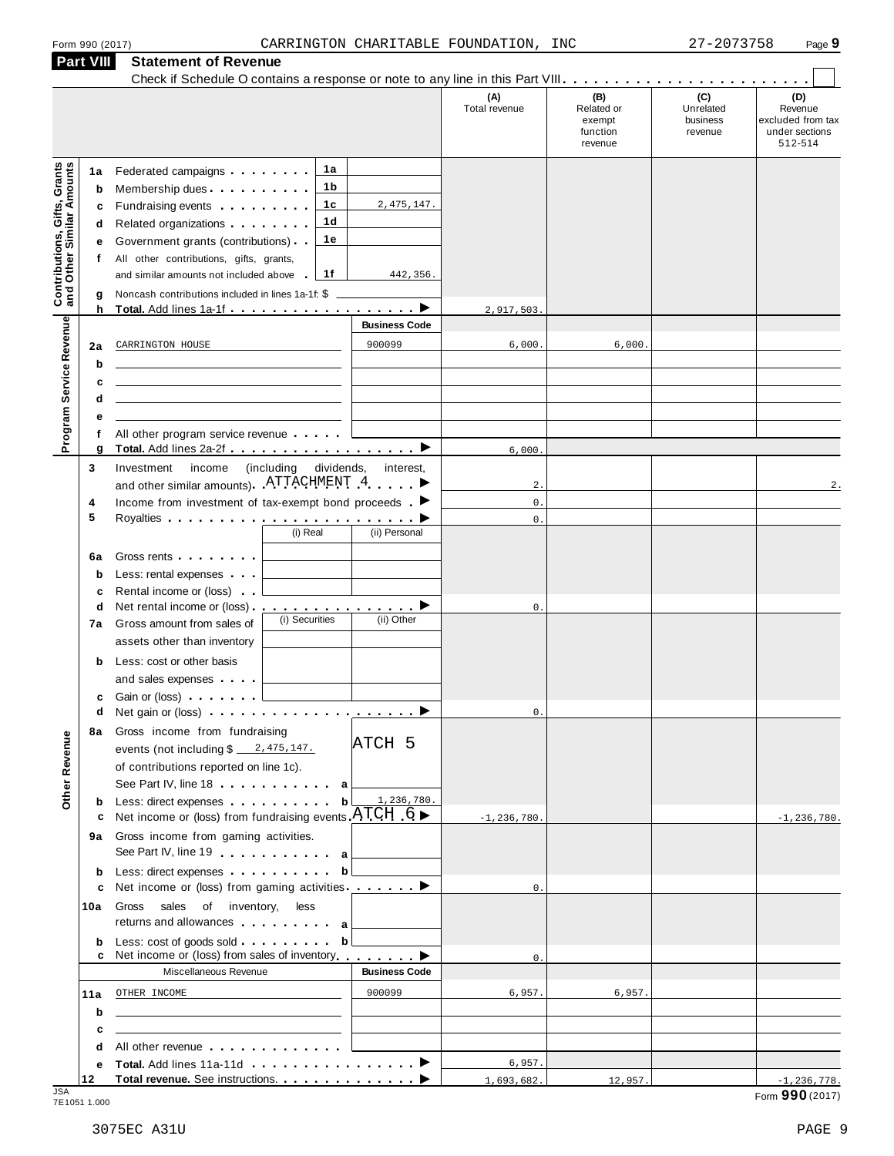| Form 990 (2017) |  |  |
|-----------------|--|--|
|                 |  |  |

| (B)<br>(A)<br>Total revenue<br>Unrelated<br>Related or<br>business<br>exempt<br>function<br>revenue<br>revenue<br><b>Contributions, Gifts, Grants</b><br>and Other Similar Amounts<br>1a<br>Federated campaigns <b>Federated</b><br>1a<br>1b<br>Membership dues<br>b<br>1c<br>2, 475, 147.<br>Fundraising events <b>Fundraising</b><br>c<br>1 <sub>d</sub><br>Related organizations <b>and the set of the set of the set of the set of the set of the set of the set of the set of the set of the set of the set of the set of the set of the set of the set of the set of the set of the set </b><br>d<br>1e<br>Government grants (contributions)<br>е<br>All other contributions, gifts, grants,<br>f<br>1f<br>and similar amounts not included above<br>442,356.<br><b>College</b><br>Noncash contributions included in lines 1a-1f: \$<br>g<br>h<br>2,917,503<br>Program Service Revenue<br><b>Business Code</b><br>900099<br>6,000.<br>6,000.<br>CARRINGTON HOUSE<br>2a<br>b<br>c<br><u> 1989 - Andrea State Barbara, amerikan personal di sebagai personal di sebagai personal di sebagai personal d</u><br>d<br>е<br>All other program service revenue<br>Total. Add lines 2a-2f ▶<br>g<br>6,000<br>Investment income<br>3<br>(including dividends,<br>interest,<br>and other similar amounts). ATTACHMENT 4<br>$2$ .<br>$\mathbf 0$ .<br>Income from investment of tax-exempt bond proceeds $\blacksquare$<br>4<br>5<br>$\mathbb O$ .<br>(i) Real<br>(ii) Personal<br>Gross rents and the state of the state of the state of the state of the state of the state of the state of the<br>6a<br>Less: rental expenses<br>$\mathbf b$<br>Rental income or (loss)<br>c<br>Net rental income or (loss) ▶<br>d<br>$\mathbb O$ .<br>(i) Securities<br>(ii) Other<br>Gross amount from sales of<br>7а<br>assets other than inventory<br>Less: cost or other basis<br>b<br>and sales expenses<br>Gain or (loss) <b>comparison</b><br>c<br>q<br>О.<br>8a Gross income from fundraising<br>Other Revenue<br>ATCH 5<br>of contributions reported on line 1c).<br>See Part IV, line 18<br>a<br>Less: direct expenses<br>1,236,780.<br>b<br>b<br>Net income or (loss) from fundraising events $ATCH$ 6<br>c<br>$-1, 236, 780.$<br>Gross income from gaming activities.<br>9а<br>See Part IV, line 19 expansion and a<br>Less: direct expenses<br>b<br>b<br>Net income or (loss) from gaming activities ________<br>$\mathbf{0}$ .<br>c<br>Gross<br>sales of inventory,<br>less<br>10a<br>returns and allowances and allowances<br>Less: cost of goods sold  b<br>b<br>Net income or (loss) from sales of inventory ▶<br>c<br>$\mathbf{0}$ .<br><b>Business Code</b><br>Miscellaneous Revenue<br>900099<br>6,957.<br>6,957.<br>OTHER INCOME<br>11a<br>b<br>the control of the control of the control of the control of the control of the control of<br>c<br>the control of the control of the control of the control of the control of the control of<br>All other revenue entitled and a series of the series of the series of the series of the series of the series<br>d<br>6,957.<br>е |  |  |  |     |                                                                  |
|--------------------------------------------------------------------------------------------------------------------------------------------------------------------------------------------------------------------------------------------------------------------------------------------------------------------------------------------------------------------------------------------------------------------------------------------------------------------------------------------------------------------------------------------------------------------------------------------------------------------------------------------------------------------------------------------------------------------------------------------------------------------------------------------------------------------------------------------------------------------------------------------------------------------------------------------------------------------------------------------------------------------------------------------------------------------------------------------------------------------------------------------------------------------------------------------------------------------------------------------------------------------------------------------------------------------------------------------------------------------------------------------------------------------------------------------------------------------------------------------------------------------------------------------------------------------------------------------------------------------------------------------------------------------------------------------------------------------------------------------------------------------------------------------------------------------------------------------------------------------------------------------------------------------------------------------------------------------------------------------------------------------------------------------------------------------------------------------------------------------------------------------------------------------------------------------------------------------------------------------------------------------------------------------------------------------------------------------------------------------------------------------------------------------------------------------------------------------------------------------------------------------------------------------------------------------------------------------------------------------------------------------------------------------------------------------------------------------------------------------------------------------------------------------------------------------------------------------------------------------------------------------------------------------------------------------------------------------------------------------------------------------------------------------------------------------------------------|--|--|--|-----|------------------------------------------------------------------|
|                                                                                                                                                                                                                                                                                                                                                                                                                                                                                                                                                                                                                                                                                                                                                                                                                                                                                                                                                                                                                                                                                                                                                                                                                                                                                                                                                                                                                                                                                                                                                                                                                                                                                                                                                                                                                                                                                                                                                                                                                                                                                                                                                                                                                                                                                                                                                                                                                                                                                                                                                                                                                                                                                                                                                                                                                                                                                                                                                                                                                                                                                      |  |  |  | (C) | (D)<br>Revenue<br>excluded from tax<br>under sections<br>512-514 |
|                                                                                                                                                                                                                                                                                                                                                                                                                                                                                                                                                                                                                                                                                                                                                                                                                                                                                                                                                                                                                                                                                                                                                                                                                                                                                                                                                                                                                                                                                                                                                                                                                                                                                                                                                                                                                                                                                                                                                                                                                                                                                                                                                                                                                                                                                                                                                                                                                                                                                                                                                                                                                                                                                                                                                                                                                                                                                                                                                                                                                                                                                      |  |  |  |     |                                                                  |
|                                                                                                                                                                                                                                                                                                                                                                                                                                                                                                                                                                                                                                                                                                                                                                                                                                                                                                                                                                                                                                                                                                                                                                                                                                                                                                                                                                                                                                                                                                                                                                                                                                                                                                                                                                                                                                                                                                                                                                                                                                                                                                                                                                                                                                                                                                                                                                                                                                                                                                                                                                                                                                                                                                                                                                                                                                                                                                                                                                                                                                                                                      |  |  |  |     |                                                                  |
|                                                                                                                                                                                                                                                                                                                                                                                                                                                                                                                                                                                                                                                                                                                                                                                                                                                                                                                                                                                                                                                                                                                                                                                                                                                                                                                                                                                                                                                                                                                                                                                                                                                                                                                                                                                                                                                                                                                                                                                                                                                                                                                                                                                                                                                                                                                                                                                                                                                                                                                                                                                                                                                                                                                                                                                                                                                                                                                                                                                                                                                                                      |  |  |  |     |                                                                  |
|                                                                                                                                                                                                                                                                                                                                                                                                                                                                                                                                                                                                                                                                                                                                                                                                                                                                                                                                                                                                                                                                                                                                                                                                                                                                                                                                                                                                                                                                                                                                                                                                                                                                                                                                                                                                                                                                                                                                                                                                                                                                                                                                                                                                                                                                                                                                                                                                                                                                                                                                                                                                                                                                                                                                                                                                                                                                                                                                                                                                                                                                                      |  |  |  |     |                                                                  |
|                                                                                                                                                                                                                                                                                                                                                                                                                                                                                                                                                                                                                                                                                                                                                                                                                                                                                                                                                                                                                                                                                                                                                                                                                                                                                                                                                                                                                                                                                                                                                                                                                                                                                                                                                                                                                                                                                                                                                                                                                                                                                                                                                                                                                                                                                                                                                                                                                                                                                                                                                                                                                                                                                                                                                                                                                                                                                                                                                                                                                                                                                      |  |  |  |     | 2.                                                               |
|                                                                                                                                                                                                                                                                                                                                                                                                                                                                                                                                                                                                                                                                                                                                                                                                                                                                                                                                                                                                                                                                                                                                                                                                                                                                                                                                                                                                                                                                                                                                                                                                                                                                                                                                                                                                                                                                                                                                                                                                                                                                                                                                                                                                                                                                                                                                                                                                                                                                                                                                                                                                                                                                                                                                                                                                                                                                                                                                                                                                                                                                                      |  |  |  |     |                                                                  |
|                                                                                                                                                                                                                                                                                                                                                                                                                                                                                                                                                                                                                                                                                                                                                                                                                                                                                                                                                                                                                                                                                                                                                                                                                                                                                                                                                                                                                                                                                                                                                                                                                                                                                                                                                                                                                                                                                                                                                                                                                                                                                                                                                                                                                                                                                                                                                                                                                                                                                                                                                                                                                                                                                                                                                                                                                                                                                                                                                                                                                                                                                      |  |  |  |     |                                                                  |
|                                                                                                                                                                                                                                                                                                                                                                                                                                                                                                                                                                                                                                                                                                                                                                                                                                                                                                                                                                                                                                                                                                                                                                                                                                                                                                                                                                                                                                                                                                                                                                                                                                                                                                                                                                                                                                                                                                                                                                                                                                                                                                                                                                                                                                                                                                                                                                                                                                                                                                                                                                                                                                                                                                                                                                                                                                                                                                                                                                                                                                                                                      |  |  |  |     |                                                                  |
|                                                                                                                                                                                                                                                                                                                                                                                                                                                                                                                                                                                                                                                                                                                                                                                                                                                                                                                                                                                                                                                                                                                                                                                                                                                                                                                                                                                                                                                                                                                                                                                                                                                                                                                                                                                                                                                                                                                                                                                                                                                                                                                                                                                                                                                                                                                                                                                                                                                                                                                                                                                                                                                                                                                                                                                                                                                                                                                                                                                                                                                                                      |  |  |  |     |                                                                  |
|                                                                                                                                                                                                                                                                                                                                                                                                                                                                                                                                                                                                                                                                                                                                                                                                                                                                                                                                                                                                                                                                                                                                                                                                                                                                                                                                                                                                                                                                                                                                                                                                                                                                                                                                                                                                                                                                                                                                                                                                                                                                                                                                                                                                                                                                                                                                                                                                                                                                                                                                                                                                                                                                                                                                                                                                                                                                                                                                                                                                                                                                                      |  |  |  |     |                                                                  |
|                                                                                                                                                                                                                                                                                                                                                                                                                                                                                                                                                                                                                                                                                                                                                                                                                                                                                                                                                                                                                                                                                                                                                                                                                                                                                                                                                                                                                                                                                                                                                                                                                                                                                                                                                                                                                                                                                                                                                                                                                                                                                                                                                                                                                                                                                                                                                                                                                                                                                                                                                                                                                                                                                                                                                                                                                                                                                                                                                                                                                                                                                      |  |  |  |     | $-1, 236, 780.$                                                  |
|                                                                                                                                                                                                                                                                                                                                                                                                                                                                                                                                                                                                                                                                                                                                                                                                                                                                                                                                                                                                                                                                                                                                                                                                                                                                                                                                                                                                                                                                                                                                                                                                                                                                                                                                                                                                                                                                                                                                                                                                                                                                                                                                                                                                                                                                                                                                                                                                                                                                                                                                                                                                                                                                                                                                                                                                                                                                                                                                                                                                                                                                                      |  |  |  |     |                                                                  |
|                                                                                                                                                                                                                                                                                                                                                                                                                                                                                                                                                                                                                                                                                                                                                                                                                                                                                                                                                                                                                                                                                                                                                                                                                                                                                                                                                                                                                                                                                                                                                                                                                                                                                                                                                                                                                                                                                                                                                                                                                                                                                                                                                                                                                                                                                                                                                                                                                                                                                                                                                                                                                                                                                                                                                                                                                                                                                                                                                                                                                                                                                      |  |  |  |     |                                                                  |
|                                                                                                                                                                                                                                                                                                                                                                                                                                                                                                                                                                                                                                                                                                                                                                                                                                                                                                                                                                                                                                                                                                                                                                                                                                                                                                                                                                                                                                                                                                                                                                                                                                                                                                                                                                                                                                                                                                                                                                                                                                                                                                                                                                                                                                                                                                                                                                                                                                                                                                                                                                                                                                                                                                                                                                                                                                                                                                                                                                                                                                                                                      |  |  |  |     |                                                                  |
|                                                                                                                                                                                                                                                                                                                                                                                                                                                                                                                                                                                                                                                                                                                                                                                                                                                                                                                                                                                                                                                                                                                                                                                                                                                                                                                                                                                                                                                                                                                                                                                                                                                                                                                                                                                                                                                                                                                                                                                                                                                                                                                                                                                                                                                                                                                                                                                                                                                                                                                                                                                                                                                                                                                                                                                                                                                                                                                                                                                                                                                                                      |  |  |  |     |                                                                  |
|                                                                                                                                                                                                                                                                                                                                                                                                                                                                                                                                                                                                                                                                                                                                                                                                                                                                                                                                                                                                                                                                                                                                                                                                                                                                                                                                                                                                                                                                                                                                                                                                                                                                                                                                                                                                                                                                                                                                                                                                                                                                                                                                                                                                                                                                                                                                                                                                                                                                                                                                                                                                                                                                                                                                                                                                                                                                                                                                                                                                                                                                                      |  |  |  |     |                                                                  |
|                                                                                                                                                                                                                                                                                                                                                                                                                                                                                                                                                                                                                                                                                                                                                                                                                                                                                                                                                                                                                                                                                                                                                                                                                                                                                                                                                                                                                                                                                                                                                                                                                                                                                                                                                                                                                                                                                                                                                                                                                                                                                                                                                                                                                                                                                                                                                                                                                                                                                                                                                                                                                                                                                                                                                                                                                                                                                                                                                                                                                                                                                      |  |  |  |     |                                                                  |
|                                                                                                                                                                                                                                                                                                                                                                                                                                                                                                                                                                                                                                                                                                                                                                                                                                                                                                                                                                                                                                                                                                                                                                                                                                                                                                                                                                                                                                                                                                                                                                                                                                                                                                                                                                                                                                                                                                                                                                                                                                                                                                                                                                                                                                                                                                                                                                                                                                                                                                                                                                                                                                                                                                                                                                                                                                                                                                                                                                                                                                                                                      |  |  |  |     |                                                                  |
| 12<br>1,693,682.<br>12,957.                                                                                                                                                                                                                                                                                                                                                                                                                                                                                                                                                                                                                                                                                                                                                                                                                                                                                                                                                                                                                                                                                                                                                                                                                                                                                                                                                                                                                                                                                                                                                                                                                                                                                                                                                                                                                                                                                                                                                                                                                                                                                                                                                                                                                                                                                                                                                                                                                                                                                                                                                                                                                                                                                                                                                                                                                                                                                                                                                                                                                                                          |  |  |  |     | $-1, 236, 778.$                                                  |

JSA Form **990** (2017) 7E1051 1.000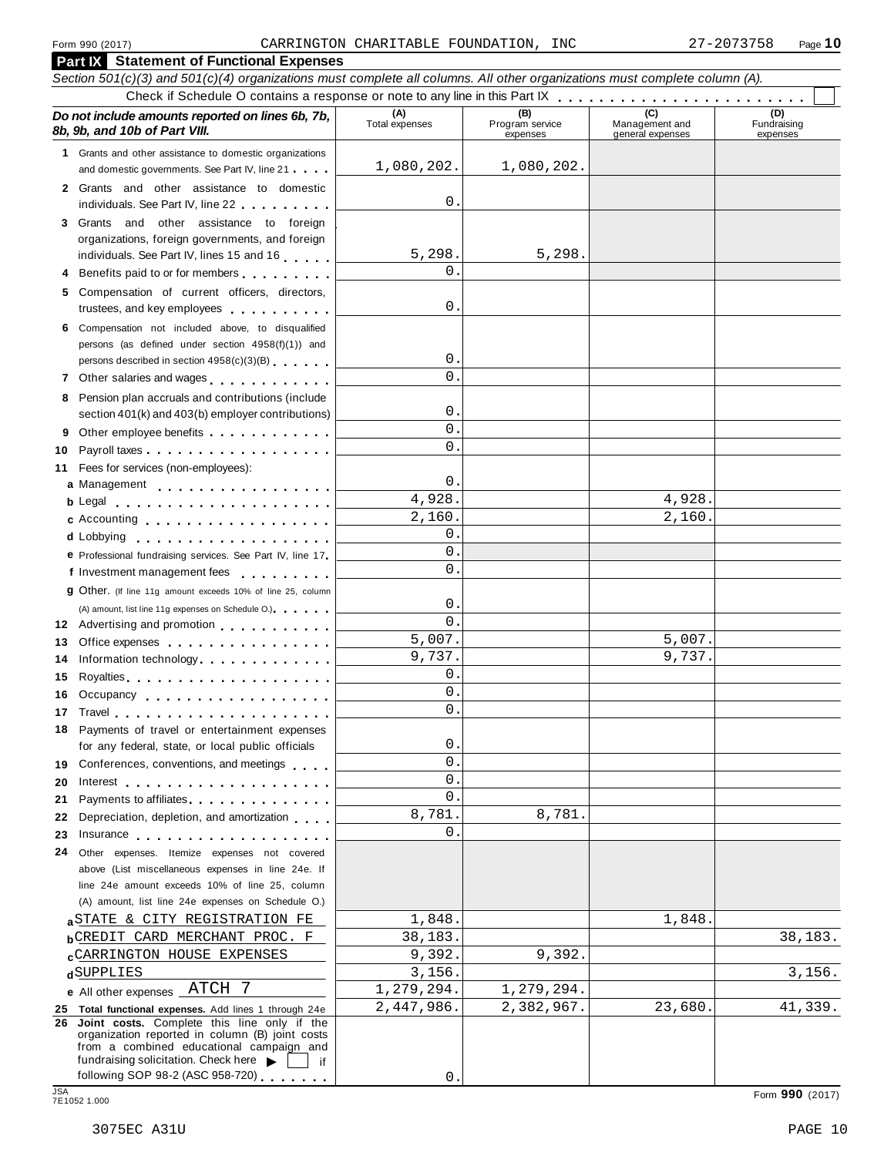|            | <b>Part IX</b> Statement of Functional Expenses                                                                                                                                                                                      |                       |                                    |                                           |                                |  |  |
|------------|--------------------------------------------------------------------------------------------------------------------------------------------------------------------------------------------------------------------------------------|-----------------------|------------------------------------|-------------------------------------------|--------------------------------|--|--|
|            | Section 501(c)(3) and 501(c)(4) organizations must complete all columns. All other organizations must complete column (A).                                                                                                           |                       |                                    |                                           |                                |  |  |
|            |                                                                                                                                                                                                                                      |                       |                                    |                                           |                                |  |  |
|            | Do not include amounts reported on lines 6b, 7b,<br>8b, 9b, and 10b of Part VIII.                                                                                                                                                    | (A)<br>Total expenses | (B)<br>Program service<br>expenses | (C)<br>Management and<br>general expenses | (D)<br>Fundraising<br>expenses |  |  |
|            | 1 Grants and other assistance to domestic organizations                                                                                                                                                                              |                       |                                    |                                           |                                |  |  |
|            | and domestic governments. See Part IV, line 21                                                                                                                                                                                       | 1,080,202.            | 1,080,202.                         |                                           |                                |  |  |
|            | 2 Grants and other assistance to domestic<br>individuals. See Part IV, line 22                                                                                                                                                       | 0                     |                                    |                                           |                                |  |  |
|            | 3 Grants and other assistance to foreign                                                                                                                                                                                             |                       |                                    |                                           |                                |  |  |
|            | organizations, foreign governments, and foreign                                                                                                                                                                                      |                       |                                    |                                           |                                |  |  |
|            | individuals. See Part IV, lines 15 and 16                                                                                                                                                                                            | 5,298.                | 5,298.                             |                                           |                                |  |  |
|            | Benefits paid to or for members                                                                                                                                                                                                      | 0                     |                                    |                                           |                                |  |  |
|            | 5 Compensation of current officers, directors,<br>trustees, and key employees                                                                                                                                                        | 0                     |                                    |                                           |                                |  |  |
|            | 6 Compensation not included above, to disqualified<br>persons (as defined under section 4958(f)(1)) and                                                                                                                              |                       |                                    |                                           |                                |  |  |
|            | persons described in section 4958(c)(3)(B)                                                                                                                                                                                           | 0                     |                                    |                                           |                                |  |  |
|            | 7 Other salaries and wages                                                                                                                                                                                                           | 0                     |                                    |                                           |                                |  |  |
|            | 8 Pension plan accruals and contributions (include                                                                                                                                                                                   |                       |                                    |                                           |                                |  |  |
|            | section 401(k) and 403(b) employer contributions)                                                                                                                                                                                    | 0                     |                                    |                                           |                                |  |  |
| 9          | Other employee benefits                                                                                                                                                                                                              | 0                     |                                    |                                           |                                |  |  |
| 10         |                                                                                                                                                                                                                                      | 0                     |                                    |                                           |                                |  |  |
|            | 11 Fees for services (non-employees):                                                                                                                                                                                                |                       |                                    |                                           |                                |  |  |
|            | a Management                                                                                                                                                                                                                         | 0                     |                                    |                                           |                                |  |  |
|            | b Legal entering the service of the basic service of the basic service of the basic service of the b                                                                                                                                 | 4,928.                |                                    | 4,928.<br>2,160.                          |                                |  |  |
|            | c Accounting                                                                                                                                                                                                                         | 2,160.<br>0           |                                    |                                           |                                |  |  |
|            | d Lobbying                                                                                                                                                                                                                           | 0                     |                                    |                                           |                                |  |  |
|            | e Professional fundraising services. See Part IV, line 17<br>f Investment management fees                                                                                                                                            | 0                     |                                    |                                           |                                |  |  |
|            | 9 Other. (If line 11g amount exceeds 10% of line 25, column                                                                                                                                                                          |                       |                                    |                                           |                                |  |  |
|            | (A) amount, list line 11g expenses on Schedule O.)                                                                                                                                                                                   | 0                     |                                    |                                           |                                |  |  |
|            | 12 Advertising and promotion                                                                                                                                                                                                         | 0                     |                                    |                                           |                                |  |  |
| 13         | Office expenses <b>contained contained contained contained contained contained contained </b>                                                                                                                                        | 5,007.                |                                    | 5,007.                                    |                                |  |  |
| 14.        | Information technology                                                                                                                                                                                                               | 9,737.                |                                    | 9,737.                                    |                                |  |  |
| 15         | Royalties experiences and a series and a series of the series of the series of the series of the series of the                                                                                                                       | 0                     |                                    |                                           |                                |  |  |
|            | 16 Occupancy                                                                                                                                                                                                                         | 0                     |                                    |                                           |                                |  |  |
|            |                                                                                                                                                                                                                                      | 0                     |                                    |                                           |                                |  |  |
|            | 18 Payments of travel or entertainment expenses                                                                                                                                                                                      |                       |                                    |                                           |                                |  |  |
|            | for any federal, state, or local public officials                                                                                                                                                                                    | 0                     |                                    |                                           |                                |  |  |
|            | 19 Conferences, conventions, and meetings                                                                                                                                                                                            | 0                     |                                    |                                           |                                |  |  |
| 20         | Interest                                                                                                                                                                                                                             | 0                     |                                    |                                           |                                |  |  |
| 21         | Payments to affiliates expansion of the set of the set of the set of the set of the set of the set of the set o                                                                                                                      | 0<br>8,781.           | 8,781.                             |                                           |                                |  |  |
| 22         | Depreciation, depletion, and amortization                                                                                                                                                                                            | 0                     |                                    |                                           |                                |  |  |
| 23         | Insurance <b>All According to the Contract of the Contract of the Contract of the Contract of the Contract of the Contract of the Contract of the Contract of the Contract of the Contract of the Contract of the Contract of th</b> |                       |                                    |                                           |                                |  |  |
| 24         | Other expenses. Itemize expenses not covered<br>above (List miscellaneous expenses in line 24e. If                                                                                                                                   |                       |                                    |                                           |                                |  |  |
|            | line 24e amount exceeds 10% of line 25, column                                                                                                                                                                                       |                       |                                    |                                           |                                |  |  |
|            | (A) amount, list line 24e expenses on Schedule O.)                                                                                                                                                                                   |                       |                                    |                                           |                                |  |  |
|            | aSTATE & CITY REGISTRATION FE                                                                                                                                                                                                        | 1,848.                |                                    | 1,848.                                    |                                |  |  |
|            | <b>bCREDIT CARD MERCHANT PROC. F</b>                                                                                                                                                                                                 | 38,183.               |                                    |                                           | 38,183.                        |  |  |
|            | <b>CARRINGTON HOUSE EXPENSES</b>                                                                                                                                                                                                     | 9,392.                | 9,392.                             |                                           |                                |  |  |
|            | dSUPPLIES                                                                                                                                                                                                                            | 3,156.                |                                    |                                           | 3,156.                         |  |  |
|            | e All other expenses ATCH<br>-7                                                                                                                                                                                                      | 1,279,294.            | 1,279,294.                         |                                           |                                |  |  |
|            | 25 Total functional expenses. Add lines 1 through 24e                                                                                                                                                                                | 2,447,986.            | 2,382,967.                         | 23,680.                                   | 41,339.                        |  |  |
|            | 26 Joint costs. Complete this line only if the<br>organization reported in column (B) joint costs<br>from a combined educational campaign and<br>fundraising solicitation. Check here $\blacktriangleright$<br>if                    |                       |                                    |                                           |                                |  |  |
|            | following SOP 98-2 (ASC 958-720)                                                                                                                                                                                                     | 0                     |                                    |                                           |                                |  |  |
| <b>JSA</b> | 7E1052 1.000                                                                                                                                                                                                                         |                       |                                    |                                           | Form 990 (2017)                |  |  |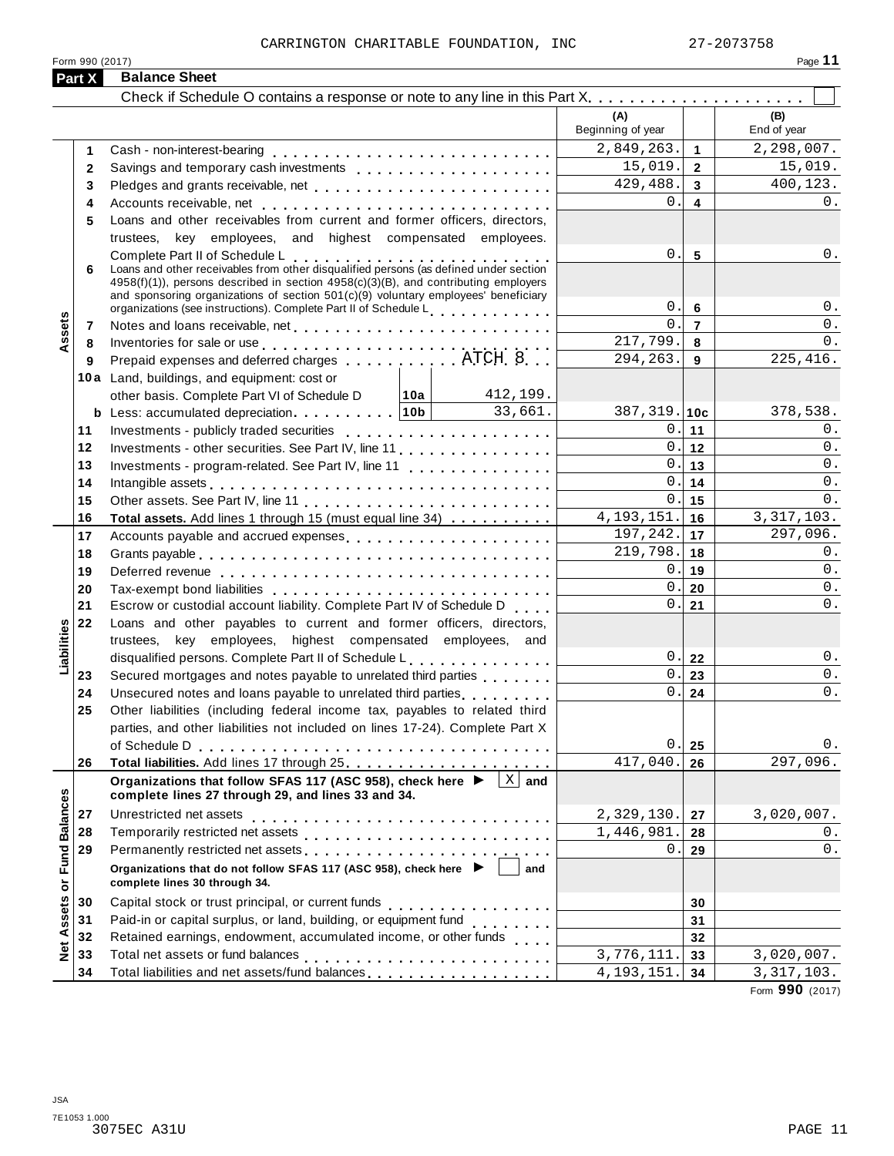| (A)<br>(B)<br>Beginning of year<br>End of year<br>2,849,263.<br>$\mathbf{1}$<br>1<br>15,019.<br>$\overline{2}$<br>$\mathbf{2}$<br>429,488.<br>$\mathbf{3}$<br>Pledges and grants receivable, net<br>3<br>0.<br>$\overline{\mathbf{4}}$<br>4<br>Loans and other receivables from current and former officers, directors,<br>5<br>trustees, key employees, and highest compensated employees.<br>0.<br>5<br>Complete Part II of Schedule L<br>Loans and other receivables from other disqualified persons (as defined under section<br>6<br>$4958(f)(1)$ , persons described in section $4958(c)(3)(B)$ , and contributing employers<br>and sponsoring organizations of section $501(c)(9)$ voluntary employees' beneficiary<br>$0$ .<br>$0$ .<br>6<br>organizations (see instructions). Complete Part II of Schedule L<br>ssets<br>$\overline{0}$ .<br>$\overline{7}$<br>0.<br>7<br>217,799.<br>8<br>Inventories for sale or use enterpreteration of the contract of the sale or use of the contract of the contract of the contract of the contract of the contract of the contract of the contract of the contract of the contrac<br>8<br>225, 416.<br>294, 263.<br>Prepaid expenses and deferred charges experiences. ATCH 8<br>9<br>9<br>10a Land, buildings, and equipment: cost or<br>412,199.<br>other basis. Complete Part VI of Schedule D   10a  <br><b>b</b> Less: accumulated depreciation $10b$ 33,661.<br>$387, 319.$ 10c<br>378,538.<br>0.111<br>11<br>0.112<br>12<br>Investments - other securities. See Part IV, line 11<br>0.113<br>13<br>Investments - program-related. See Part IV, line 11<br>0.1<br>14<br>14<br>0.1<br>15<br>15<br>4, 193, 151.<br>∣ 16<br>16<br>Total assets. Add lines 1 through 15 (must equal line 34)<br>$197, 242.$ 17<br>17<br>Accounts payable and accrued expenses<br>$\overline{2}19,798.$ 18<br>18<br>0.119<br>19<br>0.1<br>20<br>20<br>0.1<br>21<br>21<br>Escrow or custodial account liability. Complete Part IV of Schedule D<br>22<br>Loans and other payables to current and former officers, directors,<br>Liabilities<br>trustees, key employees, highest compensated employees, and<br>0.22<br>disqualified persons. Complete Part II of Schedule L.<br>$\vert$ .<br>Secured mortgages and notes payable to unrelated third parties<br>23<br>23<br>0.1<br>Unsecured notes and loans payable to unrelated third parties [1, 1, 1, 1, 1, 1]<br>24<br>24<br>Other liabilities (including federal income tax, payables to related third<br>25<br>parties, and other liabilities not included on lines 17-24). Complete Part X<br>0.<br>$0$ .<br>of Schedule D<br>25<br>417,040.<br>297,096.<br>26<br>26<br>Organizations that follow SFAS 117 (ASC 958), check here ▶<br>$\vert$ X $\vert$ and<br><b>Fund Balances</b><br>complete lines 27 through 29, and lines 33 and 34.<br>2,329,130.<br>3,020,007.<br>27<br>27<br>1,446,981.<br>28<br>28<br>Permanently restricted net assets<br>29<br>0.<br>29<br>Organizations that do not follow SFAS 117 (ASC 958), check here ▶<br>and<br>Net Assets or<br>complete lines 30 through 34.<br>30<br>30<br>Paid-in or capital surplus, or land, building, or equipment fund<br><br>31<br>31<br>Retained earnings, endowment, accumulated income, or other funds<br>32<br>32<br>$\overline{3,776,111}.$<br>33<br>33<br>Total liabilities and net assets/fund balances<br>34<br>4, 193, 151.<br>34 | <b>Part X</b> | <b>Balance Sheet</b> |  |              |
|----------------------------------------------------------------------------------------------------------------------------------------------------------------------------------------------------------------------------------------------------------------------------------------------------------------------------------------------------------------------------------------------------------------------------------------------------------------------------------------------------------------------------------------------------------------------------------------------------------------------------------------------------------------------------------------------------------------------------------------------------------------------------------------------------------------------------------------------------------------------------------------------------------------------------------------------------------------------------------------------------------------------------------------------------------------------------------------------------------------------------------------------------------------------------------------------------------------------------------------------------------------------------------------------------------------------------------------------------------------------------------------------------------------------------------------------------------------------------------------------------------------------------------------------------------------------------------------------------------------------------------------------------------------------------------------------------------------------------------------------------------------------------------------------------------------------------------------------------------------------------------------------------------------------------------------------------------------------------------------------------------------------------------------------------------------------------------------------------------------------------------------------------------------------------------------------------------------------------------------------------------------------------------------------------------------------------------------------------------------------------------------------------------------------------------------------------------------------------------------------------------------------------------------------------------------------------------------------------------------------------------------------------------------------------------------------------------------------------------------------------------------------------------------------------------------------------------------------------------------------------------------------------------------------------------------------------------------------------------------------------------------------------------------------------------------------------------------------------------------------------------------------------------------------------------------------------------------------------------------------------------------------------------------------------------------------------------------------------------------------------------------------|---------------|----------------------|--|--------------|
|                                                                                                                                                                                                                                                                                                                                                                                                                                                                                                                                                                                                                                                                                                                                                                                                                                                                                                                                                                                                                                                                                                                                                                                                                                                                                                                                                                                                                                                                                                                                                                                                                                                                                                                                                                                                                                                                                                                                                                                                                                                                                                                                                                                                                                                                                                                                                                                                                                                                                                                                                                                                                                                                                                                                                                                                                                                                                                                                                                                                                                                                                                                                                                                                                                                                                                                                                                                              |               |                      |  |              |
|                                                                                                                                                                                                                                                                                                                                                                                                                                                                                                                                                                                                                                                                                                                                                                                                                                                                                                                                                                                                                                                                                                                                                                                                                                                                                                                                                                                                                                                                                                                                                                                                                                                                                                                                                                                                                                                                                                                                                                                                                                                                                                                                                                                                                                                                                                                                                                                                                                                                                                                                                                                                                                                                                                                                                                                                                                                                                                                                                                                                                                                                                                                                                                                                                                                                                                                                                                                              |               |                      |  |              |
|                                                                                                                                                                                                                                                                                                                                                                                                                                                                                                                                                                                                                                                                                                                                                                                                                                                                                                                                                                                                                                                                                                                                                                                                                                                                                                                                                                                                                                                                                                                                                                                                                                                                                                                                                                                                                                                                                                                                                                                                                                                                                                                                                                                                                                                                                                                                                                                                                                                                                                                                                                                                                                                                                                                                                                                                                                                                                                                                                                                                                                                                                                                                                                                                                                                                                                                                                                                              |               |                      |  | 2,298,007.   |
|                                                                                                                                                                                                                                                                                                                                                                                                                                                                                                                                                                                                                                                                                                                                                                                                                                                                                                                                                                                                                                                                                                                                                                                                                                                                                                                                                                                                                                                                                                                                                                                                                                                                                                                                                                                                                                                                                                                                                                                                                                                                                                                                                                                                                                                                                                                                                                                                                                                                                                                                                                                                                                                                                                                                                                                                                                                                                                                                                                                                                                                                                                                                                                                                                                                                                                                                                                                              |               |                      |  | 15,019.      |
|                                                                                                                                                                                                                                                                                                                                                                                                                                                                                                                                                                                                                                                                                                                                                                                                                                                                                                                                                                                                                                                                                                                                                                                                                                                                                                                                                                                                                                                                                                                                                                                                                                                                                                                                                                                                                                                                                                                                                                                                                                                                                                                                                                                                                                                                                                                                                                                                                                                                                                                                                                                                                                                                                                                                                                                                                                                                                                                                                                                                                                                                                                                                                                                                                                                                                                                                                                                              |               |                      |  | 400, 123.    |
|                                                                                                                                                                                                                                                                                                                                                                                                                                                                                                                                                                                                                                                                                                                                                                                                                                                                                                                                                                                                                                                                                                                                                                                                                                                                                                                                                                                                                                                                                                                                                                                                                                                                                                                                                                                                                                                                                                                                                                                                                                                                                                                                                                                                                                                                                                                                                                                                                                                                                                                                                                                                                                                                                                                                                                                                                                                                                                                                                                                                                                                                                                                                                                                                                                                                                                                                                                                              |               |                      |  | 0.           |
|                                                                                                                                                                                                                                                                                                                                                                                                                                                                                                                                                                                                                                                                                                                                                                                                                                                                                                                                                                                                                                                                                                                                                                                                                                                                                                                                                                                                                                                                                                                                                                                                                                                                                                                                                                                                                                                                                                                                                                                                                                                                                                                                                                                                                                                                                                                                                                                                                                                                                                                                                                                                                                                                                                                                                                                                                                                                                                                                                                                                                                                                                                                                                                                                                                                                                                                                                                                              |               |                      |  |              |
|                                                                                                                                                                                                                                                                                                                                                                                                                                                                                                                                                                                                                                                                                                                                                                                                                                                                                                                                                                                                                                                                                                                                                                                                                                                                                                                                                                                                                                                                                                                                                                                                                                                                                                                                                                                                                                                                                                                                                                                                                                                                                                                                                                                                                                                                                                                                                                                                                                                                                                                                                                                                                                                                                                                                                                                                                                                                                                                                                                                                                                                                                                                                                                                                                                                                                                                                                                                              |               |                      |  |              |
|                                                                                                                                                                                                                                                                                                                                                                                                                                                                                                                                                                                                                                                                                                                                                                                                                                                                                                                                                                                                                                                                                                                                                                                                                                                                                                                                                                                                                                                                                                                                                                                                                                                                                                                                                                                                                                                                                                                                                                                                                                                                                                                                                                                                                                                                                                                                                                                                                                                                                                                                                                                                                                                                                                                                                                                                                                                                                                                                                                                                                                                                                                                                                                                                                                                                                                                                                                                              |               |                      |  | $0$ .        |
|                                                                                                                                                                                                                                                                                                                                                                                                                                                                                                                                                                                                                                                                                                                                                                                                                                                                                                                                                                                                                                                                                                                                                                                                                                                                                                                                                                                                                                                                                                                                                                                                                                                                                                                                                                                                                                                                                                                                                                                                                                                                                                                                                                                                                                                                                                                                                                                                                                                                                                                                                                                                                                                                                                                                                                                                                                                                                                                                                                                                                                                                                                                                                                                                                                                                                                                                                                                              |               |                      |  |              |
|                                                                                                                                                                                                                                                                                                                                                                                                                                                                                                                                                                                                                                                                                                                                                                                                                                                                                                                                                                                                                                                                                                                                                                                                                                                                                                                                                                                                                                                                                                                                                                                                                                                                                                                                                                                                                                                                                                                                                                                                                                                                                                                                                                                                                                                                                                                                                                                                                                                                                                                                                                                                                                                                                                                                                                                                                                                                                                                                                                                                                                                                                                                                                                                                                                                                                                                                                                                              |               |                      |  | 0.           |
|                                                                                                                                                                                                                                                                                                                                                                                                                                                                                                                                                                                                                                                                                                                                                                                                                                                                                                                                                                                                                                                                                                                                                                                                                                                                                                                                                                                                                                                                                                                                                                                                                                                                                                                                                                                                                                                                                                                                                                                                                                                                                                                                                                                                                                                                                                                                                                                                                                                                                                                                                                                                                                                                                                                                                                                                                                                                                                                                                                                                                                                                                                                                                                                                                                                                                                                                                                                              |               |                      |  |              |
|                                                                                                                                                                                                                                                                                                                                                                                                                                                                                                                                                                                                                                                                                                                                                                                                                                                                                                                                                                                                                                                                                                                                                                                                                                                                                                                                                                                                                                                                                                                                                                                                                                                                                                                                                                                                                                                                                                                                                                                                                                                                                                                                                                                                                                                                                                                                                                                                                                                                                                                                                                                                                                                                                                                                                                                                                                                                                                                                                                                                                                                                                                                                                                                                                                                                                                                                                                                              |               |                      |  |              |
|                                                                                                                                                                                                                                                                                                                                                                                                                                                                                                                                                                                                                                                                                                                                                                                                                                                                                                                                                                                                                                                                                                                                                                                                                                                                                                                                                                                                                                                                                                                                                                                                                                                                                                                                                                                                                                                                                                                                                                                                                                                                                                                                                                                                                                                                                                                                                                                                                                                                                                                                                                                                                                                                                                                                                                                                                                                                                                                                                                                                                                                                                                                                                                                                                                                                                                                                                                                              |               |                      |  |              |
|                                                                                                                                                                                                                                                                                                                                                                                                                                                                                                                                                                                                                                                                                                                                                                                                                                                                                                                                                                                                                                                                                                                                                                                                                                                                                                                                                                                                                                                                                                                                                                                                                                                                                                                                                                                                                                                                                                                                                                                                                                                                                                                                                                                                                                                                                                                                                                                                                                                                                                                                                                                                                                                                                                                                                                                                                                                                                                                                                                                                                                                                                                                                                                                                                                                                                                                                                                                              |               |                      |  |              |
|                                                                                                                                                                                                                                                                                                                                                                                                                                                                                                                                                                                                                                                                                                                                                                                                                                                                                                                                                                                                                                                                                                                                                                                                                                                                                                                                                                                                                                                                                                                                                                                                                                                                                                                                                                                                                                                                                                                                                                                                                                                                                                                                                                                                                                                                                                                                                                                                                                                                                                                                                                                                                                                                                                                                                                                                                                                                                                                                                                                                                                                                                                                                                                                                                                                                                                                                                                                              |               |                      |  | 0.           |
|                                                                                                                                                                                                                                                                                                                                                                                                                                                                                                                                                                                                                                                                                                                                                                                                                                                                                                                                                                                                                                                                                                                                                                                                                                                                                                                                                                                                                                                                                                                                                                                                                                                                                                                                                                                                                                                                                                                                                                                                                                                                                                                                                                                                                                                                                                                                                                                                                                                                                                                                                                                                                                                                                                                                                                                                                                                                                                                                                                                                                                                                                                                                                                                                                                                                                                                                                                                              |               |                      |  | 0.           |
|                                                                                                                                                                                                                                                                                                                                                                                                                                                                                                                                                                                                                                                                                                                                                                                                                                                                                                                                                                                                                                                                                                                                                                                                                                                                                                                                                                                                                                                                                                                                                                                                                                                                                                                                                                                                                                                                                                                                                                                                                                                                                                                                                                                                                                                                                                                                                                                                                                                                                                                                                                                                                                                                                                                                                                                                                                                                                                                                                                                                                                                                                                                                                                                                                                                                                                                                                                                              |               |                      |  | 0.           |
|                                                                                                                                                                                                                                                                                                                                                                                                                                                                                                                                                                                                                                                                                                                                                                                                                                                                                                                                                                                                                                                                                                                                                                                                                                                                                                                                                                                                                                                                                                                                                                                                                                                                                                                                                                                                                                                                                                                                                                                                                                                                                                                                                                                                                                                                                                                                                                                                                                                                                                                                                                                                                                                                                                                                                                                                                                                                                                                                                                                                                                                                                                                                                                                                                                                                                                                                                                                              |               |                      |  | 0.           |
|                                                                                                                                                                                                                                                                                                                                                                                                                                                                                                                                                                                                                                                                                                                                                                                                                                                                                                                                                                                                                                                                                                                                                                                                                                                                                                                                                                                                                                                                                                                                                                                                                                                                                                                                                                                                                                                                                                                                                                                                                                                                                                                                                                                                                                                                                                                                                                                                                                                                                                                                                                                                                                                                                                                                                                                                                                                                                                                                                                                                                                                                                                                                                                                                                                                                                                                                                                                              |               |                      |  | 0.           |
|                                                                                                                                                                                                                                                                                                                                                                                                                                                                                                                                                                                                                                                                                                                                                                                                                                                                                                                                                                                                                                                                                                                                                                                                                                                                                                                                                                                                                                                                                                                                                                                                                                                                                                                                                                                                                                                                                                                                                                                                                                                                                                                                                                                                                                                                                                                                                                                                                                                                                                                                                                                                                                                                                                                                                                                                                                                                                                                                                                                                                                                                                                                                                                                                                                                                                                                                                                                              |               |                      |  | 3, 317, 103. |
|                                                                                                                                                                                                                                                                                                                                                                                                                                                                                                                                                                                                                                                                                                                                                                                                                                                                                                                                                                                                                                                                                                                                                                                                                                                                                                                                                                                                                                                                                                                                                                                                                                                                                                                                                                                                                                                                                                                                                                                                                                                                                                                                                                                                                                                                                                                                                                                                                                                                                                                                                                                                                                                                                                                                                                                                                                                                                                                                                                                                                                                                                                                                                                                                                                                                                                                                                                                              |               |                      |  | 297,096.     |
|                                                                                                                                                                                                                                                                                                                                                                                                                                                                                                                                                                                                                                                                                                                                                                                                                                                                                                                                                                                                                                                                                                                                                                                                                                                                                                                                                                                                                                                                                                                                                                                                                                                                                                                                                                                                                                                                                                                                                                                                                                                                                                                                                                                                                                                                                                                                                                                                                                                                                                                                                                                                                                                                                                                                                                                                                                                                                                                                                                                                                                                                                                                                                                                                                                                                                                                                                                                              |               |                      |  | $0$ .        |
|                                                                                                                                                                                                                                                                                                                                                                                                                                                                                                                                                                                                                                                                                                                                                                                                                                                                                                                                                                                                                                                                                                                                                                                                                                                                                                                                                                                                                                                                                                                                                                                                                                                                                                                                                                                                                                                                                                                                                                                                                                                                                                                                                                                                                                                                                                                                                                                                                                                                                                                                                                                                                                                                                                                                                                                                                                                                                                                                                                                                                                                                                                                                                                                                                                                                                                                                                                                              |               |                      |  | 0.           |
|                                                                                                                                                                                                                                                                                                                                                                                                                                                                                                                                                                                                                                                                                                                                                                                                                                                                                                                                                                                                                                                                                                                                                                                                                                                                                                                                                                                                                                                                                                                                                                                                                                                                                                                                                                                                                                                                                                                                                                                                                                                                                                                                                                                                                                                                                                                                                                                                                                                                                                                                                                                                                                                                                                                                                                                                                                                                                                                                                                                                                                                                                                                                                                                                                                                                                                                                                                                              |               |                      |  | 0.           |
|                                                                                                                                                                                                                                                                                                                                                                                                                                                                                                                                                                                                                                                                                                                                                                                                                                                                                                                                                                                                                                                                                                                                                                                                                                                                                                                                                                                                                                                                                                                                                                                                                                                                                                                                                                                                                                                                                                                                                                                                                                                                                                                                                                                                                                                                                                                                                                                                                                                                                                                                                                                                                                                                                                                                                                                                                                                                                                                                                                                                                                                                                                                                                                                                                                                                                                                                                                                              |               |                      |  | 0.           |
|                                                                                                                                                                                                                                                                                                                                                                                                                                                                                                                                                                                                                                                                                                                                                                                                                                                                                                                                                                                                                                                                                                                                                                                                                                                                                                                                                                                                                                                                                                                                                                                                                                                                                                                                                                                                                                                                                                                                                                                                                                                                                                                                                                                                                                                                                                                                                                                                                                                                                                                                                                                                                                                                                                                                                                                                                                                                                                                                                                                                                                                                                                                                                                                                                                                                                                                                                                                              |               |                      |  |              |
|                                                                                                                                                                                                                                                                                                                                                                                                                                                                                                                                                                                                                                                                                                                                                                                                                                                                                                                                                                                                                                                                                                                                                                                                                                                                                                                                                                                                                                                                                                                                                                                                                                                                                                                                                                                                                                                                                                                                                                                                                                                                                                                                                                                                                                                                                                                                                                                                                                                                                                                                                                                                                                                                                                                                                                                                                                                                                                                                                                                                                                                                                                                                                                                                                                                                                                                                                                                              |               |                      |  |              |
|                                                                                                                                                                                                                                                                                                                                                                                                                                                                                                                                                                                                                                                                                                                                                                                                                                                                                                                                                                                                                                                                                                                                                                                                                                                                                                                                                                                                                                                                                                                                                                                                                                                                                                                                                                                                                                                                                                                                                                                                                                                                                                                                                                                                                                                                                                                                                                                                                                                                                                                                                                                                                                                                                                                                                                                                                                                                                                                                                                                                                                                                                                                                                                                                                                                                                                                                                                                              |               |                      |  | $0$ .        |
|                                                                                                                                                                                                                                                                                                                                                                                                                                                                                                                                                                                                                                                                                                                                                                                                                                                                                                                                                                                                                                                                                                                                                                                                                                                                                                                                                                                                                                                                                                                                                                                                                                                                                                                                                                                                                                                                                                                                                                                                                                                                                                                                                                                                                                                                                                                                                                                                                                                                                                                                                                                                                                                                                                                                                                                                                                                                                                                                                                                                                                                                                                                                                                                                                                                                                                                                                                                              |               |                      |  | $0$ .        |
|                                                                                                                                                                                                                                                                                                                                                                                                                                                                                                                                                                                                                                                                                                                                                                                                                                                                                                                                                                                                                                                                                                                                                                                                                                                                                                                                                                                                                                                                                                                                                                                                                                                                                                                                                                                                                                                                                                                                                                                                                                                                                                                                                                                                                                                                                                                                                                                                                                                                                                                                                                                                                                                                                                                                                                                                                                                                                                                                                                                                                                                                                                                                                                                                                                                                                                                                                                                              |               |                      |  | $0$ .        |
|                                                                                                                                                                                                                                                                                                                                                                                                                                                                                                                                                                                                                                                                                                                                                                                                                                                                                                                                                                                                                                                                                                                                                                                                                                                                                                                                                                                                                                                                                                                                                                                                                                                                                                                                                                                                                                                                                                                                                                                                                                                                                                                                                                                                                                                                                                                                                                                                                                                                                                                                                                                                                                                                                                                                                                                                                                                                                                                                                                                                                                                                                                                                                                                                                                                                                                                                                                                              |               |                      |  |              |
|                                                                                                                                                                                                                                                                                                                                                                                                                                                                                                                                                                                                                                                                                                                                                                                                                                                                                                                                                                                                                                                                                                                                                                                                                                                                                                                                                                                                                                                                                                                                                                                                                                                                                                                                                                                                                                                                                                                                                                                                                                                                                                                                                                                                                                                                                                                                                                                                                                                                                                                                                                                                                                                                                                                                                                                                                                                                                                                                                                                                                                                                                                                                                                                                                                                                                                                                                                                              |               |                      |  |              |
|                                                                                                                                                                                                                                                                                                                                                                                                                                                                                                                                                                                                                                                                                                                                                                                                                                                                                                                                                                                                                                                                                                                                                                                                                                                                                                                                                                                                                                                                                                                                                                                                                                                                                                                                                                                                                                                                                                                                                                                                                                                                                                                                                                                                                                                                                                                                                                                                                                                                                                                                                                                                                                                                                                                                                                                                                                                                                                                                                                                                                                                                                                                                                                                                                                                                                                                                                                                              |               |                      |  |              |
|                                                                                                                                                                                                                                                                                                                                                                                                                                                                                                                                                                                                                                                                                                                                                                                                                                                                                                                                                                                                                                                                                                                                                                                                                                                                                                                                                                                                                                                                                                                                                                                                                                                                                                                                                                                                                                                                                                                                                                                                                                                                                                                                                                                                                                                                                                                                                                                                                                                                                                                                                                                                                                                                                                                                                                                                                                                                                                                                                                                                                                                                                                                                                                                                                                                                                                                                                                                              |               |                      |  |              |
|                                                                                                                                                                                                                                                                                                                                                                                                                                                                                                                                                                                                                                                                                                                                                                                                                                                                                                                                                                                                                                                                                                                                                                                                                                                                                                                                                                                                                                                                                                                                                                                                                                                                                                                                                                                                                                                                                                                                                                                                                                                                                                                                                                                                                                                                                                                                                                                                                                                                                                                                                                                                                                                                                                                                                                                                                                                                                                                                                                                                                                                                                                                                                                                                                                                                                                                                                                                              |               |                      |  |              |
|                                                                                                                                                                                                                                                                                                                                                                                                                                                                                                                                                                                                                                                                                                                                                                                                                                                                                                                                                                                                                                                                                                                                                                                                                                                                                                                                                                                                                                                                                                                                                                                                                                                                                                                                                                                                                                                                                                                                                                                                                                                                                                                                                                                                                                                                                                                                                                                                                                                                                                                                                                                                                                                                                                                                                                                                                                                                                                                                                                                                                                                                                                                                                                                                                                                                                                                                                                                              |               |                      |  |              |
|                                                                                                                                                                                                                                                                                                                                                                                                                                                                                                                                                                                                                                                                                                                                                                                                                                                                                                                                                                                                                                                                                                                                                                                                                                                                                                                                                                                                                                                                                                                                                                                                                                                                                                                                                                                                                                                                                                                                                                                                                                                                                                                                                                                                                                                                                                                                                                                                                                                                                                                                                                                                                                                                                                                                                                                                                                                                                                                                                                                                                                                                                                                                                                                                                                                                                                                                                                                              |               |                      |  | $0$ .        |
|                                                                                                                                                                                                                                                                                                                                                                                                                                                                                                                                                                                                                                                                                                                                                                                                                                                                                                                                                                                                                                                                                                                                                                                                                                                                                                                                                                                                                                                                                                                                                                                                                                                                                                                                                                                                                                                                                                                                                                                                                                                                                                                                                                                                                                                                                                                                                                                                                                                                                                                                                                                                                                                                                                                                                                                                                                                                                                                                                                                                                                                                                                                                                                                                                                                                                                                                                                                              |               |                      |  | $0$ .        |
|                                                                                                                                                                                                                                                                                                                                                                                                                                                                                                                                                                                                                                                                                                                                                                                                                                                                                                                                                                                                                                                                                                                                                                                                                                                                                                                                                                                                                                                                                                                                                                                                                                                                                                                                                                                                                                                                                                                                                                                                                                                                                                                                                                                                                                                                                                                                                                                                                                                                                                                                                                                                                                                                                                                                                                                                                                                                                                                                                                                                                                                                                                                                                                                                                                                                                                                                                                                              |               |                      |  |              |
|                                                                                                                                                                                                                                                                                                                                                                                                                                                                                                                                                                                                                                                                                                                                                                                                                                                                                                                                                                                                                                                                                                                                                                                                                                                                                                                                                                                                                                                                                                                                                                                                                                                                                                                                                                                                                                                                                                                                                                                                                                                                                                                                                                                                                                                                                                                                                                                                                                                                                                                                                                                                                                                                                                                                                                                                                                                                                                                                                                                                                                                                                                                                                                                                                                                                                                                                                                                              |               |                      |  |              |
|                                                                                                                                                                                                                                                                                                                                                                                                                                                                                                                                                                                                                                                                                                                                                                                                                                                                                                                                                                                                                                                                                                                                                                                                                                                                                                                                                                                                                                                                                                                                                                                                                                                                                                                                                                                                                                                                                                                                                                                                                                                                                                                                                                                                                                                                                                                                                                                                                                                                                                                                                                                                                                                                                                                                                                                                                                                                                                                                                                                                                                                                                                                                                                                                                                                                                                                                                                                              |               |                      |  |              |
|                                                                                                                                                                                                                                                                                                                                                                                                                                                                                                                                                                                                                                                                                                                                                                                                                                                                                                                                                                                                                                                                                                                                                                                                                                                                                                                                                                                                                                                                                                                                                                                                                                                                                                                                                                                                                                                                                                                                                                                                                                                                                                                                                                                                                                                                                                                                                                                                                                                                                                                                                                                                                                                                                                                                                                                                                                                                                                                                                                                                                                                                                                                                                                                                                                                                                                                                                                                              |               |                      |  |              |
|                                                                                                                                                                                                                                                                                                                                                                                                                                                                                                                                                                                                                                                                                                                                                                                                                                                                                                                                                                                                                                                                                                                                                                                                                                                                                                                                                                                                                                                                                                                                                                                                                                                                                                                                                                                                                                                                                                                                                                                                                                                                                                                                                                                                                                                                                                                                                                                                                                                                                                                                                                                                                                                                                                                                                                                                                                                                                                                                                                                                                                                                                                                                                                                                                                                                                                                                                                                              |               |                      |  | 3,020,007.   |
|                                                                                                                                                                                                                                                                                                                                                                                                                                                                                                                                                                                                                                                                                                                                                                                                                                                                                                                                                                                                                                                                                                                                                                                                                                                                                                                                                                                                                                                                                                                                                                                                                                                                                                                                                                                                                                                                                                                                                                                                                                                                                                                                                                                                                                                                                                                                                                                                                                                                                                                                                                                                                                                                                                                                                                                                                                                                                                                                                                                                                                                                                                                                                                                                                                                                                                                                                                                              |               |                      |  | 3, 317, 103. |

Form **990** (2017)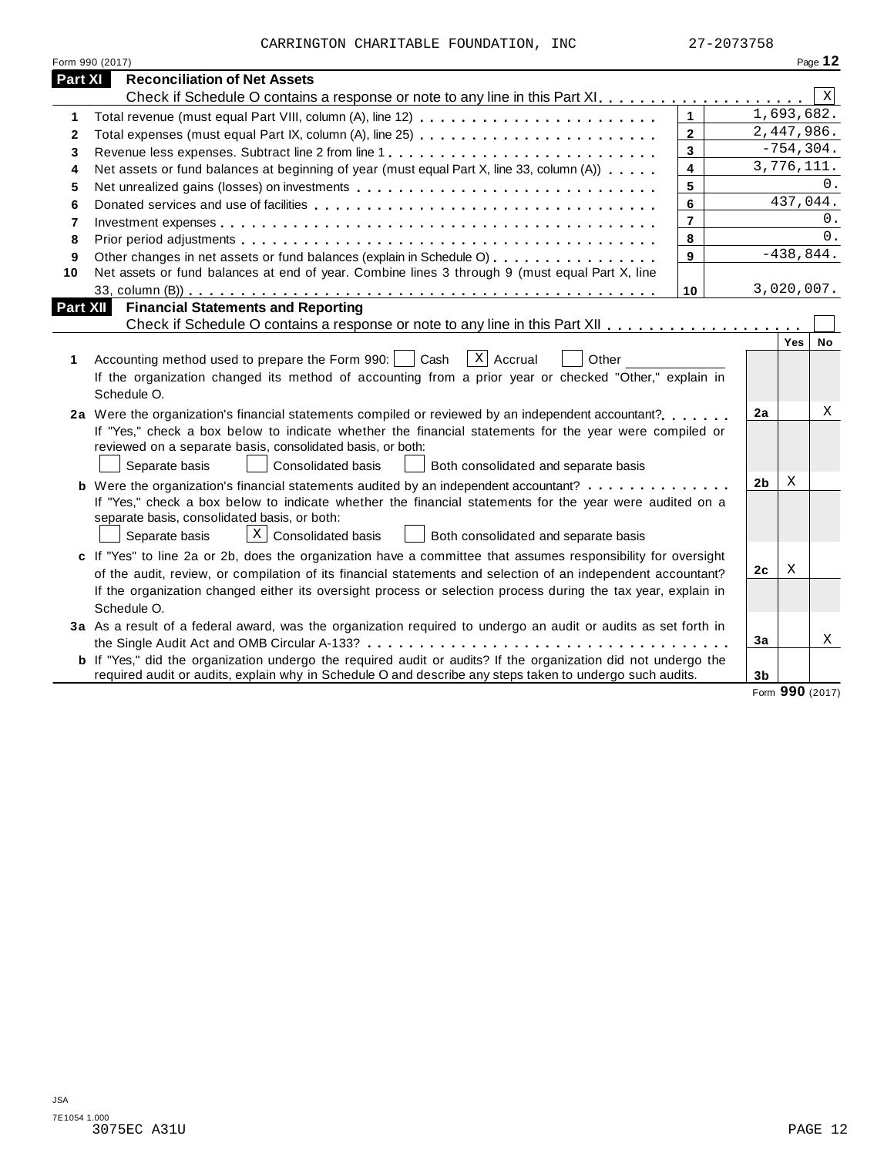CARRINGTON CHARITABLE FOUNDATION, INC 27-2073758

|                 | Form 990 (2017)                                                                                                       |                |                |              | Page 12     |
|-----------------|-----------------------------------------------------------------------------------------------------------------------|----------------|----------------|--------------|-------------|
| <b>Part XI</b>  | <b>Reconciliation of Net Assets</b>                                                                                   |                |                |              |             |
|                 |                                                                                                                       |                |                |              | $\mathbf X$ |
| 1               | Total revenue (must equal Part VIII, column (A), line 12)                                                             | $\mathbf{1}$   |                | 1,693,682.   |             |
| $\mathbf{2}$    | Total expenses (must equal Part IX, column (A), line 25)                                                              | $\overline{2}$ |                | 2,447,986.   |             |
| 3               | Revenue less expenses. Subtract line 2 from line 1                                                                    | 3              |                | $-754, 304.$ |             |
| 4               | Net assets or fund balances at beginning of year (must equal Part X, line 33, column (A))                             | 4              |                | 3,776,111.   |             |
| 5               | Net unrealized gains (losses) on investments                                                                          | 5              |                |              | 0.          |
| 6               |                                                                                                                       | 6              |                | 437,044.     |             |
| $\overline{7}$  |                                                                                                                       | $\overline{7}$ |                |              | 0.          |
| 8               |                                                                                                                       | 8              |                |              | 0.          |
| 9               | Other changes in net assets or fund balances (explain in Schedule O)                                                  | 9              |                | $-438,844.$  |             |
| 10              | Net assets or fund balances at end of year. Combine lines 3 through 9 (must equal Part X, line                        |                |                |              |             |
|                 |                                                                                                                       | 10             |                | 3,020,007.   |             |
| <b>Part XII</b> | <b>Financial Statements and Reporting</b>                                                                             |                |                |              |             |
|                 |                                                                                                                       |                |                |              |             |
|                 |                                                                                                                       |                |                | Yes          | No          |
| 1               | $X$ Accrual<br>Cash<br>Accounting method used to prepare the Form 990:  <br>Other                                     |                |                |              |             |
|                 | If the organization changed its method of accounting from a prior year or checked "Other," explain in                 |                |                |              |             |
|                 | Schedule O.                                                                                                           |                |                |              |             |
|                 | 2a Were the organization's financial statements compiled or reviewed by an independent accountant?                    |                | 2a             |              | Χ           |
|                 | If "Yes," check a box below to indicate whether the financial statements for the year were compiled or                |                |                |              |             |
|                 | reviewed on a separate basis, consolidated basis, or both:                                                            |                |                |              |             |
|                 | Separate basis<br><b>Consolidated basis</b><br>Both consolidated and separate basis                                   |                |                |              |             |
|                 | <b>b</b> Were the organization's financial statements audited by an independent accountant?                           |                | 2 <sub>b</sub> | Χ            |             |
|                 | If "Yes," check a box below to indicate whether the financial statements for the year were audited on a               |                |                |              |             |
|                 | separate basis, consolidated basis, or both:                                                                          |                |                |              |             |
|                 | $\lfloor x \rfloor$ Consolidated basis<br>Separate basis<br>Both consolidated and separate basis                      |                |                |              |             |
|                 | c If "Yes" to line 2a or 2b, does the organization have a committee that assumes responsibility for oversight         |                |                |              |             |
|                 | of the audit, review, or compilation of its financial statements and selection of an independent accountant?          |                | 2c             | Χ            |             |
|                 | If the organization changed either its oversight process or selection process during the tax year, explain in         |                |                |              |             |
|                 | Schedule O.                                                                                                           |                |                |              |             |
|                 | 3a As a result of a federal award, was the organization required to undergo an audit or audits as set forth in        |                |                |              |             |
|                 |                                                                                                                       |                | 3a             |              | Χ           |
|                 | <b>b</b> If "Yes," did the organization undergo the required audit or audits? If the organization did not undergo the |                |                |              |             |
|                 | required audit or audits, explain why in Schedule O and describe any steps taken to undergo such audits.              |                | 3 <sub>b</sub> |              |             |

Form **990** (2017)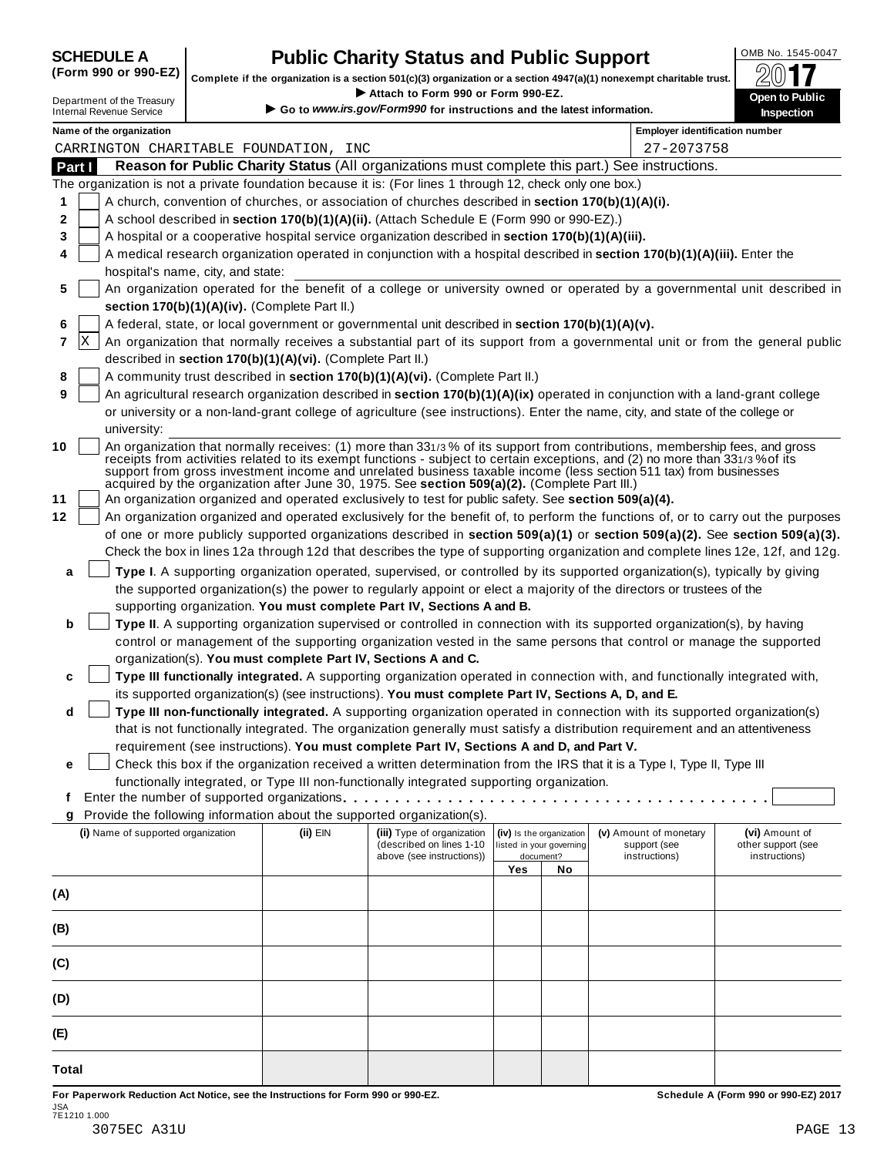| <b>SCHEDULE A</b>                                                                                                                                                                                                                                                                                                  |  |  |
|--------------------------------------------------------------------------------------------------------------------------------------------------------------------------------------------------------------------------------------------------------------------------------------------------------------------|--|--|
| $\sqrt{2}$ $\sqrt{2}$ $\sqrt{2}$ $\sqrt{2}$ $\sqrt{2}$ $\sqrt{2}$ $\sqrt{2}$ $\sqrt{2}$ $\sqrt{2}$ $\sqrt{2}$ $\sqrt{2}$ $\sqrt{2}$ $\sqrt{2}$ $\sqrt{2}$ $\sqrt{2}$ $\sqrt{2}$ $\sqrt{2}$ $\sqrt{2}$ $\sqrt{2}$ $\sqrt{2}$ $\sqrt{2}$ $\sqrt{2}$ $\sqrt{2}$ $\sqrt{2}$ $\sqrt{2}$ $\sqrt{2}$ $\sqrt{2}$ $\sqrt{2$ |  |  |

## **CHEDULE A Public Charity Status and Public Support**  $\frac{100\text{dB No. }1545-0047}{000\text{dB}}$

(Form 990 or 990-EZ) complete if the organization is a section 501(c)(3) organization or a section 4947(a)(1) nonexempt charitable trust.  $2017$ 

|        |                                                               |                                   |                                                            | Attach to Form 990 or Form 990-EZ.                                                                                                                                                                    |     |                                                                   | Complete if the organization is a section 501(c)(3) organization or a section $4947(a)(1)$ nonexempt charitable trust.                                                                                                                            | ZV I I                                                                                                                           |
|--------|---------------------------------------------------------------|-----------------------------------|------------------------------------------------------------|-------------------------------------------------------------------------------------------------------------------------------------------------------------------------------------------------------|-----|-------------------------------------------------------------------|---------------------------------------------------------------------------------------------------------------------------------------------------------------------------------------------------------------------------------------------------|----------------------------------------------------------------------------------------------------------------------------------|
|        | Department of the Treasury<br><b>Internal Revenue Service</b> |                                   |                                                            | Go to www.irs.gov/Form990 for instructions and the latest information.                                                                                                                                |     |                                                                   |                                                                                                                                                                                                                                                   | <b>Open to Public</b><br>Inspection                                                                                              |
|        | Name of the organization                                      |                                   |                                                            |                                                                                                                                                                                                       |     |                                                                   | <b>Employer identification number</b>                                                                                                                                                                                                             |                                                                                                                                  |
|        |                                                               |                                   | CARRINGTON CHARITABLE FOUNDATION, INC                      |                                                                                                                                                                                                       |     |                                                                   | 27-2073758                                                                                                                                                                                                                                        |                                                                                                                                  |
| Part I |                                                               |                                   |                                                            |                                                                                                                                                                                                       |     |                                                                   | Reason for Public Charity Status (All organizations must complete this part.) See instructions.                                                                                                                                                   |                                                                                                                                  |
|        |                                                               |                                   |                                                            | The organization is not a private foundation because it is: (For lines 1 through 12, check only one box.)                                                                                             |     |                                                                   |                                                                                                                                                                                                                                                   |                                                                                                                                  |
| 1      |                                                               |                                   |                                                            | A church, convention of churches, or association of churches described in section 170(b)(1)(A)(i).                                                                                                    |     |                                                                   |                                                                                                                                                                                                                                                   |                                                                                                                                  |
| 2      |                                                               |                                   |                                                            | A school described in section 170(b)(1)(A)(ii). (Attach Schedule E (Form 990 or 990-EZ).)                                                                                                             |     |                                                                   |                                                                                                                                                                                                                                                   |                                                                                                                                  |
| 3      |                                                               |                                   |                                                            | A hospital or a cooperative hospital service organization described in section 170(b)(1)(A)(iii).                                                                                                     |     |                                                                   |                                                                                                                                                                                                                                                   |                                                                                                                                  |
| 4      |                                                               | hospital's name, city, and state: |                                                            |                                                                                                                                                                                                       |     |                                                                   | A medical research organization operated in conjunction with a hospital described in section 170(b)(1)(A)(iii). Enter the                                                                                                                         |                                                                                                                                  |
| 5      |                                                               |                                   |                                                            |                                                                                                                                                                                                       |     |                                                                   |                                                                                                                                                                                                                                                   | An organization operated for the benefit of a college or university owned or operated by a governmental unit described in        |
|        |                                                               |                                   | section 170(b)(1)(A)(iv). (Complete Part II.)              |                                                                                                                                                                                                       |     |                                                                   |                                                                                                                                                                                                                                                   |                                                                                                                                  |
| 6      |                                                               |                                   |                                                            | A federal, state, or local government or governmental unit described in section 170(b)(1)(A)(v).                                                                                                      |     |                                                                   |                                                                                                                                                                                                                                                   |                                                                                                                                  |
| 7      | X                                                             |                                   |                                                            |                                                                                                                                                                                                       |     |                                                                   |                                                                                                                                                                                                                                                   | An organization that normally receives a substantial part of its support from a governmental unit or from the general public     |
|        |                                                               |                                   | described in section 170(b)(1)(A)(vi). (Complete Part II.) |                                                                                                                                                                                                       |     |                                                                   |                                                                                                                                                                                                                                                   |                                                                                                                                  |
| 8      |                                                               |                                   |                                                            | A community trust described in section 170(b)(1)(A)(vi). (Complete Part II.)                                                                                                                          |     |                                                                   |                                                                                                                                                                                                                                                   |                                                                                                                                  |
| 9      |                                                               |                                   |                                                            |                                                                                                                                                                                                       |     |                                                                   | An agricultural research organization described in section 170(b)(1)(A)(ix) operated in conjunction with a land-grant college                                                                                                                     |                                                                                                                                  |
|        |                                                               |                                   |                                                            |                                                                                                                                                                                                       |     |                                                                   | or university or a non-land-grant college of agriculture (see instructions). Enter the name, city, and state of the college or                                                                                                                    |                                                                                                                                  |
|        | university:                                                   |                                   |                                                            |                                                                                                                                                                                                       |     |                                                                   |                                                                                                                                                                                                                                                   |                                                                                                                                  |
| 10     |                                                               |                                   |                                                            |                                                                                                                                                                                                       |     |                                                                   | An organization that normally receives: (1) more than 331/3% of its support from contributions, membership fees, and gross                                                                                                                        |                                                                                                                                  |
| 11     |                                                               |                                   |                                                            | acquired by the organization after June 30, 1975. See section 509(a)(2). (Complete Part III.)<br>An organization organized and operated exclusively to test for public safety. See section 509(a)(4). |     |                                                                   | receipts from activities related to its exempt functions - subject to certain exceptions, and (2) no more than 331/3% of its<br>support from gross investment income and unrelated business taxable income (less section 511 tax) from businesses |                                                                                                                                  |
| 12     |                                                               |                                   |                                                            |                                                                                                                                                                                                       |     |                                                                   |                                                                                                                                                                                                                                                   | An organization organized and operated exclusively for the benefit of, to perform the functions of, or to carry out the purposes |
|        |                                                               |                                   |                                                            |                                                                                                                                                                                                       |     |                                                                   |                                                                                                                                                                                                                                                   | of one or more publicly supported organizations described in section 509(a)(1) or section 509(a)(2). See section 509(a)(3).      |
|        |                                                               |                                   |                                                            |                                                                                                                                                                                                       |     |                                                                   |                                                                                                                                                                                                                                                   | Check the box in lines 12a through 12d that describes the type of supporting organization and complete lines 12e, 12f, and 12g.  |
|        |                                                               |                                   |                                                            |                                                                                                                                                                                                       |     |                                                                   |                                                                                                                                                                                                                                                   |                                                                                                                                  |
| a      |                                                               |                                   |                                                            |                                                                                                                                                                                                       |     |                                                                   | Type I. A supporting organization operated, supervised, or controlled by its supported organization(s), typically by giving                                                                                                                       |                                                                                                                                  |
|        |                                                               |                                   |                                                            |                                                                                                                                                                                                       |     |                                                                   | the supported organization(s) the power to regularly appoint or elect a majority of the directors or trustees of the                                                                                                                              |                                                                                                                                  |
|        |                                                               |                                   |                                                            | supporting organization. You must complete Part IV, Sections A and B.                                                                                                                                 |     |                                                                   |                                                                                                                                                                                                                                                   |                                                                                                                                  |
| b      |                                                               |                                   |                                                            |                                                                                                                                                                                                       |     |                                                                   | Type II. A supporting organization supervised or controlled in connection with its supported organization(s), by having                                                                                                                           |                                                                                                                                  |
|        |                                                               |                                   |                                                            |                                                                                                                                                                                                       |     |                                                                   | control or management of the supporting organization vested in the same persons that control or manage the supported                                                                                                                              |                                                                                                                                  |
|        |                                                               |                                   |                                                            | organization(s). You must complete Part IV, Sections A and C.                                                                                                                                         |     |                                                                   |                                                                                                                                                                                                                                                   |                                                                                                                                  |
| c      |                                                               |                                   |                                                            |                                                                                                                                                                                                       |     |                                                                   | Type III functionally integrated. A supporting organization operated in connection with, and functionally integrated with,                                                                                                                        |                                                                                                                                  |
|        |                                                               |                                   |                                                            | its supported organization(s) (see instructions). You must complete Part IV, Sections A, D, and E.                                                                                                    |     |                                                                   |                                                                                                                                                                                                                                                   |                                                                                                                                  |
| d      |                                                               |                                   |                                                            |                                                                                                                                                                                                       |     |                                                                   | Type III non-functionally integrated. A supporting organization operated in connection with its supported organization(s)                                                                                                                         |                                                                                                                                  |
|        |                                                               |                                   |                                                            |                                                                                                                                                                                                       |     |                                                                   | that is not functionally integrated. The organization generally must satisfy a distribution requirement and an attentiveness                                                                                                                      |                                                                                                                                  |
|        |                                                               |                                   |                                                            | requirement (see instructions). You must complete Part IV, Sections A and D, and Part V.                                                                                                              |     |                                                                   |                                                                                                                                                                                                                                                   |                                                                                                                                  |
| е      |                                                               |                                   |                                                            |                                                                                                                                                                                                       |     |                                                                   | Check this box if the organization received a written determination from the IRS that it is a Type I, Type II, Type III                                                                                                                           |                                                                                                                                  |
|        |                                                               |                                   |                                                            | functionally integrated, or Type III non-functionally integrated supporting organization.                                                                                                             |     |                                                                   |                                                                                                                                                                                                                                                   |                                                                                                                                  |
| t      |                                                               |                                   |                                                            |                                                                                                                                                                                                       |     |                                                                   |                                                                                                                                                                                                                                                   |                                                                                                                                  |
| g      |                                                               |                                   |                                                            | Provide the following information about the supported organization(s).                                                                                                                                |     |                                                                   |                                                                                                                                                                                                                                                   |                                                                                                                                  |
|        | (i) Name of supported organization                            |                                   | (ii) EIN                                                   | (iii) Type of organization<br>(described on lines 1-10)<br>above (see instructions))                                                                                                                  |     | (iv) Is the organization<br>listed in your governing<br>document? | (v) Amount of monetary<br>support (see<br>instructions)                                                                                                                                                                                           | (vi) Amount of<br>other support (see<br>instructions)                                                                            |
|        |                                                               |                                   |                                                            |                                                                                                                                                                                                       | Yes | No                                                                |                                                                                                                                                                                                                                                   |                                                                                                                                  |
|        |                                                               |                                   |                                                            |                                                                                                                                                                                                       |     |                                                                   |                                                                                                                                                                                                                                                   |                                                                                                                                  |
| (A)    |                                                               |                                   |                                                            |                                                                                                                                                                                                       |     |                                                                   |                                                                                                                                                                                                                                                   |                                                                                                                                  |
| (B)    |                                                               |                                   |                                                            |                                                                                                                                                                                                       |     |                                                                   |                                                                                                                                                                                                                                                   |                                                                                                                                  |
|        |                                                               |                                   |                                                            |                                                                                                                                                                                                       |     |                                                                   |                                                                                                                                                                                                                                                   |                                                                                                                                  |
| (C)    |                                                               |                                   |                                                            |                                                                                                                                                                                                       |     |                                                                   |                                                                                                                                                                                                                                                   |                                                                                                                                  |
|        |                                                               |                                   |                                                            |                                                                                                                                                                                                       |     |                                                                   |                                                                                                                                                                                                                                                   |                                                                                                                                  |
| (D)    |                                                               |                                   |                                                            |                                                                                                                                                                                                       |     |                                                                   |                                                                                                                                                                                                                                                   |                                                                                                                                  |
|        |                                                               |                                   |                                                            |                                                                                                                                                                                                       |     |                                                                   |                                                                                                                                                                                                                                                   |                                                                                                                                  |
| (E)    |                                                               |                                   |                                                            |                                                                                                                                                                                                       |     |                                                                   |                                                                                                                                                                                                                                                   |                                                                                                                                  |
| Total  |                                                               |                                   |                                                            |                                                                                                                                                                                                       |     |                                                                   |                                                                                                                                                                                                                                                   |                                                                                                                                  |

For Paperwork Reduction Act Notice, see the Instructions for Form 990 or 990-EZ. Schedule A (Form 990 or 990-EZ) 2017 JSA 7E1210 1.000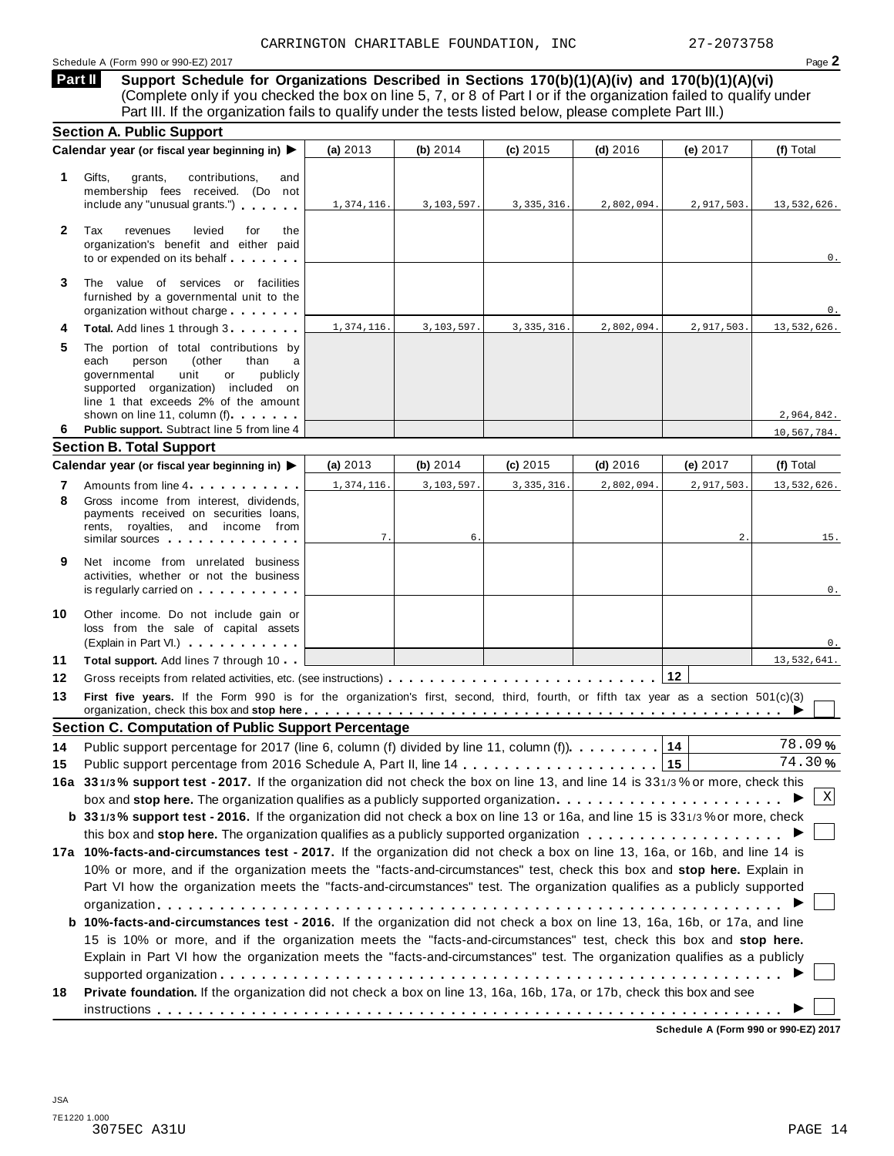**Support Schedule for Organizations Described in Sections 170(b)(1)(A)(iv) and 170(b)(1)(A)(vi)** (Complete only if you checked the box on line 5, 7, or 8 of Part I or if the organization failed to qualify under Part III. If the organization fails to qualify under the tests listed below, please complete Part III.) **Part II**

| <b>Section A. Public Support</b>                                                                                                                                                                                                                                                                                |                                                                                                                                                                                                                                       |            |                                                                                        |                         |                                                                                                      |                                                                                                                                                                                                                                                                                                                                                                                                                                                                                                                                                                                                                                                                                                                                                                                                                                                                                                                                                                                                                                                                                                                                                                                                                                                                                                                                                                                                                                                                                                                                                                                  |
|-----------------------------------------------------------------------------------------------------------------------------------------------------------------------------------------------------------------------------------------------------------------------------------------------------------------|---------------------------------------------------------------------------------------------------------------------------------------------------------------------------------------------------------------------------------------|------------|----------------------------------------------------------------------------------------|-------------------------|------------------------------------------------------------------------------------------------------|----------------------------------------------------------------------------------------------------------------------------------------------------------------------------------------------------------------------------------------------------------------------------------------------------------------------------------------------------------------------------------------------------------------------------------------------------------------------------------------------------------------------------------------------------------------------------------------------------------------------------------------------------------------------------------------------------------------------------------------------------------------------------------------------------------------------------------------------------------------------------------------------------------------------------------------------------------------------------------------------------------------------------------------------------------------------------------------------------------------------------------------------------------------------------------------------------------------------------------------------------------------------------------------------------------------------------------------------------------------------------------------------------------------------------------------------------------------------------------------------------------------------------------------------------------------------------------|
|                                                                                                                                                                                                                                                                                                                 | (a) 2013                                                                                                                                                                                                                              | (b) $2014$ | (c) 2015                                                                               | $(d)$ 2016              | (e) 2017                                                                                             | (f) Total                                                                                                                                                                                                                                                                                                                                                                                                                                                                                                                                                                                                                                                                                                                                                                                                                                                                                                                                                                                                                                                                                                                                                                                                                                                                                                                                                                                                                                                                                                                                                                        |
| Gifts,<br>grants,<br>contributions,<br>and<br>membership fees received. (Do not<br>include any "unusual grants.")                                                                                                                                                                                               | 1,374,116.                                                                                                                                                                                                                            | 3,103,597. | 3, 335, 316.                                                                           | 2,802,094.              | 2,917,503.                                                                                           | 13,532,626.                                                                                                                                                                                                                                                                                                                                                                                                                                                                                                                                                                                                                                                                                                                                                                                                                                                                                                                                                                                                                                                                                                                                                                                                                                                                                                                                                                                                                                                                                                                                                                      |
| Tax<br>revenues<br>levied<br>for<br>the<br>organization's benefit and either paid<br>to or expended on its behalf                                                                                                                                                                                               |                                                                                                                                                                                                                                       |            |                                                                                        |                         |                                                                                                      | 0.                                                                                                                                                                                                                                                                                                                                                                                                                                                                                                                                                                                                                                                                                                                                                                                                                                                                                                                                                                                                                                                                                                                                                                                                                                                                                                                                                                                                                                                                                                                                                                               |
| The value of services or facilities<br>furnished by a governmental unit to the<br>organization without charge                                                                                                                                                                                                   |                                                                                                                                                                                                                                       |            |                                                                                        |                         |                                                                                                      | 0.                                                                                                                                                                                                                                                                                                                                                                                                                                                                                                                                                                                                                                                                                                                                                                                                                                                                                                                                                                                                                                                                                                                                                                                                                                                                                                                                                                                                                                                                                                                                                                               |
| Total. Add lines 1 through 3                                                                                                                                                                                                                                                                                    | 1,374,116.                                                                                                                                                                                                                            | 3,103,597. | 3, 335, 316.                                                                           | 2,802,094.              | 2,917,503.                                                                                           | 13,532,626.                                                                                                                                                                                                                                                                                                                                                                                                                                                                                                                                                                                                                                                                                                                                                                                                                                                                                                                                                                                                                                                                                                                                                                                                                                                                                                                                                                                                                                                                                                                                                                      |
| The portion of total contributions by<br>each<br>person<br>(other<br>than<br>a<br>governmental<br>unit<br>publicly<br>or<br>supported organization) included on<br>line 1 that exceeds 2% of the amount                                                                                                         |                                                                                                                                                                                                                                       |            |                                                                                        |                         |                                                                                                      |                                                                                                                                                                                                                                                                                                                                                                                                                                                                                                                                                                                                                                                                                                                                                                                                                                                                                                                                                                                                                                                                                                                                                                                                                                                                                                                                                                                                                                                                                                                                                                                  |
|                                                                                                                                                                                                                                                                                                                 |                                                                                                                                                                                                                                       |            |                                                                                        |                         |                                                                                                      | 2,964,842.                                                                                                                                                                                                                                                                                                                                                                                                                                                                                                                                                                                                                                                                                                                                                                                                                                                                                                                                                                                                                                                                                                                                                                                                                                                                                                                                                                                                                                                                                                                                                                       |
|                                                                                                                                                                                                                                                                                                                 |                                                                                                                                                                                                                                       |            |                                                                                        |                         |                                                                                                      | 10,567,784.                                                                                                                                                                                                                                                                                                                                                                                                                                                                                                                                                                                                                                                                                                                                                                                                                                                                                                                                                                                                                                                                                                                                                                                                                                                                                                                                                                                                                                                                                                                                                                      |
|                                                                                                                                                                                                                                                                                                                 |                                                                                                                                                                                                                                       |            |                                                                                        |                         |                                                                                                      | (f) Total                                                                                                                                                                                                                                                                                                                                                                                                                                                                                                                                                                                                                                                                                                                                                                                                                                                                                                                                                                                                                                                                                                                                                                                                                                                                                                                                                                                                                                                                                                                                                                        |
|                                                                                                                                                                                                                                                                                                                 | 1,374,116.                                                                                                                                                                                                                            |            |                                                                                        | 2,802,094               |                                                                                                      | 13,532,626.                                                                                                                                                                                                                                                                                                                                                                                                                                                                                                                                                                                                                                                                                                                                                                                                                                                                                                                                                                                                                                                                                                                                                                                                                                                                                                                                                                                                                                                                                                                                                                      |
| Gross income from interest, dividends,<br>payments received on securities loans,<br>rents, royalties, and income from<br>similar sources experiences                                                                                                                                                            | 7.                                                                                                                                                                                                                                    | 6.         |                                                                                        |                         | 2.                                                                                                   | 15.                                                                                                                                                                                                                                                                                                                                                                                                                                                                                                                                                                                                                                                                                                                                                                                                                                                                                                                                                                                                                                                                                                                                                                                                                                                                                                                                                                                                                                                                                                                                                                              |
| Net income from unrelated business<br>activities, whether or not the business<br>is regularly carried on the control of the control of the control of the control of the control of the control of the control of the control of the control of the control of the control of the control of the control of the |                                                                                                                                                                                                                                       |            |                                                                                        |                         |                                                                                                      | 0.                                                                                                                                                                                                                                                                                                                                                                                                                                                                                                                                                                                                                                                                                                                                                                                                                                                                                                                                                                                                                                                                                                                                                                                                                                                                                                                                                                                                                                                                                                                                                                               |
| Other income. Do not include gain or<br>loss from the sale of capital assets<br>(Explain in Part VI.)                                                                                                                                                                                                           |                                                                                                                                                                                                                                       |            |                                                                                        |                         |                                                                                                      | 0.                                                                                                                                                                                                                                                                                                                                                                                                                                                                                                                                                                                                                                                                                                                                                                                                                                                                                                                                                                                                                                                                                                                                                                                                                                                                                                                                                                                                                                                                                                                                                                               |
| Total support. Add lines 7 through 10                                                                                                                                                                                                                                                                           |                                                                                                                                                                                                                                       |            |                                                                                        |                         |                                                                                                      | 13,532,641.                                                                                                                                                                                                                                                                                                                                                                                                                                                                                                                                                                                                                                                                                                                                                                                                                                                                                                                                                                                                                                                                                                                                                                                                                                                                                                                                                                                                                                                                                                                                                                      |
|                                                                                                                                                                                                                                                                                                                 |                                                                                                                                                                                                                                       |            |                                                                                        |                         |                                                                                                      |                                                                                                                                                                                                                                                                                                                                                                                                                                                                                                                                                                                                                                                                                                                                                                                                                                                                                                                                                                                                                                                                                                                                                                                                                                                                                                                                                                                                                                                                                                                                                                                  |
|                                                                                                                                                                                                                                                                                                                 |                                                                                                                                                                                                                                       |            |                                                                                        |                         |                                                                                                      |                                                                                                                                                                                                                                                                                                                                                                                                                                                                                                                                                                                                                                                                                                                                                                                                                                                                                                                                                                                                                                                                                                                                                                                                                                                                                                                                                                                                                                                                                                                                                                                  |
|                                                                                                                                                                                                                                                                                                                 |                                                                                                                                                                                                                                       |            |                                                                                        |                         |                                                                                                      |                                                                                                                                                                                                                                                                                                                                                                                                                                                                                                                                                                                                                                                                                                                                                                                                                                                                                                                                                                                                                                                                                                                                                                                                                                                                                                                                                                                                                                                                                                                                                                                  |
|                                                                                                                                                                                                                                                                                                                 |                                                                                                                                                                                                                                       |            |                                                                                        |                         |                                                                                                      | 78.09%<br>74.30%                                                                                                                                                                                                                                                                                                                                                                                                                                                                                                                                                                                                                                                                                                                                                                                                                                                                                                                                                                                                                                                                                                                                                                                                                                                                                                                                                                                                                                                                                                                                                                 |
|                                                                                                                                                                                                                                                                                                                 |                                                                                                                                                                                                                                       |            |                                                                                        |                         |                                                                                                      |                                                                                                                                                                                                                                                                                                                                                                                                                                                                                                                                                                                                                                                                                                                                                                                                                                                                                                                                                                                                                                                                                                                                                                                                                                                                                                                                                                                                                                                                                                                                                                                  |
|                                                                                                                                                                                                                                                                                                                 |                                                                                                                                                                                                                                       |            |                                                                                        |                         |                                                                                                      | Χ                                                                                                                                                                                                                                                                                                                                                                                                                                                                                                                                                                                                                                                                                                                                                                                                                                                                                                                                                                                                                                                                                                                                                                                                                                                                                                                                                                                                                                                                                                                                                                                |
|                                                                                                                                                                                                                                                                                                                 |                                                                                                                                                                                                                                       |            |                                                                                        |                         |                                                                                                      |                                                                                                                                                                                                                                                                                                                                                                                                                                                                                                                                                                                                                                                                                                                                                                                                                                                                                                                                                                                                                                                                                                                                                                                                                                                                                                                                                                                                                                                                                                                                                                                  |
|                                                                                                                                                                                                                                                                                                                 |                                                                                                                                                                                                                                       |            |                                                                                        |                         |                                                                                                      |                                                                                                                                                                                                                                                                                                                                                                                                                                                                                                                                                                                                                                                                                                                                                                                                                                                                                                                                                                                                                                                                                                                                                                                                                                                                                                                                                                                                                                                                                                                                                                                  |
|                                                                                                                                                                                                                                                                                                                 |                                                                                                                                                                                                                                       |            |                                                                                        |                         |                                                                                                      |                                                                                                                                                                                                                                                                                                                                                                                                                                                                                                                                                                                                                                                                                                                                                                                                                                                                                                                                                                                                                                                                                                                                                                                                                                                                                                                                                                                                                                                                                                                                                                                  |
|                                                                                                                                                                                                                                                                                                                 |                                                                                                                                                                                                                                       |            |                                                                                        |                         |                                                                                                      |                                                                                                                                                                                                                                                                                                                                                                                                                                                                                                                                                                                                                                                                                                                                                                                                                                                                                                                                                                                                                                                                                                                                                                                                                                                                                                                                                                                                                                                                                                                                                                                  |
|                                                                                                                                                                                                                                                                                                                 |                                                                                                                                                                                                                                       |            |                                                                                        |                         |                                                                                                      |                                                                                                                                                                                                                                                                                                                                                                                                                                                                                                                                                                                                                                                                                                                                                                                                                                                                                                                                                                                                                                                                                                                                                                                                                                                                                                                                                                                                                                                                                                                                                                                  |
|                                                                                                                                                                                                                                                                                                                 |                                                                                                                                                                                                                                       |            |                                                                                        |                         |                                                                                                      |                                                                                                                                                                                                                                                                                                                                                                                                                                                                                                                                                                                                                                                                                                                                                                                                                                                                                                                                                                                                                                                                                                                                                                                                                                                                                                                                                                                                                                                                                                                                                                                  |
|                                                                                                                                                                                                                                                                                                                 |                                                                                                                                                                                                                                       |            |                                                                                        |                         |                                                                                                      |                                                                                                                                                                                                                                                                                                                                                                                                                                                                                                                                                                                                                                                                                                                                                                                                                                                                                                                                                                                                                                                                                                                                                                                                                                                                                                                                                                                                                                                                                                                                                                                  |
|                                                                                                                                                                                                                                                                                                                 |                                                                                                                                                                                                                                       |            |                                                                                        |                         |                                                                                                      |                                                                                                                                                                                                                                                                                                                                                                                                                                                                                                                                                                                                                                                                                                                                                                                                                                                                                                                                                                                                                                                                                                                                                                                                                                                                                                                                                                                                                                                                                                                                                                                  |
|                                                                                                                                                                                                                                                                                                                 |                                                                                                                                                                                                                                       |            |                                                                                        |                         |                                                                                                      |                                                                                                                                                                                                                                                                                                                                                                                                                                                                                                                                                                                                                                                                                                                                                                                                                                                                                                                                                                                                                                                                                                                                                                                                                                                                                                                                                                                                                                                                                                                                                                                  |
|                                                                                                                                                                                                                                                                                                                 | Calendar year (or fiscal year beginning in)<br>shown on line 11, column (f)<br>Public support. Subtract line 5 from line 4<br><b>Section B. Total Support</b><br>Calendar year (or fiscal year beginning in) ▶<br>Amounts from line 4 | (a) $2013$ | (b) $2014$<br>3,103,597.<br><b>Section C. Computation of Public Support Percentage</b> | (c) 2015<br>3, 335, 316 | $(d)$ 2016<br>Public support percentage for 2017 (line 6, column (f) divided by line 11, column (f). | (e) 2017<br>2,917,503.<br>First five years. If the Form 990 is for the organization's first, second, third, fourth, or fifth tax year as a section 501(c)(3)<br>organization, check this box and stop here entired to the state of the state of the state of the state of the state of the state of the state of the state of the state of the state of the state of the state of the state o<br>14<br>16a 331/3% support test - 2017. If the organization did not check the box on line 13, and line 14 is 331/3% or more, check this<br>b 331/3% support test - 2016. If the organization did not check a box on line 13 or 16a, and line 15 is 331/3% or more, check<br>17a 10%-facts-and-circumstances test - 2017. If the organization did not check a box on line 13, 16a, or 16b, and line 14 is<br>10% or more, and if the organization meets the "facts-and-circumstances" test, check this box and stop here. Explain in<br>Part VI how the organization meets the "facts-and-circumstances" test. The organization qualifies as a publicly supported<br><b>b 10%-facts-and-circumstances test - 2016.</b> If the organization did not check a box on line 13, 16a, 16b, or 17a, and line<br>15 is 10% or more, and if the organization meets the "facts-and-circumstances" test, check this box and stop here.<br>Explain in Part VI how the organization meets the "facts-and-circumstances" test. The organization qualifies as a publicly<br>Private foundation. If the organization did not check a box on line 13, 16a, 16b, 17a, or 17b, check this box and see |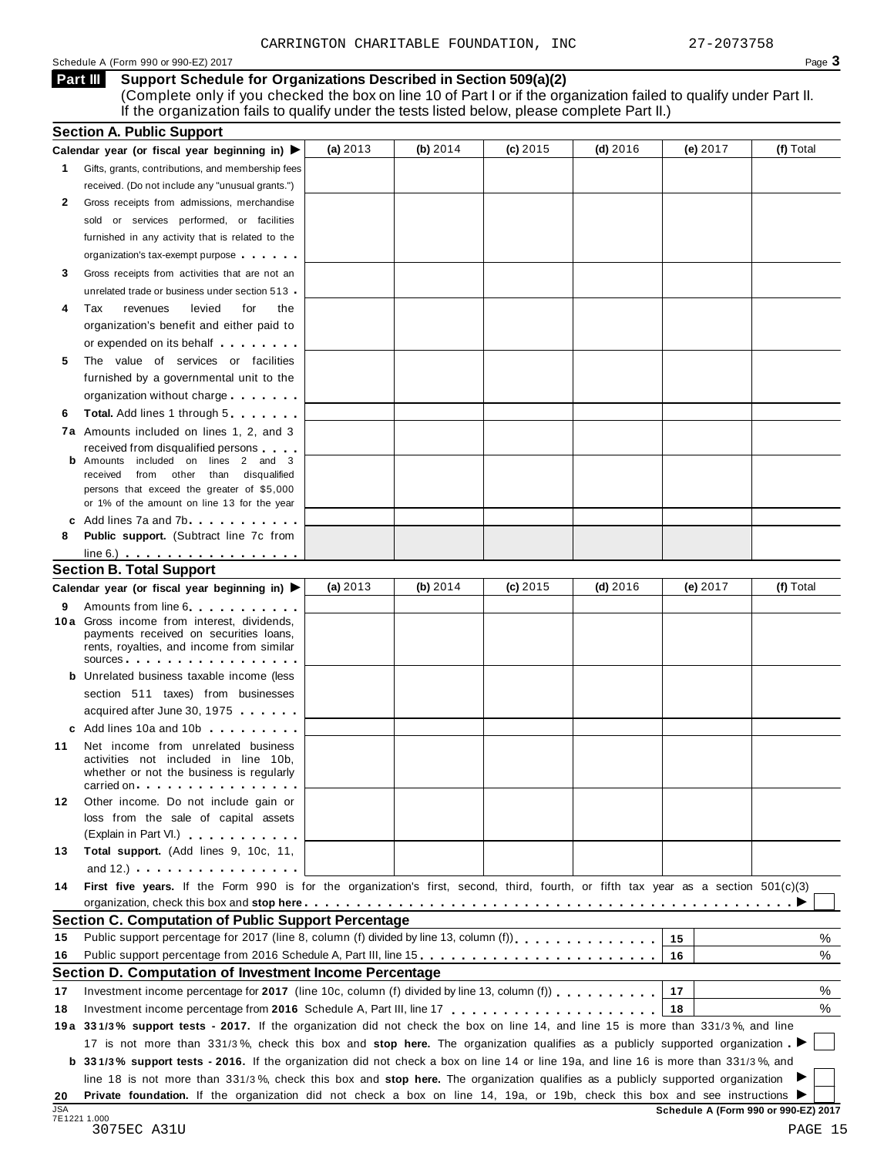### Schedule <sup>A</sup> (Form <sup>990</sup> or 990-EZ) <sup>2017</sup> Page **3**

**Support Schedule for Organizations Described in Section 509(a)(2)** (Complete only if you checked the box on line 10 of Part I or if the organization failed to qualify under Part II. If the organization fails to qualify under the tests listed below, please complete Part II.) **Part III**

| <b>Section A. Public Support</b>                                                                                                                                                                                                                             |                                                                                                                                                                                                                                                                                                                                                                                                                                                                                                                                                                                                                                                                                                                                                                                                                                                                                                                                                                                                                                                                                                                                                                                                                                                                                                                                                                                                                                                                                                                                                                                                                                                                                                                                                                                                |            |                                                                                                               |            |                                                                                                                                                                                                                                                                                                                                             |                                                                                                                                                  |
|--------------------------------------------------------------------------------------------------------------------------------------------------------------------------------------------------------------------------------------------------------------|------------------------------------------------------------------------------------------------------------------------------------------------------------------------------------------------------------------------------------------------------------------------------------------------------------------------------------------------------------------------------------------------------------------------------------------------------------------------------------------------------------------------------------------------------------------------------------------------------------------------------------------------------------------------------------------------------------------------------------------------------------------------------------------------------------------------------------------------------------------------------------------------------------------------------------------------------------------------------------------------------------------------------------------------------------------------------------------------------------------------------------------------------------------------------------------------------------------------------------------------------------------------------------------------------------------------------------------------------------------------------------------------------------------------------------------------------------------------------------------------------------------------------------------------------------------------------------------------------------------------------------------------------------------------------------------------------------------------------------------------------------------------------------------------|------------|---------------------------------------------------------------------------------------------------------------|------------|---------------------------------------------------------------------------------------------------------------------------------------------------------------------------------------------------------------------------------------------------------------------------------------------------------------------------------------------|--------------------------------------------------------------------------------------------------------------------------------------------------|
|                                                                                                                                                                                                                                                              | (a) 2013                                                                                                                                                                                                                                                                                                                                                                                                                                                                                                                                                                                                                                                                                                                                                                                                                                                                                                                                                                                                                                                                                                                                                                                                                                                                                                                                                                                                                                                                                                                                                                                                                                                                                                                                                                                       | (b) $2014$ | $(c)$ 2015                                                                                                    | $(d)$ 2016 | (e) 2017                                                                                                                                                                                                                                                                                                                                    | (f) Total                                                                                                                                        |
|                                                                                                                                                                                                                                                              |                                                                                                                                                                                                                                                                                                                                                                                                                                                                                                                                                                                                                                                                                                                                                                                                                                                                                                                                                                                                                                                                                                                                                                                                                                                                                                                                                                                                                                                                                                                                                                                                                                                                                                                                                                                                |            |                                                                                                               |            |                                                                                                                                                                                                                                                                                                                                             |                                                                                                                                                  |
| received. (Do not include any "unusual grants.")                                                                                                                                                                                                             |                                                                                                                                                                                                                                                                                                                                                                                                                                                                                                                                                                                                                                                                                                                                                                                                                                                                                                                                                                                                                                                                                                                                                                                                                                                                                                                                                                                                                                                                                                                                                                                                                                                                                                                                                                                                |            |                                                                                                               |            |                                                                                                                                                                                                                                                                                                                                             |                                                                                                                                                  |
|                                                                                                                                                                                                                                                              |                                                                                                                                                                                                                                                                                                                                                                                                                                                                                                                                                                                                                                                                                                                                                                                                                                                                                                                                                                                                                                                                                                                                                                                                                                                                                                                                                                                                                                                                                                                                                                                                                                                                                                                                                                                                |            |                                                                                                               |            |                                                                                                                                                                                                                                                                                                                                             |                                                                                                                                                  |
| sold or services performed, or facilities                                                                                                                                                                                                                    |                                                                                                                                                                                                                                                                                                                                                                                                                                                                                                                                                                                                                                                                                                                                                                                                                                                                                                                                                                                                                                                                                                                                                                                                                                                                                                                                                                                                                                                                                                                                                                                                                                                                                                                                                                                                |            |                                                                                                               |            |                                                                                                                                                                                                                                                                                                                                             |                                                                                                                                                  |
| furnished in any activity that is related to the                                                                                                                                                                                                             |                                                                                                                                                                                                                                                                                                                                                                                                                                                                                                                                                                                                                                                                                                                                                                                                                                                                                                                                                                                                                                                                                                                                                                                                                                                                                                                                                                                                                                                                                                                                                                                                                                                                                                                                                                                                |            |                                                                                                               |            |                                                                                                                                                                                                                                                                                                                                             |                                                                                                                                                  |
| organization's tax-exempt purpose                                                                                                                                                                                                                            |                                                                                                                                                                                                                                                                                                                                                                                                                                                                                                                                                                                                                                                                                                                                                                                                                                                                                                                                                                                                                                                                                                                                                                                                                                                                                                                                                                                                                                                                                                                                                                                                                                                                                                                                                                                                |            |                                                                                                               |            |                                                                                                                                                                                                                                                                                                                                             |                                                                                                                                                  |
|                                                                                                                                                                                                                                                              |                                                                                                                                                                                                                                                                                                                                                                                                                                                                                                                                                                                                                                                                                                                                                                                                                                                                                                                                                                                                                                                                                                                                                                                                                                                                                                                                                                                                                                                                                                                                                                                                                                                                                                                                                                                                |            |                                                                                                               |            |                                                                                                                                                                                                                                                                                                                                             |                                                                                                                                                  |
|                                                                                                                                                                                                                                                              |                                                                                                                                                                                                                                                                                                                                                                                                                                                                                                                                                                                                                                                                                                                                                                                                                                                                                                                                                                                                                                                                                                                                                                                                                                                                                                                                                                                                                                                                                                                                                                                                                                                                                                                                                                                                |            |                                                                                                               |            |                                                                                                                                                                                                                                                                                                                                             |                                                                                                                                                  |
|                                                                                                                                                                                                                                                              |                                                                                                                                                                                                                                                                                                                                                                                                                                                                                                                                                                                                                                                                                                                                                                                                                                                                                                                                                                                                                                                                                                                                                                                                                                                                                                                                                                                                                                                                                                                                                                                                                                                                                                                                                                                                |            |                                                                                                               |            |                                                                                                                                                                                                                                                                                                                                             |                                                                                                                                                  |
|                                                                                                                                                                                                                                                              |                                                                                                                                                                                                                                                                                                                                                                                                                                                                                                                                                                                                                                                                                                                                                                                                                                                                                                                                                                                                                                                                                                                                                                                                                                                                                                                                                                                                                                                                                                                                                                                                                                                                                                                                                                                                |            |                                                                                                               |            |                                                                                                                                                                                                                                                                                                                                             |                                                                                                                                                  |
|                                                                                                                                                                                                                                                              |                                                                                                                                                                                                                                                                                                                                                                                                                                                                                                                                                                                                                                                                                                                                                                                                                                                                                                                                                                                                                                                                                                                                                                                                                                                                                                                                                                                                                                                                                                                                                                                                                                                                                                                                                                                                |            |                                                                                                               |            |                                                                                                                                                                                                                                                                                                                                             |                                                                                                                                                  |
|                                                                                                                                                                                                                                                              |                                                                                                                                                                                                                                                                                                                                                                                                                                                                                                                                                                                                                                                                                                                                                                                                                                                                                                                                                                                                                                                                                                                                                                                                                                                                                                                                                                                                                                                                                                                                                                                                                                                                                                                                                                                                |            |                                                                                                               |            |                                                                                                                                                                                                                                                                                                                                             |                                                                                                                                                  |
|                                                                                                                                                                                                                                                              |                                                                                                                                                                                                                                                                                                                                                                                                                                                                                                                                                                                                                                                                                                                                                                                                                                                                                                                                                                                                                                                                                                                                                                                                                                                                                                                                                                                                                                                                                                                                                                                                                                                                                                                                                                                                |            |                                                                                                               |            |                                                                                                                                                                                                                                                                                                                                             |                                                                                                                                                  |
|                                                                                                                                                                                                                                                              |                                                                                                                                                                                                                                                                                                                                                                                                                                                                                                                                                                                                                                                                                                                                                                                                                                                                                                                                                                                                                                                                                                                                                                                                                                                                                                                                                                                                                                                                                                                                                                                                                                                                                                                                                                                                |            |                                                                                                               |            |                                                                                                                                                                                                                                                                                                                                             |                                                                                                                                                  |
|                                                                                                                                                                                                                                                              |                                                                                                                                                                                                                                                                                                                                                                                                                                                                                                                                                                                                                                                                                                                                                                                                                                                                                                                                                                                                                                                                                                                                                                                                                                                                                                                                                                                                                                                                                                                                                                                                                                                                                                                                                                                                |            |                                                                                                               |            |                                                                                                                                                                                                                                                                                                                                             |                                                                                                                                                  |
|                                                                                                                                                                                                                                                              |                                                                                                                                                                                                                                                                                                                                                                                                                                                                                                                                                                                                                                                                                                                                                                                                                                                                                                                                                                                                                                                                                                                                                                                                                                                                                                                                                                                                                                                                                                                                                                                                                                                                                                                                                                                                |            |                                                                                                               |            |                                                                                                                                                                                                                                                                                                                                             |                                                                                                                                                  |
|                                                                                                                                                                                                                                                              |                                                                                                                                                                                                                                                                                                                                                                                                                                                                                                                                                                                                                                                                                                                                                                                                                                                                                                                                                                                                                                                                                                                                                                                                                                                                                                                                                                                                                                                                                                                                                                                                                                                                                                                                                                                                |            |                                                                                                               |            |                                                                                                                                                                                                                                                                                                                                             |                                                                                                                                                  |
|                                                                                                                                                                                                                                                              |                                                                                                                                                                                                                                                                                                                                                                                                                                                                                                                                                                                                                                                                                                                                                                                                                                                                                                                                                                                                                                                                                                                                                                                                                                                                                                                                                                                                                                                                                                                                                                                                                                                                                                                                                                                                |            |                                                                                                               |            |                                                                                                                                                                                                                                                                                                                                             |                                                                                                                                                  |
| from other than disqualified<br>received                                                                                                                                                                                                                     |                                                                                                                                                                                                                                                                                                                                                                                                                                                                                                                                                                                                                                                                                                                                                                                                                                                                                                                                                                                                                                                                                                                                                                                                                                                                                                                                                                                                                                                                                                                                                                                                                                                                                                                                                                                                |            |                                                                                                               |            |                                                                                                                                                                                                                                                                                                                                             |                                                                                                                                                  |
| persons that exceed the greater of \$5,000                                                                                                                                                                                                                   |                                                                                                                                                                                                                                                                                                                                                                                                                                                                                                                                                                                                                                                                                                                                                                                                                                                                                                                                                                                                                                                                                                                                                                                                                                                                                                                                                                                                                                                                                                                                                                                                                                                                                                                                                                                                |            |                                                                                                               |            |                                                                                                                                                                                                                                                                                                                                             |                                                                                                                                                  |
| or 1% of the amount on line 13 for the year                                                                                                                                                                                                                  |                                                                                                                                                                                                                                                                                                                                                                                                                                                                                                                                                                                                                                                                                                                                                                                                                                                                                                                                                                                                                                                                                                                                                                                                                                                                                                                                                                                                                                                                                                                                                                                                                                                                                                                                                                                                |            |                                                                                                               |            |                                                                                                                                                                                                                                                                                                                                             |                                                                                                                                                  |
|                                                                                                                                                                                                                                                              |                                                                                                                                                                                                                                                                                                                                                                                                                                                                                                                                                                                                                                                                                                                                                                                                                                                                                                                                                                                                                                                                                                                                                                                                                                                                                                                                                                                                                                                                                                                                                                                                                                                                                                                                                                                                |            |                                                                                                               |            |                                                                                                                                                                                                                                                                                                                                             |                                                                                                                                                  |
|                                                                                                                                                                                                                                                              |                                                                                                                                                                                                                                                                                                                                                                                                                                                                                                                                                                                                                                                                                                                                                                                                                                                                                                                                                                                                                                                                                                                                                                                                                                                                                                                                                                                                                                                                                                                                                                                                                                                                                                                                                                                                |            |                                                                                                               |            |                                                                                                                                                                                                                                                                                                                                             |                                                                                                                                                  |
| $line 6.)$                                                                                                                                                                                                                                                   |                                                                                                                                                                                                                                                                                                                                                                                                                                                                                                                                                                                                                                                                                                                                                                                                                                                                                                                                                                                                                                                                                                                                                                                                                                                                                                                                                                                                                                                                                                                                                                                                                                                                                                                                                                                                |            |                                                                                                               |            |                                                                                                                                                                                                                                                                                                                                             |                                                                                                                                                  |
|                                                                                                                                                                                                                                                              |                                                                                                                                                                                                                                                                                                                                                                                                                                                                                                                                                                                                                                                                                                                                                                                                                                                                                                                                                                                                                                                                                                                                                                                                                                                                                                                                                                                                                                                                                                                                                                                                                                                                                                                                                                                                |            |                                                                                                               |            |                                                                                                                                                                                                                                                                                                                                             |                                                                                                                                                  |
|                                                                                                                                                                                                                                                              | (a) $2013$                                                                                                                                                                                                                                                                                                                                                                                                                                                                                                                                                                                                                                                                                                                                                                                                                                                                                                                                                                                                                                                                                                                                                                                                                                                                                                                                                                                                                                                                                                                                                                                                                                                                                                                                                                                     | (b) $2014$ | $(c)$ 2015                                                                                                    | $(d)$ 2016 | (e) $2017$                                                                                                                                                                                                                                                                                                                                  | (f) Total                                                                                                                                        |
|                                                                                                                                                                                                                                                              |                                                                                                                                                                                                                                                                                                                                                                                                                                                                                                                                                                                                                                                                                                                                                                                                                                                                                                                                                                                                                                                                                                                                                                                                                                                                                                                                                                                                                                                                                                                                                                                                                                                                                                                                                                                                |            |                                                                                                               |            |                                                                                                                                                                                                                                                                                                                                             |                                                                                                                                                  |
| payments received on securities loans,<br>rents, royalties, and income from similar                                                                                                                                                                          |                                                                                                                                                                                                                                                                                                                                                                                                                                                                                                                                                                                                                                                                                                                                                                                                                                                                                                                                                                                                                                                                                                                                                                                                                                                                                                                                                                                                                                                                                                                                                                                                                                                                                                                                                                                                |            |                                                                                                               |            |                                                                                                                                                                                                                                                                                                                                             |                                                                                                                                                  |
|                                                                                                                                                                                                                                                              |                                                                                                                                                                                                                                                                                                                                                                                                                                                                                                                                                                                                                                                                                                                                                                                                                                                                                                                                                                                                                                                                                                                                                                                                                                                                                                                                                                                                                                                                                                                                                                                                                                                                                                                                                                                                |            |                                                                                                               |            |                                                                                                                                                                                                                                                                                                                                             |                                                                                                                                                  |
|                                                                                                                                                                                                                                                              |                                                                                                                                                                                                                                                                                                                                                                                                                                                                                                                                                                                                                                                                                                                                                                                                                                                                                                                                                                                                                                                                                                                                                                                                                                                                                                                                                                                                                                                                                                                                                                                                                                                                                                                                                                                                |            |                                                                                                               |            |                                                                                                                                                                                                                                                                                                                                             |                                                                                                                                                  |
|                                                                                                                                                                                                                                                              |                                                                                                                                                                                                                                                                                                                                                                                                                                                                                                                                                                                                                                                                                                                                                                                                                                                                                                                                                                                                                                                                                                                                                                                                                                                                                                                                                                                                                                                                                                                                                                                                                                                                                                                                                                                                |            |                                                                                                               |            |                                                                                                                                                                                                                                                                                                                                             |                                                                                                                                                  |
|                                                                                                                                                                                                                                                              |                                                                                                                                                                                                                                                                                                                                                                                                                                                                                                                                                                                                                                                                                                                                                                                                                                                                                                                                                                                                                                                                                                                                                                                                                                                                                                                                                                                                                                                                                                                                                                                                                                                                                                                                                                                                |            |                                                                                                               |            |                                                                                                                                                                                                                                                                                                                                             |                                                                                                                                                  |
|                                                                                                                                                                                                                                                              |                                                                                                                                                                                                                                                                                                                                                                                                                                                                                                                                                                                                                                                                                                                                                                                                                                                                                                                                                                                                                                                                                                                                                                                                                                                                                                                                                                                                                                                                                                                                                                                                                                                                                                                                                                                                |            |                                                                                                               |            |                                                                                                                                                                                                                                                                                                                                             |                                                                                                                                                  |
| activities not included in line 10b,<br>whether or not the business is regularly                                                                                                                                                                             |                                                                                                                                                                                                                                                                                                                                                                                                                                                                                                                                                                                                                                                                                                                                                                                                                                                                                                                                                                                                                                                                                                                                                                                                                                                                                                                                                                                                                                                                                                                                                                                                                                                                                                                                                                                                |            |                                                                                                               |            |                                                                                                                                                                                                                                                                                                                                             |                                                                                                                                                  |
|                                                                                                                                                                                                                                                              |                                                                                                                                                                                                                                                                                                                                                                                                                                                                                                                                                                                                                                                                                                                                                                                                                                                                                                                                                                                                                                                                                                                                                                                                                                                                                                                                                                                                                                                                                                                                                                                                                                                                                                                                                                                                |            |                                                                                                               |            |                                                                                                                                                                                                                                                                                                                                             |                                                                                                                                                  |
|                                                                                                                                                                                                                                                              |                                                                                                                                                                                                                                                                                                                                                                                                                                                                                                                                                                                                                                                                                                                                                                                                                                                                                                                                                                                                                                                                                                                                                                                                                                                                                                                                                                                                                                                                                                                                                                                                                                                                                                                                                                                                |            |                                                                                                               |            |                                                                                                                                                                                                                                                                                                                                             |                                                                                                                                                  |
|                                                                                                                                                                                                                                                              |                                                                                                                                                                                                                                                                                                                                                                                                                                                                                                                                                                                                                                                                                                                                                                                                                                                                                                                                                                                                                                                                                                                                                                                                                                                                                                                                                                                                                                                                                                                                                                                                                                                                                                                                                                                                |            |                                                                                                               |            |                                                                                                                                                                                                                                                                                                                                             |                                                                                                                                                  |
|                                                                                                                                                                                                                                                              |                                                                                                                                                                                                                                                                                                                                                                                                                                                                                                                                                                                                                                                                                                                                                                                                                                                                                                                                                                                                                                                                                                                                                                                                                                                                                                                                                                                                                                                                                                                                                                                                                                                                                                                                                                                                |            |                                                                                                               |            |                                                                                                                                                                                                                                                                                                                                             |                                                                                                                                                  |
|                                                                                                                                                                                                                                                              |                                                                                                                                                                                                                                                                                                                                                                                                                                                                                                                                                                                                                                                                                                                                                                                                                                                                                                                                                                                                                                                                                                                                                                                                                                                                                                                                                                                                                                                                                                                                                                                                                                                                                                                                                                                                |            |                                                                                                               |            |                                                                                                                                                                                                                                                                                                                                             |                                                                                                                                                  |
|                                                                                                                                                                                                                                                              |                                                                                                                                                                                                                                                                                                                                                                                                                                                                                                                                                                                                                                                                                                                                                                                                                                                                                                                                                                                                                                                                                                                                                                                                                                                                                                                                                                                                                                                                                                                                                                                                                                                                                                                                                                                                |            |                                                                                                               |            |                                                                                                                                                                                                                                                                                                                                             |                                                                                                                                                  |
|                                                                                                                                                                                                                                                              |                                                                                                                                                                                                                                                                                                                                                                                                                                                                                                                                                                                                                                                                                                                                                                                                                                                                                                                                                                                                                                                                                                                                                                                                                                                                                                                                                                                                                                                                                                                                                                                                                                                                                                                                                                                                |            |                                                                                                               |            |                                                                                                                                                                                                                                                                                                                                             |                                                                                                                                                  |
|                                                                                                                                                                                                                                                              |                                                                                                                                                                                                                                                                                                                                                                                                                                                                                                                                                                                                                                                                                                                                                                                                                                                                                                                                                                                                                                                                                                                                                                                                                                                                                                                                                                                                                                                                                                                                                                                                                                                                                                                                                                                                |            |                                                                                                               |            |                                                                                                                                                                                                                                                                                                                                             |                                                                                                                                                  |
|                                                                                                                                                                                                                                                              |                                                                                                                                                                                                                                                                                                                                                                                                                                                                                                                                                                                                                                                                                                                                                                                                                                                                                                                                                                                                                                                                                                                                                                                                                                                                                                                                                                                                                                                                                                                                                                                                                                                                                                                                                                                                |            |                                                                                                               |            |                                                                                                                                                                                                                                                                                                                                             | %                                                                                                                                                |
|                                                                                                                                                                                                                                                              |                                                                                                                                                                                                                                                                                                                                                                                                                                                                                                                                                                                                                                                                                                                                                                                                                                                                                                                                                                                                                                                                                                                                                                                                                                                                                                                                                                                                                                                                                                                                                                                                                                                                                                                                                                                                |            |                                                                                                               |            |                                                                                                                                                                                                                                                                                                                                             | %                                                                                                                                                |
|                                                                                                                                                                                                                                                              |                                                                                                                                                                                                                                                                                                                                                                                                                                                                                                                                                                                                                                                                                                                                                                                                                                                                                                                                                                                                                                                                                                                                                                                                                                                                                                                                                                                                                                                                                                                                                                                                                                                                                                                                                                                                |            |                                                                                                               |            |                                                                                                                                                                                                                                                                                                                                             |                                                                                                                                                  |
|                                                                                                                                                                                                                                                              |                                                                                                                                                                                                                                                                                                                                                                                                                                                                                                                                                                                                                                                                                                                                                                                                                                                                                                                                                                                                                                                                                                                                                                                                                                                                                                                                                                                                                                                                                                                                                                                                                                                                                                                                                                                                |            |                                                                                                               |            |                                                                                                                                                                                                                                                                                                                                             |                                                                                                                                                  |
| Investment income percentage for 2017 (line 10c, column (f) divided by line 13, column (f) $\ldots$ ,,,,,,,                                                                                                                                                  |                                                                                                                                                                                                                                                                                                                                                                                                                                                                                                                                                                                                                                                                                                                                                                                                                                                                                                                                                                                                                                                                                                                                                                                                                                                                                                                                                                                                                                                                                                                                                                                                                                                                                                                                                                                                |            |                                                                                                               |            | 17                                                                                                                                                                                                                                                                                                                                          | %                                                                                                                                                |
|                                                                                                                                                                                                                                                              |                                                                                                                                                                                                                                                                                                                                                                                                                                                                                                                                                                                                                                                                                                                                                                                                                                                                                                                                                                                                                                                                                                                                                                                                                                                                                                                                                                                                                                                                                                                                                                                                                                                                                                                                                                                                |            |                                                                                                               |            | 18                                                                                                                                                                                                                                                                                                                                          | %                                                                                                                                                |
|                                                                                                                                                                                                                                                              |                                                                                                                                                                                                                                                                                                                                                                                                                                                                                                                                                                                                                                                                                                                                                                                                                                                                                                                                                                                                                                                                                                                                                                                                                                                                                                                                                                                                                                                                                                                                                                                                                                                                                                                                                                                                |            |                                                                                                               |            |                                                                                                                                                                                                                                                                                                                                             |                                                                                                                                                  |
| 19a 331/3% support tests - 2017. If the organization did not check the box on line 14, and line 15 is more than 331/3%, and line                                                                                                                             |                                                                                                                                                                                                                                                                                                                                                                                                                                                                                                                                                                                                                                                                                                                                                                                                                                                                                                                                                                                                                                                                                                                                                                                                                                                                                                                                                                                                                                                                                                                                                                                                                                                                                                                                                                                                |            |                                                                                                               |            |                                                                                                                                                                                                                                                                                                                                             |                                                                                                                                                  |
| 17 is not more than 331/3%, check this box and stop here. The organization qualifies as a publicly supported organization                                                                                                                                    |                                                                                                                                                                                                                                                                                                                                                                                                                                                                                                                                                                                                                                                                                                                                                                                                                                                                                                                                                                                                                                                                                                                                                                                                                                                                                                                                                                                                                                                                                                                                                                                                                                                                                                                                                                                                |            |                                                                                                               |            |                                                                                                                                                                                                                                                                                                                                             |                                                                                                                                                  |
| <b>b</b> 331/3% support tests - 2016. If the organization did not check a box on line 14 or line 19a, and line 16 is more than 331/3%, and                                                                                                                   |                                                                                                                                                                                                                                                                                                                                                                                                                                                                                                                                                                                                                                                                                                                                                                                                                                                                                                                                                                                                                                                                                                                                                                                                                                                                                                                                                                                                                                                                                                                                                                                                                                                                                                                                                                                                |            |                                                                                                               |            |                                                                                                                                                                                                                                                                                                                                             |                                                                                                                                                  |
| line 18 is not more than 331/3%, check this box and stop here. The organization qualifies as a publicly supported organization<br>Private foundation. If the organization did not check a box on line 14, 19a, or 19b, check this box and see instructions ▶ |                                                                                                                                                                                                                                                                                                                                                                                                                                                                                                                                                                                                                                                                                                                                                                                                                                                                                                                                                                                                                                                                                                                                                                                                                                                                                                                                                                                                                                                                                                                                                                                                                                                                                                                                                                                                |            |                                                                                                               |            |                                                                                                                                                                                                                                                                                                                                             |                                                                                                                                                  |
|                                                                                                                                                                                                                                                              | Calendar year (or fiscal year beginning in) $\blacktriangleright$<br>Gifts, grants, contributions, and membership fees<br>Gross receipts from admissions, merchandise<br>Gross receipts from activities that are not an<br>unrelated trade or business under section 513<br>Tax<br>revenues<br>levied<br>for<br>the<br>organization's benefit and either paid to<br>or expended on its behalf <b>contains the set of the set of the set of the set of the set of the set of the set of the set of the set of the set of the set of the set of the set of the set of the set of the set of the set of</b><br>The value of services or facilities<br>furnished by a governmental unit to the<br>organization without charge<br>Total. Add lines 1 through 5<br>7a Amounts included on lines 1, 2, and 3<br>received from disqualified persons<br><b>b</b> Amounts included on lines 2 and 3<br>c Add lines 7a and 7b<br>Public support. (Subtract line 7c from<br><b>Section B. Total Support</b><br>Calendar year (or fiscal year beginning in) ▶<br>Amounts from line 6<br>10 a Gross income from interest, dividends,<br>$sources$<br><b>b</b> Unrelated business taxable income (less<br>section 511 taxes) from businesses<br>acquired after June 30, 1975<br>c Add lines 10a and 10b<br>Net income from unrelated business<br>carried on the carried on the control of the care of the control of the control of the control of the control of the control of the control of the control of the control of the control of the control of the control of the<br>Other income. Do not include gain or<br>loss from the sale of capital assets<br>(Explain in Part VI.) <b>All and Strategies</b><br>Total support. (Add lines 9, 10c, 11,<br>and $12.$ ) $\cdots$ $\cdots$ $\cdots$ $\cdots$ |            | Section C. Computation of Public Support Percentage<br>Section D. Computation of Investment Income Percentage |            | Public support percentage for 2017 (line 8, column (f) divided by line 13, column (f) [1] [1] $\ldots$ [1] $\ldots$ [1] $\ldots$ [1] $\ldots$ [1] $\ldots$ [1] $\ldots$ [1] $\ldots$ [1] $\ldots$ [1] $\ldots$ [1] $\ldots$ [1] $\ldots$ [1] $\ldots$ [1] $\ldots$ [1<br>Public support percentage from 2016 Schedule A, Part III, line 15. | First five years. If the Form 990 is for the organization's first, second, third, fourth, or fifth tax year as a section $501(c)(3)$<br>15<br>16 |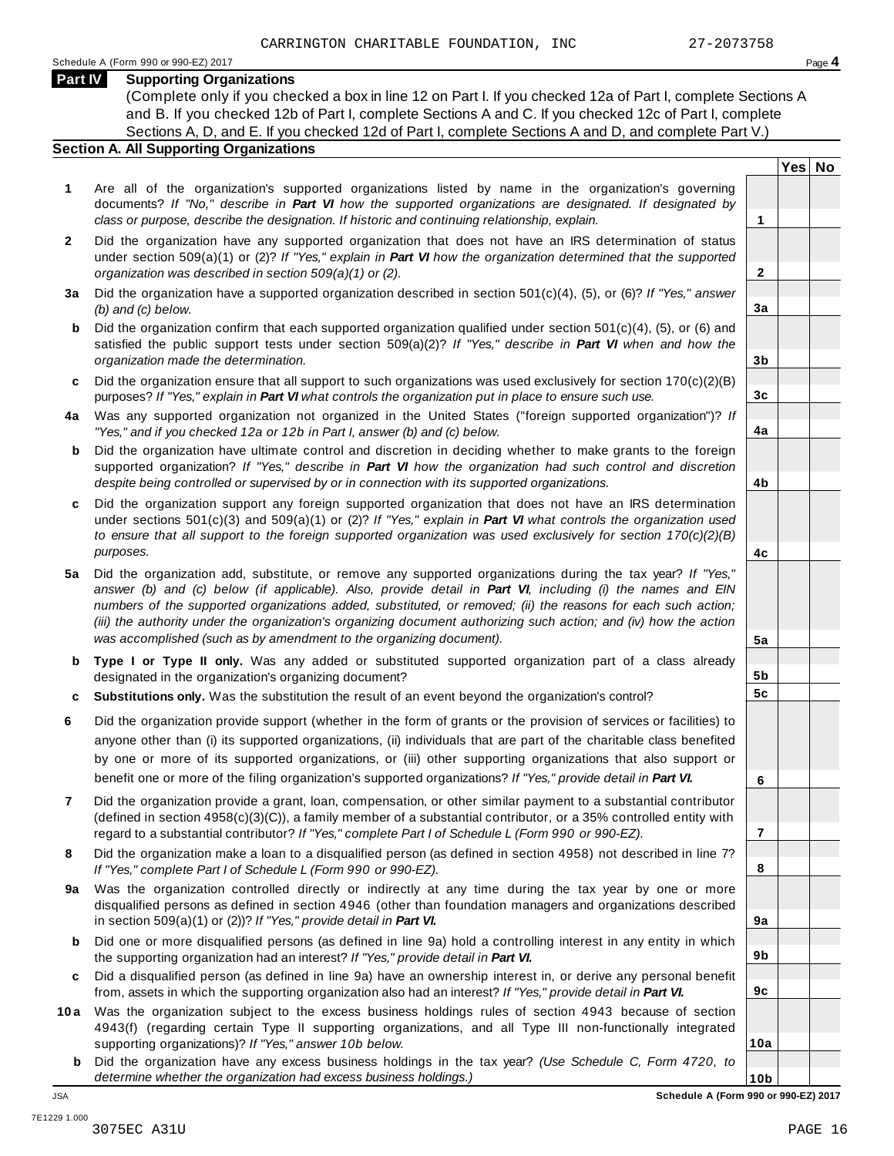**Yes No**

**2**

**3a**

**3b**

**3c**

**4a**

**4b**

**4c**

**5a**

**5b 5c**

**6**

**7**

**8**

**9a**

**9b**

**9c**

**10a**

## **Part IV Supporting Organizations**

(Complete only if you checked a box in line 12 on Part I. If you checked 12a of Part I, complete Sections A and B. If you checked 12b of Part I, complete Sections A and C. If you checked 12c of Part I, complete Sections A, D, and E. If you checked 12d of Part I, complete Sections A and D, and complete Part V.)

## **Section A. All Supporting Organizations**

- **1** Are all of the organization's supported organizations listed by name in the organization's governing documents? *If "No," describe in Part VI how the supported organizations are designated. If designated by class or purpose, describe the designation. If historic and continuing relationship, explain.* **1**
- **2** Did the organization have any supported organization that does not have an IRS determination of status under section 509(a)(1) or (2)? *If"Yes," explain in Part VI how the organization determined that the supported organization was described in section 509(a)(1) or (2).*
- **3 a** Did the organization have a supported organization described in section 501(c)(4), (5), or (6)? *If "Yes," answer (b) and (c) below.*
- **b** Did the organization confirm that each supported organization qualified under section 501(c)(4), (5), or (6) and | satisfied the public support tests under section 509(a)(2)? *If "Yes," describe in Part VI when and how the organization made the determination.*
- **c** Did the organization ensure that all support to such organizations was used exclusively for section 170(c)(2)(B) purposes? *If"Yes," explain in Part VI what controls the organization put in place to ensure such use.*
- **4 a** Was any supported organization not organized in the United States ("foreign supported organization")? *If "Yes," and if you checked 12a or 12b in Part I, answer (b) and (c) below.*
- **b** Did the organization have ultimate control and discretion in deciding whether to make grants to the foreign | supported organization? *If "Yes," describe in Part VI how the organization had such control and discretion despite being controlled or supervised by or in connection with its supported organizations.*
- **c** Did the organization support any foreign supported organization that does not have an IRS determination | under sections 501(c)(3) and 509(a)(1) or (2)? *If "Yes," explain in Part VI what controls the organization used to ensure that all support to the foreign supported organization was used exclusively for section 170(c)(2)(B) purposes.*
- **5 a** Did the organization add, substitute, or remove any supported organizations during the tax year? *If "Yes,"* answer (b) and (c) below (if applicable). Also, provide detail in Part VI, including (i) the names and EIN *numbers of the supported organizations added, substituted, or removed; (ii) the reasons for each such action;* (iii) the authority under the organization's organizing document authorizing such action; and (iv) how the action *was accomplished (such as by amendment to the organizing document).*
- **b** Type I or Type II only. Was any added or substituted supported organization part of a class already | designated in the organization's organizing document?
- **c Substitutions only.** Was the substitution the result of an event beyond the organization's control?
- **6** Did the organization provide support (whether in the form of grants or the provision of services or facilities) to anyone other than (i) its supported organizations, (ii) individuals that are part of the charitable class benefited by one or more of its supported organizations, or (iii) other supporting organizations that also support or benefit one or more of the filing organization's supported organizations? *If"Yes," provide detail in Part VI.*
- **7** Did the organization provide a grant, loan, compensation, or other similar payment to a substantial contributor (defined in section 4958(c)(3)(C)), a family member of a substantial contributor, or a 35% controlled entity with regard to a substantial contributor? *If"Yes," complete Part I of Schedule L (Form 990 or 990-EZ).*
- **8** Did the organization make a loan to a disqualified person (as defined in section 4958) not described in line 7? *If "Yes," complete Part I of Schedule L (Form 990 or 990-EZ).*
- **a** Was the organization controlled directly or indirectly at any time during the tax year by one or more | **9** disqualified persons as defined in section 4946 (other than foundation managers and organizations described in section 509(a)(1) or (2))? *If"Yes," provide detail in Part VI.*
- **b** Did one or more disqualified persons (as defined in line 9a) hold a controlling interest in any entity in which | the supporting organization had an interest? *If"Yes," provide detail in Part VI.*
- **c** Did a disqualified person (as defined in line 9a) have an ownership interest in, or derive any personal benefit from, assets in which the supporting organization also had an interest? *If"Yes," provide detail in Part VI.*
- **10a** Was the organization subject to the excess business holdings rules of section 4943 because of section | 4943(f) (regarding certain Type II supporting organizations, and all Type III non-functionally integrated supporting organizations)? *If"Yes," answer 10b below.*
	- **b** Did the organization have any excess business holdings in the tax year? *(Use Schedule C, Form 4720, to determine whether the organization had excess business holdings.)*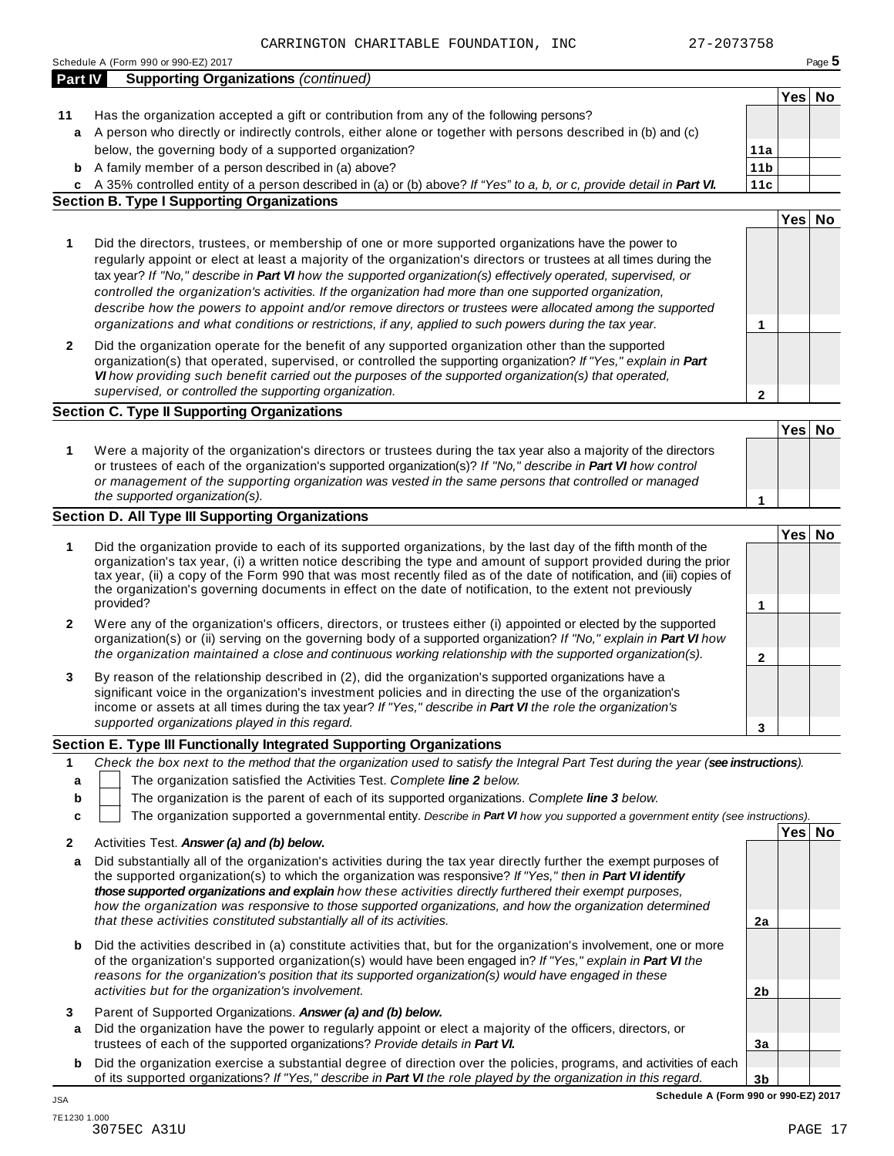|                  | Schedule A (Form 990 or 990-EZ) 2017                                                                                                                                                                                                                                                                                                                                                                                                                                                                                                                                                                                                                                         |                 |        | Page 5 |
|------------------|------------------------------------------------------------------------------------------------------------------------------------------------------------------------------------------------------------------------------------------------------------------------------------------------------------------------------------------------------------------------------------------------------------------------------------------------------------------------------------------------------------------------------------------------------------------------------------------------------------------------------------------------------------------------------|-----------------|--------|--------|
| Part IV          | <b>Supporting Organizations (continued)</b>                                                                                                                                                                                                                                                                                                                                                                                                                                                                                                                                                                                                                                  |                 |        |        |
|                  |                                                                                                                                                                                                                                                                                                                                                                                                                                                                                                                                                                                                                                                                              |                 | Yes No |        |
| 11<br>a          | Has the organization accepted a gift or contribution from any of the following persons?<br>A person who directly or indirectly controls, either alone or together with persons described in (b) and (c)                                                                                                                                                                                                                                                                                                                                                                                                                                                                      |                 |        |        |
|                  | below, the governing body of a supported organization?                                                                                                                                                                                                                                                                                                                                                                                                                                                                                                                                                                                                                       | 11a             |        |        |
| b                | A family member of a person described in (a) above?                                                                                                                                                                                                                                                                                                                                                                                                                                                                                                                                                                                                                          | 11 <sub>b</sub> |        |        |
|                  | c A 35% controlled entity of a person described in (a) or (b) above? If "Yes" to a, b, or c, provide detail in Part VI.                                                                                                                                                                                                                                                                                                                                                                                                                                                                                                                                                      | 11c             |        |        |
|                  | <b>Section B. Type I Supporting Organizations</b>                                                                                                                                                                                                                                                                                                                                                                                                                                                                                                                                                                                                                            |                 |        |        |
|                  |                                                                                                                                                                                                                                                                                                                                                                                                                                                                                                                                                                                                                                                                              |                 | Yes No |        |
| 1                | Did the directors, trustees, or membership of one or more supported organizations have the power to<br>regularly appoint or elect at least a majority of the organization's directors or trustees at all times during the<br>tax year? If "No," describe in Part VI how the supported organization(s) effectively operated, supervised, or<br>controlled the organization's activities. If the organization had more than one supported organization,<br>describe how the powers to appoint and/or remove directors or trustees were allocated among the supported<br>organizations and what conditions or restrictions, if any, applied to such powers during the tax year. | 1               |        |        |
| 2                | Did the organization operate for the benefit of any supported organization other than the supported<br>organization(s) that operated, supervised, or controlled the supporting organization? If "Yes," explain in Part<br>VI how providing such benefit carried out the purposes of the supported organization(s) that operated,<br>supervised, or controlled the supporting organization.                                                                                                                                                                                                                                                                                   | 2               |        |        |
|                  | <b>Section C. Type II Supporting Organizations</b>                                                                                                                                                                                                                                                                                                                                                                                                                                                                                                                                                                                                                           |                 |        |        |
|                  |                                                                                                                                                                                                                                                                                                                                                                                                                                                                                                                                                                                                                                                                              |                 | Yes No |        |
| 1                | Were a majority of the organization's directors or trustees during the tax year also a majority of the directors<br>or trustees of each of the organization's supported organization(s)? If "No," describe in Part VI how control<br>or management of the supporting organization was vested in the same persons that controlled or managed                                                                                                                                                                                                                                                                                                                                  |                 |        |        |
|                  | the supported organization(s).                                                                                                                                                                                                                                                                                                                                                                                                                                                                                                                                                                                                                                               | 1               |        |        |
|                  | <b>Section D. All Type III Supporting Organizations</b>                                                                                                                                                                                                                                                                                                                                                                                                                                                                                                                                                                                                                      |                 |        |        |
|                  |                                                                                                                                                                                                                                                                                                                                                                                                                                                                                                                                                                                                                                                                              |                 | Yes No |        |
| 1                | Did the organization provide to each of its supported organizations, by the last day of the fifth month of the<br>organization's tax year, (i) a written notice describing the type and amount of support provided during the prior<br>tax year, (ii) a copy of the Form 990 that was most recently filed as of the date of notification, and (iii) copies of<br>the organization's governing documents in effect on the date of notification, to the extent not previously<br>provided?                                                                                                                                                                                     | 1               |        |        |
| 2                | Were any of the organization's officers, directors, or trustees either (i) appointed or elected by the supported<br>organization(s) or (ii) serving on the governing body of a supported organization? If "No," explain in Part VI how<br>the organization maintained a close and continuous working relationship with the supported organization(s).                                                                                                                                                                                                                                                                                                                        | $\mathbf{2}$    |        |        |
| 3                | By reason of the relationship described in (2), did the organization's supported organizations have a<br>significant voice in the organization's investment policies and in directing the use of the organization's<br>income or assets at all times during the tax year? If "Yes," describe in Part VI the role the organization's<br>supported organizations played in this regard.                                                                                                                                                                                                                                                                                        | 3               |        |        |
|                  | Section E. Type III Functionally Integrated Supporting Organizations                                                                                                                                                                                                                                                                                                                                                                                                                                                                                                                                                                                                         |                 |        |        |
| 1<br>a<br>b<br>c | Check the box next to the method that the organization used to satisfy the Integral Part Test during the year (see instructions).<br>The organization satisfied the Activities Test. Complete line 2 below.<br>The organization is the parent of each of its supported organizations. Complete line 3 below.<br>The organization supported a governmental entity. Describe in Part VI how you supported a government entity (see instructions).                                                                                                                                                                                                                              |                 |        |        |
|                  |                                                                                                                                                                                                                                                                                                                                                                                                                                                                                                                                                                                                                                                                              |                 | Yes No |        |
| 2<br>a           | Activities Test. Answer (a) and (b) below.<br>Did substantially all of the organization's activities during the tax year directly further the exempt purposes of<br>the supported organization(s) to which the organization was responsive? If "Yes," then in Part VI identify<br>those supported organizations and explain how these activities directly furthered their exempt purposes,<br>how the organization was responsive to those supported organizations, and how the organization determined<br>that these activities constituted substantially all of its activities.                                                                                            | 2a              |        |        |
| b                | Did the activities described in (a) constitute activities that, but for the organization's involvement, one or more<br>of the organization's supported organization(s) would have been engaged in? If "Yes," explain in Part VI the<br>reasons for the organization's position that its supported organization(s) would have engaged in these<br>activities but for the organization's involvement.                                                                                                                                                                                                                                                                          | 2 <sub>b</sub>  |        |        |
| 3<br>a           | Parent of Supported Organizations. Answer (a) and (b) below.<br>Did the organization have the power to regularly appoint or elect a majority of the officers, directors, or<br>trustees of each of the supported organizations? Provide details in Part VI.                                                                                                                                                                                                                                                                                                                                                                                                                  | 3a              |        |        |
|                  | <b>b</b> Did the organization exercise a substantial degree of direction over the policies, programs, and activities of each                                                                                                                                                                                                                                                                                                                                                                                                                                                                                                                                                 |                 |        |        |
|                  | of its supported organizations? If "Yes," describe in Part VI the role played by the organization in this regard.                                                                                                                                                                                                                                                                                                                                                                                                                                                                                                                                                            | 3 <sub>b</sub>  |        |        |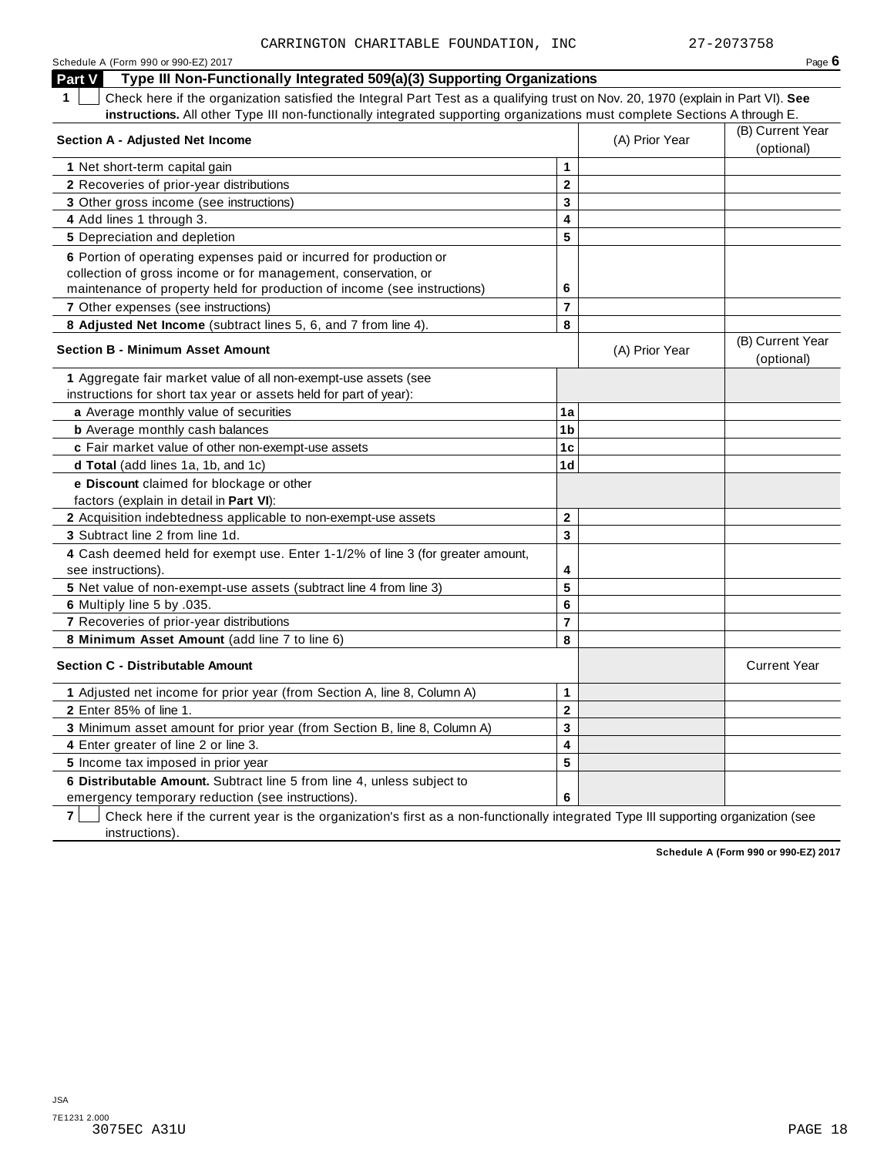| Schedule A (Form 990 or 990-EZ) 2017                                                                                                             |                         |                | Page $6$                       |
|--------------------------------------------------------------------------------------------------------------------------------------------------|-------------------------|----------------|--------------------------------|
| Type III Non-Functionally Integrated 509(a)(3) Supporting Organizations<br><b>Part V</b>                                                         |                         |                |                                |
| $\mathbf{1}$<br>Check here if the organization satisfied the Integral Part Test as a qualifying trust on Nov. 20, 1970 (explain in Part VI). See |                         |                |                                |
| instructions. All other Type III non-functionally integrated supporting organizations must complete Sections A through E.                        |                         |                |                                |
| Section A - Adjusted Net Income                                                                                                                  |                         | (A) Prior Year | (B) Current Year<br>(optional) |
| 1 Net short-term capital gain                                                                                                                    | $\mathbf 1$             |                |                                |
| 2 Recoveries of prior-year distributions                                                                                                         | $\mathbf{2}$            |                |                                |
| 3 Other gross income (see instructions)                                                                                                          | 3                       |                |                                |
| 4 Add lines 1 through 3.                                                                                                                         | 4                       |                |                                |
| <b>5</b> Depreciation and depletion                                                                                                              | 5                       |                |                                |
| 6 Portion of operating expenses paid or incurred for production or                                                                               |                         |                |                                |
| collection of gross income or for management, conservation, or                                                                                   |                         |                |                                |
| maintenance of property held for production of income (see instructions)                                                                         | 6                       |                |                                |
| 7 Other expenses (see instructions)                                                                                                              | $\overline{\mathbf{r}}$ |                |                                |
| 8 Adjusted Net Income (subtract lines 5, 6, and 7 from line 4).                                                                                  | 8                       |                |                                |
| <b>Section B - Minimum Asset Amount</b>                                                                                                          |                         | (A) Prior Year | (B) Current Year<br>(optional) |
| 1 Aggregate fair market value of all non-exempt-use assets (see                                                                                  |                         |                |                                |
| instructions for short tax year or assets held for part of year):                                                                                |                         |                |                                |
| a Average monthly value of securities                                                                                                            | 1a                      |                |                                |
| <b>b</b> Average monthly cash balances                                                                                                           | 1 <sub>b</sub>          |                |                                |
| c Fair market value of other non-exempt-use assets                                                                                               | 1c                      |                |                                |
| d Total (add lines 1a, 1b, and 1c)                                                                                                               | 1 <sub>d</sub>          |                |                                |
| e Discount claimed for blockage or other                                                                                                         |                         |                |                                |
| factors (explain in detail in Part VI):                                                                                                          |                         |                |                                |
| 2 Acquisition indebtedness applicable to non-exempt-use assets                                                                                   | $\mathbf{2}$            |                |                                |
| 3 Subtract line 2 from line 1d.                                                                                                                  | $\mathbf{3}$            |                |                                |
| 4 Cash deemed held for exempt use. Enter 1-1/2% of line 3 (for greater amount,<br>see instructions).                                             | 4                       |                |                                |
| 5 Net value of non-exempt-use assets (subtract line 4 from line 3)                                                                               | 5                       |                |                                |
| 6 Multiply line 5 by .035.                                                                                                                       | 6                       |                |                                |
| 7 Recoveries of prior-year distributions                                                                                                         | $\overline{7}$          |                |                                |
| 8 Minimum Asset Amount (add line 7 to line 6)                                                                                                    | 8                       |                |                                |
| <b>Section C - Distributable Amount</b>                                                                                                          |                         |                | <b>Current Year</b>            |
| 1 Adjusted net income for prior year (from Section A, line 8, Column A)                                                                          | $\mathbf{1}$            |                |                                |
| 2 Enter 85% of line 1.                                                                                                                           | $\mathbf{2}$            |                |                                |
| 3 Minimum asset amount for prior year (from Section B, line 8, Column A)                                                                         | 3                       |                |                                |
| 4 Enter greater of line 2 or line 3.                                                                                                             | 4                       |                |                                |
| 5 Income tax imposed in prior year                                                                                                               | 5                       |                |                                |
| 6 Distributable Amount. Subtract line 5 from line 4, unless subject to                                                                           |                         |                |                                |
| emergency temporary reduction (see instructions).                                                                                                | 6                       |                |                                |

**7 Check here if the current year is the organization's first as a non-functionally integrated Type III supporting organization (see** instructions).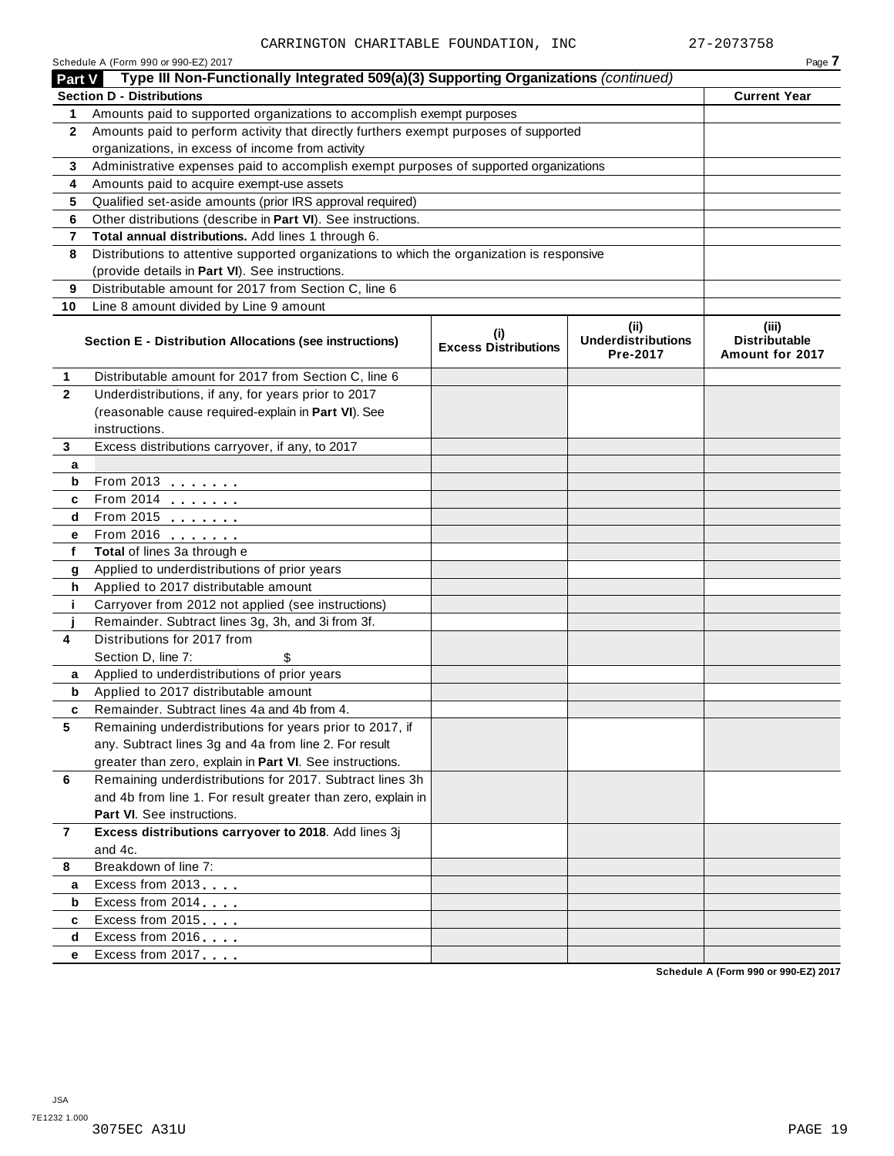|                | Schedule A (Form 990 or 990-EZ) 2017                                                                              |                                    |                                               | Page 7                                           |
|----------------|-------------------------------------------------------------------------------------------------------------------|------------------------------------|-----------------------------------------------|--------------------------------------------------|
| Part V         | Type III Non-Functionally Integrated 509(a)(3) Supporting Organizations (continued)                               |                                    |                                               |                                                  |
|                | <b>Section D - Distributions</b>                                                                                  |                                    |                                               | <b>Current Year</b>                              |
| 1.             | Amounts paid to supported organizations to accomplish exempt purposes                                             |                                    |                                               |                                                  |
| $\mathbf{2}$   | Amounts paid to perform activity that directly furthers exempt purposes of supported                              |                                    |                                               |                                                  |
|                | organizations, in excess of income from activity                                                                  |                                    |                                               |                                                  |
| 3              | Administrative expenses paid to accomplish exempt purposes of supported organizations                             |                                    |                                               |                                                  |
| 4              | Amounts paid to acquire exempt-use assets                                                                         |                                    |                                               |                                                  |
| 5              | Qualified set-aside amounts (prior IRS approval required)                                                         |                                    |                                               |                                                  |
| 6              | Other distributions (describe in Part VI). See instructions.                                                      |                                    |                                               |                                                  |
| 7              | Total annual distributions. Add lines 1 through 6.                                                                |                                    |                                               |                                                  |
| 8              | Distributions to attentive supported organizations to which the organization is responsive                        |                                    |                                               |                                                  |
|                | (provide details in Part VI). See instructions.                                                                   |                                    |                                               |                                                  |
| 9              | Distributable amount for 2017 from Section C, line 6                                                              |                                    |                                               |                                                  |
| 10             | Line 8 amount divided by Line 9 amount                                                                            |                                    |                                               |                                                  |
|                | Section E - Distribution Allocations (see instructions)                                                           | (i)<br><b>Excess Distributions</b> | (ii)<br><b>Underdistributions</b><br>Pre-2017 | (iii)<br><b>Distributable</b><br>Amount for 2017 |
| 1              | Distributable amount for 2017 from Section C, line 6                                                              |                                    |                                               |                                                  |
| $\mathbf{2}$   | Underdistributions, if any, for years prior to 2017                                                               |                                    |                                               |                                                  |
|                | (reasonable cause required-explain in Part VI). See                                                               |                                    |                                               |                                                  |
|                | instructions.                                                                                                     |                                    |                                               |                                                  |
| 3              | Excess distributions carryover, if any, to 2017                                                                   |                                    |                                               |                                                  |
| а              |                                                                                                                   |                                    |                                               |                                                  |
| b              | From 2013                                                                                                         |                                    |                                               |                                                  |
| c              |                                                                                                                   |                                    |                                               |                                                  |
| d              | From 2015 $\frac{1}{2}$                                                                                           |                                    |                                               |                                                  |
| е              | From 2016 <b></b>                                                                                                 |                                    |                                               |                                                  |
| f              | Total of lines 3a through e                                                                                       |                                    |                                               |                                                  |
| g              | Applied to underdistributions of prior years                                                                      |                                    |                                               |                                                  |
| h              | Applied to 2017 distributable amount                                                                              |                                    |                                               |                                                  |
| j.             | Carryover from 2012 not applied (see instructions)                                                                |                                    |                                               |                                                  |
|                | Remainder. Subtract lines 3g, 3h, and 3i from 3f.                                                                 |                                    |                                               |                                                  |
| 4              | Distributions for 2017 from                                                                                       |                                    |                                               |                                                  |
|                | Section D, line 7:                                                                                                |                                    |                                               |                                                  |
| a              | Applied to underdistributions of prior years                                                                      |                                    |                                               |                                                  |
| b              | Applied to 2017 distributable amount                                                                              |                                    |                                               |                                                  |
| 5              | Remainder. Subtract lines 4a and 4b from 4.                                                                       |                                    |                                               |                                                  |
|                | Remaining underdistributions for years prior to 2017, if<br>any. Subtract lines 3g and 4a from line 2. For result |                                    |                                               |                                                  |
|                | greater than zero, explain in Part VI. See instructions.                                                          |                                    |                                               |                                                  |
| 6              | Remaining underdistributions for 2017. Subtract lines 3h                                                          |                                    |                                               |                                                  |
|                | and 4b from line 1. For result greater than zero, explain in                                                      |                                    |                                               |                                                  |
|                | Part VI. See instructions.                                                                                        |                                    |                                               |                                                  |
| $\overline{7}$ | Excess distributions carryover to 2018. Add lines 3j                                                              |                                    |                                               |                                                  |
|                | and 4c.                                                                                                           |                                    |                                               |                                                  |
| 8              | Breakdown of line 7:                                                                                              |                                    |                                               |                                                  |
| a              | Excess from 2013                                                                                                  |                                    |                                               |                                                  |
| b              | Excess from 2014                                                                                                  |                                    |                                               |                                                  |
| c              | Excess from 2015                                                                                                  |                                    |                                               |                                                  |
| d              | Excess from 2016                                                                                                  |                                    |                                               |                                                  |
| е              | Excess from 2017                                                                                                  |                                    |                                               |                                                  |
|                |                                                                                                                   |                                    |                                               | Schodule A (Form 000 or 000 E7) 2017             |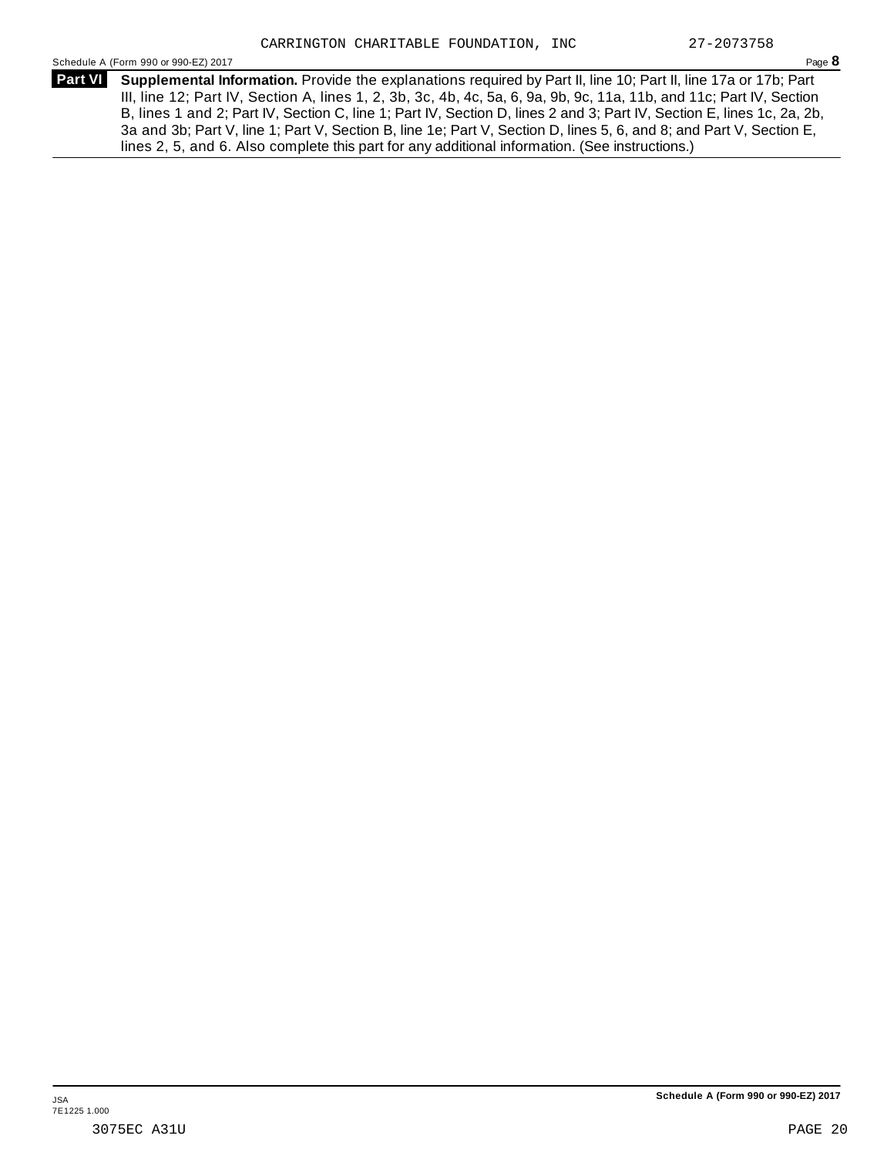Schedule <sup>A</sup> (Form <sup>990</sup> or 990-EZ) <sup>2017</sup> Page **8**

**Supplemental Information.** Provide the explanations required by Part II, line 10; Part II, line 17a or 17b; Part **Part VI** III, line 12; Part IV, Section A, lines 1, 2, 3b, 3c, 4b, 4c, 5a, 6, 9a, 9b, 9c, 11a, 11b, and 11c; Part IV, Section B, lines 1 and 2; Part IV, Section C, line 1; Part IV, Section D, lines 2 and 3; Part IV, Section E, lines 1c, 2a, 2b, 3a and 3b; Part V, line 1; Part V, Section B, line 1e; Part V, Section D, lines 5, 6, and 8; and Part V, Section E, lines 2, 5, and 6. Also complete this part for any additional information. (See instructions.)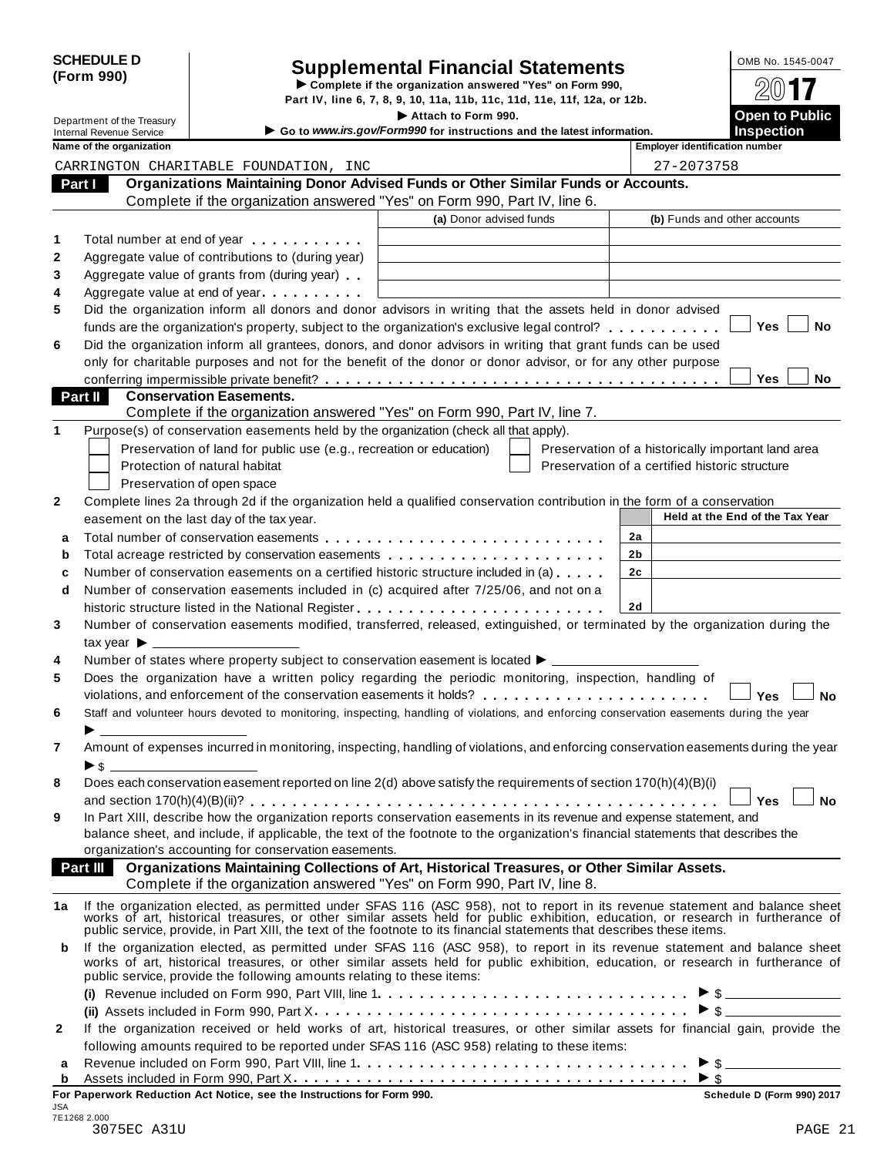| <b>SCHEDULE D</b> |  |
|-------------------|--|
| (Form 990)        |  |

# Supplemental Financial Statements<br>  $\triangleright$  Complete if the organization answered "Yes" on Form 990,<br>
Part IV, line 6, 7, 8, 9, 10, 11a, 11b, 11c, 11d, 11e, 11f, 12a, or 12b.<br>  $\triangleright$  Attach to Form 990.<br>  $\cdot$  Attach to Form

Department of the Treasury<br> **Department of the Treasury**<br> **Attach to Form 990.**<br> **Attach to Form 990.**<br> **Open to public in the Conditions of the International in the International in the International in the Internationa** 

| Department of the Treasury |                                 |                                                                                                                                                                                                                                | Attach to Form 990.                                                    |                                                    | <b>Open to Public</b>           |
|----------------------------|---------------------------------|--------------------------------------------------------------------------------------------------------------------------------------------------------------------------------------------------------------------------------|------------------------------------------------------------------------|----------------------------------------------------|---------------------------------|
|                            | <b>Internal Revenue Service</b> |                                                                                                                                                                                                                                | Go to www.irs.gov/Form990 for instructions and the latest information. |                                                    | <b>Inspection</b>               |
|                            | Name of the organization        |                                                                                                                                                                                                                                |                                                                        | <b>Employer identification number</b>              |                                 |
|                            |                                 | CARRINGTON CHARITABLE FOUNDATION, INC                                                                                                                                                                                          |                                                                        | 27-2073758                                         |                                 |
|                            | Part I                          | Organizations Maintaining Donor Advised Funds or Other Similar Funds or Accounts.                                                                                                                                              |                                                                        |                                                    |                                 |
|                            |                                 | Complete if the organization answered "Yes" on Form 990, Part IV, line 6.                                                                                                                                                      |                                                                        |                                                    |                                 |
|                            |                                 |                                                                                                                                                                                                                                | (a) Donor advised funds                                                | (b) Funds and other accounts                       |                                 |
| 1                          |                                 | Total number at end of year example.                                                                                                                                                                                           |                                                                        |                                                    |                                 |
| 2                          |                                 | Aggregate value of contributions to (during year)                                                                                                                                                                              |                                                                        |                                                    |                                 |
| 3                          |                                 | Aggregate value of grants from (during year)                                                                                                                                                                                   |                                                                        |                                                    |                                 |
| 4                          |                                 | Aggregate value at end of year                                                                                                                                                                                                 |                                                                        |                                                    |                                 |
| 5                          |                                 | Did the organization inform all donors and donor advisors in writing that the assets held in donor advised                                                                                                                     |                                                                        |                                                    |                                 |
|                            |                                 | funds are the organization's property, subject to the organization's exclusive legal control?                                                                                                                                  |                                                                        |                                                    | Yes<br>No                       |
| 6                          |                                 | Did the organization inform all grantees, donors, and donor advisors in writing that grant funds can be used                                                                                                                   |                                                                        |                                                    |                                 |
|                            |                                 | only for charitable purposes and not for the benefit of the donor or donor advisor, or for any other purpose                                                                                                                   |                                                                        |                                                    |                                 |
|                            |                                 |                                                                                                                                                                                                                                |                                                                        |                                                    | Yes<br>No                       |
|                            | Part II                         | <b>Conservation Easements.</b>                                                                                                                                                                                                 |                                                                        |                                                    |                                 |
|                            |                                 | Complete if the organization answered "Yes" on Form 990, Part IV, line 7.                                                                                                                                                      |                                                                        |                                                    |                                 |
| 1                          |                                 | Purpose(s) of conservation easements held by the organization (check all that apply).                                                                                                                                          |                                                                        |                                                    |                                 |
|                            |                                 | Preservation of land for public use (e.g., recreation or education)                                                                                                                                                            |                                                                        | Preservation of a historically important land area |                                 |
|                            |                                 | Protection of natural habitat                                                                                                                                                                                                  |                                                                        | Preservation of a certified historic structure     |                                 |
|                            |                                 | Preservation of open space                                                                                                                                                                                                     |                                                                        |                                                    |                                 |
| 2                          |                                 | Complete lines 2a through 2d if the organization held a qualified conservation contribution in the form of a conservation                                                                                                      |                                                                        |                                                    |                                 |
|                            |                                 | easement on the last day of the tax year.                                                                                                                                                                                      |                                                                        |                                                    | Held at the End of the Tax Year |
|                            |                                 | Total number of conservation easements entitled by entering reserves to conserve the conservation of the conservers reserves to conserve the conservers of the conservers of the conservers of the conservers of the conserver |                                                                        | 2a                                                 |                                 |
| a<br>b                     |                                 | Total acreage restricted by conservation easements                                                                                                                                                                             |                                                                        | 2b                                                 |                                 |
| c                          |                                 | Number of conservation easements on a certified historic structure included in (a)                                                                                                                                             |                                                                        | 2c                                                 |                                 |
|                            |                                 | Number of conservation easements included in (c) acquired after 7/25/06, and not on a                                                                                                                                          |                                                                        |                                                    |                                 |
| d                          |                                 |                                                                                                                                                                                                                                |                                                                        | <b>2d</b>                                          |                                 |
| 3                          |                                 | Number of conservation easements modified, transferred, released, extinguished, or terminated by the organization during the                                                                                                   |                                                                        |                                                    |                                 |
|                            |                                 |                                                                                                                                                                                                                                |                                                                        |                                                    |                                 |
| 4                          |                                 | Number of states where property subject to conservation easement is located $\blacktriangleright$ ______                                                                                                                       |                                                                        |                                                    |                                 |
| 5                          |                                 | Does the organization have a written policy regarding the periodic monitoring, inspection, handling of                                                                                                                         |                                                                        |                                                    |                                 |
|                            |                                 |                                                                                                                                                                                                                                |                                                                        |                                                    | Yes<br><b>No</b>                |
| 6                          |                                 | Staff and volunteer hours devoted to monitoring, inspecting, handling of violations, and enforcing conservation easements during the year                                                                                      |                                                                        |                                                    |                                 |
|                            |                                 |                                                                                                                                                                                                                                |                                                                        |                                                    |                                 |
| 7                          |                                 | Amount of expenses incurred in monitoring, inspecting, handling of violations, and enforcing conservation easements during the year                                                                                            |                                                                        |                                                    |                                 |
|                            | ▶\$                             |                                                                                                                                                                                                                                |                                                                        |                                                    |                                 |
| 8                          |                                 | Does each conservation easement reported on line $2(d)$ above satisfy the requirements of section 170(h)(4)(B)(i)                                                                                                              |                                                                        |                                                    |                                 |
|                            |                                 |                                                                                                                                                                                                                                |                                                                        |                                                    | <b>No</b><br>Yes                |
| 9                          |                                 | In Part XIII, describe how the organization reports conservation easements in its revenue and expense statement, and                                                                                                           |                                                                        |                                                    |                                 |
|                            |                                 | balance sheet, and include, if applicable, the text of the footnote to the organization's financial statements that describes the                                                                                              |                                                                        |                                                    |                                 |
|                            |                                 | organization's accounting for conservation easements.                                                                                                                                                                          |                                                                        |                                                    |                                 |
|                            | Part III                        | Organizations Maintaining Collections of Art, Historical Treasures, or Other Similar Assets.                                                                                                                                   |                                                                        |                                                    |                                 |
|                            |                                 | Complete if the organization answered "Yes" on Form 990, Part IV, line 8.                                                                                                                                                      |                                                                        |                                                    |                                 |
| 1a                         |                                 | If the organization elected, as permitted under SFAS 116 (ASC 958), not to report in its revenue statement and balance sheet                                                                                                   |                                                                        |                                                    |                                 |
|                            |                                 | works of art, historical treasures, or other similar assets held for public exhibition, education, or research in furtherance of                                                                                               |                                                                        |                                                    |                                 |
|                            |                                 | public service, provide, in Part XIII, the text of the footnote to its financial statements that describes these items.                                                                                                        |                                                                        |                                                    |                                 |
| b                          |                                 | If the organization elected, as permitted under SFAS 116 (ASC 958), to report in its revenue statement and balance sheet                                                                                                       |                                                                        |                                                    |                                 |
|                            |                                 | works of art, historical treasures, or other similar assets held for public exhibition, education, or research in furtherance of<br>public service, provide the following amounts relating to these items:                     |                                                                        |                                                    |                                 |
|                            |                                 | (i) Revenue included on Form 990, Part VIII, line 1. $\dots \dots \dots \dots \dots \dots \dots \dots \dots \dots \dots \dots$                                                                                                 |                                                                        |                                                    | $\triangleright$ \$             |
|                            |                                 |                                                                                                                                                                                                                                |                                                                        |                                                    | $\triangleright$ \$             |
| 2                          |                                 | If the organization received or held works of art, historical treasures, or other similar assets for financial gain, provide the                                                                                               |                                                                        |                                                    |                                 |
|                            |                                 | following amounts required to be reported under SFAS 116 (ASC 958) relating to these items:                                                                                                                                    |                                                                        |                                                    |                                 |
|                            |                                 |                                                                                                                                                                                                                                |                                                                        |                                                    | $\triangleright$ \$             |
| а<br>b                     |                                 |                                                                                                                                                                                                                                |                                                                        |                                                    |                                 |
|                            |                                 |                                                                                                                                                                                                                                |                                                                        |                                                    |                                 |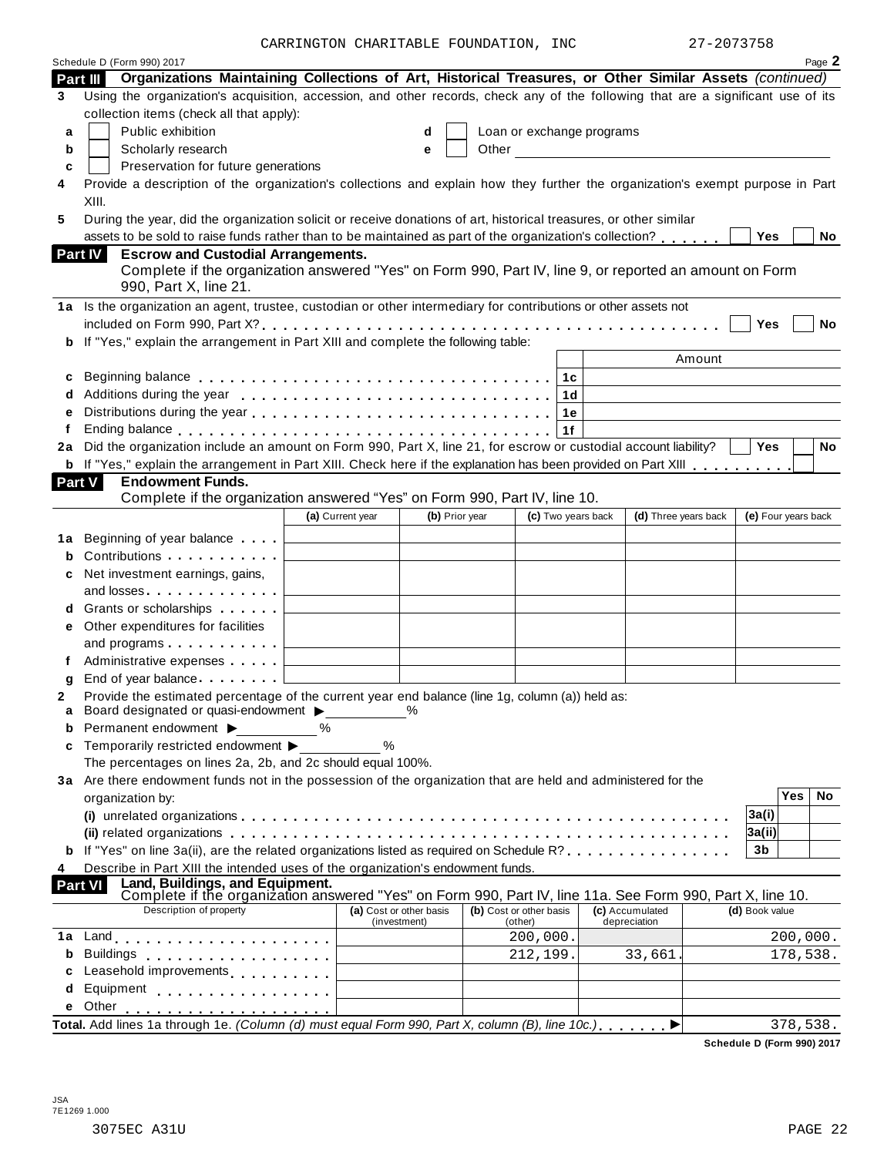CARRINGTON CHARITABLE FOUNDATION, INC 27-2073758

|                | Schedule D (Form 990) 2017                                                                                                            |                         |                |       |                           |                                                                                                                      |                     |          | Page 2 |
|----------------|---------------------------------------------------------------------------------------------------------------------------------------|-------------------------|----------------|-------|---------------------------|----------------------------------------------------------------------------------------------------------------------|---------------------|----------|--------|
|                | Organizations Maintaining Collections of Art, Historical Treasures, or Other Similar Assets (continued)<br>Part III                   |                         |                |       |                           |                                                                                                                      |                     |          |        |
| 3              | Using the organization's acquisition, accession, and other records, check any of the following that are a significant use of its      |                         |                |       |                           |                                                                                                                      |                     |          |        |
|                | collection items (check all that apply):                                                                                              |                         |                |       |                           |                                                                                                                      |                     |          |        |
| a              | Public exhibition                                                                                                                     |                         | d              |       | Loan or exchange programs |                                                                                                                      |                     |          |        |
| b              | Scholarly research                                                                                                                    |                         | е              | Other |                           | <u> 1980 - Jan Jawa Barat, prima prima prima prima prima prima prima prima prima prima prima prima prima prima p</u> |                     |          |        |
| c              | Preservation for future generations                                                                                                   |                         |                |       |                           |                                                                                                                      |                     |          |        |
| 4              | Provide a description of the organization's collections and explain how they further the organization's exempt purpose in Part        |                         |                |       |                           |                                                                                                                      |                     |          |        |
|                | XIII.                                                                                                                                 |                         |                |       |                           |                                                                                                                      |                     |          |        |
| 5              | During the year, did the organization solicit or receive donations of art, historical treasures, or other similar                     |                         |                |       |                           |                                                                                                                      |                     |          |        |
|                | assets to be sold to raise funds rather than to be maintained as part of the organization's collection?                               |                         |                |       |                           |                                                                                                                      | Yes                 |          | No     |
| <b>Part IV</b> | <b>Escrow and Custodial Arrangements.</b>                                                                                             |                         |                |       |                           |                                                                                                                      |                     |          |        |
|                | Complete if the organization answered "Yes" on Form 990, Part IV, line 9, or reported an amount on Form                               |                         |                |       |                           |                                                                                                                      |                     |          |        |
|                | 990, Part X, line 21.                                                                                                                 |                         |                |       |                           |                                                                                                                      |                     |          |        |
|                | 1a Is the organization an agent, trustee, custodian or other intermediary for contributions or other assets not                       |                         |                |       |                           |                                                                                                                      |                     |          |        |
|                |                                                                                                                                       |                         |                |       |                           |                                                                                                                      | Yes                 |          | No     |
|                | If "Yes," explain the arrangement in Part XIII and complete the following table:                                                      |                         |                |       |                           |                                                                                                                      |                     |          |        |
|                |                                                                                                                                       |                         |                |       |                           | Amount                                                                                                               |                     |          |        |
| c              |                                                                                                                                       |                         |                |       | 1с                        |                                                                                                                      |                     |          |        |
|                |                                                                                                                                       |                         |                |       | 1 <sub>d</sub>            |                                                                                                                      |                     |          |        |
| е              |                                                                                                                                       |                         |                |       | 1е                        |                                                                                                                      |                     |          |        |
| f              | Ending balance enterprise and a series of the series and series are series and series are series and series and                       |                         |                |       | 1f                        |                                                                                                                      |                     |          |        |
|                | 2a Did the organization include an amount on Form 990, Part X, line 21, for escrow or custodial account liability?                    |                         |                |       |                           |                                                                                                                      | <b>Yes</b>          |          | No     |
|                | b If "Yes," explain the arrangement in Part XIII. Check here if the explanation has been provided on Part XIII                        |                         |                |       |                           |                                                                                                                      |                     |          |        |
| <b>Part V</b>  | <b>Endowment Funds.</b>                                                                                                               |                         |                |       |                           |                                                                                                                      |                     |          |        |
|                | Complete if the organization answered "Yes" on Form 990, Part IV, line 10.                                                            |                         |                |       |                           |                                                                                                                      |                     |          |        |
|                |                                                                                                                                       | (a) Current year        | (b) Prior year |       | (c) Two years back        | (d) Three years back                                                                                                 | (e) Four years back |          |        |
|                | 1a Beginning of year balance <b>Fig.</b> [ <i>Compare secure secure secure secure secure secure secure secure secure secure</i>       |                         |                |       |                           |                                                                                                                      |                     |          |        |
| b              | Contributions                                                                                                                         |                         |                |       |                           |                                                                                                                      |                     |          |        |
| c              | Net investment earnings, gains,                                                                                                       |                         |                |       |                           |                                                                                                                      |                     |          |        |
|                | and losses $\ldots \ldots \ldots \ldots$                                                                                              |                         |                |       |                           |                                                                                                                      |                     |          |        |
|                | d Grants or scholarships                                                                                                              |                         |                |       |                           |                                                                                                                      |                     |          |        |
| е              | Other expenditures for facilities                                                                                                     |                         |                |       |                           |                                                                                                                      |                     |          |        |
|                | and programs $\ldots$ $\ldots$ $\ldots$ $\ldots$                                                                                      |                         |                |       |                           |                                                                                                                      |                     |          |        |
|                |                                                                                                                                       |                         |                |       |                           |                                                                                                                      |                     |          |        |
| g              | End of year balance example and contact the set of year balance                                                                       |                         |                |       |                           |                                                                                                                      |                     |          |        |
| 2              | Provide the estimated percentage of the current year end balance (line 1g, column (a)) held as:                                       |                         |                |       |                           |                                                                                                                      |                     |          |        |
|                | Board designated or quasi-endowment >                                                                                                 |                         |                |       |                           |                                                                                                                      |                     |          |        |
| b              | Permanent endowment ▶                                                                                                                 | ℅                       |                |       |                           |                                                                                                                      |                     |          |        |
| c              | Temporarily restricted endowment ▶                                                                                                    | %                       |                |       |                           |                                                                                                                      |                     |          |        |
|                | The percentages on lines 2a, 2b, and 2c should equal 100%.                                                                            |                         |                |       |                           |                                                                                                                      |                     |          |        |
|                | 3a Are there endowment funds not in the possession of the organization that are held and administered for the                         |                         |                |       |                           |                                                                                                                      |                     |          |        |
|                | organization by:                                                                                                                      |                         |                |       |                           |                                                                                                                      |                     | Yes      | No     |
|                |                                                                                                                                       |                         |                |       |                           |                                                                                                                      | 3a(i)               |          |        |
|                |                                                                                                                                       |                         |                |       |                           |                                                                                                                      | 3a(ii)              |          |        |
|                | <b>b</b> If "Yes" on line 3a(ii), are the related organizations listed as required on Schedule R?                                     |                         |                |       |                           |                                                                                                                      | 3 <sub>b</sub>      |          |        |
| 4              | Describe in Part XIII the intended uses of the organization's endowment funds.                                                        |                         |                |       |                           |                                                                                                                      |                     |          |        |
| <b>Part VI</b> | Land, Buildings, and Equipment.                                                                                                       |                         |                |       |                           |                                                                                                                      |                     |          |        |
|                | Complete if the organization answered "Yes" on Form 990, Part IV, line 11a. See Form 990, Part X, line 10.<br>Description of property | (a) Cost or other basis |                |       | (b) Cost or other basis   | (c) Accumulated                                                                                                      | (d) Book value      |          |        |
|                |                                                                                                                                       | (investment)            |                |       | (other)                   | depreciation                                                                                                         |                     |          |        |
| 1a             |                                                                                                                                       |                         |                |       | 200,000.                  |                                                                                                                      |                     | 200,000. |        |
| b              | <b>Buildings</b><br>.                                                                                                                 |                         |                |       | 212,199.                  | 33,661                                                                                                               |                     | 178,538. |        |
| c              | Leasehold improvements <b>Leasehold</b> improvements                                                                                  |                         |                |       |                           |                                                                                                                      |                     |          |        |
| d              | Equipment                                                                                                                             |                         |                |       |                           |                                                                                                                      |                     |          |        |
|                | Other                                                                                                                                 |                         |                |       |                           |                                                                                                                      |                     |          |        |
|                | Total. Add lines 1a through 1e. (Column (d) must equal Form 990, Part X, column (B), line 10c.)                                       |                         |                |       |                           |                                                                                                                      |                     | 378,538. |        |

**Schedule D (Form 990) 2017**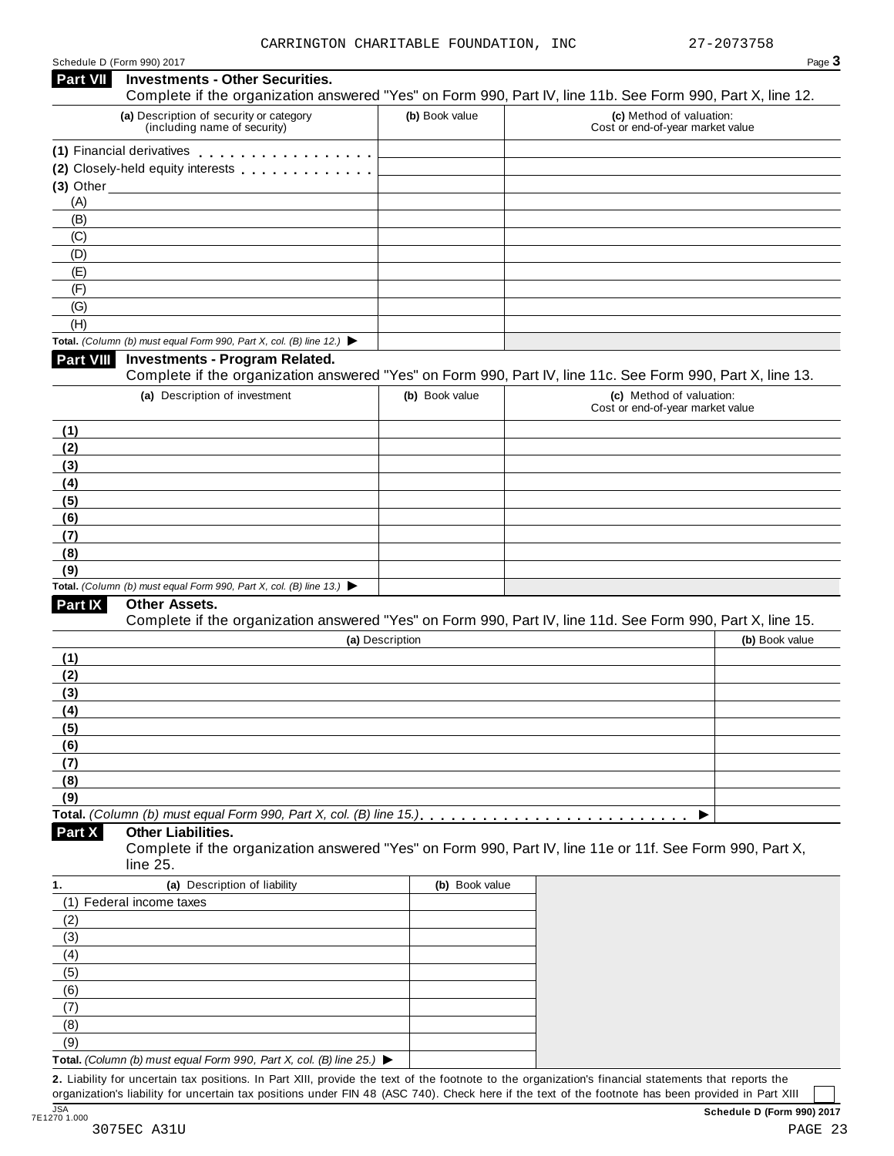| Schedule D (Form 990) 2017 |  |  |
|----------------------------|--|--|
|                            |  |  |

|                 | Schedule D (Form 990) 2017                                                                                                                           |                 |                                                              | Page 3         |
|-----------------|------------------------------------------------------------------------------------------------------------------------------------------------------|-----------------|--------------------------------------------------------------|----------------|
| <b>Part VII</b> | <b>Investments - Other Securities.</b><br>Complete if the organization answered "Yes" on Form 990, Part IV, line 11b. See Form 990, Part X, line 12. |                 |                                                              |                |
|                 | (a) Description of security or category<br>(including name of security)                                                                              | (b) Book value  | (c) Method of valuation:<br>Cost or end-of-year market value |                |
|                 | (1) Financial derivatives                                                                                                                            |                 |                                                              |                |
|                 | (2) Closely-held equity interests [1] [1] Closely-held equity interests                                                                              |                 |                                                              |                |
|                 | $(3)$ Other                                                                                                                                          |                 |                                                              |                |
| (A)             |                                                                                                                                                      |                 |                                                              |                |
| (B)             |                                                                                                                                                      |                 |                                                              |                |
| (C)             |                                                                                                                                                      |                 |                                                              |                |
| (D)             |                                                                                                                                                      |                 |                                                              |                |
| (E)             |                                                                                                                                                      |                 |                                                              |                |
| (F)             |                                                                                                                                                      |                 |                                                              |                |
| (G)             |                                                                                                                                                      |                 |                                                              |                |
| (H)             |                                                                                                                                                      |                 |                                                              |                |
| Part VIII       | Total. (Column (b) must equal Form 990, Part X, col. (B) line 12.) $\blacktriangleright$<br><b>Investments - Program Related.</b>                    |                 |                                                              |                |
|                 | Complete if the organization answered "Yes" on Form 990, Part IV, line 11c. See Form 990, Part X, line 13.                                           |                 |                                                              |                |
|                 | (a) Description of investment                                                                                                                        | (b) Book value  | (c) Method of valuation:                                     |                |
|                 |                                                                                                                                                      |                 | Cost or end-of-year market value                             |                |
| (1)             |                                                                                                                                                      |                 |                                                              |                |
| (2)             |                                                                                                                                                      |                 |                                                              |                |
| (3)             |                                                                                                                                                      |                 |                                                              |                |
| (4)             |                                                                                                                                                      |                 |                                                              |                |
| (5)             |                                                                                                                                                      |                 |                                                              |                |
| (6)             |                                                                                                                                                      |                 |                                                              |                |
| (7)             |                                                                                                                                                      |                 |                                                              |                |
| (8)<br>(9)      |                                                                                                                                                      |                 |                                                              |                |
|                 | Total. (Column (b) must equal Form 990, Part X, col. (B) line 13.) $\blacktriangleright$                                                             |                 |                                                              |                |
| Part IX         | <b>Other Assets.</b>                                                                                                                                 |                 |                                                              |                |
|                 | Complete if the organization answered "Yes" on Form 990, Part IV, line 11d. See Form 990, Part X, line 15.                                           |                 |                                                              |                |
|                 |                                                                                                                                                      | (a) Description |                                                              | (b) Book value |
| (1)             |                                                                                                                                                      |                 |                                                              |                |
| (2)             |                                                                                                                                                      |                 |                                                              |                |
| (3)             |                                                                                                                                                      |                 |                                                              |                |
| (4)             |                                                                                                                                                      |                 |                                                              |                |
| (5)             |                                                                                                                                                      |                 |                                                              |                |
| (6)             |                                                                                                                                                      |                 |                                                              |                |
| (7)             |                                                                                                                                                      |                 |                                                              |                |
| (8)             |                                                                                                                                                      |                 |                                                              |                |
| (9)             |                                                                                                                                                      |                 |                                                              |                |
|                 |                                                                                                                                                      |                 | ▶                                                            |                |
| Part X          | <b>Other Liabilities.</b><br>Complete if the organization answered "Yes" on Form 990, Part IV, line 11e or 11f. See Form 990, Part X,                |                 |                                                              |                |
|                 | line 25.                                                                                                                                             |                 |                                                              |                |
|                 | (a) Description of liability                                                                                                                         | (b) Book value  |                                                              |                |
|                 | (1) Federal income taxes                                                                                                                             |                 |                                                              |                |
| (2)             |                                                                                                                                                      |                 |                                                              |                |
| (3)             |                                                                                                                                                      |                 |                                                              |                |
| (4)             |                                                                                                                                                      |                 |                                                              |                |
| (5)             |                                                                                                                                                      |                 |                                                              |                |
| (6)             |                                                                                                                                                      |                 |                                                              |                |
| (7)<br>(8)      |                                                                                                                                                      |                 |                                                              |                |
| (9)             |                                                                                                                                                      |                 |                                                              |                |
|                 | Total. (Column (b) must equal Form 990, Part X, col. (B) line 25.) $\blacktriangleright$                                                             |                 |                                                              |                |
|                 | 2. Liability for uncertain tax positions. In Part XIII, provide the text of the footnote to the organization's financial statements that reports the |                 |                                                              |                |
|                 |                                                                                                                                                      |                 |                                                              |                |

organization's liability for uncertain tax positions under FIN 48 (ASC 740). Check here ifthe text of the footnote has been provided in Part XIII 3<br>7E1270 1.000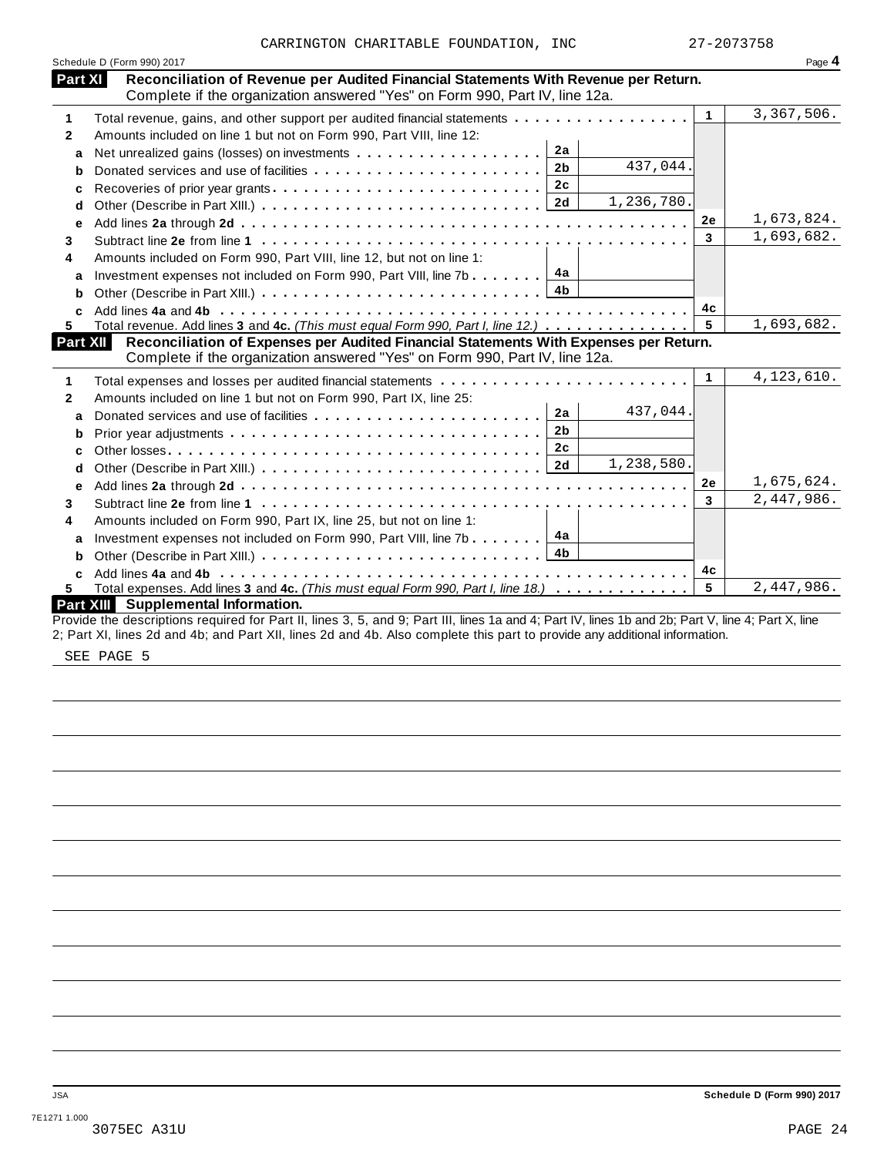|                | Schedule D (Form 990) 2017                                                                                                                                         |              | Page 4       |
|----------------|--------------------------------------------------------------------------------------------------------------------------------------------------------------------|--------------|--------------|
| <b>Part XI</b> | Reconciliation of Revenue per Audited Financial Statements With Revenue per Return.<br>Complete if the organization answered "Yes" on Form 990, Part IV, line 12a. |              |              |
| 1              | Total revenue, gains, and other support per audited financial statements                                                                                           | $\mathbf{1}$ | 3,367,506.   |
| $\mathbf{2}$   | Amounts included on line 1 but not on Form 990, Part VIII, line 12:                                                                                                |              |              |
| a              | 2a                                                                                                                                                                 |              |              |
| b              | 437,044.<br>2 <sub>b</sub>                                                                                                                                         |              |              |
| с              | 2 <sub>c</sub>                                                                                                                                                     |              |              |
| d              | 1,236,780.<br>2d                                                                                                                                                   |              |              |
| е              |                                                                                                                                                                    | 2e           | 1,673,824.   |
| 3              |                                                                                                                                                                    | 3            | 1,693,682.   |
| 4              | Amounts included on Form 990, Part VIII, line 12, but not on line 1:                                                                                               |              |              |
| a              | 4a<br>Investment expenses not included on Form 990, Part VIII, line 7b                                                                                             |              |              |
| b              | 4 <sub>b</sub>                                                                                                                                                     |              |              |
| C              |                                                                                                                                                                    | 4c           |              |
| 5.             | Total revenue. Add lines 3 and 4c. (This must equal Form 990, Part I, line 12.)                                                                                    | 5            | 1,693,682.   |
|                | Reconciliation of Expenses per Audited Financial Statements With Expenses per Return.<br><b>Part XII</b>                                                           |              |              |
|                | Complete if the organization answered "Yes" on Form 990, Part IV, line 12a.                                                                                        |              |              |
|                |                                                                                                                                                                    | $\mathbf{1}$ | 4, 123, 610. |
|                | Amounts included on line 1 but not on Form 990, Part IX, line 25:                                                                                                  |              |              |
| a              | 437,044.<br>2a                                                                                                                                                     |              |              |
| b              | 2 <sub>b</sub>                                                                                                                                                     |              |              |
| C              | 2 <sub>c</sub>                                                                                                                                                     |              |              |
| d              | 1,238,580.<br>2d                                                                                                                                                   |              |              |
| е              |                                                                                                                                                                    | 2е           | 1,675,624.   |
| 3              |                                                                                                                                                                    | 3            | 2,447,986.   |
| 4              | Amounts included on Form 990, Part IX, line 25, but not on line 1:                                                                                                 |              |              |
| a              | 4a<br>Investment expenses not included on Form 990, Part VIII, line 7b                                                                                             |              |              |
| b              | 4b                                                                                                                                                                 |              |              |
| C              |                                                                                                                                                                    | 4c           |              |
| 5.             | Total expenses. Add lines 3 and 4c. (This must equal Form 990, Part I, line 18.)                                                                                   | 5            | 2,447,986.   |
|                | Part XIII Supplemental Information.                                                                                                                                |              |              |

SEE PAGE 5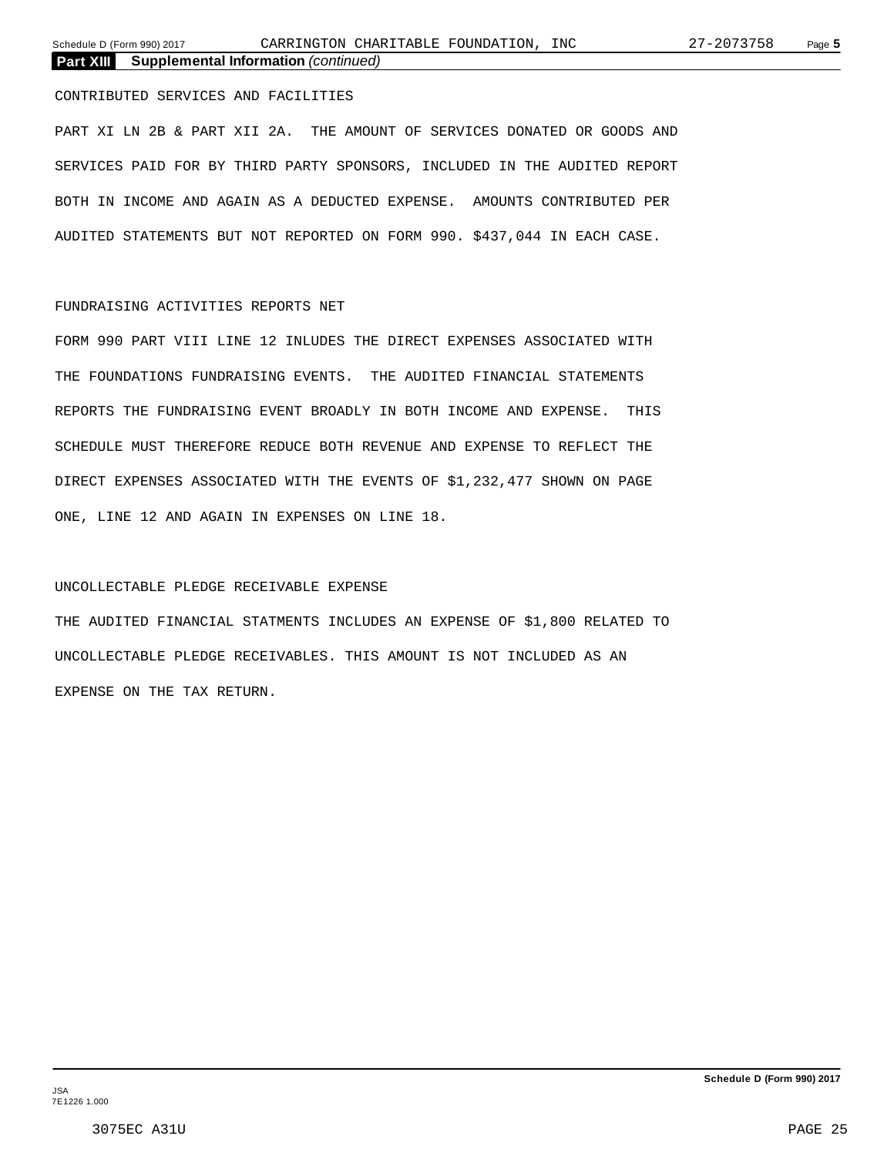CONTRIBUTED SERVICES AND FACILITIES

PART XI LN 2B & PART XII 2A. THE AMOUNT OF SERVICES DONATED OR GOODS AND SERVICES PAID FOR BY THIRD PARTY SPONSORS, INCLUDED IN THE AUDITED REPORT BOTH IN INCOME AND AGAIN AS A DEDUCTED EXPENSE. AMOUNTS CONTRIBUTED PER AUDITED STATEMENTS BUT NOT REPORTED ON FORM 990. \$437,044 IN EACH CASE.

## FUNDRAISING ACTIVITIES REPORTS NET

FORM 990 PART VIII LINE 12 INLUDES THE DIRECT EXPENSES ASSOCIATED WITH THE FOUNDATIONS FUNDRAISING EVENTS. THE AUDITED FINANCIAL STATEMENTS REPORTS THE FUNDRAISING EVENT BROADLY IN BOTH INCOME AND EXPENSE. THIS SCHEDULE MUST THEREFORE REDUCE BOTH REVENUE AND EXPENSE TO REFLECT THE DIRECT EXPENSES ASSOCIATED WITH THE EVENTS OF \$1,232,477 SHOWN ON PAGE ONE, LINE 12 AND AGAIN IN EXPENSES ON LINE 18.

### UNCOLLECTABLE PLEDGE RECEIVABLE EXPENSE

THE AUDITED FINANCIAL STATMENTS INCLUDES AN EXPENSE OF \$1,800 RELATED TO UNCOLLECTABLE PLEDGE RECEIVABLES. THIS AMOUNT IS NOT INCLUDED AS AN EXPENSE ON THE TAX RETURN.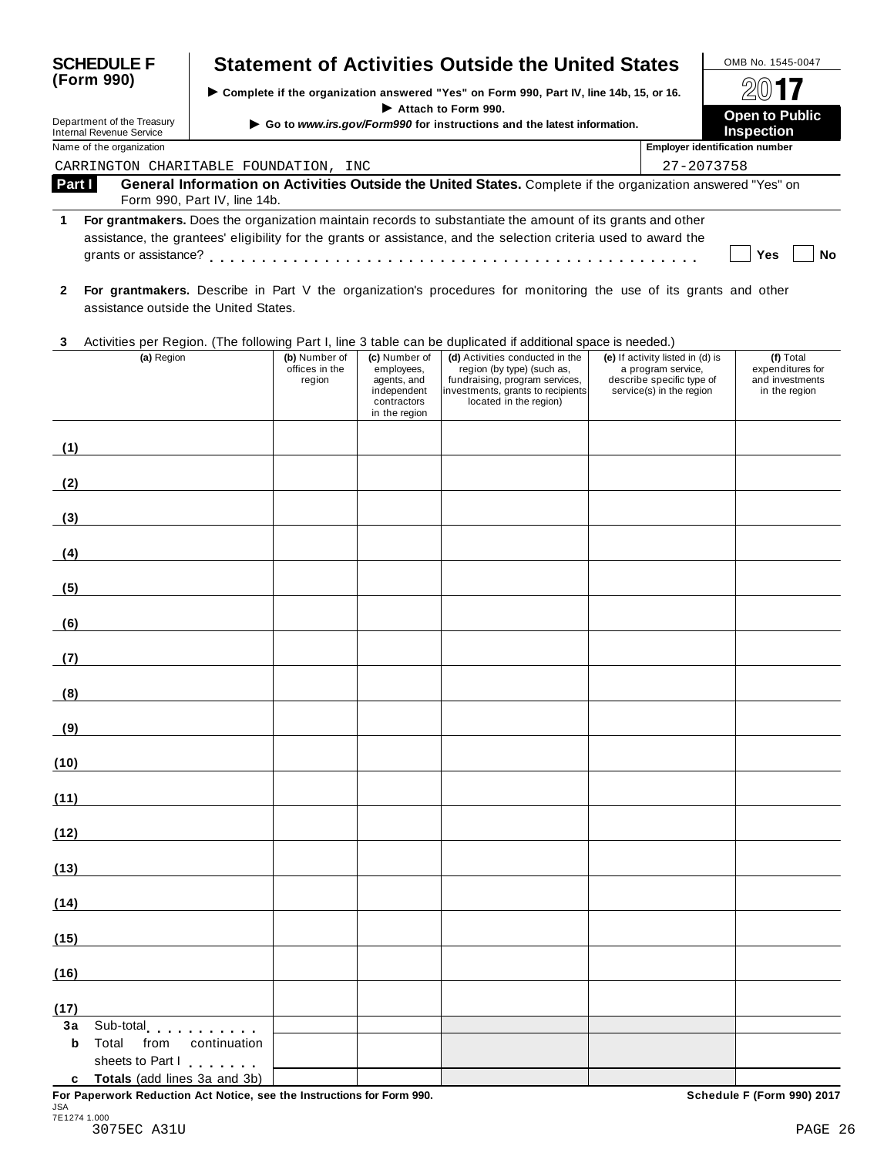| <b>SCHEDULE F</b> |                                                               |                              |                                                                        |                                                                                           | <b>Statement of Activities Outside the United States</b>                                                                                                                                                                       |                                                                                                                 | OMB No. 1545-0047                                                 |
|-------------------|---------------------------------------------------------------|------------------------------|------------------------------------------------------------------------|-------------------------------------------------------------------------------------------|--------------------------------------------------------------------------------------------------------------------------------------------------------------------------------------------------------------------------------|-----------------------------------------------------------------------------------------------------------------|-------------------------------------------------------------------|
|                   | (Form 990)                                                    |                              |                                                                        |                                                                                           | > Complete if the organization answered "Yes" on Form 990, Part IV, line 14b, 15, or 16.                                                                                                                                       |                                                                                                                 |                                                                   |
|                   | Department of the Treasury<br><b>Internal Revenue Service</b> |                              | Go to www.irs.gov/Form990 for instructions and the latest information. | <b>Open to Public</b><br><b>Inspection</b>                                                |                                                                                                                                                                                                                                |                                                                                                                 |                                                                   |
|                   | Name of the organization                                      |                              |                                                                        |                                                                                           |                                                                                                                                                                                                                                |                                                                                                                 | <b>Employer identification number</b>                             |
|                   | CARRINGTON CHARITABLE FOUNDATION, INC                         |                              |                                                                        |                                                                                           |                                                                                                                                                                                                                                |                                                                                                                 | 27-2073758                                                        |
| Part I            |                                                               | Form 990, Part IV, line 14b. |                                                                        |                                                                                           | General Information on Activities Outside the United States. Complete if the organization answered "Yes" on                                                                                                                    |                                                                                                                 |                                                                   |
| 1                 |                                                               |                              |                                                                        |                                                                                           | For grantmakers. Does the organization maintain records to substantiate the amount of its grants and other<br>assistance, the grantees' eligibility for the grants or assistance, and the selection criteria used to award the |                                                                                                                 | No<br>Yes                                                         |
| $\mathbf{2}$      | assistance outside the United States.                         |                              |                                                                        |                                                                                           | For grantmakers. Describe in Part V the organization's procedures for monitoring the use of its grants and other                                                                                                               |                                                                                                                 |                                                                   |
| 3                 |                                                               |                              |                                                                        |                                                                                           | Activities per Region. (The following Part I, line 3 table can be duplicated if additional space is needed.)                                                                                                                   |                                                                                                                 |                                                                   |
|                   | (a) Region                                                    |                              | (b) Number of<br>offices in the<br>region                              | (c) Number of<br>employees,<br>agents, and<br>independent<br>contractors<br>in the region | (d) Activities conducted in the<br>region (by type) (such as,<br>fundraising, program services,<br>investments, grants to recipients<br>located in the region)                                                                 | (e) If activity listed in (d) is<br>a program service,<br>describe specific type of<br>service(s) in the region | (f) Total<br>expenditures for<br>and investments<br>in the region |
| (1)               |                                                               |                              |                                                                        |                                                                                           |                                                                                                                                                                                                                                |                                                                                                                 |                                                                   |
| (2)               |                                                               |                              |                                                                        |                                                                                           |                                                                                                                                                                                                                                |                                                                                                                 |                                                                   |
| (3)               |                                                               |                              |                                                                        |                                                                                           |                                                                                                                                                                                                                                |                                                                                                                 |                                                                   |
| (4)               |                                                               |                              |                                                                        |                                                                                           |                                                                                                                                                                                                                                |                                                                                                                 |                                                                   |
| (5)               |                                                               |                              |                                                                        |                                                                                           |                                                                                                                                                                                                                                |                                                                                                                 |                                                                   |
| (6)               |                                                               |                              |                                                                        |                                                                                           |                                                                                                                                                                                                                                |                                                                                                                 |                                                                   |
| (7)               |                                                               |                              |                                                                        |                                                                                           |                                                                                                                                                                                                                                |                                                                                                                 |                                                                   |
| (8)               |                                                               |                              |                                                                        |                                                                                           |                                                                                                                                                                                                                                |                                                                                                                 |                                                                   |
| (9)               |                                                               |                              |                                                                        |                                                                                           |                                                                                                                                                                                                                                |                                                                                                                 |                                                                   |
| (10)              |                                                               |                              |                                                                        |                                                                                           |                                                                                                                                                                                                                                |                                                                                                                 |                                                                   |
| (11)              |                                                               |                              |                                                                        |                                                                                           |                                                                                                                                                                                                                                |                                                                                                                 |                                                                   |
| (12)              |                                                               |                              |                                                                        |                                                                                           |                                                                                                                                                                                                                                |                                                                                                                 |                                                                   |
| (13)              |                                                               |                              |                                                                        |                                                                                           |                                                                                                                                                                                                                                |                                                                                                                 |                                                                   |
| (14)              |                                                               |                              |                                                                        |                                                                                           |                                                                                                                                                                                                                                |                                                                                                                 |                                                                   |
| (15)              |                                                               |                              |                                                                        |                                                                                           |                                                                                                                                                                                                                                |                                                                                                                 |                                                                   |
| (16)              |                                                               |                              |                                                                        |                                                                                           |                                                                                                                                                                                                                                |                                                                                                                 |                                                                   |
| (17)              |                                                               |                              |                                                                        |                                                                                           |                                                                                                                                                                                                                                |                                                                                                                 |                                                                   |
| Зa                | Sub-total                                                     |                              |                                                                        |                                                                                           |                                                                                                                                                                                                                                |                                                                                                                 |                                                                   |
| b                 | Total from<br>sheets to Part I                                | continuation                 |                                                                        |                                                                                           |                                                                                                                                                                                                                                |                                                                                                                 |                                                                   |
|                   | Totals (add lines 3a and 3b)                                  |                              |                                                                        |                                                                                           |                                                                                                                                                                                                                                |                                                                                                                 |                                                                   |

**For Paperwork Reduction Act Notice, see the Instructions for Form 990. Schedule F (Form 990) 2017** JSA 7E1274 1.000 3075EC A31U PAGE 26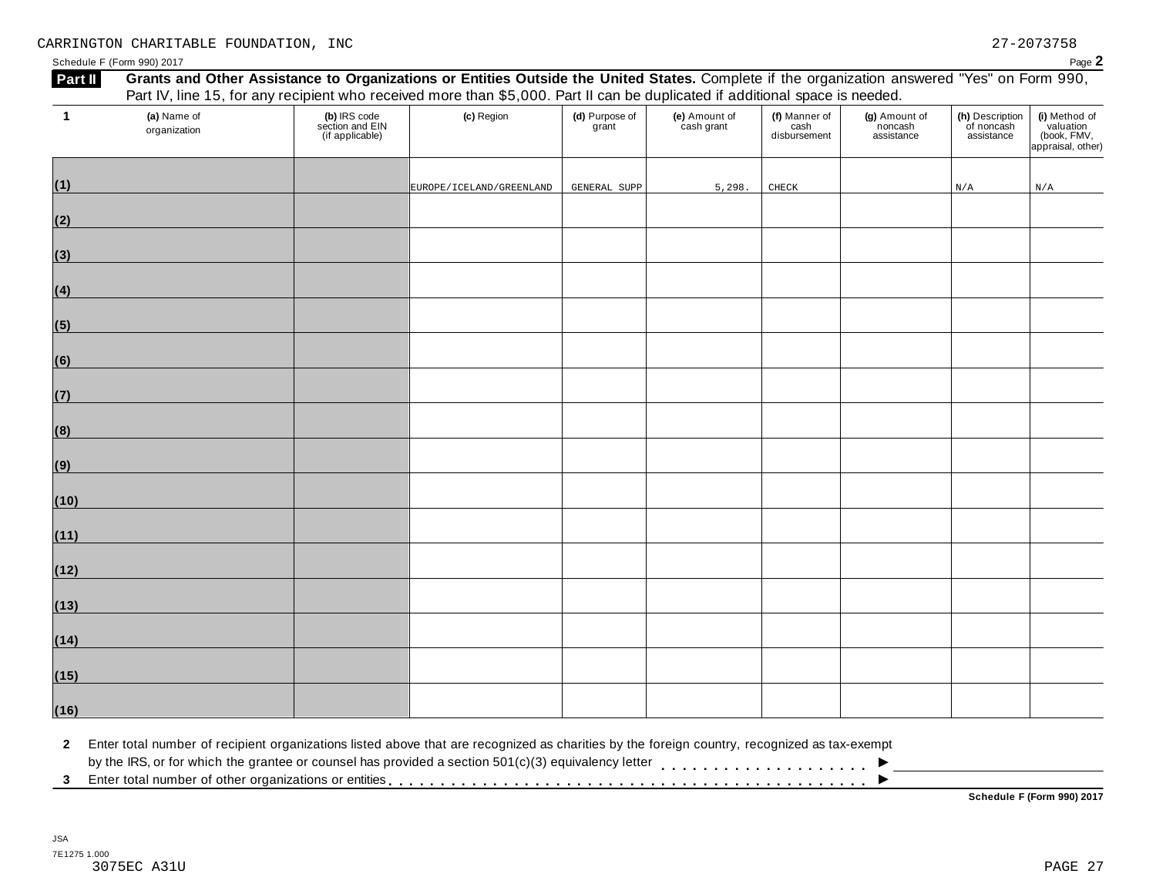Schedule F (Form 990) 2017<br>**External Concepts on dights Assistance to Organizations or Entities Qutside the United States, Complete it the organization engulared "Yes" on Form 000** 

| Part II      |                             |                                                    | Grants and Other Assistance to Organizations or Entities Outside the United States. Complete if the organization answered "Yes" on Form 990,<br>Part IV, line 15, for any recipient who received more than \$5,000. Part II can be duplicated if additional space is needed. |                         |                             |                                    |                                        |                                             |                                                                |
|--------------|-----------------------------|----------------------------------------------------|------------------------------------------------------------------------------------------------------------------------------------------------------------------------------------------------------------------------------------------------------------------------------|-------------------------|-----------------------------|------------------------------------|----------------------------------------|---------------------------------------------|----------------------------------------------------------------|
| $\mathbf{1}$ | (a) Name of<br>organization | (b) IRS code<br>section and EIN<br>(if applicable) | (c) Region                                                                                                                                                                                                                                                                   | (d) Purpose of<br>grant | (e) Amount of<br>cash grant | (f) Manner of cash<br>disbursement | (g) Amount of<br>noncash<br>assistance | (h) Description<br>of noncash<br>assistance | (i) Method of<br>valuation<br>(book, FMV,<br>appraisal, other) |
| (1)          |                             |                                                    | EUROPE/ICELAND/GREENLAND                                                                                                                                                                                                                                                     | GENERAL SUPP            | 5,298.                      | ${\tt CHECK}$                      |                                        | N/A                                         | N/A                                                            |
| (2)          |                             |                                                    |                                                                                                                                                                                                                                                                              |                         |                             |                                    |                                        |                                             |                                                                |
| (3)          |                             |                                                    |                                                                                                                                                                                                                                                                              |                         |                             |                                    |                                        |                                             |                                                                |
| (4)          |                             |                                                    |                                                                                                                                                                                                                                                                              |                         |                             |                                    |                                        |                                             |                                                                |
| (5)          |                             |                                                    |                                                                                                                                                                                                                                                                              |                         |                             |                                    |                                        |                                             |                                                                |
| (6)          |                             |                                                    |                                                                                                                                                                                                                                                                              |                         |                             |                                    |                                        |                                             |                                                                |
| (7)          |                             |                                                    |                                                                                                                                                                                                                                                                              |                         |                             |                                    |                                        |                                             |                                                                |
| (8)          |                             |                                                    |                                                                                                                                                                                                                                                                              |                         |                             |                                    |                                        |                                             |                                                                |
| (9)          |                             |                                                    |                                                                                                                                                                                                                                                                              |                         |                             |                                    |                                        |                                             |                                                                |
| (10)         |                             |                                                    |                                                                                                                                                                                                                                                                              |                         |                             |                                    |                                        |                                             |                                                                |
| (11)         |                             |                                                    |                                                                                                                                                                                                                                                                              |                         |                             |                                    |                                        |                                             |                                                                |
| (12)         |                             |                                                    |                                                                                                                                                                                                                                                                              |                         |                             |                                    |                                        |                                             |                                                                |
| (13)         |                             |                                                    |                                                                                                                                                                                                                                                                              |                         |                             |                                    |                                        |                                             |                                                                |
| (14)         |                             |                                                    |                                                                                                                                                                                                                                                                              |                         |                             |                                    |                                        |                                             |                                                                |
| (15)         |                             |                                                    |                                                                                                                                                                                                                                                                              |                         |                             |                                    |                                        |                                             |                                                                |
| (16)         |                             |                                                    |                                                                                                                                                                                                                                                                              |                         |                             |                                    |                                        |                                             |                                                                |

**2** Enter total number of recipient organizations listed above that are recognized as charities by the foreign country, recognized as tax-exempt

 $\blacksquare$ <br>by the IRS, or for which the grantee or counsel has provided a section 501(c)(3) equivalency letter<br>3 Enter total number of other organizations or entities

**Schedule F (Form 990) 2017**

 $\overline{\phantom{a}}$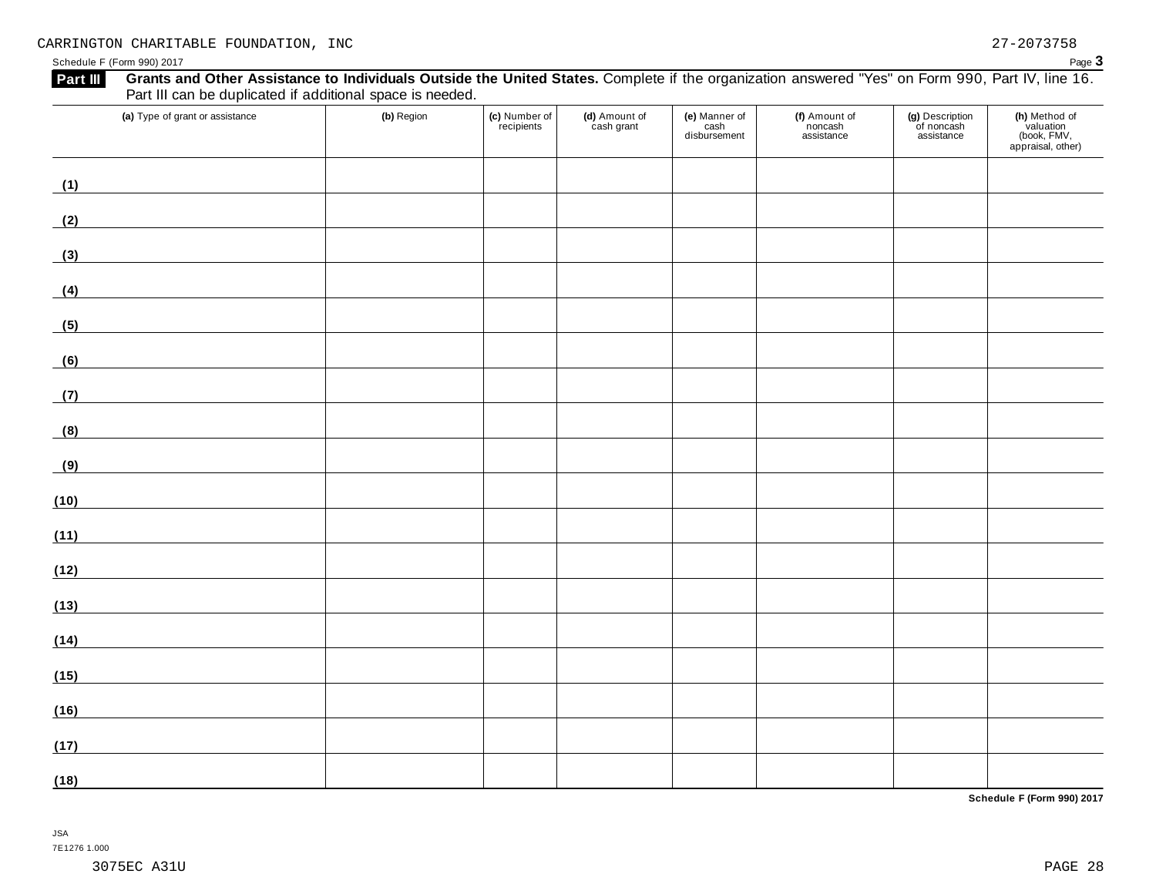Schedule <sup>F</sup> (Form 990) <sup>2017</sup> Page **3**

| (a) Type of grant or assistance                                                                                             | (b) Region | (c) Number of<br>recipients | (d) Amount of<br>cash grant | (e) Manner of<br>cash<br>disbursement | (f) Amount of<br>noncash<br>assistance | (g) Description<br>of noncash<br>assistance | (h) Method of<br>valuation<br>(book, FMV,<br>appraisal, other) |
|-----------------------------------------------------------------------------------------------------------------------------|------------|-----------------------------|-----------------------------|---------------------------------------|----------------------------------------|---------------------------------------------|----------------------------------------------------------------|
| (1)                                                                                                                         |            |                             |                             |                                       |                                        |                                             |                                                                |
| (2)                                                                                                                         |            |                             |                             |                                       |                                        |                                             |                                                                |
| (3)                                                                                                                         |            |                             |                             |                                       |                                        |                                             |                                                                |
| (4)                                                                                                                         |            |                             |                             |                                       |                                        |                                             |                                                                |
| (5)<br><u> 1989 - Johann Barn, mars ann an t-Amhain Aonaich an t-Aonaich an t-Aonaich ann an t-Aonaich ann an t-Aonaich</u> |            |                             |                             |                                       |                                        |                                             |                                                                |
| (6)<br><u> 1980 - Andrea Station, amerikansk politik (</u>                                                                  |            |                             |                             |                                       |                                        |                                             |                                                                |
| (7)                                                                                                                         |            |                             |                             |                                       |                                        |                                             |                                                                |
| (8)<br><u> 1989 - Johann Barn, mars ann an t-</u>                                                                           |            |                             |                             |                                       |                                        |                                             |                                                                |
| (9)                                                                                                                         |            |                             |                             |                                       |                                        |                                             |                                                                |
| (10)                                                                                                                        |            |                             |                             |                                       |                                        |                                             |                                                                |
| (11)<br><u> 1980 - Johann Barbara, martxa alemaniar a</u>                                                                   |            |                             |                             |                                       |                                        |                                             |                                                                |
| (12)                                                                                                                        |            |                             |                             |                                       |                                        |                                             |                                                                |
| (13)                                                                                                                        |            |                             |                             |                                       |                                        |                                             |                                                                |
| (14)<br><u> 1989 - Andrea State Barbara, politik e</u>                                                                      |            |                             |                             |                                       |                                        |                                             |                                                                |
| (15)<br><u> 1980 - Johann Barbara, martxa a</u>                                                                             |            |                             |                             |                                       |                                        |                                             |                                                                |
| (16)                                                                                                                        |            |                             |                             |                                       |                                        |                                             |                                                                |
| (17)                                                                                                                        |            |                             |                             |                                       |                                        |                                             |                                                                |
| (18)                                                                                                                        |            |                             |                             |                                       |                                        |                                             |                                                                |

**Schedule F (Form 990) 2017**

## JSA

7E1276 1.000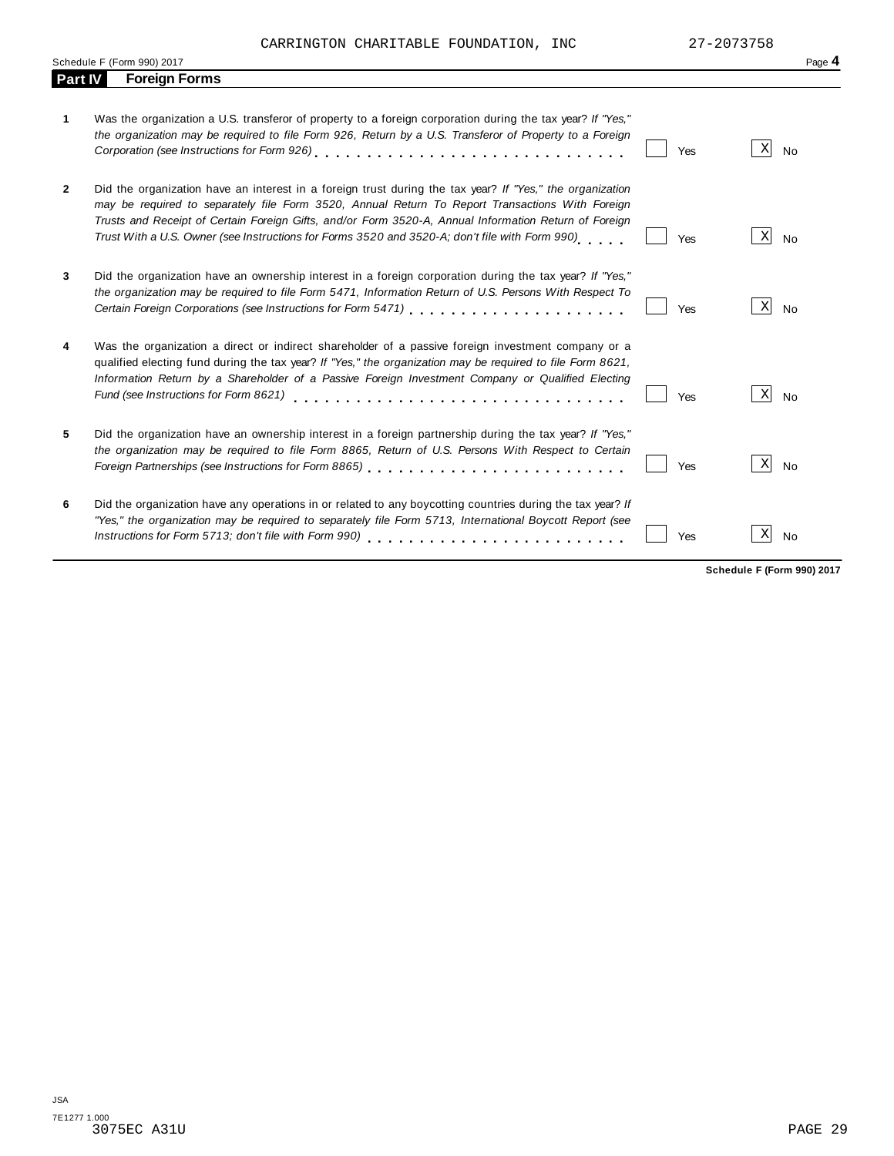CARRINGTON CHARITABLE FOUNDATION, INC 27-2073758

|              | Schedule F (Form 990) 2017                                                                                                                                                                                                                                                                                                                                                                                             |     |                 | Page 4    |
|--------------|------------------------------------------------------------------------------------------------------------------------------------------------------------------------------------------------------------------------------------------------------------------------------------------------------------------------------------------------------------------------------------------------------------------------|-----|-----------------|-----------|
| Part IV      | <b>Foreign Forms</b>                                                                                                                                                                                                                                                                                                                                                                                                   |     |                 |           |
| 1            | Was the organization a U.S. transferor of property to a foreign corporation during the tax year? If "Yes,"<br>the organization may be required to file Form 926, Return by a U.S. Transferor of Property to a Foreign                                                                                                                                                                                                  | Yes | X               | <b>No</b> |
| $\mathbf{2}$ | Did the organization have an interest in a foreign trust during the tax year? If "Yes," the organization<br>may be required to separately file Form 3520, Annual Return To Report Transactions With Foreign<br>Trusts and Receipt of Certain Foreign Gifts, and/or Form 3520-A, Annual Information Return of Foreign<br>Trust With a U.S. Owner (see Instructions for Forms 3520 and 3520-A; don't file with Form 990) | Yes | X               | <b>No</b> |
| 3            | Did the organization have an ownership interest in a foreign corporation during the tax year? If "Yes,"<br>the organization may be required to file Form 5471, Information Return of U.S. Persons With Respect To<br>Certain Foreign Corporations (see Instructions for Form 5471)                                                                                                                                     | Yes | $\vert X \vert$ | <b>No</b> |
| 4            | Was the organization a direct or indirect shareholder of a passive foreign investment company or a<br>qualified electing fund during the tax year? If "Yes," the organization may be required to file Form 8621,<br>Information Return by a Shareholder of a Passive Foreign Investment Company or Qualified Electing<br>Fund (see Instructions for Form 8621)                                                         | Yes | X               | <b>No</b> |
| 5            | Did the organization have an ownership interest in a foreign partnership during the tax year? If "Yes,"<br>the organization may be required to file Form 8865, Return of U.S. Persons With Respect to Certain                                                                                                                                                                                                          | Yes | X               | <b>No</b> |
| 6            | Did the organization have any operations in or related to any boycotting countries during the tax year? If<br>"Yes," the organization may be required to separately file Form 5713, International Boycott Report (see                                                                                                                                                                                                  | Yes | X               | <b>No</b> |

**Schedule F (Form 990) 2017**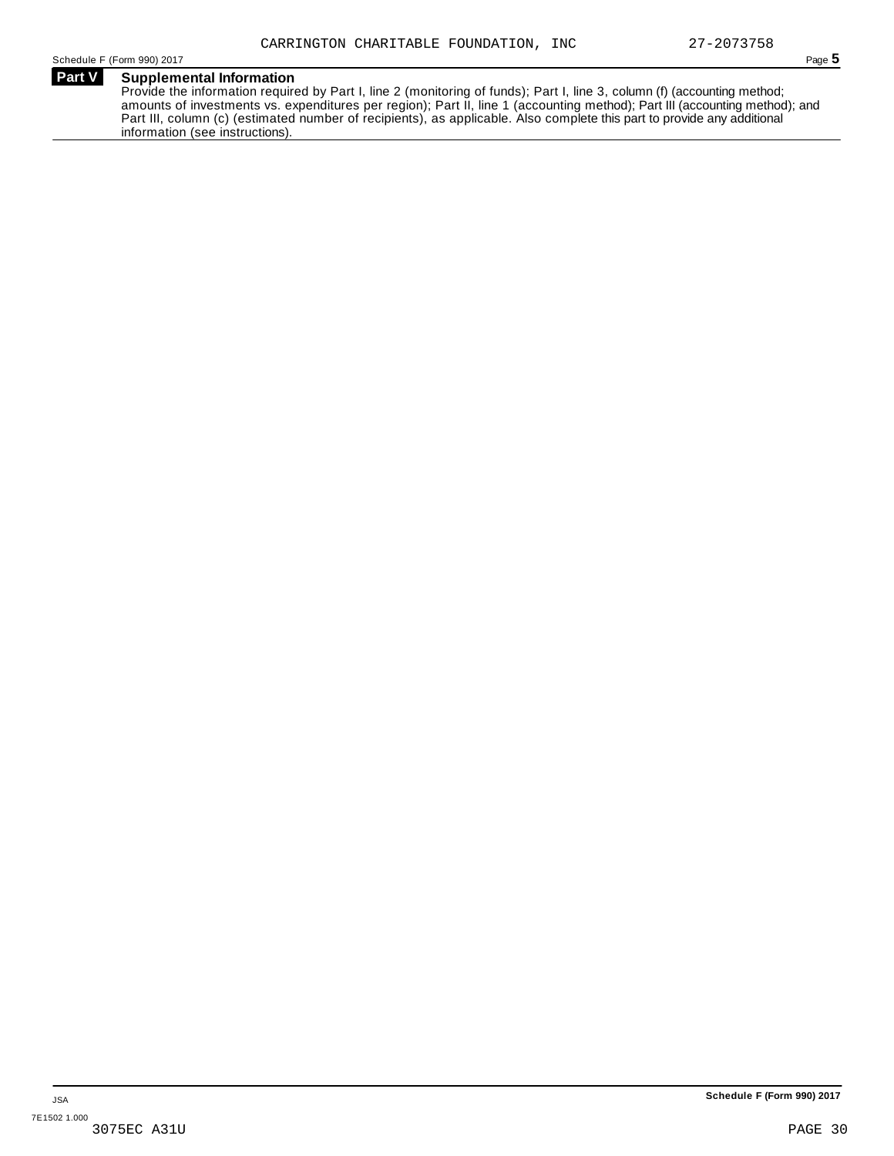## **Part V Supplemental Information**

Provide the information required by Part I, line 2 (monitoring of funds); Part I, line 3, column (f) (accounting method; amounts of investments vs. expenditures per region); Part II, line 1 (accounting method); Part III (accounting method); and Part III, column (c) (estimated number of recipients), as applicable. Also complete this part to provide any additional information (see instructions).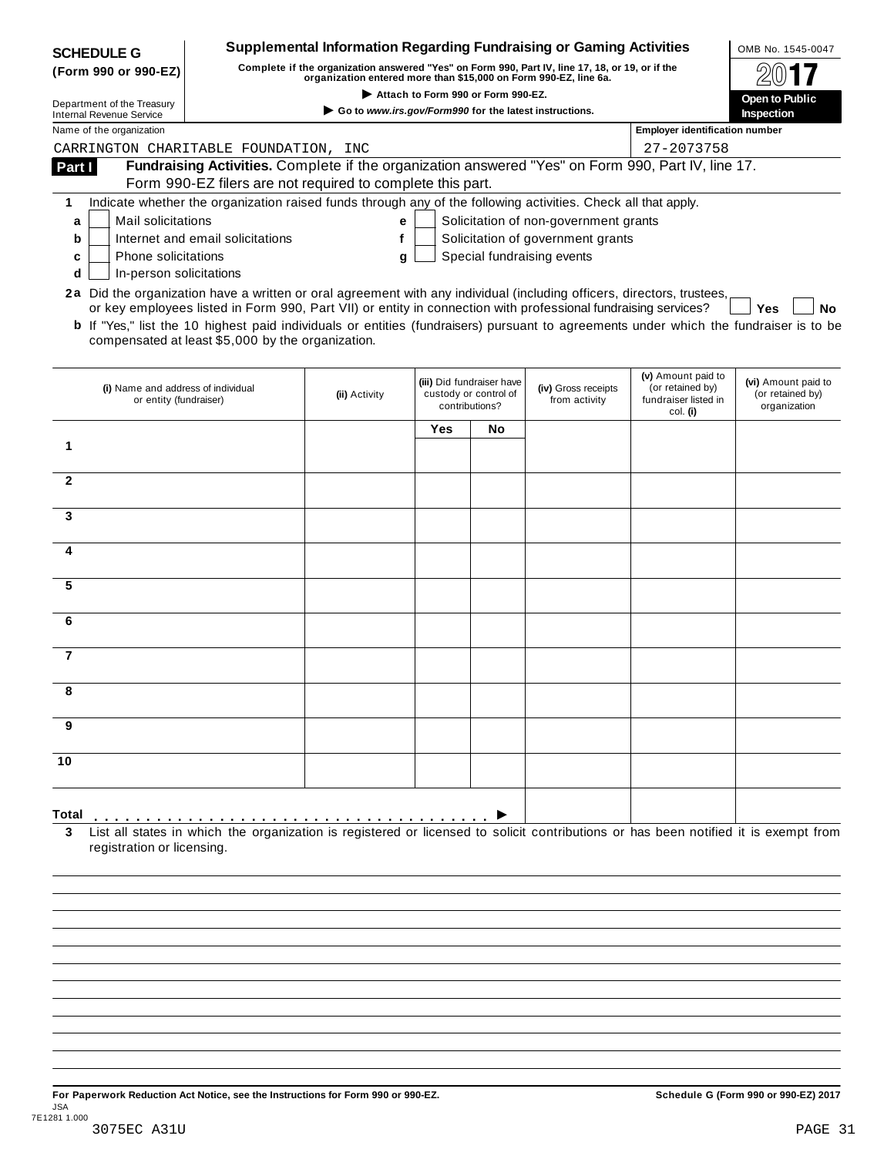| <b>SCHEDULE G</b>                                                                                                                            |                                                                                                                                                                     | <b>Supplemental Information Regarding Fundraising or Gaming Activities</b> |                       |                                                    |                                       |                                       | OMB No. 1545-0047                       |
|----------------------------------------------------------------------------------------------------------------------------------------------|---------------------------------------------------------------------------------------------------------------------------------------------------------------------|----------------------------------------------------------------------------|-----------------------|----------------------------------------------------|---------------------------------------|---------------------------------------|-----------------------------------------|
| (Form 990 or 990-EZ)                                                                                                                         | Complete if the organization answered "Yes" on Form 990, Part IV, line 17, 18, or 19, or if the<br>organization entered more than \$15,000 on Form 990-EZ, line 6a. |                                                                            |                       |                                                    |                                       |                                       |                                         |
| Department of the Treasury                                                                                                                   |                                                                                                                                                                     |                                                                            | <b>Open to Public</b> |                                                    |                                       |                                       |                                         |
| <b>Internal Revenue Service</b>                                                                                                              |                                                                                                                                                                     | Go to www.irs.gov/Form990 for the latest instructions.                     |                       |                                                    |                                       |                                       | Inspection                              |
| Name of the organization                                                                                                                     |                                                                                                                                                                     |                                                                            |                       |                                                    |                                       | <b>Employer identification number</b> |                                         |
| CARRINGTON CHARITABLE FOUNDATION, INC                                                                                                        |                                                                                                                                                                     |                                                                            |                       |                                                    |                                       | 27-2073758                            |                                         |
| Part I                                                                                                                                       | Fundraising Activities. Complete if the organization answered "Yes" on Form 990, Part IV, line 17.                                                                  |                                                                            |                       |                                                    |                                       |                                       |                                         |
|                                                                                                                                              | Form 990-EZ filers are not required to complete this part.                                                                                                          |                                                                            |                       |                                                    |                                       |                                       |                                         |
| 1                                                                                                                                            | Indicate whether the organization raised funds through any of the following activities. Check all that apply.                                                       |                                                                            |                       |                                                    |                                       |                                       |                                         |
| Mail solicitations<br>a                                                                                                                      |                                                                                                                                                                     | е                                                                          |                       |                                                    | Solicitation of non-government grants |                                       |                                         |
| b                                                                                                                                            | Internet and email solicitations                                                                                                                                    | f                                                                          |                       |                                                    | Solicitation of government grants     |                                       |                                         |
| Phone solicitations<br>c                                                                                                                     |                                                                                                                                                                     | g                                                                          |                       |                                                    | Special fundraising events            |                                       |                                         |
| In-person solicitations<br>d                                                                                                                 |                                                                                                                                                                     |                                                                            |                       |                                                    |                                       |                                       |                                         |
| 2a Did the organization have a written or oral agreement with any individual (including officers, directors, trustees,                       |                                                                                                                                                                     |                                                                            |                       |                                                    |                                       |                                       |                                         |
|                                                                                                                                              | or key employees listed in Form 990, Part VII) or entity in connection with professional fundraising services?                                                      |                                                                            |                       |                                                    |                                       |                                       | Yes<br>No                               |
| <b>b</b> If "Yes," list the 10 highest paid individuals or entities (fundraisers) pursuant to agreements under which the fundraiser is to be | compensated at least \$5,000 by the organization.                                                                                                                   |                                                                            |                       |                                                    |                                       |                                       |                                         |
|                                                                                                                                              |                                                                                                                                                                     |                                                                            |                       |                                                    |                                       |                                       |                                         |
|                                                                                                                                              |                                                                                                                                                                     |                                                                            |                       |                                                    |                                       | (v) Amount paid to                    |                                         |
| (i) Name and address of individual                                                                                                           |                                                                                                                                                                     | (ii) Activity                                                              |                       | (iii) Did fundraiser have<br>custody or control of | (iv) Gross receipts                   | (or retained by)                      | (vi) Amount paid to<br>(or retained by) |
| or entity (fundraiser)                                                                                                                       |                                                                                                                                                                     |                                                                            |                       | contributions?                                     | from activity                         | fundraiser listed in<br>col. (i)      | organization                            |
|                                                                                                                                              |                                                                                                                                                                     |                                                                            | Yes                   | No.                                                |                                       |                                       |                                         |
| 1                                                                                                                                            |                                                                                                                                                                     |                                                                            |                       |                                                    |                                       |                                       |                                         |
|                                                                                                                                              |                                                                                                                                                                     |                                                                            |                       |                                                    |                                       |                                       |                                         |
| $\mathbf{2}$                                                                                                                                 |                                                                                                                                                                     |                                                                            |                       |                                                    |                                       |                                       |                                         |
|                                                                                                                                              |                                                                                                                                                                     |                                                                            |                       |                                                    |                                       |                                       |                                         |
| 3                                                                                                                                            |                                                                                                                                                                     |                                                                            |                       |                                                    |                                       |                                       |                                         |
|                                                                                                                                              |                                                                                                                                                                     |                                                                            |                       |                                                    |                                       |                                       |                                         |
| 4                                                                                                                                            |                                                                                                                                                                     |                                                                            |                       |                                                    |                                       |                                       |                                         |
|                                                                                                                                              |                                                                                                                                                                     |                                                                            |                       |                                                    |                                       |                                       |                                         |
| 5                                                                                                                                            |                                                                                                                                                                     |                                                                            |                       |                                                    |                                       |                                       |                                         |
|                                                                                                                                              |                                                                                                                                                                     |                                                                            |                       |                                                    |                                       |                                       |                                         |
| 6                                                                                                                                            |                                                                                                                                                                     |                                                                            |                       |                                                    |                                       |                                       |                                         |
|                                                                                                                                              |                                                                                                                                                                     |                                                                            |                       |                                                    |                                       |                                       |                                         |
| 7                                                                                                                                            |                                                                                                                                                                     |                                                                            |                       |                                                    |                                       |                                       |                                         |
|                                                                                                                                              |                                                                                                                                                                     |                                                                            |                       |                                                    |                                       |                                       |                                         |
| 8                                                                                                                                            |                                                                                                                                                                     |                                                                            |                       |                                                    |                                       |                                       |                                         |
|                                                                                                                                              |                                                                                                                                                                     |                                                                            |                       |                                                    |                                       |                                       |                                         |
| 9                                                                                                                                            |                                                                                                                                                                     |                                                                            |                       |                                                    |                                       |                                       |                                         |
|                                                                                                                                              |                                                                                                                                                                     |                                                                            |                       |                                                    |                                       |                                       |                                         |
| 10                                                                                                                                           |                                                                                                                                                                     |                                                                            |                       |                                                    |                                       |                                       |                                         |
|                                                                                                                                              |                                                                                                                                                                     |                                                                            |                       |                                                    |                                       |                                       |                                         |
|                                                                                                                                              |                                                                                                                                                                     |                                                                            |                       |                                                    |                                       |                                       |                                         |
|                                                                                                                                              |                                                                                                                                                                     |                                                                            |                       |                                                    |                                       |                                       |                                         |
| Total<br>3                                                                                                                                   | List all states in which the organization is registered or licensed to solicit contributions or has been notified it is exempt from                                 |                                                                            |                       |                                                    |                                       |                                       |                                         |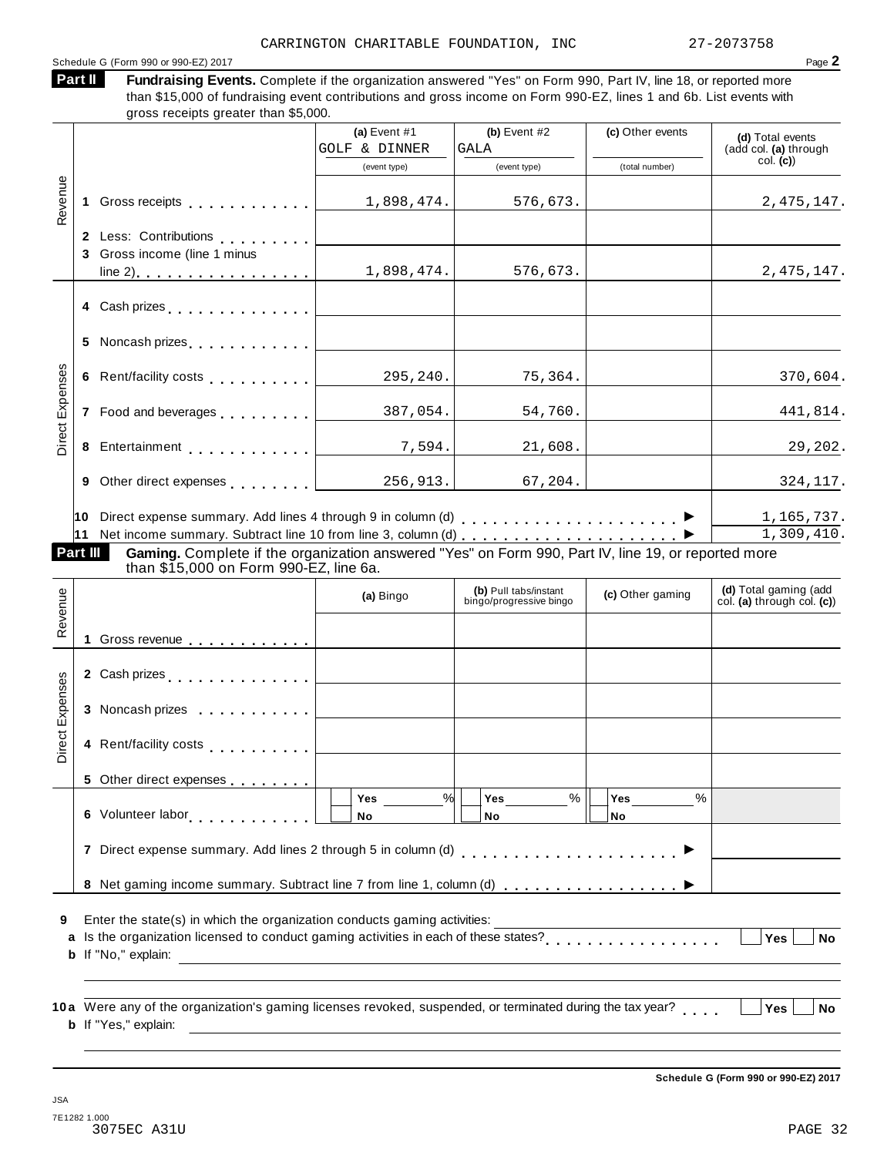### Schedule <sup>G</sup> (Form <sup>990</sup> or 990-EZ) <sup>2017</sup> Page **2**

Fundraising Events. Complete if the organization answered "Yes" on Form 990, Part IV, line 18, or reported more than \$15,000 of fundraising event contributions and gross income on Form 990-EZ, lines 1 and 6b. List events with  $r_{\text{e}}$  receipts greater than  $\mathfrak{E}$  5,000. **Part II**

|                 |   | gross receipts greater than \$5,000.                                                                                                                                                                                           |                                 |                                                  |                   |                                                     |
|-----------------|---|--------------------------------------------------------------------------------------------------------------------------------------------------------------------------------------------------------------------------------|---------------------------------|--------------------------------------------------|-------------------|-----------------------------------------------------|
|                 |   |                                                                                                                                                                                                                                | (a) Event $#1$<br>GOLF & DINNER | (b) Event $#2$<br>GALA                           | (c) Other events  | (d) Total events<br>(add col. (a) through           |
|                 |   |                                                                                                                                                                                                                                | (event type)                    | (event type)                                     | (total number)    | col. (c)                                            |
| Revenue         | 1 | Gross receipts <b>Container and Street Street Street Street Street Street Street Street Street</b>                                                                                                                             | 1,898,474.                      | 576,673.                                         |                   | 2, 475, 147.                                        |
|                 |   | 2 Less: Contributions<br>3 Gross income (line 1 minus                                                                                                                                                                          |                                 |                                                  |                   |                                                     |
|                 |   |                                                                                                                                                                                                                                |                                 | 576,673.                                         |                   | 2, 475, 147.                                        |
|                 |   | 4 Cash prizes                                                                                                                                                                                                                  |                                 |                                                  |                   |                                                     |
|                 |   | 5 Noncash prizes [19]                                                                                                                                                                                                          |                                 |                                                  |                   |                                                     |
|                 |   |                                                                                                                                                                                                                                | 295, 240.                       | 75,364.                                          |                   | 370,604.                                            |
| Direct Expenses |   | 7 Food and beverages [1, 1, 1, 1, 1, 1]                                                                                                                                                                                        | 387,054.                        | 54,760.                                          |                   | 441,814.                                            |
|                 |   | 8 Entertainment [1999] [1999] Superintending the set of the set of the set of the set of the set of the set of the set of the set of the set of the set of the set of the set of the set of the set of the set of the set of t | 7,594.                          | 21,608.                                          |                   | 29,202.                                             |
|                 |   | 9 Other direct expenses [1994]                                                                                                                                                                                                 | 256,913.                        | 67,204.                                          |                   | 324, 117.                                           |
|                 |   |                                                                                                                                                                                                                                |                                 |                                                  |                   | 1,165,737.                                          |
| Part III        |   | Gaming. Complete if the organization answered "Yes" on Form 990, Part IV, line 19, or reported more<br>than \$15,000 on Form 990-EZ, line 6a.                                                                                  |                                 |                                                  |                   | 1,309,410.                                          |
|                 |   |                                                                                                                                                                                                                                | (a) Bingo                       | (b) Pull tabs/instant<br>bingo/progressive bingo | (c) Other gaming  | (d) Total gaming (add<br>col. (a) through col. (c)) |
| Revenue         |   | 1 Gross revenue                                                                                                                                                                                                                |                                 |                                                  |                   |                                                     |
|                 |   | 2 Cash prizes <b>contained 2</b> Cash prizes                                                                                                                                                                                   |                                 |                                                  |                   |                                                     |
|                 |   |                                                                                                                                                                                                                                |                                 |                                                  |                   |                                                     |
| Direct Expenses |   | 4 Rent/facility costs                                                                                                                                                                                                          |                                 |                                                  |                   |                                                     |
|                 | 5 | Other direct expenses expension of the state of the state of the state of the state of the state of the state o                                                                                                                |                                 |                                                  |                   |                                                     |
|                 |   | 6 Volunteer labor entry and the Volunteer labor                                                                                                                                                                                | %<br>Yes<br>No                  | $\%$<br>Yes<br>No                                | $\%$<br>Yes<br>No |                                                     |
|                 |   | 7 Direct expense summary. Add lines 2 through 5 in column (d)                                                                                                                                                                  |                                 |                                                  |                   |                                                     |
|                 |   | 8 Net gaming income summary. Subtract line 7 from line 1, column (d)                                                                                                                                                           |                                 |                                                  |                   |                                                     |
| 9               |   | Enter the state(s) in which the organization conducts gaming activities:                                                                                                                                                       |                                 |                                                  |                   |                                                     |

Is the organization licensed to conduct gaming activities in each of these states? **a** m m m m m m m m m m m m m m m m m **Yes No b** If "No," explain:

**10a** Were any of the organization's gaming licenses revoked, suspended, or terminated during the tax year?<br> **a** *Were* **and** *a* **b** If "Yes," explain: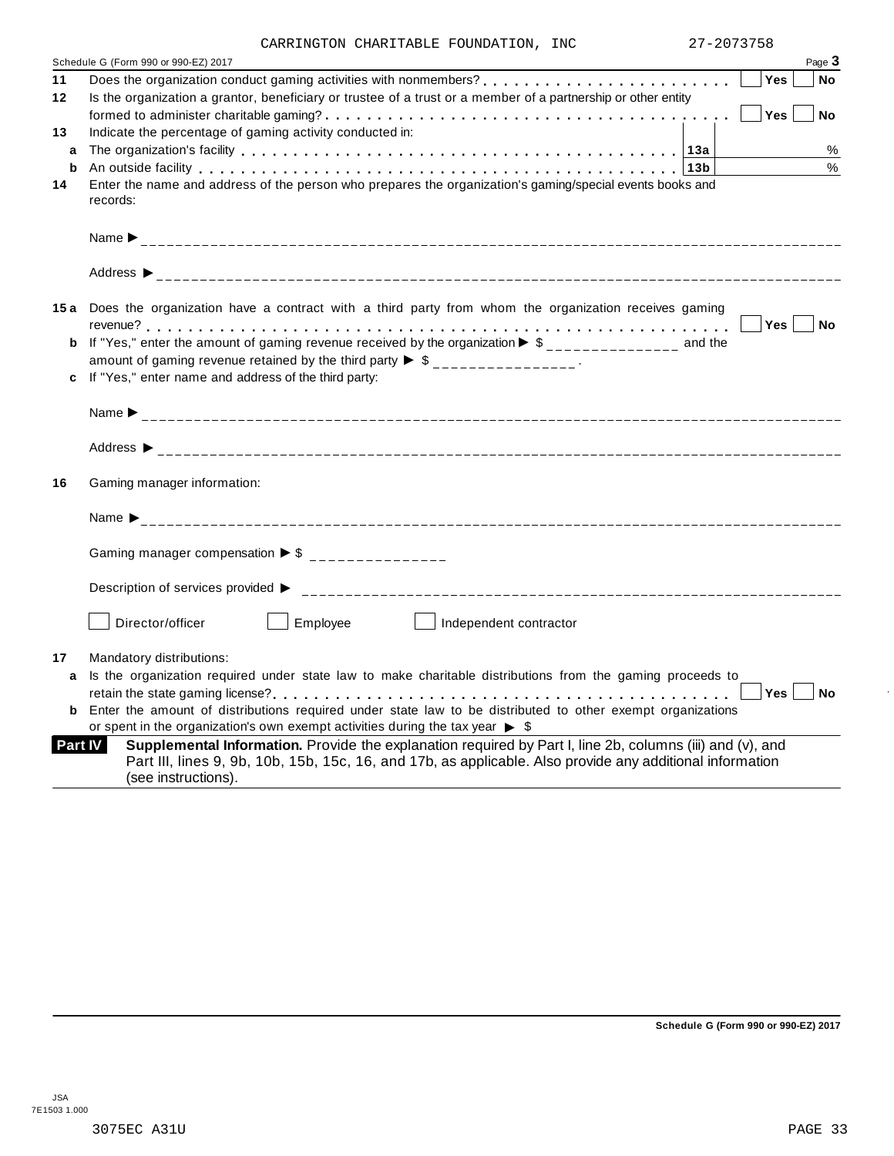|  | CARRINGTON CHARITABLE FOUNDATION, INC |  |
|--|---------------------------------------|--|
|  |                                       |  |

|    | 27-2073758<br>CARRINGTON CHARITABLE FOUNDATION, INC                                                                                                                                                                                                             |      |
|----|-----------------------------------------------------------------------------------------------------------------------------------------------------------------------------------------------------------------------------------------------------------------|------|
|    | Page 3<br>Schedule G (Form 990 or 990-EZ) 2017                                                                                                                                                                                                                  |      |
| 11 | Yes<br>No                                                                                                                                                                                                                                                       |      |
| 12 | Is the organization a grantor, beneficiary or trustee of a trust or a member of a partnership or other entity                                                                                                                                                   |      |
|    | Yes<br>No                                                                                                                                                                                                                                                       |      |
| 13 | Indicate the percentage of gaming activity conducted in:                                                                                                                                                                                                        |      |
| a  |                                                                                                                                                                                                                                                                 | $\%$ |
| b  | An outside facility enterpreteration of the control of the control of the control of the control of the control of the control of the control of the control of the control of the control of the control of the control of th                                  | $\%$ |
| 14 | Enter the name and address of the person who prepares the organization's gaming/special events books and<br>records:                                                                                                                                            |      |
|    |                                                                                                                                                                                                                                                                 |      |
|    |                                                                                                                                                                                                                                                                 |      |
|    | 15a Does the organization have a contract with a third party from whom the organization receives gaming                                                                                                                                                         |      |
|    | Yes  <br>No                                                                                                                                                                                                                                                     |      |
|    | If "Yes," enter the amount of gaming revenue received by the organization $\triangleright$ \$ ______________ and the                                                                                                                                            |      |
|    | amount of gaming revenue retained by the third party $\triangleright$ \$ _______________.                                                                                                                                                                       |      |
|    | If "Yes," enter name and address of the third party:                                                                                                                                                                                                            |      |
|    |                                                                                                                                                                                                                                                                 |      |
|    |                                                                                                                                                                                                                                                                 |      |
| 16 | Gaming manager information:                                                                                                                                                                                                                                     |      |
|    |                                                                                                                                                                                                                                                                 |      |
|    | Gaming manager compensation $\triangleright$ \$ ________________                                                                                                                                                                                                |      |
|    | Description of services provided ▶                                                                                                                                                                                                                              |      |
|    | Director/officer<br>Employee<br>Independent contractor                                                                                                                                                                                                          |      |
| 17 | Mandatory distributions:                                                                                                                                                                                                                                        |      |
| a  | Is the organization required under state law to make charitable distributions from the gaming proceeds to                                                                                                                                                       |      |
|    | $\begin{array}{ c c c }\n\hline\n\hline\n\end{array}$ Yes $\begin{array}{ c c c }\n\hline\n\end{array}$ No                                                                                                                                                      |      |
|    | <b>b</b> Enter the amount of distributions required under state law to be distributed to other exempt organizations                                                                                                                                             |      |
|    | or spent in the organization's own exempt activities during the tax year $\triangleright$ \$                                                                                                                                                                    |      |
|    | Supplemental Information. Provide the explanation required by Part I, line 2b, columns (iii) and (v), and<br><b>Part IV</b><br>Part III, lines 9, 9b, 10b, 15b, 15c, 16, and 17b, as applicable. Also provide any additional information<br>(see instructions). |      |

**Schedule G (Form 990 or 990-EZ) 2017**

 $\ddot{\phantom{a}}$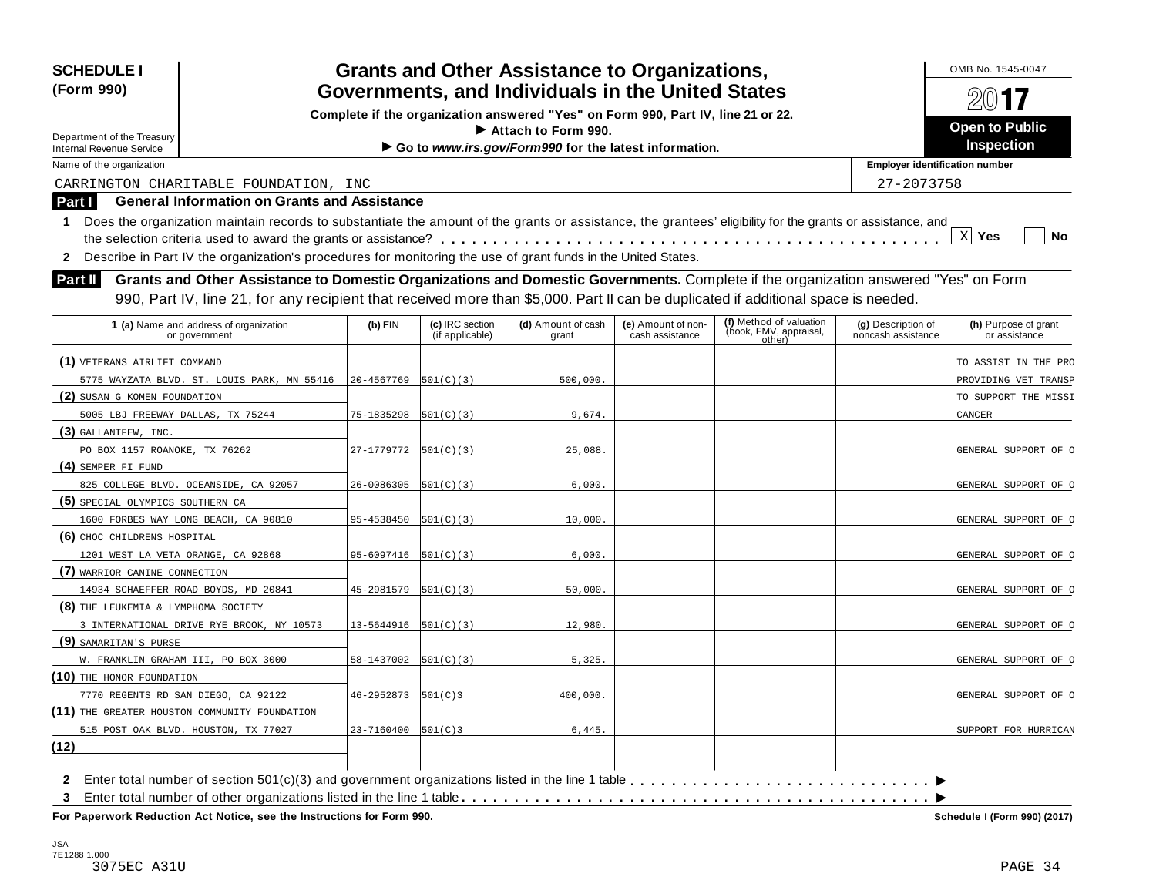| <b>SCHEDULE I</b><br>(Form 990)                                                                                                                                  |                         |                                    | <b>Grants and Other Assistance to Organizations,</b><br>Governments, and Individuals in the United States |                                       |                                                             |                                          | OMB No. 1545-0047<br>$201$ <b>17</b>  |
|------------------------------------------------------------------------------------------------------------------------------------------------------------------|-------------------------|------------------------------------|-----------------------------------------------------------------------------------------------------------|---------------------------------------|-------------------------------------------------------------|------------------------------------------|---------------------------------------|
|                                                                                                                                                                  |                         |                                    | Complete if the organization answered "Yes" on Form 990, Part IV, line 21 or 22.                          |                                       |                                                             |                                          |                                       |
| Department of the Treasury                                                                                                                                       |                         |                                    | $\blacktriangleright$ Attach to Form 990.                                                                 |                                       |                                                             |                                          | <b>Open to Public</b>                 |
| <b>Internal Revenue Service</b>                                                                                                                                  |                         | Inspection                         |                                                                                                           |                                       |                                                             |                                          |                                       |
| Name of the organization                                                                                                                                         |                         |                                    |                                                                                                           |                                       |                                                             | <b>Employer identification number</b>    |                                       |
| CARRINGTON CHARITABLE FOUNDATION, INC                                                                                                                            |                         |                                    |                                                                                                           |                                       |                                                             | 27-2073758                               |                                       |
| <b>General Information on Grants and Assistance</b><br>Part I                                                                                                    |                         |                                    |                                                                                                           |                                       |                                                             |                                          |                                       |
| Does the organization maintain records to substantiate the amount of the grants or assistance, the grantees' eligibility for the grants or assistance, and<br>1. |                         |                                    |                                                                                                           |                                       |                                                             |                                          |                                       |
|                                                                                                                                                                  |                         |                                    |                                                                                                           |                                       |                                                             |                                          | $X$ Yes<br>No                         |
| Describe in Part IV the organization's procedures for monitoring the use of grant funds in the United States.<br>$\mathbf{2}$                                    |                         |                                    |                                                                                                           |                                       |                                                             |                                          |                                       |
| Grants and Other Assistance to Domestic Organizations and Domestic Governments. Complete if the organization answered "Yes" on Form<br><b>Part II</b>            |                         |                                    |                                                                                                           |                                       |                                                             |                                          |                                       |
| 990, Part IV, line 21, for any recipient that received more than \$5,000. Part II can be duplicated if additional space is needed.                               |                         |                                    |                                                                                                           |                                       |                                                             |                                          |                                       |
|                                                                                                                                                                  |                         |                                    |                                                                                                           |                                       |                                                             |                                          |                                       |
| 1 (a) Name and address of organization<br>or government                                                                                                          | $(b)$ EIN               | (c) IRC section<br>(if applicable) | (d) Amount of cash<br>grant                                                                               | (e) Amount of non-<br>cash assistance | (f) Method of valuation<br>(book, FMV, appraisal,<br>other) | (g) Description of<br>noncash assistance | (h) Purpose of grant<br>or assistance |
| (1) VETERANS AIRLIFT COMMAND                                                                                                                                     |                         |                                    |                                                                                                           |                                       |                                                             |                                          | TO ASSIST IN THE PRO                  |
| 5775 WAYZATA BLVD. ST. LOUIS PARK, MN 55416                                                                                                                      | 20-4567769              | 501(C)(3)                          | 500,000.                                                                                                  |                                       |                                                             |                                          | PROVIDING VET TRANSP                  |
| (2) SUSAN G KOMEN FOUNDATION                                                                                                                                     |                         |                                    |                                                                                                           |                                       |                                                             |                                          | TO SUPPORT THE MISSI                  |
| 5005 LBJ FREEWAY DALLAS, TX 75244                                                                                                                                | 75-1835298              | 501(C)(3)                          | 9,674.                                                                                                    |                                       |                                                             |                                          | CANCER                                |
| $(3)$ GALLANTFEW, INC.                                                                                                                                           |                         |                                    |                                                                                                           |                                       |                                                             |                                          |                                       |
| PO BOX 1157 ROANOKE, TX 76262                                                                                                                                    | 27-1779772              | 501(C)(3)                          | 25,088                                                                                                    |                                       |                                                             |                                          | GENERAL SUPPORT OF O                  |
| (4) SEMPER FI FUND                                                                                                                                               |                         |                                    |                                                                                                           |                                       |                                                             |                                          |                                       |
| 825 COLLEGE BLVD. OCEANSIDE, CA 92057                                                                                                                            | 26-0086305              | 501(C)(3)                          | 6,000.                                                                                                    |                                       |                                                             |                                          | GENERAL SUPPORT OF O                  |
| (5) SPECIAL OLYMPICS SOUTHERN CA                                                                                                                                 |                         |                                    |                                                                                                           |                                       |                                                             |                                          |                                       |
| 1600 FORBES WAY LONG BEACH, CA 90810                                                                                                                             | 95-4538450              | 501(C)(3)                          | 10,000.                                                                                                   |                                       |                                                             |                                          | GENERAL SUPPORT OF O                  |
| (6) CHOC CHILDRENS HOSPITAL                                                                                                                                      |                         |                                    |                                                                                                           |                                       |                                                             |                                          |                                       |
| 1201 WEST LA VETA ORANGE, CA 92868                                                                                                                               | 95-6097416              | 501(C)(3)                          | 6,000.                                                                                                    |                                       |                                                             |                                          | GENERAL SUPPORT OF O                  |
| (7) WARRIOR CANINE CONNECTION                                                                                                                                    |                         |                                    |                                                                                                           |                                       |                                                             |                                          |                                       |
| 14934 SCHAEFFER ROAD BOYDS, MD 20841                                                                                                                             | 45-2981579              | 501(C)(3)                          | 50,000.                                                                                                   |                                       |                                                             |                                          | GENERAL SUPPORT OF O                  |
| (8) THE LEUKEMIA & LYMPHOMA SOCIETY                                                                                                                              |                         |                                    |                                                                                                           |                                       |                                                             |                                          |                                       |
| 3 INTERNATIONAL DRIVE RYE BROOK, NY 10573                                                                                                                        | 13-5644916              | 501(C)(3)                          | 12,980.                                                                                                   |                                       |                                                             |                                          | GENERAL SUPPORT OF O                  |
| (9) SAMARITAN'S PURSE                                                                                                                                            |                         |                                    |                                                                                                           |                                       |                                                             |                                          |                                       |
| W. FRANKLIN GRAHAM III, PO BOX 3000                                                                                                                              | 58-1437002              | 501(C)(3)                          | 5,325.                                                                                                    |                                       |                                                             |                                          | GENERAL SUPPORT OF O                  |
| (10) THE HONOR FOUNDATION                                                                                                                                        |                         |                                    |                                                                                                           |                                       |                                                             |                                          |                                       |
| 7770 REGENTS RD SAN DIEGO, CA 92122                                                                                                                              | $46 - 2952873$ 501(C) 3 |                                    | 400,000.                                                                                                  |                                       |                                                             |                                          | GENERAL SUPPORT OF O                  |
| (11) THE GREATER HOUSTON COMMUNITY FOUNDATION                                                                                                                    |                         |                                    |                                                                                                           |                                       |                                                             |                                          |                                       |
| 515 POST OAK BLVD. HOUSTON, TX 77027                                                                                                                             | 23-7160400 501(C)3      |                                    | 6,445.                                                                                                    |                                       |                                                             |                                          | SUPPORT FOR HURRICAN                  |
| (12)                                                                                                                                                             |                         |                                    |                                                                                                           |                                       |                                                             |                                          |                                       |
| $\mathbf{2}$                                                                                                                                                     |                         |                                    |                                                                                                           |                                       |                                                             |                                          |                                       |
| 3                                                                                                                                                                |                         |                                    |                                                                                                           |                                       |                                                             |                                          |                                       |
| For Paperwork Reduction Act Notice, see the Instructions for Form 990.                                                                                           |                         |                                    |                                                                                                           |                                       |                                                             |                                          | Schedule I (Form 990) (2017)          |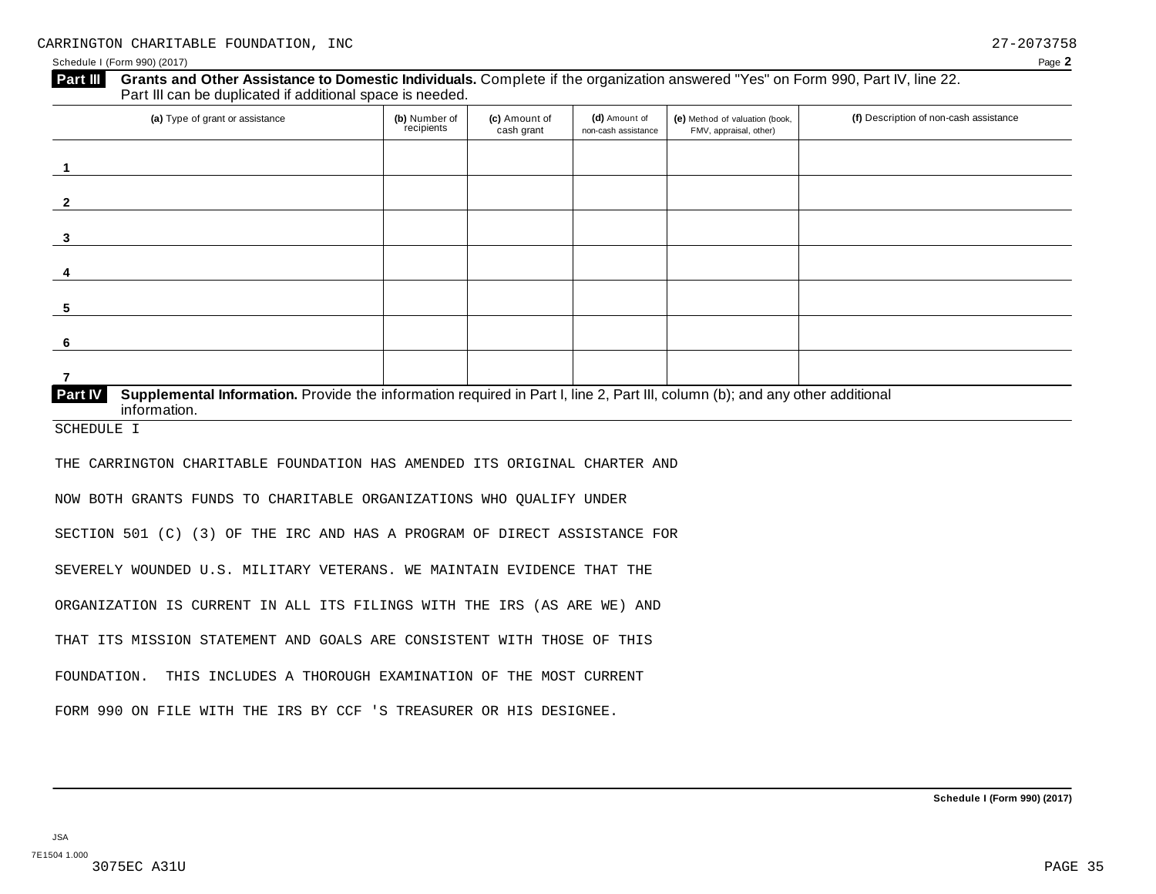## **Grants and Other Assistance to Domestic Individuals.** Complete ifthe organization answered "Yes" on Form 990, Part IV, line 22. **Part III** Grants and Other Assistance to Domestic Individuals<br>Part III can be duplicated if additional space is needed.

| (a) Type of grant or assistance                                                                                                                         | (b) Number of<br>recipients | (c) Amount of<br>cash grant | (d) Amount of<br>non-cash assistance | (e) Method of valuation (book,<br>FMV, appraisal, other) | (f) Description of non-cash assistance |
|---------------------------------------------------------------------------------------------------------------------------------------------------------|-----------------------------|-----------------------------|--------------------------------------|----------------------------------------------------------|----------------------------------------|
|                                                                                                                                                         |                             |                             |                                      |                                                          |                                        |
| $\overline{2}$                                                                                                                                          |                             |                             |                                      |                                                          |                                        |
| 3                                                                                                                                                       |                             |                             |                                      |                                                          |                                        |
| 4                                                                                                                                                       |                             |                             |                                      |                                                          |                                        |
| 5                                                                                                                                                       |                             |                             |                                      |                                                          |                                        |
| -6                                                                                                                                                      |                             |                             |                                      |                                                          |                                        |
|                                                                                                                                                         |                             |                             |                                      |                                                          |                                        |
| Part IV<br>Supplemental Information. Provide the information required in Part I, line 2, Part III, column (b); and any other additional<br>information. |                             |                             |                                      |                                                          |                                        |

SCHEDULE I

THE CARRINGTON CHARITABLE FOUNDATION HAS AMENDED ITS ORIGINAL CHARTER AND

NOW BOTH GRANTS FUNDS TO CHARITABLE ORGANIZATIONS WHO QUALIFY UNDER

SECTION 501 (C) (3) OF THE IRC AND HAS A PROGRAM OF DIRECT ASSISTANCE FOR

SEVERELY WOUNDED U.S. MILITARY VETERANS. WE MAINTAIN EVIDENCE THAT THE

ORGANIZATION IS CURRENT IN ALL ITS FILINGS WITH THE IRS (AS ARE WE) AND

THAT ITS MISSION STATEMENT AND GOALS ARE CONSISTENT WITH THOSE OF THIS

FOUNDATION. THIS INCLUDES A THOROUGH EXAMINATION OF THE MOST CURRENT

FORM 990 ON FILE WITH THE IRS BY CCF 'S TREASURER OR HIS DESIGNEE.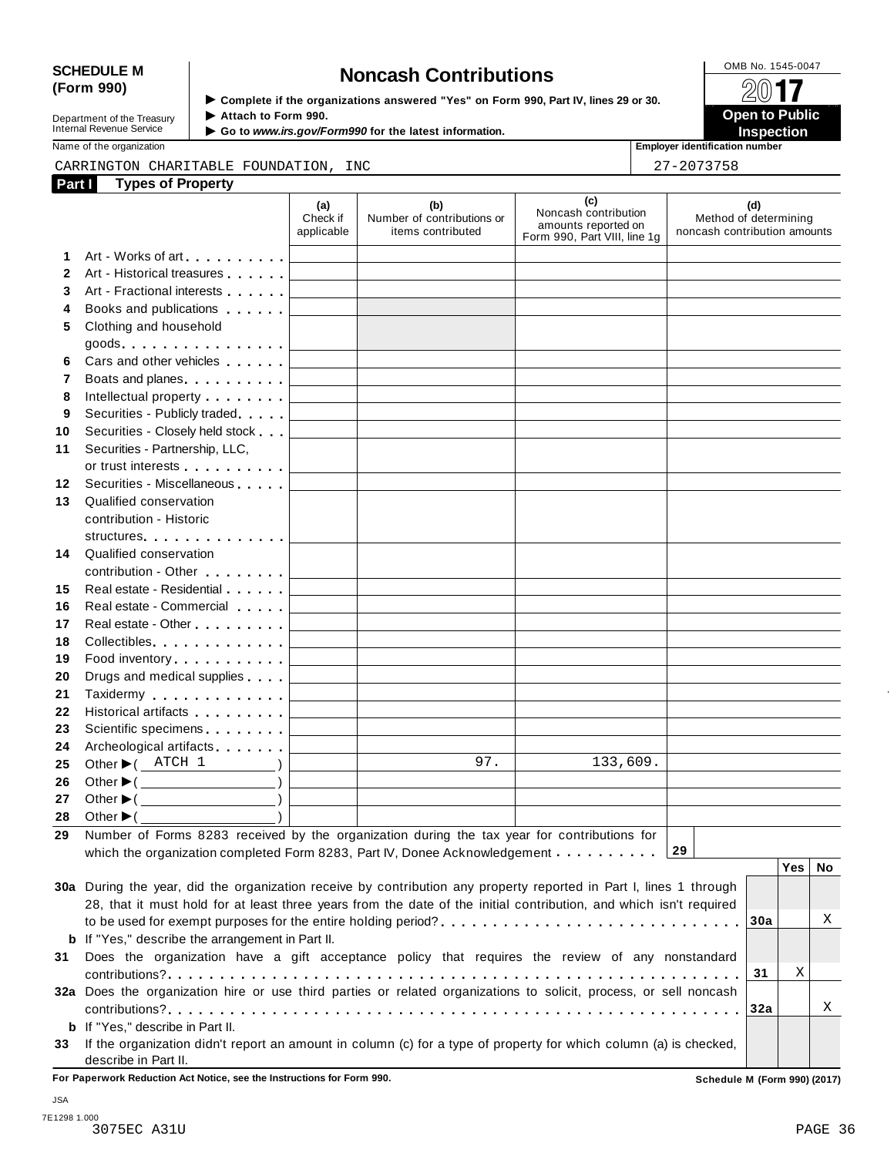## SCHEDULE M<br>
(Form 990) **Schedule Moncash Contributions**<br>  $\begin{array}{r} \hline \text{OMB No. 1545-0047} \\ \hline \text{Complete if the organizations answered "Yes" on Form 990 Part IV lines 29 or 30.} \end{array}$

**Department of the Treasury<br>Internal Revenue Service** 

**Examplete** if the organizations answered "Yes" on Form 990, Part IV, lines 29 or 30. △△○■■<br>▶ Attach to Form 990. **Department of the Treasury ▶ Attach to Form 990.**<br>Internal Revenue Service ▶ Go to *www.irs.gov/Form990* for the latest information.<br>Nome of the organization, authorities in a support of the latest information.

|              | Name of the organization                                                                                                                                                                                                             |                                   |                                                                            |                                                                                    | <b>Employer identification number</b>                        |
|--------------|--------------------------------------------------------------------------------------------------------------------------------------------------------------------------------------------------------------------------------------|-----------------------------------|----------------------------------------------------------------------------|------------------------------------------------------------------------------------|--------------------------------------------------------------|
|              | CARRINGTON CHARITABLE FOUNDATION, INC                                                                                                                                                                                                |                                   |                                                                            |                                                                                    | 27-2073758                                                   |
|              | <b>Types of Property</b><br>Part I                                                                                                                                                                                                   |                                   |                                                                            |                                                                                    |                                                              |
|              |                                                                                                                                                                                                                                      | (a)<br>Check if<br>applicable     | (b)<br>Number of contributions or<br>items contributed                     | (c)<br>Noncash contribution<br>amounts reported on<br>Form 990, Part VIII, line 1g | (d)<br>Method of determining<br>noncash contribution amounts |
| 1.           |                                                                                                                                                                                                                                      |                                   |                                                                            |                                                                                    |                                                              |
| $\mathbf{2}$ | Art - Historical treasures                                                                                                                                                                                                           |                                   |                                                                            |                                                                                    |                                                              |
| 3            | Art - Fractional interests                                                                                                                                                                                                           |                                   |                                                                            |                                                                                    |                                                              |
| 4            | Books and publications expansion and publications                                                                                                                                                                                    |                                   |                                                                            |                                                                                    |                                                              |
| 5            | Clothing and household                                                                                                                                                                                                               |                                   |                                                                            |                                                                                    |                                                              |
|              |                                                                                                                                                                                                                                      |                                   |                                                                            |                                                                                    |                                                              |
| 6            | Cars and other vehicles <b>Cars</b>                                                                                                                                                                                                  |                                   |                                                                            |                                                                                    |                                                              |
| 7            | Boats and planes <b>Exercise 2</b>                                                                                                                                                                                                   |                                   |                                                                            |                                                                                    |                                                              |
| 8            | Intellectual property entering the state of                                                                                                                                                                                          |                                   |                                                                            |                                                                                    |                                                              |
| 9            | Securities - Publicly traded                                                                                                                                                                                                         |                                   |                                                                            |                                                                                    |                                                              |
| 10           | Securities - Closely held stock                                                                                                                                                                                                      |                                   |                                                                            |                                                                                    |                                                              |
| 11           | Securities - Partnership, LLC,                                                                                                                                                                                                       |                                   |                                                                            |                                                                                    |                                                              |
|              | or trust interests experience that the set of the set of the set of the set of the set of the set of the set of the set of the set of the set of the set of the set of the set of the set of the set of the set of the set of        |                                   |                                                                            |                                                                                    |                                                              |
| 12           | Securities - Miscellaneous                                                                                                                                                                                                           |                                   |                                                                            |                                                                                    |                                                              |
| 13           | Qualified conservation                                                                                                                                                                                                               |                                   |                                                                            |                                                                                    |                                                              |
|              | contribution - Historic                                                                                                                                                                                                              |                                   |                                                                            |                                                                                    |                                                              |
|              | structures <b>and the structures</b>                                                                                                                                                                                                 |                                   |                                                                            |                                                                                    |                                                              |
| 14           | Qualified conservation                                                                                                                                                                                                               |                                   |                                                                            |                                                                                    |                                                              |
|              | contribution - Other <b>Contribution</b>                                                                                                                                                                                             |                                   |                                                                            |                                                                                    |                                                              |
| 15           | Real estate - Residential                                                                                                                                                                                                            |                                   |                                                                            |                                                                                    |                                                              |
| 16           | Real estate - Commercial                                                                                                                                                                                                             |                                   |                                                                            |                                                                                    |                                                              |
| 17           | Real estate - Other <b>Called a Strategie and Taylor</b>                                                                                                                                                                             |                                   |                                                                            |                                                                                    |                                                              |
| 18           | Collectibles                                                                                                                                                                                                                         |                                   |                                                                            |                                                                                    |                                                              |
| 19           | Food inventory                                                                                                                                                                                                                       |                                   |                                                                            |                                                                                    |                                                              |
| 20           | Drugs and medical supplies                                                                                                                                                                                                           |                                   |                                                                            |                                                                                    |                                                              |
| 21<br>22     | Taxidermy <b>Communist Communist Communist Communist Communist Communist Communist Communist Communist Communist Communist Communist Communist Communist Communist Communist Communist Communist Communist Communist Communist C</b> |                                   |                                                                            |                                                                                    |                                                              |
| 23           | Historical artifacts <b>All Accords</b><br>Scientific specimens <b>Scientific specimens</b>                                                                                                                                          |                                   |                                                                            |                                                                                    |                                                              |
| 24           | Archeological artifacts <b>Archeological</b>                                                                                                                                                                                         |                                   | the control of the control of the control of the control of the control of |                                                                                    |                                                              |
| 25           | Other $\blacktriangleright$ ( $\blacktriangle$ ATCH 1<br>$\overline{\phantom{a}}$                                                                                                                                                    | <b>Contract Contract Contract</b> | 97.                                                                        | 133,609.                                                                           |                                                              |
| 26           | Other $\blacktriangleright$ ( $\_\_\_\_\_\_\_\_$ )                                                                                                                                                                                   |                                   |                                                                            |                                                                                    |                                                              |
| 27           | Other $\blacktriangleright$ (                                                                                                                                                                                                        |                                   |                                                                            |                                                                                    |                                                              |
| 28           | Other $\blacktriangleright$ (                                                                                                                                                                                                        |                                   |                                                                            |                                                                                    |                                                              |
| 29           | Number of Forms 8283 received by the organization during the tax year for contributions for                                                                                                                                          |                                   |                                                                            |                                                                                    |                                                              |
|              | which the organization completed Form 8283, Part IV, Donee Acknowledgement                                                                                                                                                           |                                   |                                                                            |                                                                                    | 29                                                           |
|              |                                                                                                                                                                                                                                      |                                   |                                                                            |                                                                                    | Yes<br>No                                                    |
|              | 30a During the year, did the organization receive by contribution any property reported in Part I, lines 1 through                                                                                                                   |                                   |                                                                            |                                                                                    |                                                              |
|              | 28, that it must hold for at least three years from the date of the initial contribution, and which isn't required                                                                                                                   |                                   |                                                                            |                                                                                    |                                                              |
|              |                                                                                                                                                                                                                                      |                                   |                                                                            |                                                                                    | Χ<br>30a                                                     |
|              |                                                                                                                                                                                                                                      |                                   |                                                                            |                                                                                    |                                                              |

|    | <b>b</b> If "Yes," describe the arrangement in Part II.                                                           |  |              |
|----|-------------------------------------------------------------------------------------------------------------------|--|--------------|
|    | 31 Does the organization have a gift acceptance policy that requires the review of any nonstandard                |  |              |
|    |                                                                                                                   |  |              |
|    | 32a Does the organization hire or use third parties or related organizations to solicit, process, or sell noncash |  |              |
|    |                                                                                                                   |  | $\mathbf{X}$ |
|    | <b>b</b> If "Yes." describe in Part II.                                                                           |  |              |
| 33 | If the organization didn't report an amount in column (c) for a type of property for which column (a) is checked, |  |              |
|    | describe in Part II.                                                                                              |  |              |

**For Paperwork Reduction Act Notice, see the Instructions for Form 990. Schedule M (Form 990) (2017)**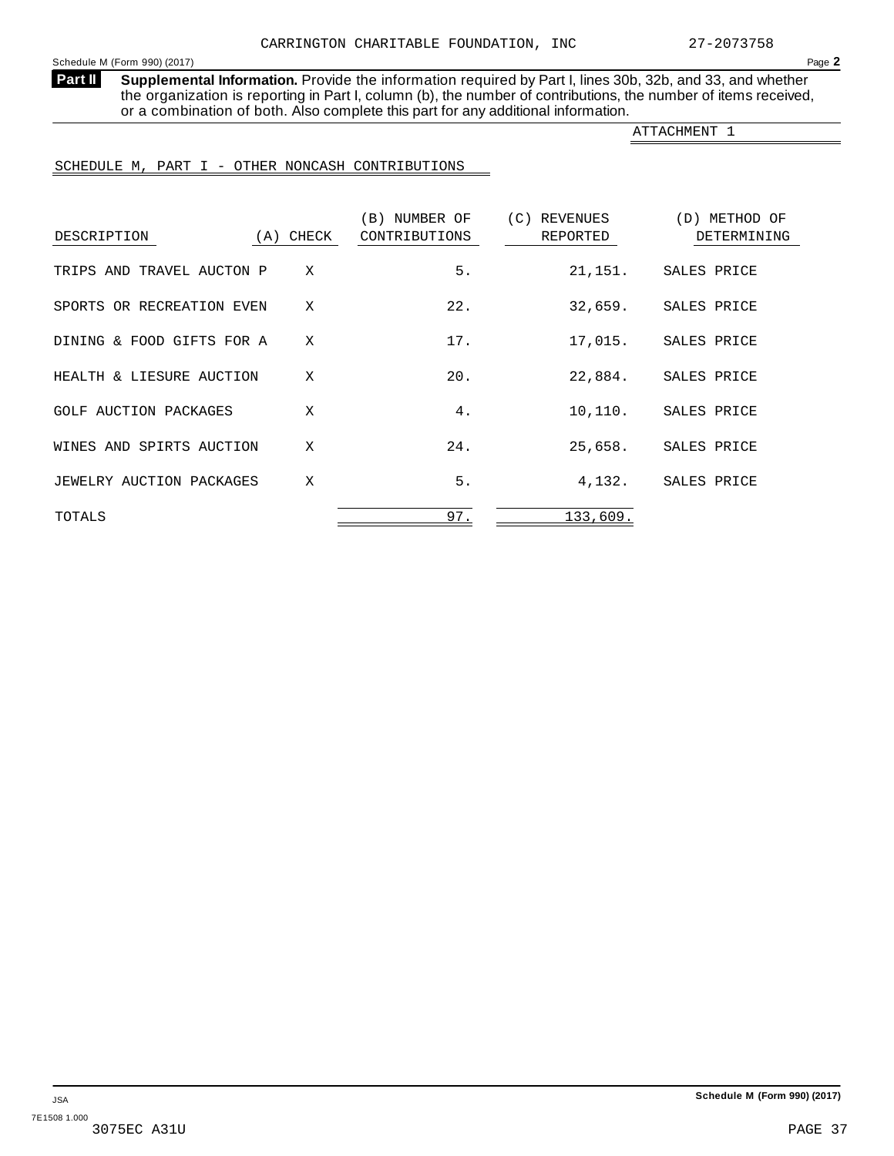<span id="page-36-0"></span>**Supplemental Information.** Provide the information required by Part I, lines 30b, 32b, and 33, and whether the organization is reporting in Part I, column (b), the number of contributions, the number of items received, or a combination of both. Also complete this part for any additional information. **Part II**

ATTACHMENT 1

## SCHEDULE M, PART I - OTHER NONCASH CONTRIBUTIONS

| DESCRIPTION               | (A) CHECK | (B) NUMBER OF<br>CONTRIBUTIONS | (C)<br>REVENUES<br>REPORTED | (D) METHOD OF<br>DETERMINING |
|---------------------------|-----------|--------------------------------|-----------------------------|------------------------------|
| TRIPS AND TRAVEL AUCTON P | X         | 5.                             | 21,151.                     | SALES PRICE                  |
| SPORTS OR RECREATION EVEN | X         | 22.                            | 32,659.                     | SALES PRICE                  |
| DINING & FOOD GIFTS FOR A | X         | 17.                            | 17,015.                     | SALES PRICE                  |
| HEALTH & LIESURE AUCTION  | X         | 20.                            | 22,884.                     | SALES PRICE                  |
| GOLF AUCTION PACKAGES     | X         | 4.                             | 10,110.                     | SALES PRICE                  |
| WINES AND SPIRTS AUCTION  | X         | 24.                            | 25,658.                     | SALES PRICE                  |
| JEWELRY AUCTION PACKAGES  | X         | 5.                             | 4,132.                      | SALES PRICE                  |
| TOTALS                    |           | 97.                            | 133,609.                    |                              |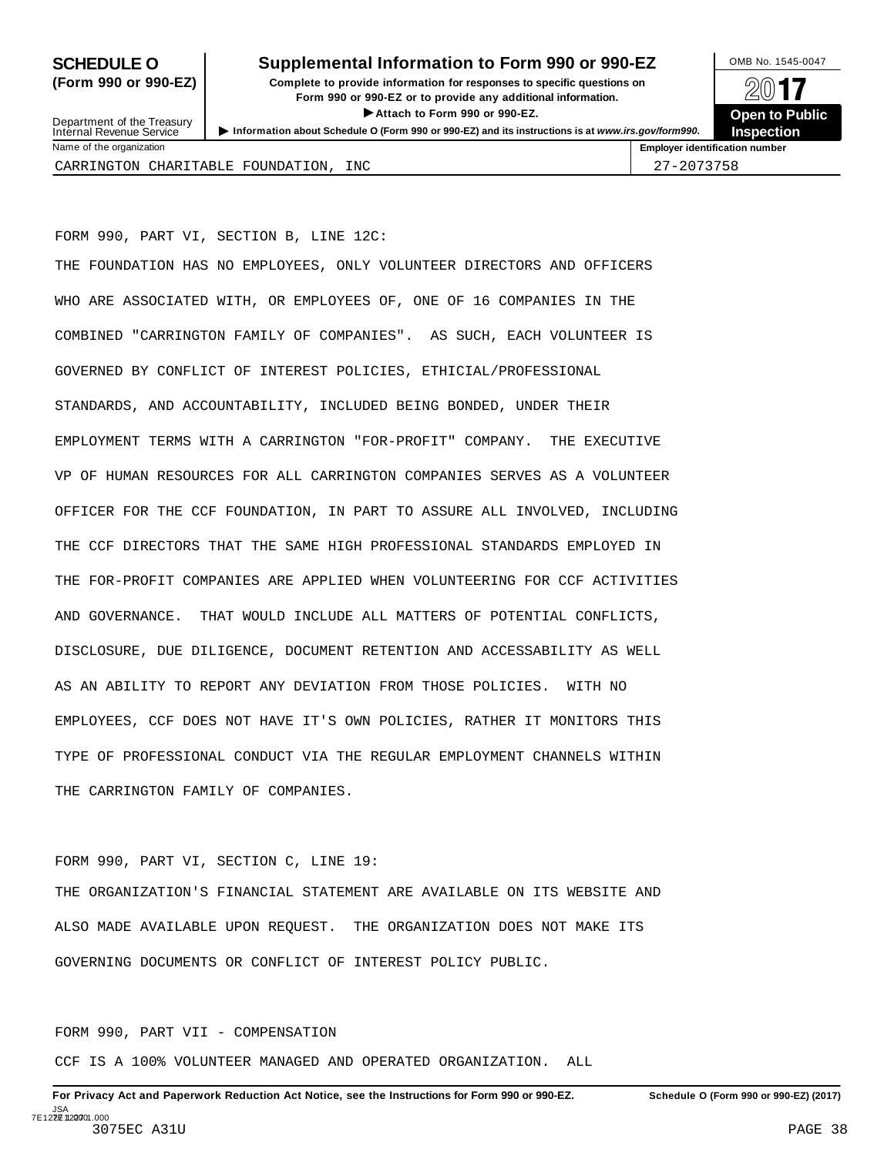## **SCHEDULE O** Supplemental Information to Form 990 or 990-EZ DMB No. 1545-0047

**(Form 990 or 990-EZ) Complete to provide information for responses to specific questions on** plete to provide information for responses to specific questions on  $\Box$   $\Box$   $\Box$ I**Attach to Form <sup>990</sup> or 990-EZ. Open to Public**



Department of the Treasury<br>Internal Revenue Service

Department of the Treasury <br>Depen to Public<br>Name of the organization<br>Name of the organization<br>Name of the organization<br>Name of the organization

CARRINGTON CHARITABLE FOUNDATION, INC  $\begin{array}{|c|c|c|c|c|c|}\hline & 27-2073758 & & & \\ \hline \end{array}$ 

FORM 990, PART VI, SECTION B, LINE 12C:

THE FOUNDATION HAS NO EMPLOYEES, ONLY VOLUNTEER DIRECTORS AND OFFICERS WHO ARE ASSOCIATED WITH, OR EMPLOYEES OF, ONE OF 16 COMPANIES IN THE COMBINED "CARRINGTON FAMILY OF COMPANIES". AS SUCH, EACH VOLUNTEER IS GOVERNED BY CONFLICT OF INTEREST POLICIES, ETHICIAL/PROFESSIONAL STANDARDS, AND ACCOUNTABILITY, INCLUDED BEING BONDED, UNDER THEIR EMPLOYMENT TERMS WITH A CARRINGTON "FOR-PROFIT" COMPANY. THE EXECUTIVE VP OF HUMAN RESOURCES FOR ALL CARRINGTON COMPANIES SERVES AS A VOLUNTEER OFFICER FOR THE CCF FOUNDATION, IN PART TO ASSURE ALL INVOLVED, INCLUDING THE CCF DIRECTORS THAT THE SAME HIGH PROFESSIONAL STANDARDS EMPLOYED IN THE FOR-PROFIT COMPANIES ARE APPLIED WHEN VOLUNTEERING FOR CCF ACTIVITIES AND GOVERNANCE. THAT WOULD INCLUDE ALL MATTERS OF POTENTIAL CONFLICTS, DISCLOSURE, DUE DILIGENCE, DOCUMENT RETENTION AND ACCESSABILITY AS WELL AS AN ABILITY TO REPORT ANY DEVIATION FROM THOSE POLICIES. WITH NO EMPLOYEES, CCF DOES NOT HAVE IT'S OWN POLICIES, RATHER IT MONITORS THIS TYPE OF PROFESSIONAL CONDUCT VIA THE REGULAR EMPLOYMENT CHANNELS WITHIN THE CARRINGTON FAMILY OF COMPANIES.

FORM 990, PART VI, SECTION C, LINE 19:

THE ORGANIZATION'S FINANCIAL STATEMENT ARE AVAILABLE ON ITS WEBSITE AND ALSO MADE AVAILABLE UPON REQUEST. THE ORGANIZATION DOES NOT MAKE ITS GOVERNING DOCUMENTS OR CONFLICT OF INTEREST POLICY PUBLIC.

FORM 990, PART VII - COMPENSATION

CCF IS A 100% VOLUNTEER MANAGED AND OPERATED ORGANIZATION. ALL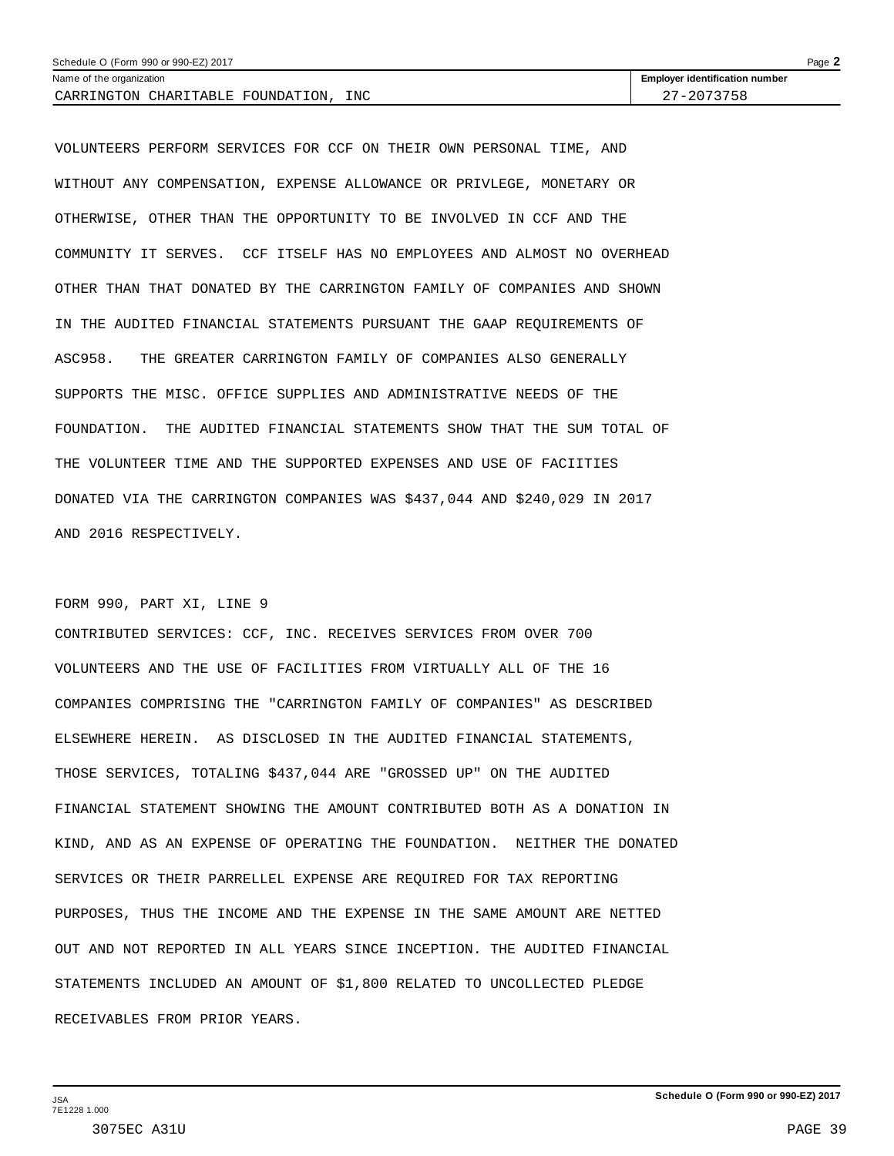| Schedule O (Form 990 or 990-EZ) 2017     | Page                                  |
|------------------------------------------|---------------------------------------|
| Name of the organization                 | <b>Employer identification number</b> |
| INC<br>CARRINGTON CHARITABLE FOUNDATION. | 27-2073758                            |

VOLUNTEERS PERFORM SERVICES FOR CCF ON THEIR OWN PERSONAL TIME, AND WITHOUT ANY COMPENSATION, EXPENSE ALLOWANCE OR PRIVLEGE, MONETARY OR OTHERWISE, OTHER THAN THE OPPORTUNITY TO BE INVOLVED IN CCF AND THE COMMUNITY IT SERVES. CCF ITSELF HAS NO EMPLOYEES AND ALMOST NO OVERHEAD OTHER THAN THAT DONATED BY THE CARRINGTON FAMILY OF COMPANIES AND SHOWN IN THE AUDITED FINANCIAL STATEMENTS PURSUANT THE GAAP REQUIREMENTS OF ASC958. THE GREATER CARRINGTON FAMILY OF COMPANIES ALSO GENERALLY SUPPORTS THE MISC. OFFICE SUPPLIES AND ADMINISTRATIVE NEEDS OF THE FOUNDATION. THE AUDITED FINANCIAL STATEMENTS SHOW THAT THE SUM TOTAL OF THE VOLUNTEER TIME AND THE SUPPORTED EXPENSES AND USE OF FACIITIES DONATED VIA THE CARRINGTON COMPANIES WAS \$437,044 AND \$240,029 IN 2017 AND 2016 RESPECTIVELY.

## FORM 990, PART XI, LINE 9

CONTRIBUTED SERVICES: CCF, INC. RECEIVES SERVICES FROM OVER 700 VOLUNTEERS AND THE USE OF FACILITIES FROM VIRTUALLY ALL OF THE 16 COMPANIES COMPRISING THE "CARRINGTON FAMILY OF COMPANIES" AS DESCRIBED ELSEWHERE HEREIN. AS DISCLOSED IN THE AUDITED FINANCIAL STATEMENTS, THOSE SERVICES, TOTALING \$437,044 ARE "GROSSED UP" ON THE AUDITED FINANCIAL STATEMENT SHOWING THE AMOUNT CONTRIBUTED BOTH AS A DONATION IN KIND, AND AS AN EXPENSE OF OPERATING THE FOUNDATION. NEITHER THE DONATED SERVICES OR THEIR PARRELLEL EXPENSE ARE REQUIRED FOR TAX REPORTING PURPOSES, THUS THE INCOME AND THE EXPENSE IN THE SAME AMOUNT ARE NETTED OUT AND NOT REPORTED IN ALL YEARS SINCE INCEPTION. THE AUDITED FINANCIAL STATEMENTS INCLUDED AN AMOUNT OF \$1,800 RELATED TO UNCOLLECTED PLEDGE RECEIVABLES FROM PRIOR YEARS.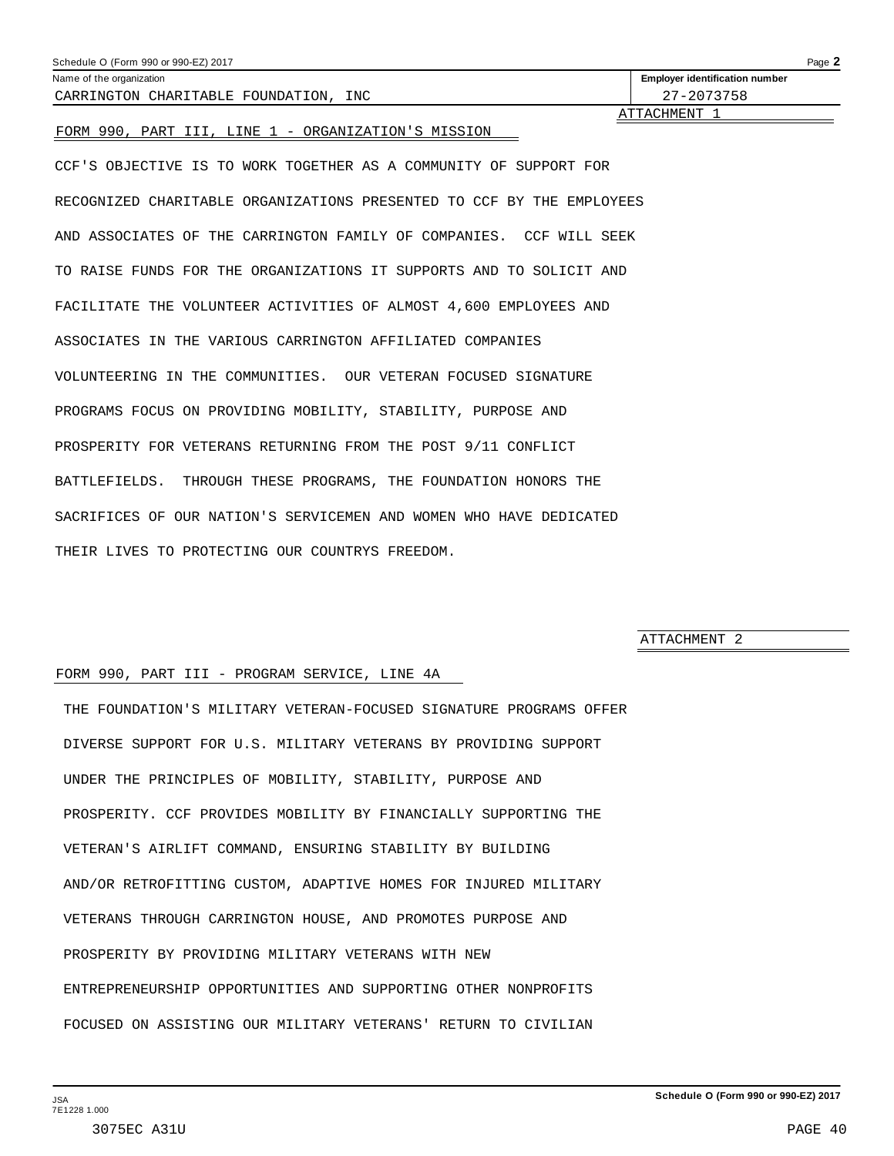<span id="page-39-0"></span>

| Schedule O (Form 990 or 990-EZ) 2017                                  | Page 2                                |
|-----------------------------------------------------------------------|---------------------------------------|
| Name of the organization                                              | <b>Employer identification number</b> |
| CARRINGTON CHARITABLE FOUNDATION, INC                                 | 27-2073758                            |
| FORM 990, PART III, LINE 1 - ORGANIZATION'S MISSION                   | ATTACHMENT 1                          |
| CCF'S OBJECTIVE IS TO WORK TOGETHER AS A COMMUNITY OF SUPPORT FOR     |                                       |
| RECOGNIZED CHARITABLE ORGANIZATIONS PRESENTED TO CCF BY THE EMPLOYEES |                                       |
| AND ASSOCIATES OF THE CARRINGTON FAMILY OF COMPANIES. CCF WILL SEEK   |                                       |
| TO RAISE FUNDS FOR THE ORGANIZATIONS IT SUPPORTS AND TO SOLICIT AND   |                                       |
| FACILITATE THE VOLUNTEER ACTIVITIES OF ALMOST 4,600 EMPLOYEES AND     |                                       |
| ASSOCIATES IN THE VARIOUS CARRINGTON AFFILIATED COMPANIES             |                                       |
| VOLUNTEERING IN THE COMMUNITIES. OUR VETERAN FOCUSED SIGNATURE        |                                       |
| PROGRAMS FOCUS ON PROVIDING MOBILITY, STABILITY, PURPOSE AND          |                                       |
| PROSPERITY FOR VETERANS RETURNING FROM THE POST 9/11 CONFLICT         |                                       |
| THROUGH THESE PROGRAMS, THE FOUNDATION HONORS THE<br>BATTLEFIELDS.    |                                       |

THEIR LIVES TO PROTECTING OUR COUNTRYS FREEDOM.

SACRIFICES OF OUR NATION'S SERVICEMEN AND WOMEN WHO HAVE DEDICATED

ATTACHMENT 2

## FORM 990, PART III - PROGRAM SERVICE, LINE 4A

THE FOUNDATION'S MILITARY VETERAN-FOCUSED SIGNATURE PROGRAMS OFFER DIVERSE SUPPORT FOR U.S. MILITARY VETERANS BY PROVIDING SUPPORT UNDER THE PRINCIPLES OF MOBILITY, STABILITY, PURPOSE AND PROSPERITY. CCF PROVIDES MOBILITY BY FINANCIALLY SUPPORTING THE VETERAN'S AIRLIFT COMMAND, ENSURING STABILITY BY BUILDING AND/OR RETROFITTING CUSTOM, ADAPTIVE HOMES FOR INJURED MILITARY VETERANS THROUGH CARRINGTON HOUSE, AND PROMOTES PURPOSE AND PROSPERITY BY PROVIDING MILITARY VETERANS WITH NEW ENTREPRENEURSHIP OPPORTUNITIES AND SUPPORTING OTHER NONPROFITS FOCUSED ON ASSISTING OUR MILITARY VETERANS' RETURN TO CIVILIAN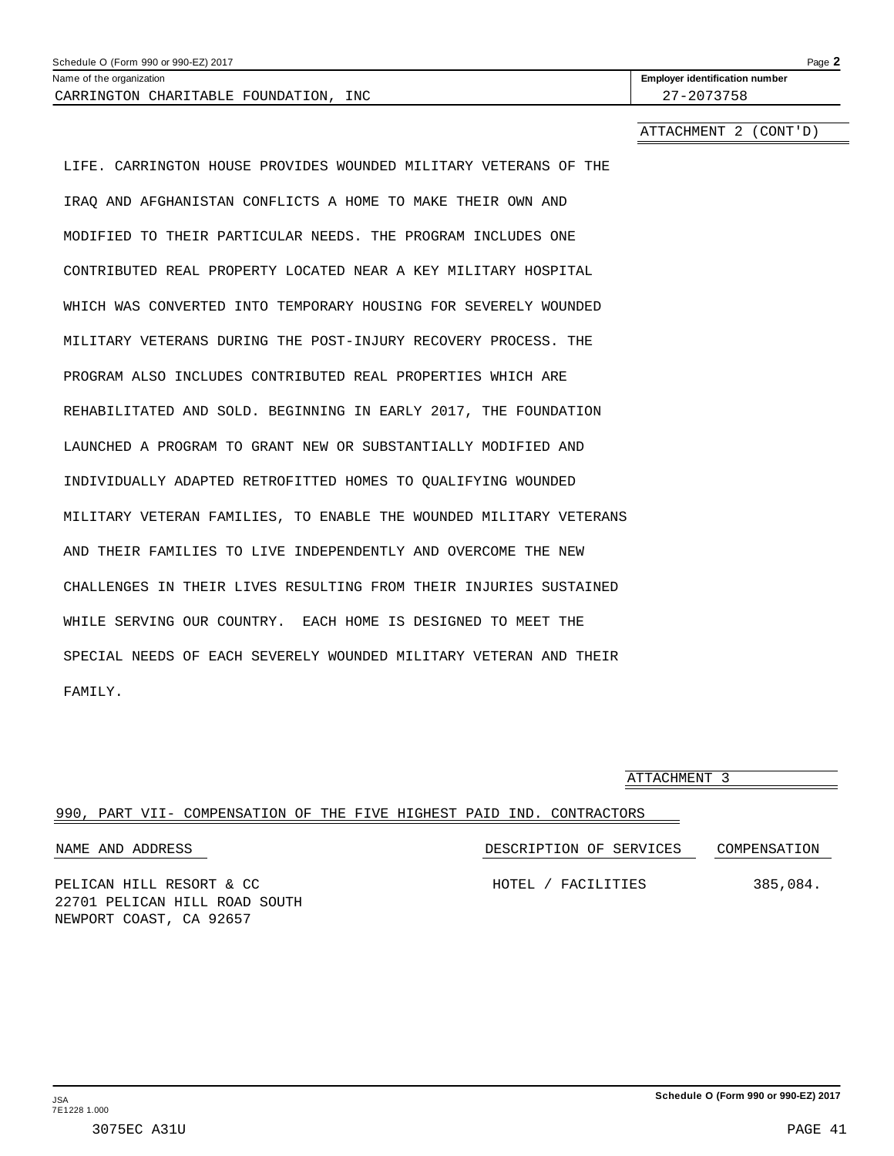<span id="page-40-0"></span>

| Schedule O (Form 990 or 990-EZ) 2017     | Page $\blacktriangle$                 |
|------------------------------------------|---------------------------------------|
| Name of the organization                 | <b>Employer identification number</b> |
| CARRINGTON CHARITABLE FOUNDATION.<br>INC | 27-2073758                            |

ATTACHMENT 2 (CONT'D)

LIFE. CARRINGTON HOUSE PROVIDES WOUNDED MILITARY VETERANS OF THE IRAQ AND AFGHANISTAN CONFLICTS A HOME TO MAKE THEIR OWN AND MODIFIED TO THEIR PARTICULAR NEEDS. THE PROGRAM INCLUDES ONE CONTRIBUTED REAL PROPERTY LOCATED NEAR A KEY MILITARY HOSPITAL WHICH WAS CONVERTED INTO TEMPORARY HOUSING FOR SEVERELY WOUNDED MILITARY VETERANS DURING THE POST-INJURY RECOVERY PROCESS. THE PROGRAM ALSO INCLUDES CONTRIBUTED REAL PROPERTIES WHICH ARE REHABILITATED AND SOLD. BEGINNING IN EARLY 2017, THE FOUNDATION LAUNCHED A PROGRAM TO GRANT NEW OR SUBSTANTIALLY MODIFIED AND INDIVIDUALLY ADAPTED RETROFITTED HOMES TO QUALIFYING WOUNDED MILITARY VETERAN FAMILIES, TO ENABLE THE WOUNDED MILITARY VETERANS AND THEIR FAMILIES TO LIVE INDEPENDENTLY AND OVERCOME THE NEW CHALLENGES IN THEIR LIVES RESULTING FROM THEIR INJURIES SUSTAINED WHILE SERVING OUR COUNTRY. EACH HOME IS DESIGNED TO MEET THE SPECIAL NEEDS OF EACH SEVERELY WOUNDED MILITARY VETERAN AND THEIR FAMILY.

|                                                                       | ATTACHMENT 3            |              |
|-----------------------------------------------------------------------|-------------------------|--------------|
| 990, PART VII- COMPENSATION OF THE FIVE HIGHEST PAID IND. CONTRACTORS |                         |              |
| NAME AND ADDRESS                                                      | DESCRIPTION OF SERVICES | COMPENSATION |
| PELICAN HILL RESORT & CC<br>22701 PELICAN HILL ROAD SOUTH             | HOTEL / FACILITIES      | 385,084.     |

NEWPORT COAST, CA 92657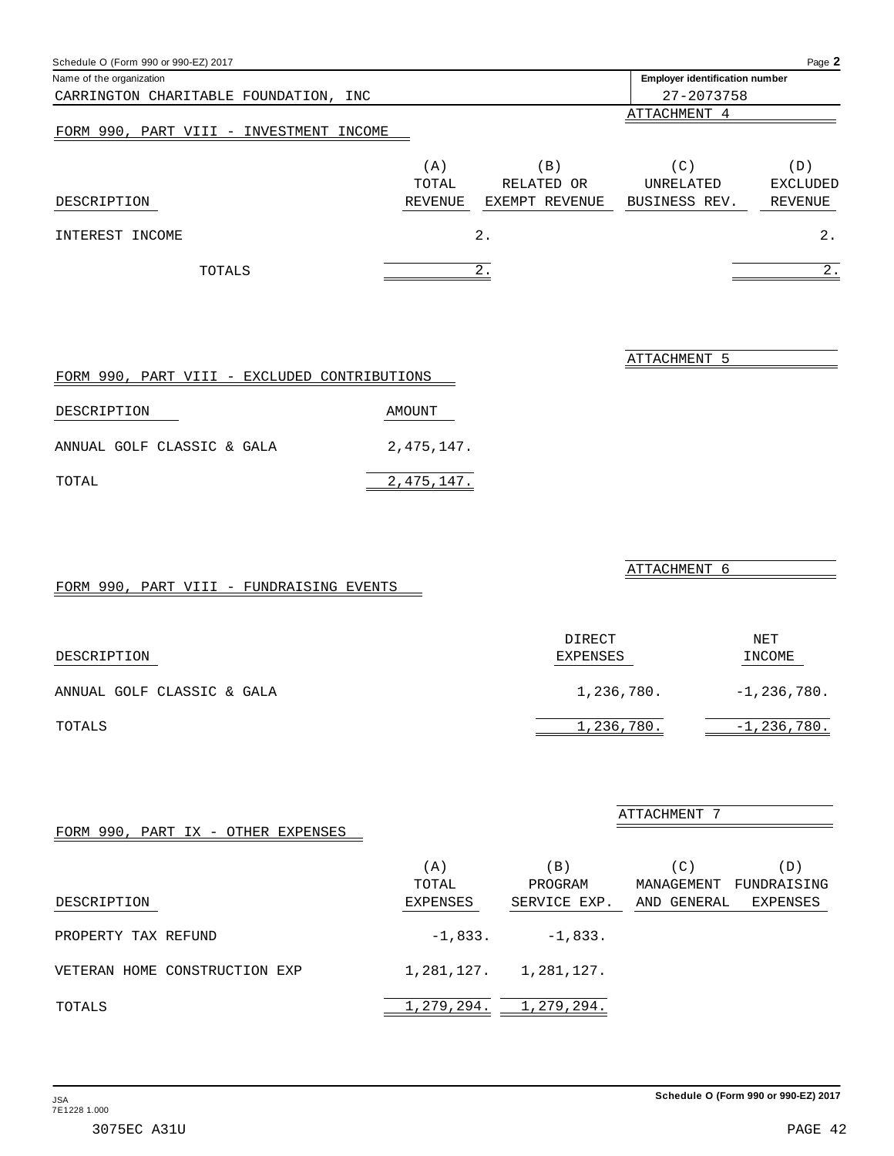<span id="page-41-0"></span>

| Schedule O (Form 990 or 990-EZ) 2017       |              |                               |                                       | Page 2          |
|--------------------------------------------|--------------|-------------------------------|---------------------------------------|-----------------|
| Name of the organization                   |              |                               | <b>Employer identification number</b> |                 |
| CARRINGTON CHARITABLE FOUNDATION, INC      |              |                               | 27-2073758                            |                 |
|                                            |              |                               | ATTACHMENT 4                          |                 |
| FORM 990, PART VIII - INVESTMENT<br>INCOME |              |                               |                                       |                 |
|                                            | (A)<br>TOTAL | $\vert B \vert$<br>RELATED OR | (C)<br>UNRELATED                      | (D)<br>EXCLUDED |
| DESCRIPTION                                | REVENUE      | EXEMPT REVENUE                | BUSINESS REV.                         | REVENUE         |
| INTEREST<br>INCOME                         |              | $2$ .                         |                                       | 2.              |
| TOTALS                                     |              | 2.                            |                                       | 2.              |

|                            |  |  | FORM 990, PART VIII - EXCLUDED CONTRIBUTIONS |            |  |
|----------------------------|--|--|----------------------------------------------|------------|--|
| DESCRIPTION                |  |  |                                              | AMOUNT     |  |
| ANNUAL GOLF CLASSIC & GALA |  |  |                                              | 2,475,147. |  |
| TOTAL                      |  |  |                                              | 2,475,147. |  |

|--|

| DESCRIPTION                | DIRECT<br>EXPENSES | NET<br>INCOME |
|----------------------------|--------------------|---------------|
| ANNUAL GOLF CLASSIC & GALA | 1,236,780.         | $-1,236,780.$ |
| TOTALS                     | 1,236,780.         | $-1,236,780.$ |

|  |  |  | FORM 990, PART IX - OTHER EXPENSES |
|--|--|--|------------------------------------|
|  |  |  |                                    |

|                               | (A)             | $\mathbf{B}$ | C)          | $\sqrt{D}$  |
|-------------------------------|-----------------|--------------|-------------|-------------|
|                               | TOTAL           | PROGRAM      | MANAGEMENT  | FUNDRAISING |
| DESCRIPTION                   | <b>EXPENSES</b> | SERVICE EXP. | AND GENERAL | EXPENSES    |
|                               |                 |              |             |             |
| PROPERTY TAX REFUND           | $-1,833.$       | $-1.833.$    |             |             |
|                               |                 |              |             |             |
| VETERAN HOME CONSTRUCTION EXP | 1,281,127.      | 1,281,127.   |             |             |
|                               |                 |              |             |             |
| TOTALS                        | 1,279,294.      | 1,279,294.   |             |             |

ATTACHMENT 5

ATTACHMENT 6

ATTACHMENT 7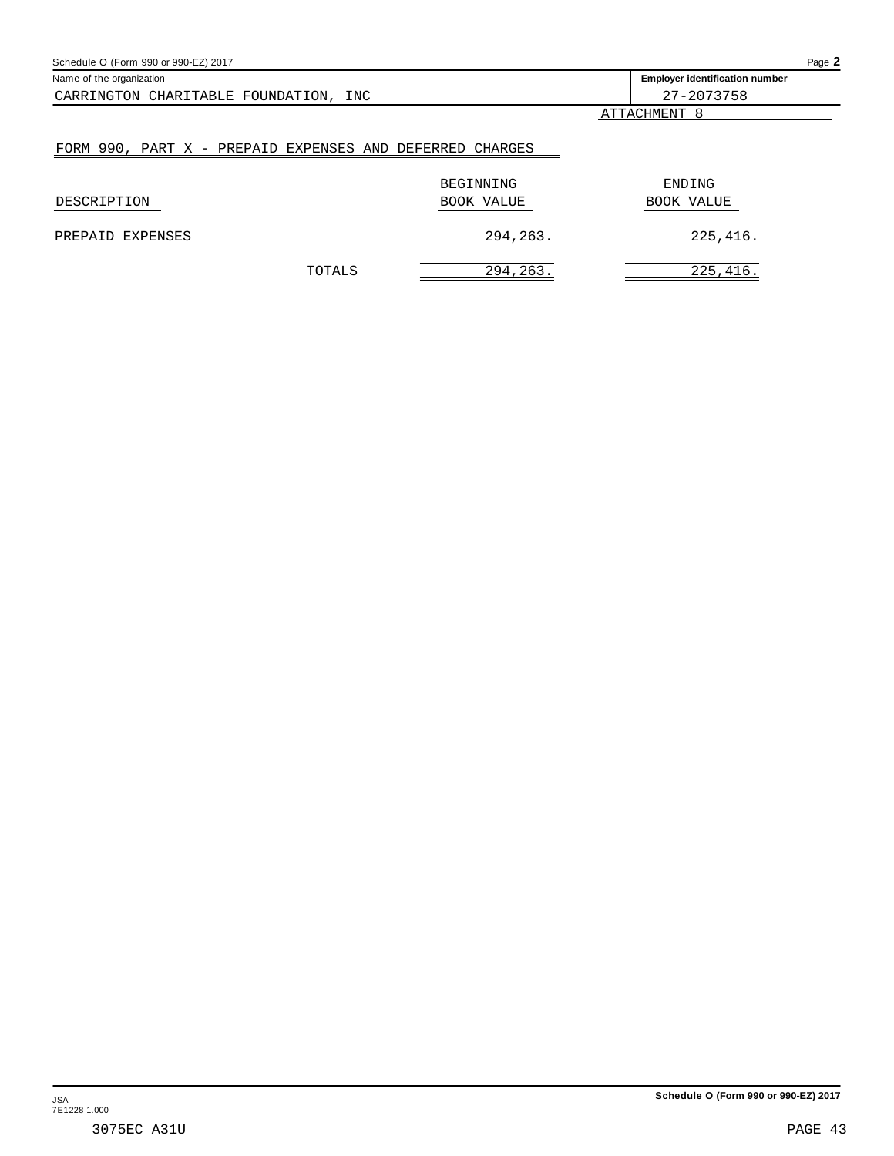<span id="page-42-0"></span>

| Schedule O (Form 990 or 990-EZ) 2017                     |            | Page 2                                |
|----------------------------------------------------------|------------|---------------------------------------|
| Name of the organization                                 |            | <b>Employer identification number</b> |
| CARRINGTON CHARITABLE FOUNDATION, INC                    |            | 27-2073758                            |
|                                                          |            | ATTACHMENT 8                          |
| FORM 990, PART X - PREPAID EXPENSES AND DEFERRED CHARGES |            |                                       |
|                                                          | BEGINNING  | ENDING                                |
| DESCRIPTION                                              | BOOK VALUE | <b>BOOK VALUE</b>                     |
| EXPENSES<br>PREPAID                                      | 294,263.   | 225,416.                              |
| TOTALS                                                   | 294, 263.  | 225,416.                              |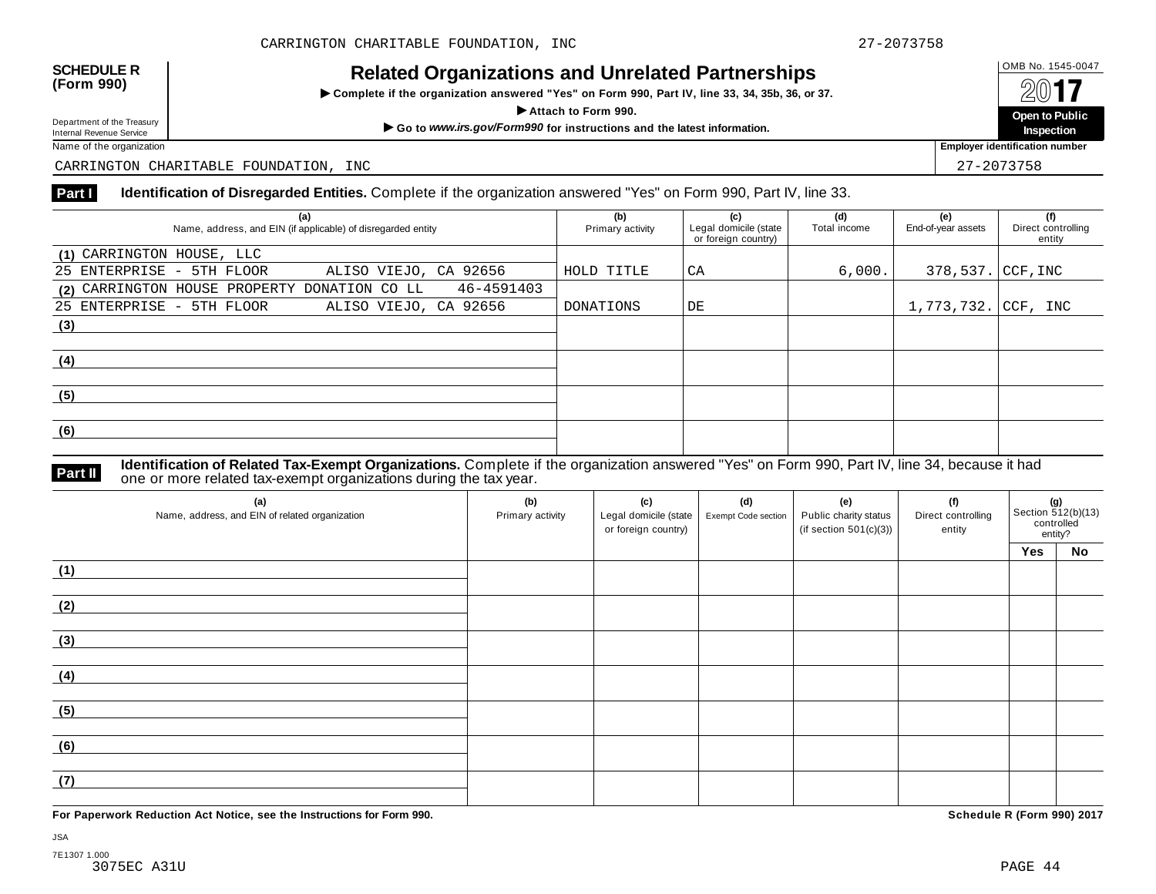## OMB No. 1545-0047 **SCHEDULE R (Form 990) Related Organizations and Unrelated Partnerships**

 $\triangleright$  Complete if the organization answered "Yes" on Form 990, Part IV, line 33, 34, 35b, 36, or 37.



Department of the Treasury<br>Internal Revenue Service

CARRINGTON CHARITABLE FOUNDATION, INC 27-2073758

## **Part I Identification of Disregarded Entities.** Complete if the organization answered "Yes" on Form 990, Part IV, line 33.

| (a)<br>Name, address, and EIN (if applicable) of disregarded entity | (b)<br>Primary activity | (c)<br>Legal domicile (state<br>or foreign country) | (d)<br>Total income | (e)<br>End-of-year assets | (f)<br>Direct controlling<br>entity |
|---------------------------------------------------------------------|-------------------------|-----------------------------------------------------|---------------------|---------------------------|-------------------------------------|
| (1) CARRINGTON HOUSE, LLC                                           |                         |                                                     |                     |                           |                                     |
| 25 ENTERPRISE - 5TH FLOOR<br>ALISO VIEJO, CA 92656                  | HOLD TITLE              | CA                                                  | 6,000.              | 378, 537. CCF, INC        |                                     |
| 46-4591403<br>(2) CARRINGTON HOUSE PROPERTY DONATION CO LL          |                         |                                                     |                     |                           |                                     |
| 25 ENTERPRISE - 5TH FLOOR<br>ALISO VIEJO, CA 92656                  | DONATIONS               | DE                                                  |                     | 1,773,732. CCF, INC       |                                     |
| (3)                                                                 |                         |                                                     |                     |                           |                                     |
|                                                                     |                         |                                                     |                     |                           |                                     |
| (4)                                                                 |                         |                                                     |                     |                           |                                     |
|                                                                     |                         |                                                     |                     |                           |                                     |
| (5)                                                                 |                         |                                                     |                     |                           |                                     |
|                                                                     |                         |                                                     |                     |                           |                                     |
| (6)                                                                 |                         |                                                     |                     |                           |                                     |
|                                                                     |                         |                                                     |                     |                           |                                     |

**Identification of Related Tax-Exempt Organizations.** Complete if the organization answered "Yes" on Form 990, Part IV, line 34, because it had **Part II** one or more related tax-exempt organizations during the tax year.

| (a)<br>Name, address, and EIN of related organization | (b)<br>Primary activity | (c)<br>Legal domicile (state<br>or foreign country) | (d)<br>Exempt Code section | (e)<br>Public charity status<br>(if section $501(c)(3)$ ) | (f)<br>Direct controlling<br>entity | <b>(g)</b><br>Section 512(b)(13)<br>controlled<br>entity? |           |
|-------------------------------------------------------|-------------------------|-----------------------------------------------------|----------------------------|-----------------------------------------------------------|-------------------------------------|-----------------------------------------------------------|-----------|
|                                                       |                         |                                                     |                            |                                                           |                                     | Yes                                                       | <b>No</b> |
| (1)                                                   |                         |                                                     |                            |                                                           |                                     |                                                           |           |
| (2)                                                   |                         |                                                     |                            |                                                           |                                     |                                                           |           |
| (3)                                                   |                         |                                                     |                            |                                                           |                                     |                                                           |           |
| (4)                                                   |                         |                                                     |                            |                                                           |                                     |                                                           |           |
| (5)                                                   |                         |                                                     |                            |                                                           |                                     |                                                           |           |
| (6)                                                   |                         |                                                     |                            |                                                           |                                     |                                                           |           |
| (7)                                                   |                         |                                                     |                            |                                                           |                                     |                                                           |           |

**For Paperwork Reduction Act Notice, see the Instructions for Form 990. Schedule R (Form 990) 2017**

JSA 7E1307 1.000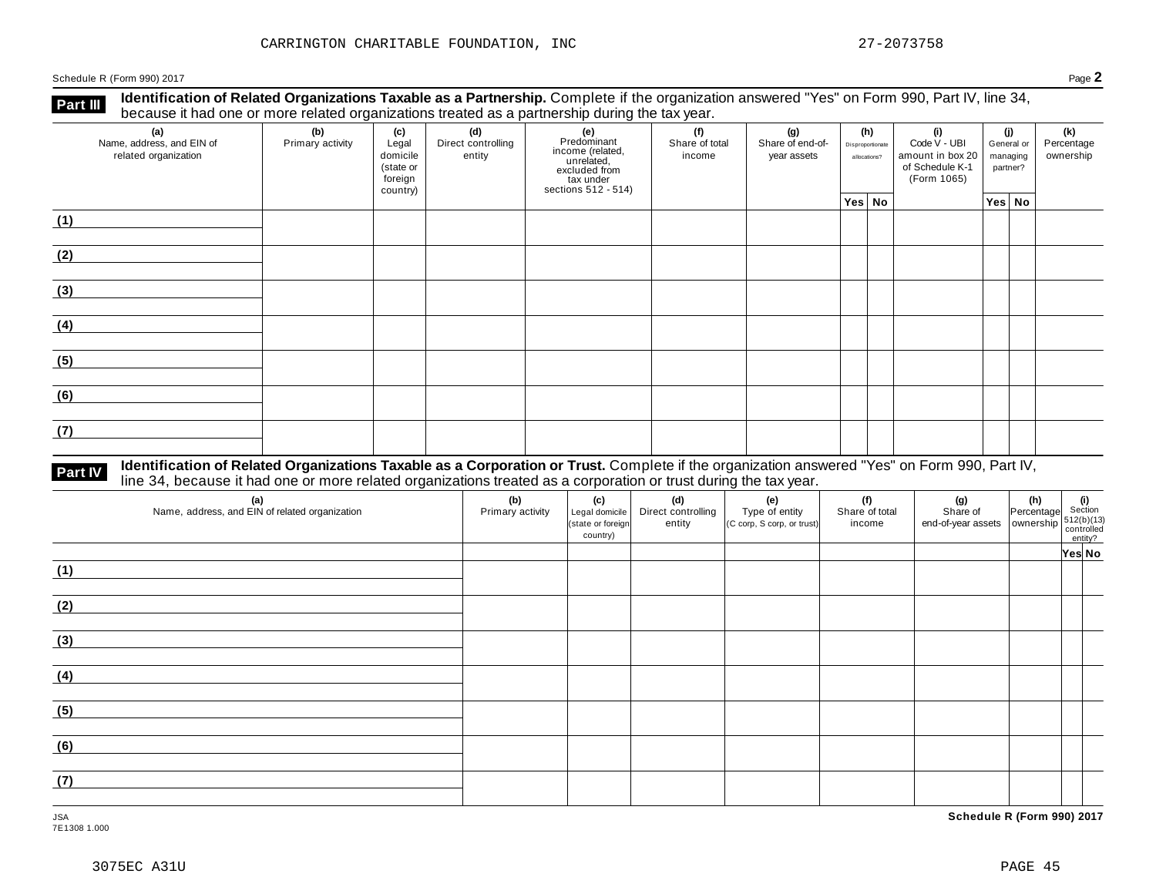Schedule <sup>R</sup> (Form 990) <sup>2017</sup> Page **2**

**Identification of Related Organizations Taxable as a Partnership.** Complete if the organization answered "Yes" on Form 990, Part IV, line 34, **because it had one or more related organizations Taxable as a Partnership.** Complete if the organization of Related organizations treated as a partnership during the tax year.

| (a)<br>Name, address, and EIN of<br>related organization | (b)<br>Primary activity | (c)<br>Legal<br>domicile<br>(state or<br>foreign<br>country) | (d)<br>Direct controlling<br>entity | (e)<br>Predominant<br>Frecomman<br>income (related,<br>unrelated,<br>excluded from<br>sections 512 - 514) | (f)<br>Share of total<br>income | (g)<br>Share of end-of-<br>year assets | (h)<br>Disproportionate<br>allocations? | (i)<br>Code V - UBI<br>amount in box 20<br>of Schedule K-1<br>(Form 1065) | (j)<br>managing<br>partner? | General or | (k)<br>Percentage<br>ownership |
|----------------------------------------------------------|-------------------------|--------------------------------------------------------------|-------------------------------------|-----------------------------------------------------------------------------------------------------------|---------------------------------|----------------------------------------|-----------------------------------------|---------------------------------------------------------------------------|-----------------------------|------------|--------------------------------|
|                                                          |                         |                                                              |                                     |                                                                                                           |                                 |                                        | Yes No                                  |                                                                           | Yes   No                    |            |                                |
| (1)                                                      |                         |                                                              |                                     |                                                                                                           |                                 |                                        |                                         |                                                                           |                             |            |                                |
| (2)                                                      |                         |                                                              |                                     |                                                                                                           |                                 |                                        |                                         |                                                                           |                             |            |                                |
| (3)                                                      |                         |                                                              |                                     |                                                                                                           |                                 |                                        |                                         |                                                                           |                             |            |                                |
| (4)                                                      |                         |                                                              |                                     |                                                                                                           |                                 |                                        |                                         |                                                                           |                             |            |                                |
| (5)                                                      |                         |                                                              |                                     |                                                                                                           |                                 |                                        |                                         |                                                                           |                             |            |                                |
| (6)                                                      |                         |                                                              |                                     |                                                                                                           |                                 |                                        |                                         |                                                                           |                             |            |                                |
| (7)                                                      |                         |                                                              |                                     |                                                                                                           |                                 |                                        |                                         |                                                                           |                             |            |                                |

## **Part IV** Identification of Related Organizations Taxable as a Corporation or Trust. Complete if the organization answered "Yes" on Form 990, Part IV,<br>line 34, because it had one or more related organizations treated as a

| (a)<br>Name, address, and EIN of related organization | (b)<br>Primary activity | (c)<br>Legal domicile<br>(state or foreign<br>country) | (d)<br>Direct controlling<br>entity | (e)<br>Type of entity<br>(C corp, S corp, or trust) | (f)<br>Share of total<br>income | (g) $\left\{\n\begin{array}{ccc}\n\text{(g)} & \text{(h)} & \text{(i)} \\ \text{Share of } & \text{Percentage} & \text{Section} \\ \text{end-of-year assets} & \text{ ownership} & \text{controlled} \\ \text{contribution} & \text{entity?} \\ \end{array}\n\right.$ |        |
|-------------------------------------------------------|-------------------------|--------------------------------------------------------|-------------------------------------|-----------------------------------------------------|---------------------------------|-----------------------------------------------------------------------------------------------------------------------------------------------------------------------------------------------------------------------------------------------------------------------|--------|
|                                                       |                         |                                                        |                                     |                                                     |                                 |                                                                                                                                                                                                                                                                       | Yes No |
| (1)                                                   |                         |                                                        |                                     |                                                     |                                 |                                                                                                                                                                                                                                                                       |        |
| (2)                                                   |                         |                                                        |                                     |                                                     |                                 |                                                                                                                                                                                                                                                                       |        |
| (3)                                                   |                         |                                                        |                                     |                                                     |                                 |                                                                                                                                                                                                                                                                       |        |
| (4)                                                   |                         |                                                        |                                     |                                                     |                                 |                                                                                                                                                                                                                                                                       |        |
| (5)                                                   |                         |                                                        |                                     |                                                     |                                 |                                                                                                                                                                                                                                                                       |        |
| (6)                                                   |                         |                                                        |                                     |                                                     |                                 |                                                                                                                                                                                                                                                                       |        |
| (7)                                                   |                         |                                                        |                                     |                                                     |                                 |                                                                                                                                                                                                                                                                       |        |

JSA **Schedule R (Form 990) 2017**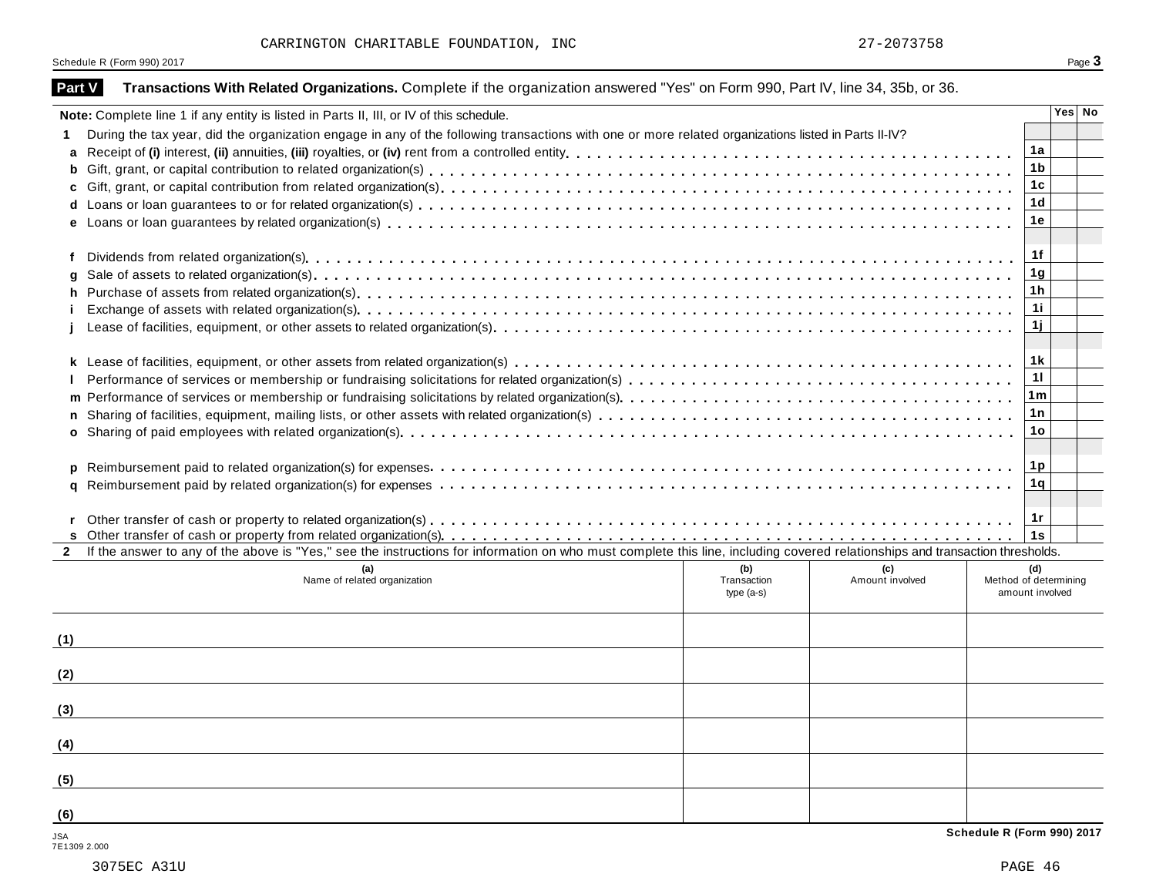Schedule R (Form 990) 2017 Page 3

| Part V              | Transactions With Related Organizations. Complete if the organization answered "Yes" on Form 990, Part IV, line 34, 35b, or 36.                                              |                                    |                        |                                                 |        |  |  |  |  |
|---------------------|------------------------------------------------------------------------------------------------------------------------------------------------------------------------------|------------------------------------|------------------------|-------------------------------------------------|--------|--|--|--|--|
|                     | Note: Complete line 1 if any entity is listed in Parts II, III, or IV of this schedule.                                                                                      |                                    |                        |                                                 | Yes No |  |  |  |  |
|                     | During the tax year, did the organization engage in any of the following transactions with one or more related organizations listed in Parts II-IV?                          |                                    |                        |                                                 |        |  |  |  |  |
| a                   |                                                                                                                                                                              |                                    |                        | 1a                                              |        |  |  |  |  |
| b                   |                                                                                                                                                                              |                                    |                        | 1 <sub>b</sub>                                  |        |  |  |  |  |
|                     |                                                                                                                                                                              |                                    |                        | 1c                                              |        |  |  |  |  |
| d                   |                                                                                                                                                                              |                                    |                        | 1 <sub>d</sub>                                  |        |  |  |  |  |
|                     |                                                                                                                                                                              |                                    |                        | 1e                                              |        |  |  |  |  |
| f                   |                                                                                                                                                                              |                                    |                        | 1f                                              |        |  |  |  |  |
|                     |                                                                                                                                                                              |                                    |                        | 1 <sub>g</sub>                                  |        |  |  |  |  |
| h.                  |                                                                                                                                                                              |                                    |                        | 1h                                              |        |  |  |  |  |
|                     |                                                                                                                                                                              |                                    |                        | 11                                              |        |  |  |  |  |
|                     |                                                                                                                                                                              |                                    |                        | 1j                                              |        |  |  |  |  |
|                     |                                                                                                                                                                              |                                    |                        | 1 k                                             |        |  |  |  |  |
|                     |                                                                                                                                                                              |                                    |                        | 11                                              |        |  |  |  |  |
| m                   | 1 <sub>m</sub>                                                                                                                                                               |                                    |                        |                                                 |        |  |  |  |  |
|                     |                                                                                                                                                                              |                                    |                        | 1 n                                             |        |  |  |  |  |
|                     |                                                                                                                                                                              |                                    |                        | 1o                                              |        |  |  |  |  |
| D                   |                                                                                                                                                                              |                                    |                        | 1p                                              |        |  |  |  |  |
| α                   |                                                                                                                                                                              |                                    |                        | 1q                                              |        |  |  |  |  |
|                     |                                                                                                                                                                              |                                    |                        | 1r                                              |        |  |  |  |  |
|                     |                                                                                                                                                                              |                                    |                        | 1s                                              |        |  |  |  |  |
| $\mathbf{2}$        | If the answer to any of the above is "Yes," see the instructions for information on who must complete this line, including covered relationships and transaction thresholds. |                                    |                        |                                                 |        |  |  |  |  |
|                     | Name of related organization                                                                                                                                                 | (b)<br>Transaction<br>type $(a-s)$ | (c)<br>Amount involved | (d)<br>Method of determining<br>amount involved |        |  |  |  |  |
| (1)                 |                                                                                                                                                                              |                                    |                        |                                                 |        |  |  |  |  |
| (2)                 |                                                                                                                                                                              |                                    |                        |                                                 |        |  |  |  |  |
| (3)                 |                                                                                                                                                                              |                                    |                        |                                                 |        |  |  |  |  |
| (4)                 |                                                                                                                                                                              |                                    |                        |                                                 |        |  |  |  |  |
| (5)                 |                                                                                                                                                                              |                                    |                        |                                                 |        |  |  |  |  |
| (6)                 |                                                                                                                                                                              |                                    |                        |                                                 |        |  |  |  |  |
| JSA<br>7E1309 2.000 |                                                                                                                                                                              |                                    |                        | Schedule R (Form 990) 2017                      |        |  |  |  |  |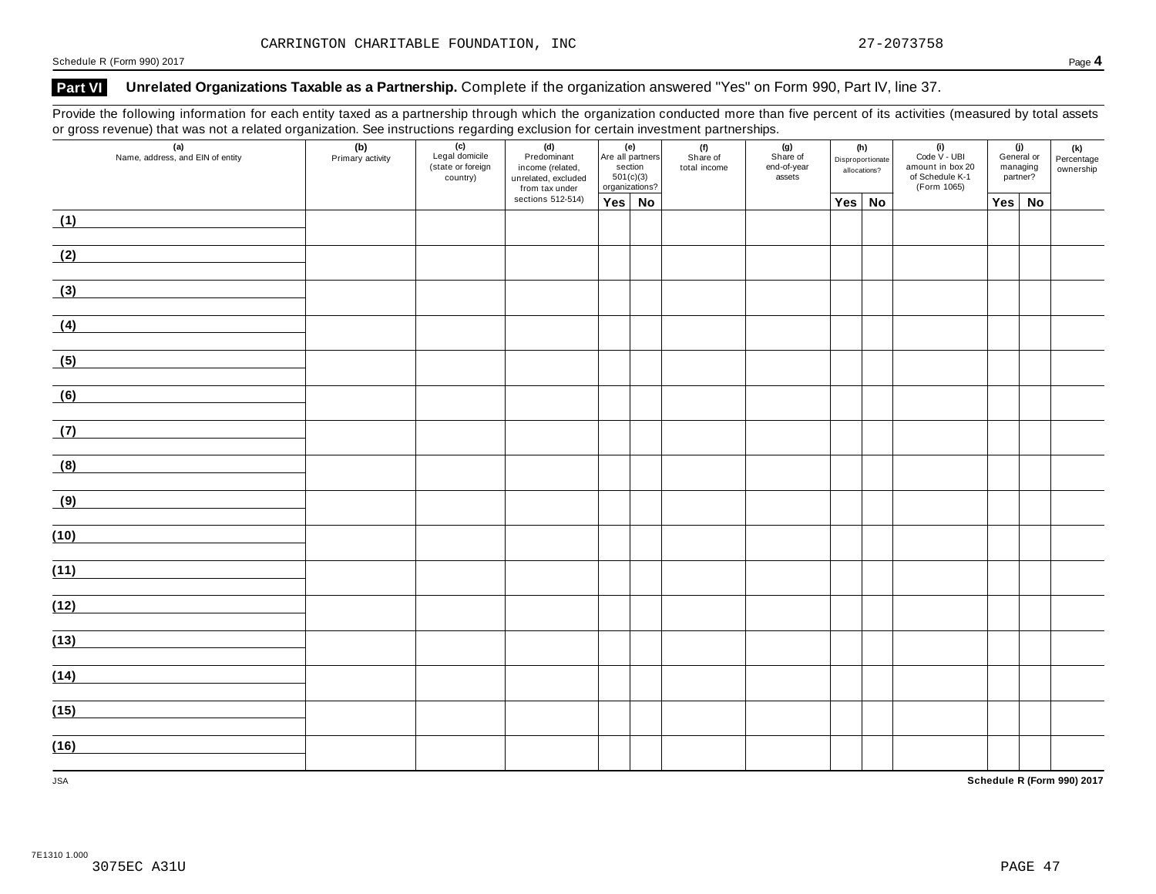## **Part VI Unrelated Organizations Taxable as a Partnership.** Complete if the organization answered "Yes" on Form 990, Part IV, line 37.

Provide the following information for each entity taxed as a partnership through which the organization conducted more than five percent of its activities (measured by total assets or gross revenue) that was not a related organization. See instructions regarding exclusion for certain investment partnerships.

| ັ<br>$\mathbf{z}$<br>(a)<br>Name, address, and EIN of entity | ັ<br>(b)<br>Primary activity | ັ<br>(c)<br>Legal domicile<br>(state or foreign<br>country) | ັ<br>(d)<br>Predominant<br>income (related,<br>unrelated, excluded<br>from tax under |        | (e)<br>Are all partners<br>section<br>501(c)(3)<br>organizations? | . .<br>(f)<br>Share of<br>total income | . .<br>(g)<br>Share of<br>end-of-year<br>assets | (h)<br>Disproportionate<br>allocations? | $(i)$<br>Code $\vee$ - UBI<br>amount in box 20<br>of Schedule K-1<br>(Form 1065) | (j)<br>General or<br>managing<br>partner? |    | (k)<br>Percentage<br>ownership |
|--------------------------------------------------------------|------------------------------|-------------------------------------------------------------|--------------------------------------------------------------------------------------|--------|-------------------------------------------------------------------|----------------------------------------|-------------------------------------------------|-----------------------------------------|----------------------------------------------------------------------------------|-------------------------------------------|----|--------------------------------|
|                                                              |                              |                                                             | sections 512-514)                                                                    | Yes No |                                                                   |                                        |                                                 | Yes No                                  |                                                                                  | Yes                                       | No |                                |
| (1)                                                          |                              |                                                             |                                                                                      |        |                                                                   |                                        |                                                 |                                         |                                                                                  |                                           |    |                                |
| (2)                                                          |                              |                                                             |                                                                                      |        |                                                                   |                                        |                                                 |                                         |                                                                                  |                                           |    |                                |
| (3)                                                          |                              |                                                             |                                                                                      |        |                                                                   |                                        |                                                 |                                         |                                                                                  |                                           |    |                                |
| (4)                                                          |                              |                                                             |                                                                                      |        |                                                                   |                                        |                                                 |                                         |                                                                                  |                                           |    |                                |
| (5)                                                          |                              |                                                             |                                                                                      |        |                                                                   |                                        |                                                 |                                         |                                                                                  |                                           |    |                                |
| (6)                                                          |                              |                                                             |                                                                                      |        |                                                                   |                                        |                                                 |                                         |                                                                                  |                                           |    |                                |
| (7)                                                          |                              |                                                             |                                                                                      |        |                                                                   |                                        |                                                 |                                         |                                                                                  |                                           |    |                                |
| (8)                                                          |                              |                                                             |                                                                                      |        |                                                                   |                                        |                                                 |                                         |                                                                                  |                                           |    |                                |
| (9)                                                          |                              |                                                             |                                                                                      |        |                                                                   |                                        |                                                 |                                         |                                                                                  |                                           |    |                                |
| (10)                                                         |                              |                                                             |                                                                                      |        |                                                                   |                                        |                                                 |                                         |                                                                                  |                                           |    |                                |
| (11)                                                         |                              |                                                             |                                                                                      |        |                                                                   |                                        |                                                 |                                         |                                                                                  |                                           |    |                                |
| (12)                                                         |                              |                                                             |                                                                                      |        |                                                                   |                                        |                                                 |                                         |                                                                                  |                                           |    |                                |
| (13)                                                         |                              |                                                             |                                                                                      |        |                                                                   |                                        |                                                 |                                         |                                                                                  |                                           |    |                                |
| (14)                                                         |                              |                                                             |                                                                                      |        |                                                                   |                                        |                                                 |                                         |                                                                                  |                                           |    |                                |
| (15)                                                         |                              |                                                             |                                                                                      |        |                                                                   |                                        |                                                 |                                         |                                                                                  |                                           |    |                                |
| (16)                                                         |                              |                                                             |                                                                                      |        |                                                                   |                                        |                                                 |                                         |                                                                                  |                                           |    |                                |
| <b>JSA</b>                                                   |                              |                                                             |                                                                                      |        |                                                                   |                                        |                                                 |                                         |                                                                                  |                                           |    | Schedule R (Form 990) 2017     |